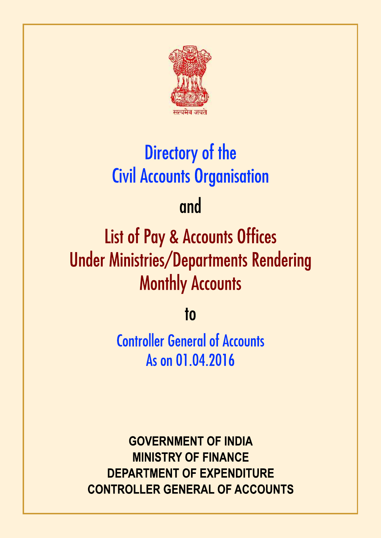

# Directory of the **Civil Accounts Organisation**

## and

# **List of Pay & Accounts Offices Under Ministries/Departments Rendering Monthly Accounts**

 $10$ 

**Controller General of Accounts** As on 01.04.2016

**GOVERNMENT OF INDIA MINISTRY OF FINANCE DEPARTMENT OF EXPENDITURE CONTROLLER GENERAL OF ACCOUNTS**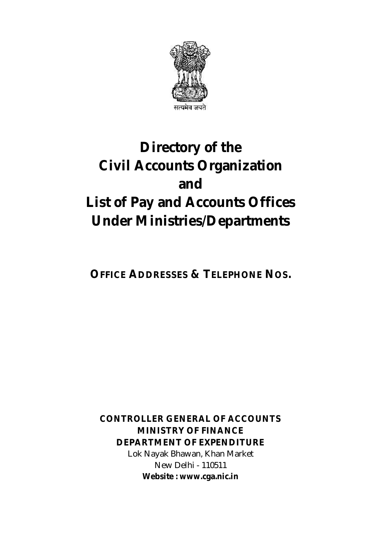

### **Directory of the Civil Accounts Organization and List of Pay and Accounts Offices Under Ministries/Departments**

**OFFICE ADDRESSES & TELEPHONE NOS.**

**CONTROLLER GENERAL OF ACCOUNTS MINISTRY OF FINANCE DEPARTMENT OF EXPENDITURE**  Lok Nayak Bhawan, Khan Market New Delhi - 110511 **Website : www.cga.nic.in**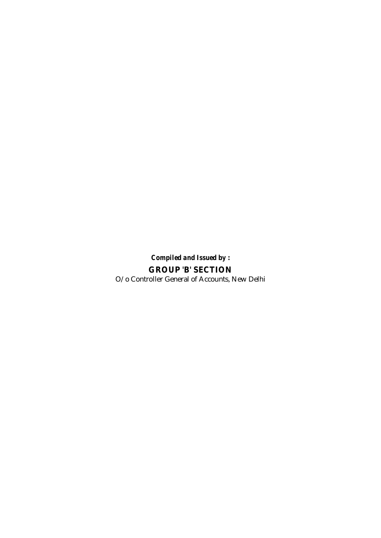*Compiled and Issued by :* **GROUP 'B' SECTION** O/o Controller General of Accounts, New Delhi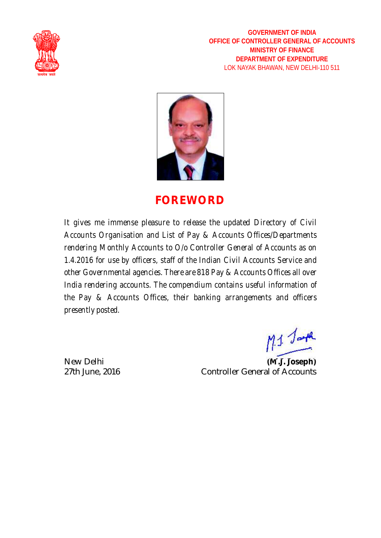

**GOVERNMENT OF INDIA OFFICE OF CONTROLLER GENERAL OF ACCOUNTS MINISTRY OF FINANCE DEPARTMENT OF EXPENDITURE** LOK NAYAK BHAWAN, NEW DELHI-110 511



### **FOREWORD**

*It gives me immense pleasure to release the updated Directory of Civil Accounts Organisation and List of Pay & Accounts Offices/Departments rendering Monthly Accounts to O/o Controller General of Accounts as on 1.4.2016 for use by officers, staff of the Indian Civil Accounts Service and other Governmental agencies. There are 818 Pay & Accounts Offices all over India rendering accounts. The compendium contains useful information of the Pay & Accounts Offices, their banking arrangements and officers presently posted.* 

 $M_{\odot}$ 

New Delhi **(M.J. Joseph)** 27th June, 2016 Controller General of Accounts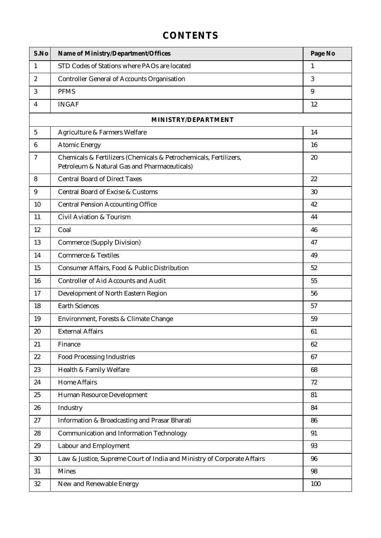#### **CONTENTS**

| S.No           | Name of Ministry/Department/Offices                                                                               | Page No |
|----------------|-------------------------------------------------------------------------------------------------------------------|---------|
| $\mathbf{1}$   | STD Codes of Stations where PAOs are located                                                                      | 1       |
| $\overline{2}$ | <b>Controller General of Accounts Organisation</b>                                                                | 3       |
| 3              | <b>PFMS</b>                                                                                                       | 9       |
| 4              | <b>INGAF</b>                                                                                                      | 12      |
|                | MINISTRY/DEPARTMENT                                                                                               |         |
| 5              | Agriculture & Farmers Welfare                                                                                     | 14      |
| 6              | <b>Atomic Energy</b>                                                                                              | 16      |
| $\tau$         | Chemicals & Fertilizers (Chemicals & Petrochemicals, Fertilizers,<br>Petroleum & Natural Gas and Pharmaceuticals) | 20      |
| 8              | <b>Central Board of Direct Taxes</b>                                                                              | 22      |
| 9              | <b>Central Board of Excise &amp; Customs</b>                                                                      | 30      |
| 10             | <b>Central Pension Accounting Office</b>                                                                          | 42      |
| 11             | <b>Civil Aviation &amp; Tourism</b>                                                                               | 44      |
| 12             | Coal                                                                                                              | 46      |
| 13             | <b>Commerce (Supply Division)</b>                                                                                 | 47      |
| 14             | <b>Commerce &amp; Textiles</b>                                                                                    | 49      |
| 15             | Consumer Affairs, Food & Public Distribution                                                                      | 52      |
| 16             | <b>Controller of Aid Accounts and Audit</b>                                                                       | 55      |
| 17             | Development of North Eastern Region                                                                               | 56      |
| 18             | <b>Earth Sciences</b>                                                                                             | 57      |
| 19             | Environment, Forests & Climate Change                                                                             | 59      |
| 20             | <b>External Affairs</b>                                                                                           | 61      |
| 21             | Finance                                                                                                           | 62      |
| 22             | <b>Food Processing Industries</b>                                                                                 | 67      |
| 23             | Health & Family Welfare                                                                                           | 68      |
| 24             | <b>Home Affairs</b>                                                                                               | 72      |
| 25             | Human Resource Development                                                                                        | 81      |
| 26             | Industry                                                                                                          | 84      |
| 27             | Information & Broadcasting and Prasar Bharati                                                                     | 86      |
| 28             | <b>Communication and Information Technology</b>                                                                   | 91      |
| 29             | Labour and Employment                                                                                             | 93      |
| 30             | Law & Justice, Supreme Court of India and Ministry of Corporate Affairs                                           | 96      |
| 31             | <b>Mines</b>                                                                                                      | 98      |
| 32             | New and Renewable Energy                                                                                          | 100     |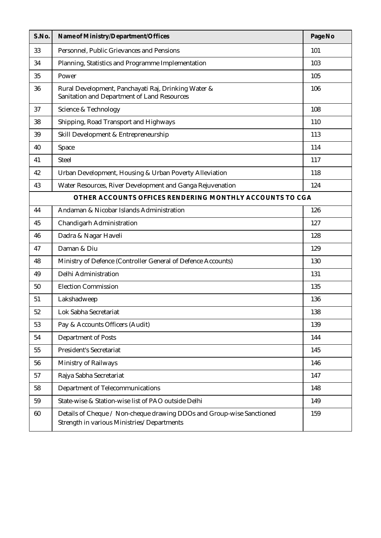| S.No. | Name of Ministry/Department/Offices                                                                                 | Page No |
|-------|---------------------------------------------------------------------------------------------------------------------|---------|
| 33    | Personnel, Public Grievances and Pensions                                                                           | 101     |
| 34    | Planning, Statistics and Programme Implementation                                                                   | 103     |
| 35    | Power                                                                                                               | 105     |
| 36    | Rural Development, Panchayati Raj, Drinking Water &<br>Sanitation and Department of Land Resources                  | 106     |
| 37    | <b>Science &amp; Technology</b>                                                                                     | 108     |
| 38    | Shipping, Road Transport and Highways                                                                               | 110     |
| 39    | Skill Development & Entrepreneurship                                                                                | 113     |
| 40    | Space                                                                                                               | 114     |
| 41    | <b>Steel</b>                                                                                                        | 117     |
| 42    | Urban Development, Housing & Urban Poverty Alleviation                                                              | 118     |
| 43    | Water Resources, River Development and Ganga Rejuvenation                                                           | 124     |
|       | OTHER ACCOUNTS OFFICES RENDERING MONTHLY ACCOUNTS TO CGA                                                            |         |
| 44    | Andaman & Nicobar Islands Administration                                                                            | 126     |
| 45    | Chandigarh Administration                                                                                           | 127     |
| 46    | Dadra & Nagar Haveli                                                                                                | 128     |
| 47    | Daman & Diu                                                                                                         | 129     |
| 48    | Ministry of Defence (Controller General of Defence Accounts)                                                        | 130     |
| 49    | Delhi Administration                                                                                                | 131     |
| 50    | <b>Election Commission</b>                                                                                          | 135     |
| 51    | Lakshadweep                                                                                                         | 136     |
| 52    | Lok Sabha Secretariat                                                                                               | 138     |
| 53    | Pay & Accounts Officers (Audit)                                                                                     | 139     |
| 54    | <b>Department of Posts</b>                                                                                          | 144     |
| 55    | <b>President's Secretariat</b>                                                                                      | 145     |
| 56    | <b>Ministry of Railways</b>                                                                                         | 146     |
| 57    | Rajya Sabha Secretariat                                                                                             | 147     |
| 58    | Department of Telecommunications                                                                                    | 148     |
| 59    | State-wise & Station-wise list of PAO outside Delhi                                                                 | 149     |
| 60    | Details of Cheque / Non-cheque drawing DDOs and Group-wise Sanctioned<br>Strength in various Ministries/Departments | 159     |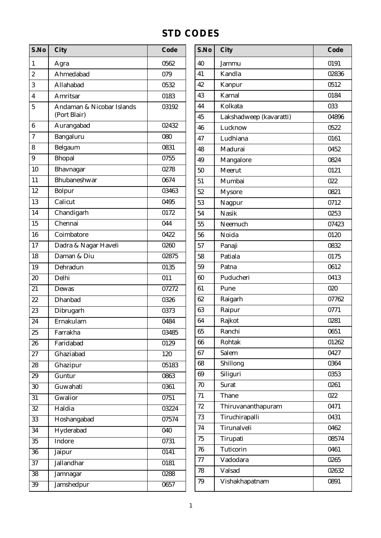#### **STD CODES**

| S.No                    | City                      | Code  | S.No | City                    | Code  |
|-------------------------|---------------------------|-------|------|-------------------------|-------|
| $\mathbf{1}$            | Agra                      | 0562  | 40   | Jammu                   | 0191  |
| $\sqrt{2}$              | Ahmedabad                 | 079   | 41   | Kandla                  | 02836 |
| $\overline{3}$          | Allahabad                 | 0532  | 42   | Kanpur                  | 0512  |
| $\overline{\mathbf{4}}$ | Amritsar                  | 0183  | 43   | Karnal                  | 0184  |
| $\overline{5}$          | Andaman & Nicobar Islands | 03192 | 44   | Kolkata                 | 033   |
|                         | (Port Blair)              |       | 45   | Lakshadweep (kavaratti) | 04896 |
| $\bf 6$                 | Aurangabad                | 02432 | 46   | Lucknow                 | 0522  |
| $\boldsymbol{7}$        | Bangaluru                 | 080   | 47   | Ludhiana                | 0161  |
| $\bf 8$                 | Belgaum                   | 0831  | 48   | Madurai                 | 0452  |
| $\boldsymbol{9}$        | <b>Bhopal</b>             | 0755  | 49   | Mangalore               | 0824  |
| 10                      | Bhavnagar                 | 0278  | 50   | Meerut                  | 0121  |
| 11                      | Bhubaneshwar              | 0674  | 51   | Mumbai                  | 022   |
| 12                      | Bolpur                    | 03463 | 52   | <b>Mysore</b>           | 0821  |
| 13                      | Calicut                   | 0495  | 53   | Nagpur                  | 0712  |
| 14                      | Chandigarh                | 0172  | 54   | <b>Nasik</b>            | 0253  |
| 15                      | Chennai                   | 044   | 55   | Neemuch                 | 07423 |
| 16                      | Coimbatore                | 0422  | 56   | Noida                   | 0120  |
| 17                      | Dadra & Nagar Haveli      | 0260  | 57   | Panaji                  | 0832  |
| 18                      | Daman & Diu               | 02875 | 58   | Patiala                 | 0175  |
| 19                      | Dehradun                  | 0135  | 59   | Patna                   | 0612  |
| 20                      | Delhi                     | 011   | 60   | Puducheri               | 0413  |
| 21                      | Dewas                     | 07272 | 61   | Pune                    | 020   |
| 22                      | Dhanbad                   | 0326  | 62   | Raigarh                 | 07762 |
| 23                      | Dibrugarh                 | 0373  | 63   | Raipur                  | 0771  |
| 24                      | Ernakulam                 | 0484  | 64   | Rajkot                  | 0281  |
| $25\,$                  | Farrakha                  | 03485 | 65   | Ranchi                  | 0651  |
| 26                      | Faridabad                 | 0129  | 66   | Rohtak                  | 01262 |
| 27                      | Ghaziabad                 | 120   | 67   | Salem                   | 0427  |
| $\bf 28$                | Ghazipur                  | 05183 | 68   | Shillong                | 0364  |
| $\boldsymbol{29}$       | Guntur                    | 0863  | 69   | Siliguri                | 0353  |
| $\overline{30}$         | Guwahati                  | 0361  | 70   | <b>Surat</b>            | 0261  |
| 31                      | Gwalior                   | 0751  | 71   | Thane                   | 022   |
| $32\,$                  | Haldia                    | 03224 | 72   | Thiruvananthapuram      | 0471  |
| 33                      | Hoshangabad               | 07574 | 73   | Tiruchirapalli          | 0431  |
| $\overline{34}$         | Hyderabad                 | 040   | 74   | Tirunalveli             | 0462  |
| 35                      | Indore                    | 0731  | 75   | Tirupati                | 08574 |
| $\overline{36}$         | Jaipur                    | 0141  | 76   | Tuticorin               | 0461  |
| $\overline{37}$         | <b>Jallandhar</b>         | 0181  | 77   | Vadodara                | 0265  |
| 38                      | Jamnagar                  | 0288  | 78   | Valsad                  | 02632 |
| 39                      | Jamshedpur                | 0657  | 79   | Vishakhapatnam          | 0891  |
|                         |                           |       |      |                         |       |

| S.No | City                    | Code  |
|------|-------------------------|-------|
| 40   | Jammu                   | 0191  |
| 41   | Kandla                  | 02836 |
| 42   | Kanpur                  | 0512  |
| 43   | Karnal                  | 0184  |
| 44   | Kolkata                 | 033   |
| 45   | Lakshadweep (kavaratti) | 04896 |
| 46   | Lucknow                 | 0522  |
| 47   | Ludhiana                | 0161  |
| 48   | Madurai                 | 0452  |
| 49   | Mangalore               | 0824  |
| 50   | Meerut                  | 0121  |
| 51   | Mumbai                  | 022   |
| 52   | <b>Mysore</b>           | 0821  |
| 53   | Nagpur                  | 0712  |
| 54   | <b>Nasik</b>            | 0253  |
| 55   | Neemuch                 | 07423 |
| 56   | Noida                   | 0120  |
| 57   | Panaji                  | 0832  |
| 58   | Patiala                 | 0175  |
| 59   | Patna                   | 0612  |
| 60   | Puducheri               | 0413  |
| 61   | Pune                    | 020   |
| 62   | Raigarh                 | 07762 |
| 63   | Raipur                  | 0771  |
| 64   | Rajkot                  | 0281  |
| 65   | Ranchi                  | 0651  |
| 66   | Rohtak                  | 01262 |
| 67   | Salem                   | 0427  |
| 68   | Shillong                | 0364  |
| 69   | Siliguri                | 0353  |
| 70   | Surat                   | 0261  |
| 71   | Thane                   | 022   |
| 72   | Thiruvananthapuram      | 0471  |
| 73   | Tiruchirapalli          | 0431  |
| 74   | Tirunalveli             | 0462  |
| 75   | Tirupati                | 08574 |
| 76   | Tuticorin               | 0461  |
| 77   | Vadodara                | 0265  |
| 78   | Valsad                  | 02632 |
| 79   | Vishakhapatnam          | 0891  |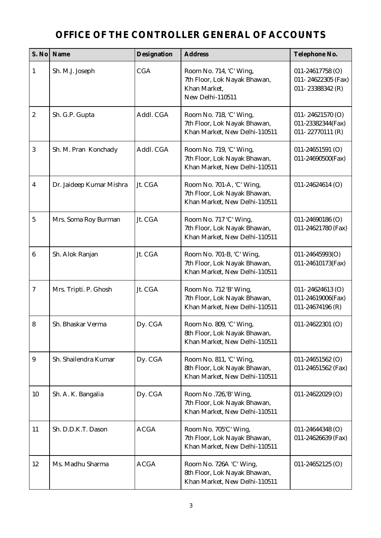#### **OFFICE OF THE CONTROLLER GENERAL OF ACCOUNTS**

|                         | S. No   Name             | Designation | <b>Address</b>                                                                              | Telephone No.                                               |
|-------------------------|--------------------------|-------------|---------------------------------------------------------------------------------------------|-------------------------------------------------------------|
| $\mathbf{1}$            | Sh. M.J. Joseph          | <b>CGA</b>  | Room No. 714, 'C' Wing,<br>7th Floor, Lok Nayak Bhawan,<br>Khan Market,<br>New Delhi-110511 | 011-24617758 (O)<br>011-24622305 (Fax)<br>011-23388342 (R)  |
| $\boldsymbol{2}$        | Sh. G.P. Gupta           | Addl. CGA   | Room No. 718, 'C' Wing,<br>7th Floor, Lok Nayak Bhawan,<br>Khan Market, New Delhi-110511    | 011-24621570 $(O)$<br>011-23382344(Fax)<br>011-22770111 (R) |
| 3                       | Sh. M. Pran Konchady     | Addl. CGA   | Room No. 719, 'C' Wing,<br>7th Floor, Lok Nayak Bhawan,<br>Khan Market, New Delhi-110511    | $011 - 24651591$ (O)<br>011-24690500(Fax)                   |
| $\overline{\mathbf{4}}$ | Dr. Jaideep Kumar Mishra | Jt. CGA     | Room No. 701-A, 'C' Wing,<br>7th Floor, Lok Nayak Bhawan,<br>Khan Market, New Delhi-110511  | 011-24624614 (O)                                            |
| $\overline{5}$          | Mrs. Soma Roy Burman     | Jt. CGA     | Room No. 717 'C' Wing,<br>7th Floor, Lok Nayak Bhawan,<br>Khan Market, New Delhi-110511     | $011 - 24690186$ (O)<br>011-24621780 (Fax)                  |
| $6\phantom{1}$          | Sh. Alok Ranjan          | Jt. CGA     | Room No. 701-B, 'C' Wing,<br>7th Floor, Lok Nayak Bhawan,<br>Khan Market, New Delhi-110511  | 011-24645993(O)<br>011-24610173(Fax)                        |
| $\tau$                  | Mrs. Tripti. P. Ghosh    | Jt. CGA     | Room No. 712 'B' Wing,<br>7th Floor, Lok Nayak Bhawan,<br>Khan Market, New Delhi-110511     | 011-24624613 $(O)$<br>011-24619006(Fax)<br>011-24674196 (R) |
| 8                       | Sh. Bhaskar Verma        | Dy. CGA     | Room No. 809, 'C' Wing,<br>8th Floor, Lok Nayak Bhawan,<br>Khan Market, New Delhi-110511    | $011 - 24622301$ (O)                                        |
| 9                       | Sh. Shailendra Kumar     | Dy. CGA     | Room No. 811, 'C' Wing,<br>8th Floor, Lok Nayak Bhawan,<br>Khan Market, New Delhi-110511    | $011 - 24651562$ (O)<br>011-24651562 (Fax)                  |
| 10                      | Sh. A. K. Bangalia       | Dy. CGA     | Room No .726,'B' Wing,<br>7th Floor, Lok Nayak Bhawan,<br>Khan Market, New Delhi-110511     | $011 - 24622029$ (O)                                        |
| 11                      | Sh. D.D.K.T. Dason       | <b>ACGA</b> | Room No. 705'C' Wing,<br>7th Floor, Lok Nayak Bhawan,<br>Khan Market, New Delhi-110511      | 011-24644348 (O)<br>011-24626639 (Fax)                      |
| 12                      | Ms. Madhu Sharma         | <b>ACGA</b> | Room No. 726A 'C' Wing,<br>8th Floor, Lok Nayak Bhawan,<br>Khan Market, New Delhi-110511    | $011 - 24652125$ (O)                                        |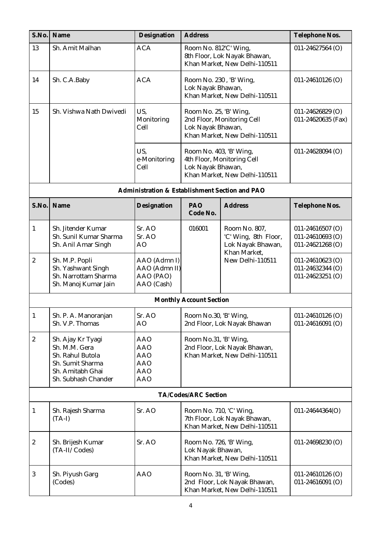| S.No.            | Name                                                                                                                  | Designation                                                               | <b>Address</b>                                                                                             |                                                                                                | Telephone Nos.                                               |
|------------------|-----------------------------------------------------------------------------------------------------------------------|---------------------------------------------------------------------------|------------------------------------------------------------------------------------------------------------|------------------------------------------------------------------------------------------------|--------------------------------------------------------------|
| 13               | Sh. Amit Malhan                                                                                                       | <b>ACA</b>                                                                | Room No. 812'C' Wing,                                                                                      | 8th Floor, Lok Nayak Bhawan,<br>Khan Market, New Delhi-110511                                  | $011 - 24627564$ (O)                                         |
| 14               | Sh. C.A.Baby                                                                                                          | <b>ACA</b>                                                                | Room No. 230, 'B' Wing,<br>Lok Nayak Bhawan,                                                               | Khan Market, New Delhi-110511                                                                  | $011 - 24610126$ (O)                                         |
| 15               | Sh. Vishwa Nath Dwivedi                                                                                               | US,<br>Monitoring<br>Cell                                                 | Room No. 25, 'B' Wing,<br>2nd Floor, Monitoring Cell<br>Lok Nayak Bhawan,<br>Khan Market, New Delhi-110511 |                                                                                                | $011 - 24626829$ (O)<br>011-24620635 (Fax)                   |
|                  |                                                                                                                       | US,<br>e-Monitoring<br>Cell                                               | Room No. 403, 'B' Wing,<br>Lok Nayak Bhawan,                                                               | 4th Floor, Monitoring Cell<br>Khan Market, New Delhi-110511                                    | $011 - 24628094$ (O)                                         |
|                  |                                                                                                                       | Administration & Establishment Section and PAO                            |                                                                                                            |                                                                                                |                                                              |
| S.No.            | Name                                                                                                                  | Designation                                                               | PAO<br>Code No.                                                                                            | <b>Address</b>                                                                                 | Telephone Nos.                                               |
| $\mathbf{1}$     | Sh. Jitender Kumar<br>Sh. Sunil Kumar Sharma<br>Sh. Anil Amar Singh                                                   | Sr. AO<br>Sr. AO<br>AO                                                    | 016001                                                                                                     | Room No. 807,<br>'C' Wing, 8th Floor,<br>Lok Nayak Bhawan,<br>Khan Market,<br>New Delhi-110511 | $011 - 24616507$ (O)<br>011-24610693 (O)<br>011-24621268 (O) |
| $\boldsymbol{2}$ | Sh. M.P. Popli<br>Sh. Yashwant Singh<br>Sh. Narrottam Sharma<br>Sh. Manoj Kumar Jain                                  | AAO (Admn I)<br>AAO (Admn II)<br>AAO (PAO)<br>AAO (Cash)                  |                                                                                                            |                                                                                                | $011 - 24610623$ (O)<br>011-24632344 (O)<br>011-24623251 (O) |
|                  |                                                                                                                       |                                                                           | <b>Monthly Account Section</b>                                                                             |                                                                                                |                                                              |
| $\mathbf{1}$     | Sh. P. A. Manoranjan<br>Sh. V.P. Thomas                                                                               | Sr. AO<br>AO                                                              | Room No.30, 'B' Wing,                                                                                      | 2nd Floor, Lok Nayak Bhawan                                                                    | 011-24610126 (O)<br>011-24616091 (O)                         |
| $\boldsymbol{2}$ | Sh. Ajay Kr Tyagi<br>Sh. M.M. Gera<br>Sh. Rahul Butola<br>Sh. Sumit Sharma<br>Sh. Amitabh Ghai<br>Sh. Subhash Chander | AAO<br><b>AAO</b><br><b>AAO</b><br><b>AAO</b><br><b>AAO</b><br><b>AAO</b> | Room No.31, 'B' Wing,                                                                                      | 2nd Floor, Lok Nayak Bhawan,<br>Khan Market, New Delhi-110511                                  |                                                              |
|                  |                                                                                                                       |                                                                           | TA/Codes/ARC Section                                                                                       |                                                                                                |                                                              |
| $\mathbf{1}$     | Sh. Rajesh Sharma<br>$(TA-I)$                                                                                         | Sr. AO                                                                    | Room No. 710, 'C' Wing,                                                                                    | 7th Floor, Lok Nayak Bhawan,<br>Khan Market, New Delhi-110511                                  | $011 - 24644364(O)$                                          |
| $\boldsymbol{2}$ | Sh. Brijesh Kumar<br>(TA-II/Codes)                                                                                    | Sr. AO                                                                    | Room No. 726, 'B' Wing,<br>Lok Nayak Bhawan,                                                               | Khan Market, New Delhi-110511                                                                  | 011-24698230 (O)                                             |
| $\mathbf{3}$     | Sh. Piyush Garg<br>(Codes)                                                                                            | <b>AAO</b>                                                                | Room No. 31, 'B' Wing,                                                                                     | 2nd Floor, Lok Nayak Bhawan,<br>Khan Market, New Delhi-110511                                  | $011 - 24610126$ (O)<br>$011 - 24616091$ (O)                 |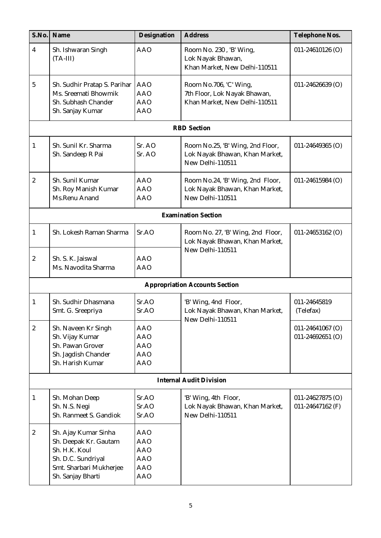| S.No.                   | Name                                                                                                                                 | Designation                                                                      | <b>Address</b>                                                                          | Telephone Nos.                           |
|-------------------------|--------------------------------------------------------------------------------------------------------------------------------------|----------------------------------------------------------------------------------|-----------------------------------------------------------------------------------------|------------------------------------------|
| 4                       | Sh. Ishwaran Singh<br>$(TA-III)$                                                                                                     | <b>AAO</b>                                                                       | Room No. 230, 'B' Wing,<br>Lok Nayak Bhawan,<br>Khan Market, New Delhi-110511           | $011 - 24610126$ (O)                     |
| $\overline{5}$          | Sh. Sudhir Pratap S. Parihar<br>Ms. Sreemati Bhowmik<br>Sh. Subhash Chander<br>Sh. Sanjay Kumar                                      | <b>AAO</b><br><b>AAO</b><br><b>AAO</b><br><b>AAO</b>                             | Room No.706, 'C' Wing,<br>7th Floor, Lok Nayak Bhawan,<br>Khan Market, New Delhi-110511 | $011 - 24626639$ (O)                     |
|                         |                                                                                                                                      |                                                                                  | <b>RBD</b> Section                                                                      |                                          |
| 1                       | Sh. Sunil Kr. Sharma<br>Sh. Sandeep R Pai                                                                                            | Sr. AO<br>Sr. AO                                                                 | Room No.25, 'B' Wing, 2nd Floor,<br>Lok Nayak Bhawan, Khan Market,<br>New Delhi-110511  | $011 - 24649365$ (O)                     |
| $\overline{\mathbf{2}}$ | Sh. Sunil Kumar<br>Sh. Roy Manish Kumar<br>Ms.Renu Anand                                                                             | <b>AAO</b><br><b>AAO</b><br><b>AAO</b>                                           | Room No.24, 'B' Wing, 2nd Floor,<br>Lok Nayak Bhawan, Khan Market,<br>New Delhi-110511  | $011 - 24615984$ (O)                     |
|                         |                                                                                                                                      |                                                                                  | <b>Examination Section</b>                                                              |                                          |
| $\mathbf{1}$            | Sh. Lokesh Raman Sharma                                                                                                              | Sr.AO                                                                            | Room No. 27, 'B' Wing, 2nd Floor,<br>Lok Nayak Bhawan, Khan Market,                     | $011 - 24653162$ (O)                     |
| $\boldsymbol{2}$        | Sh. S. K. Jaiswal<br>Ms. Navodita Sharma                                                                                             | <b>AAO</b><br><b>AAO</b>                                                         | New Delhi-110511                                                                        |                                          |
|                         |                                                                                                                                      |                                                                                  | <b>Appropriation Accounts Section</b>                                                   |                                          |
| 1                       | Sh. Sudhir Dhasmana<br>Smt. G. Sreepriya                                                                                             | SrAO<br>Sr.AO                                                                    | 'B' Wing, 4nd Floor,<br>Lok Nayak Bhawan, Khan Market,<br>New Delhi-110511              | 011-24645819<br>(Telefax)                |
| $\boldsymbol{2}$        | Sh. Naveen Kr Singh<br>Sh. Vijay Kumar<br>Sh. Pawan Grover<br>Sh. Jagdish Chander<br>Sh. Harish Kumar                                | <b>AAO</b><br><b>AAO</b><br><b>AAO</b><br><b>AAO</b><br><b>AAO</b>               |                                                                                         | $011 - 24641067$ (O)<br>011-24692651 (O) |
|                         |                                                                                                                                      |                                                                                  | <b>Internal Audit Division</b>                                                          |                                          |
| 1                       | Sh. Mohan Deep<br>Sh. N.S. Negi<br>Sh. Ranmeet S. Gandiok                                                                            | Sr.AO<br>Sr.AO<br>Sr.AO                                                          | 'B' Wing, 4th Floor,<br>Lok Nayak Bhawan, Khan Market,<br>New Delhi-110511              | $011 - 24627875$ (O)<br>011-24647162 (F) |
| $\boldsymbol{2}$        | Sh. Ajay Kumar Sinha<br>Sh. Deepak Kr. Gautam<br>Sh. H.K. Koul<br>Sh. D.C. Sundriyal<br>Smt. Sharbari Mukherjee<br>Sh. Sanjay Bharti | <b>AAO</b><br><b>AAO</b><br><b>AAO</b><br><b>AAO</b><br><b>AAO</b><br><b>AAO</b> |                                                                                         |                                          |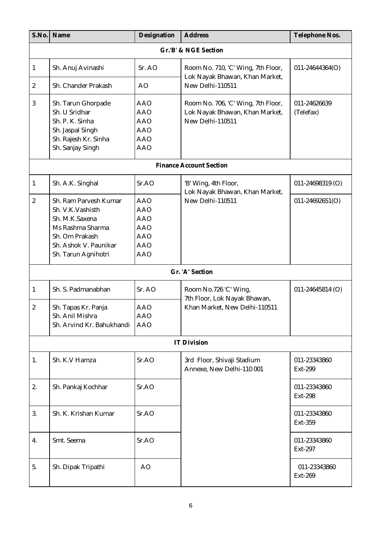|                  | S.No. Name                                                                                                                                        | Designation                                                                                    | <b>Address</b>                                                                           | Telephone Nos.            |  |  |  |  |
|------------------|---------------------------------------------------------------------------------------------------------------------------------------------------|------------------------------------------------------------------------------------------------|------------------------------------------------------------------------------------------|---------------------------|--|--|--|--|
|                  | Gr.'B' & NGE Section                                                                                                                              |                                                                                                |                                                                                          |                           |  |  |  |  |
| $\mathbf{1}$     | Sh. Anuj Avinashi                                                                                                                                 | Sr. AO                                                                                         | Room No. 710, 'C' Wing, 7th Floor,<br>Lok Nayak Bhawan, Khan Market,                     | 011-24644364(O)           |  |  |  |  |
| $\boldsymbol{2}$ | Sh. Chander Prakash                                                                                                                               | A <sub>O</sub>                                                                                 | New Delhi-110511                                                                         |                           |  |  |  |  |
| $\boldsymbol{3}$ | Sh. Tarun Ghorpade<br>Sh. U Sridhar<br>Sh. P. K. Sinha<br>Sh. Jaspal Singh<br>Sh. Rajesh Kr. Sinha<br>Sh. Sanjay Singh                            | <b>AAO</b><br><b>AAO</b><br><b>AAO</b><br><b>AAO</b><br><b>AAO</b><br><b>AAO</b>               | Room No. 706, 'C' Wing, 7th Floor,<br>Lok Nayak Bhawan, Khan Market,<br>New Delhi-110511 | 011-24626639<br>(Telefax) |  |  |  |  |
|                  |                                                                                                                                                   |                                                                                                | <b>Finance Account Section</b>                                                           |                           |  |  |  |  |
| $\mathbf{1}$     | Sh. A.K. Singhal                                                                                                                                  | SrAO                                                                                           | 'B' Wing, 4th Floor,<br>Lok Nayak Bhawan, Khan Market,                                   | $011 - 24698319$ (O)      |  |  |  |  |
| $\boldsymbol{2}$ | Sh. Ram Parvesh Kumar<br>Sh. V.K.Vashisth<br>Sh. M.K.Saxena<br>Ms Rashma Sharma<br>Sh. Om Prakash<br>Sh. Ashok V. Paunikar<br>Sh. Tarun Agnihotri | <b>AAO</b><br><b>AAO</b><br><b>AAO</b><br><b>AAO</b><br><b>AAO</b><br><b>AAO</b><br><b>AAO</b> | New Delhi-110511                                                                         | $011 - 24692651(0)$       |  |  |  |  |
|                  |                                                                                                                                                   |                                                                                                | Gr. 'A' Section                                                                          |                           |  |  |  |  |
| $\mathbf{1}$     | Sh. S. Padmanabhan                                                                                                                                | Sr. AO                                                                                         | Room No.726 'C' Wing,<br>7th Floor, Lok Nayak Bhawan,                                    | $011 - 24645814$ (O)      |  |  |  |  |
| $\boldsymbol{2}$ | Sh. Tapas Kr. Panja<br>Sh. Anil Mishra<br>Sh. Arvind Kr. Bahukhandi                                                                               | <b>AAO</b><br>AAO<br><b>AAO</b>                                                                | Khan Market, New Delhi-110511                                                            |                           |  |  |  |  |
|                  |                                                                                                                                                   |                                                                                                | <b>IT Division</b>                                                                       |                           |  |  |  |  |
| 1.               | Sh. K.V Hamza                                                                                                                                     | Sr.AO                                                                                          | 3rd Floor, Shivaji Stadium<br>Annexe, New Delhi-110 001                                  | 011-23343860<br>Ext-299   |  |  |  |  |
| 2.               | Sh. Pankaj Kochhar                                                                                                                                | Sr.AO                                                                                          |                                                                                          | 011-23343860<br>Ext-298   |  |  |  |  |
| 3.               | Sh. K. Krishan Kumar                                                                                                                              | Sr.AO                                                                                          |                                                                                          | 011-23343860<br>Ext-359   |  |  |  |  |
| 4.               | Smt. Seema                                                                                                                                        | Sr.AO                                                                                          |                                                                                          | 011-23343860<br>Ext-297   |  |  |  |  |
| 5.               | Sh. Dipak Tripathi                                                                                                                                | AO                                                                                             |                                                                                          | 011-23343860<br>Ext-269   |  |  |  |  |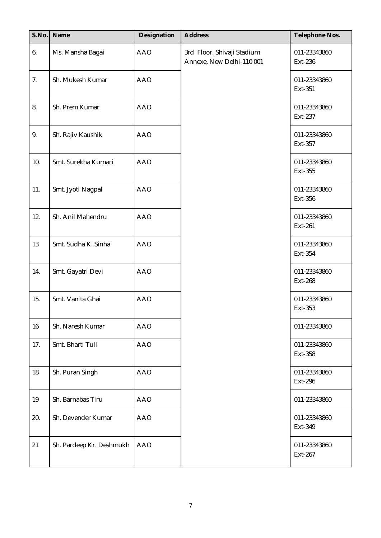| S.No.  | Name                     | Designation | <b>Address</b>                                          | Telephone Nos.                 |
|--------|--------------------------|-------------|---------------------------------------------------------|--------------------------------|
| 6.     | Ms. Mansha Bagai         | <b>AAO</b>  | 3rd Floor, Shivaji Stadium<br>Annexe, New Delhi-110 001 | 011-23343860<br>Ext-236        |
| 7.     | Sh. Mukesh Kumar         | <b>AAO</b>  |                                                         | 011-23343860<br>Ext-351        |
| 8.     | Sh. Prem Kumar           | <b>AAO</b>  |                                                         | 011-23343860<br>Ext-237        |
| 9.     | Sh. Rajiv Kaushik        | <b>AAO</b>  |                                                         | 011-23343860<br>Ext-357        |
| 10.    | Smt. Surekha Kumari      | <b>AAO</b>  |                                                         | 011-23343860<br>Ext-355        |
| 11.    | Smt. Jyoti Nagpal        | <b>AAO</b>  |                                                         | 011-23343860<br>Ext-356        |
| 12.    | Sh. Anil Mahendru        | <b>AAO</b>  |                                                         | 011-23343860<br>Ext-261        |
| 13     | Smt. Sudha K. Sinha      | <b>AAO</b>  |                                                         | 011-23343860<br>Ext-354        |
| 14.    | Smt. Gayatri Devi        | <b>AAO</b>  |                                                         | 011-23343860<br>Ext-268        |
| 15.    | Smt. Vanita Ghai         | <b>AAO</b>  |                                                         | 011-23343860<br>Ext-353        |
| $16\,$ | Sh. Naresh Kumar         | <b>AAO</b>  |                                                         | 011-23343860                   |
| 17.    | Smt. Bharti Tuli         | <b>AAO</b>  |                                                         | 011-23343860<br><b>Ext-358</b> |
| 18     | Sh. Puran Singh          | <b>AAO</b>  |                                                         | 011-23343860<br>Ext-296        |
| 19     | Sh. Barnabas Tiru        | <b>AAO</b>  |                                                         | 011-23343860                   |
| 20.    | Sh. Devender Kumar       | <b>AAO</b>  |                                                         | 011-23343860<br>Ext-349        |
| 21     | Sh. Pardeep Kr. Deshmukh | <b>AAO</b>  |                                                         | 011-23343860<br>Ext-267        |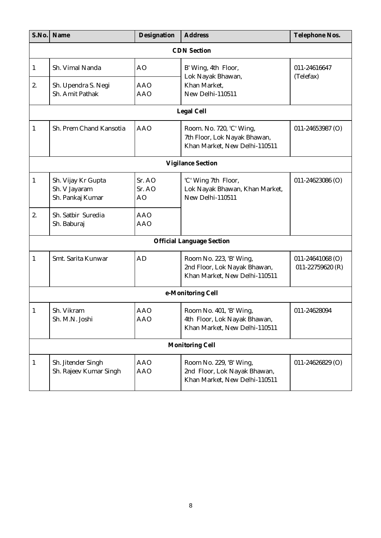| S.No.        | Name                                                    | Designation                        | <b>Address</b>                                                                            | Telephone Nos.                           |  |  |  |
|--------------|---------------------------------------------------------|------------------------------------|-------------------------------------------------------------------------------------------|------------------------------------------|--|--|--|
|              | <b>CDN</b> Section                                      |                                    |                                                                                           |                                          |  |  |  |
| $\mathbf{1}$ | Sh. Vimal Nanda                                         | AO                                 | B' Wing, 4th Floor,<br>Lok Nayak Bhawan,                                                  | 011-24616647<br>(Telefax)                |  |  |  |
| 2.           | Sh. Upendra S. Negi<br>Sh. Amit Pathak                  | <b>AAO</b><br><b>AAO</b>           | Khan Market,<br>New Delhi-110511                                                          |                                          |  |  |  |
|              |                                                         |                                    | Legal Cell                                                                                |                                          |  |  |  |
| $\mathbf{1}$ | Sh. Prem Chand Kansotia                                 | <b>AAO</b>                         | Room. No. 720, 'C' Wing,<br>7th Floor, Lok Nayak Bhawan,<br>Khan Market, New Delhi-110511 | 011-24653987 (O)                         |  |  |  |
|              |                                                         |                                    | <b>Vigilance Section</b>                                                                  |                                          |  |  |  |
| $\mathbf{1}$ | Sh. Vijay Kr Gupta<br>Sh. V Jayaram<br>Sh. Pankaj Kumar | Sr. AO<br>Sr. AO<br>A <sub>O</sub> | 'C' Wing 7th Floor,<br>Lok Nayak Bhawan, Khan Market,<br>New Delhi-110511                 | 011-24623086 (O)                         |  |  |  |
| 2.           | Sh. Satbir Suredia<br>Sh. Baburaj                       | <b>AAO</b><br><b>AAO</b>           |                                                                                           |                                          |  |  |  |
|              |                                                         |                                    | <b>Official Language Section</b>                                                          |                                          |  |  |  |
| $\mathbf{1}$ | Smt. Sarita Kunwar                                      | <b>AD</b>                          | Room No. 223, 'B' Wing,<br>2nd Floor, Lok Nayak Bhawan,<br>Khan Market, New Delhi-110511  | $011 - 24641068$ (O)<br>011-22759620 (R) |  |  |  |
|              |                                                         |                                    | e-Monitoring Cell                                                                         |                                          |  |  |  |
| $\mathbf{1}$ | Sh. Vikram<br>Sh. M.N. Joshi                            | <b>AAO</b><br><b>AAO</b>           | Room No. 401, 'B' Wing,<br>4th Floor, Lok Nayak Bhawan,<br>Khan Market, New Delhi-110511  | 011-24628094                             |  |  |  |
|              |                                                         |                                    | <b>Monitoring Cell</b>                                                                    |                                          |  |  |  |
| $\mathbf{1}$ | Sh. Jitender Singh<br>Sh. Rajeev Kumar Singh            | <b>AAO</b><br><b>AAO</b>           | Room No. 229, 'B' Wing,<br>2nd Floor, Lok Nayak Bhawan,<br>Khan Market, New Delhi-110511  | $011 - 24626829$ (O)                     |  |  |  |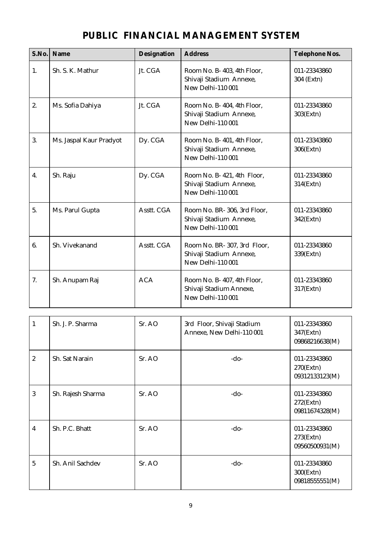| S.No. | Name                    | Designation | <b>Address</b>                                                                     | Telephone Nos.             |
|-------|-------------------------|-------------|------------------------------------------------------------------------------------|----------------------------|
| 1.    | Sh. S. K. Mathur        | Jt. CGA     | Room No. B-403, 4th Floor,<br>Shivaji Stadium Annexe,<br><b>New Delhi-110 001</b>  | 011-23343860<br>304 (Extn) |
| 2.    | Ms. Sofia Dahiya        | Jt. CGA     | Room No. B-404, 4th Floor,<br>Shivaji Stadium Annexe,<br><b>New Delhi-110 001</b>  | 011-23343860<br>303(Extn)  |
| 3.    | Ms. Jaspal Kaur Pradyot | Dy. CGA     | Room No. B-401, 4th Floor,<br>Shivaji Stadium Annexe,<br><b>New Delhi-110 001</b>  | 011-23343860<br>306(Extn)  |
| 4.    | Sh. Raju                | Dy. CGA     | Room No. B-421, 4th Floor,<br>Shivaji Stadium Annexe,<br>New Delhi-110 001         | 011-23343860<br>314(Extn)  |
| 5.    | Ms. Parul Gupta         | Asstt. CGA  | Room No. BR-306, 3rd Floor,<br>Shivaji Stadium Annexe,<br><b>New Delhi-110 001</b> | 011-23343860<br>342(Extn)  |
| 6.    | Sh. Vivekanand          | Asstt. CGA  | Room No. BR-307, 3rd Floor,<br>Shivaji Stadium Annexe,<br>New Delhi-110 001        | 011-23343860<br>339(Extn)  |
| 7.    | Sh. Anupam Raj          | <b>ACA</b>  | Room No. B-407, 4th Floor,<br>Shivaji Stadium Annexe,<br><b>New Delhi-110 001</b>  | 011-23343860<br>317(Extn)  |

| $\mathbf{1}$            | Sh. J. P. Sharma  | Sr. AO             | 3rd Floor, Shivaji Stadium<br>Annexe, New Delhi-110 001 | 011-23343860<br>347(Extn)<br>09868216638(M)    |
|-------------------------|-------------------|--------------------|---------------------------------------------------------|------------------------------------------------|
| $\boldsymbol{2}$        | Sh. Sat Narain    | Sr. AO             | -do-                                                    | 011-23343860<br>$270$ (Extn)<br>09312133123(M) |
| 3                       | Sh. Rajesh Sharma | Sr. A <sub>O</sub> | $-do-$                                                  | 011-23343860<br>$272$ (Extn)<br>09811674328(M) |
| $\overline{\mathbf{4}}$ | Sh. P.C. Bhatt    | Sr. AO             | -do-                                                    | 011-23343860<br>$273$ (Extn)<br>09560500931(M) |
| $\overline{5}$          | Sh. Anil Sachdev  | Sr. AO             | $-do-$                                                  | 011-23343860<br>$300$ (Extn)<br>09818555551(M) |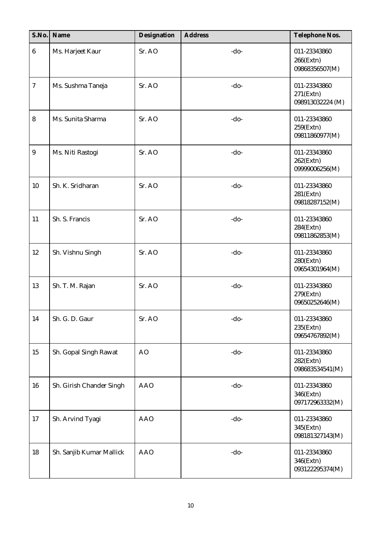| S.No.            | Name                     | Designation | <b>Address</b> | Telephone Nos.                                   |
|------------------|--------------------------|-------------|----------------|--------------------------------------------------|
| $\boldsymbol{6}$ | Ms. Harjeet Kaur         | Sr. AO      | $-do-$         | 011-23343860<br>$266$ (Extn)<br>09868356507(M)   |
| $\overline{7}$   | Ms. Sushma Taneja        | Sr. AO      | $-do-$         | 011-23343860<br>$271$ (Extn)<br>098913032224 (M) |
| 8                | Ms. Sunita Sharma        | Sr. AO      | $-do-$         | 011-23343860<br>$259$ (Extn)<br>09811860977(M)   |
| $\boldsymbol{9}$ | Ms. Niti Rastogi         | Sr. AO      | $-do-$         | 011-23343860<br>$262$ (Extn)<br>09999006256(M)   |
| 10               | Sh. K. Sridharan         | Sr. AO      | $-do-$         | 011-23343860<br>$281$ (Extn)<br>09818287152(M)   |
| 11               | Sh. S. Francis           | Sr. AO      | $-do-$         | 011-23343860<br>$284$ (Extn)<br>09811862853(M)   |
| 12               | Sh. Vishnu Singh         | Sr. AO      | $-do-$         | 011-23343860<br>$280$ (Extn)<br>09654301964(M)   |
| 13               | Sh. T. M. Rajan          | Sr. AO      | $-do-$         | 011-23343860<br>279(Extn)<br>09650252646(M)      |
| 14               | Sh. G. D. Gaur           | Sr. AO      | $-do-$         | 011-23343860<br>$235$ (Extn)<br>09654767892(M)   |
| 15               | Sh. Gopal Singh Rawat    | AO          | -do-           | 011-23343860<br>$282$ (Extn)<br>098683534541(M)  |
| 16               | Sh. Girish Chander Singh | <b>AAO</b>  | $-do-$         | 011-23343860<br>346(Extn)<br>097172963332(M)     |
| 17               | Sh. Arvind Tyagi         | <b>AAO</b>  | $-do-$         | 011-23343860<br>345(Extn)<br>098181327143(M)     |
| 18               | Sh. Sanjib Kumar Mallick | <b>AAO</b>  | $-do-$         | 011-23343860<br>346(Extn)<br>093122295374(M)     |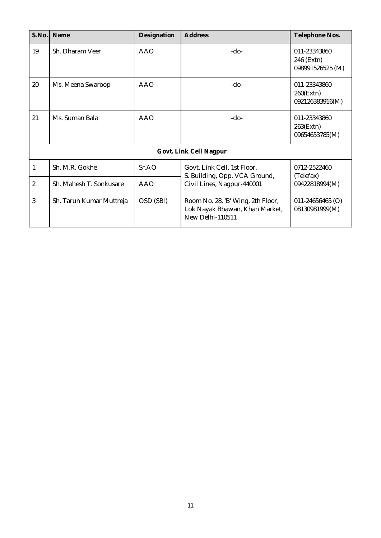| S.No.          | Name                     | Designation | <b>Address</b>                                                                          | Telephone Nos.                                  |
|----------------|--------------------------|-------------|-----------------------------------------------------------------------------------------|-------------------------------------------------|
| 19             | Sh. Dharam Veer          | <b>AAO</b>  | $-do-$                                                                                  | 011-23343860<br>246 (Extn)<br>098991526525 (M)  |
| 20             | Ms. Meena Swaroop        | <b>AAO</b>  | $-do-$                                                                                  | 011-23343860<br>$260$ (Extn)<br>092126383916(M) |
| 21             | Ms. Suman Bala           | <b>AAO</b>  | $-do-$                                                                                  | 011-23343860<br>$263$ (Extn)<br>09654653785(M)  |
|                |                          |             | Govt. Link Cell Nagpur                                                                  |                                                 |
| 1              | Sh. M.R. Gokhe           | SrAO        | Govt. Link Cell, 1st Floor,<br>S. Building, Opp. VCA Ground,                            | 0712-2522460<br>(Telefax)                       |
| $\overline{c}$ | Sh. Mahesh T. Sonkusare  | <b>AAO</b>  | Civil Lines, Nagpur-440001                                                              | 09422818994(M)                                  |
| 3              | Sh. Tarun Kumar Muttreja | OSD (SBI)   | Room No. 28, 'B' Wing, 2th Floor,<br>Lok Nayak Bhawan, Khan Market,<br>New Delhi-110511 | $011 - 24656465$ (O)<br>08130981999(M)          |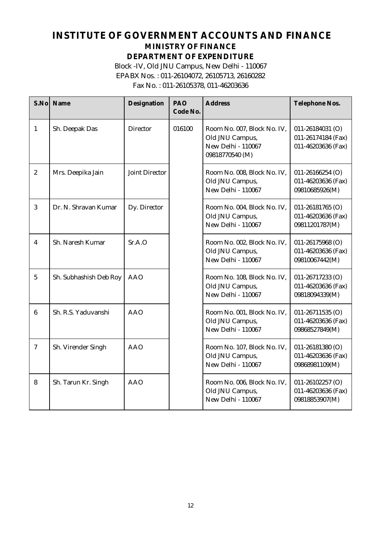#### **INSTITUTE OF GOVERNMENT ACCOUNTS AND FINANCE MINISTRY OF FINANCE DEPARTMENT OF EXPENDITURE** Block -IV, Old JNU Campus, New Delhi - 110067 EPABX Nos. : 011-26104072, 26105713, 26160282 Fax No. : 011-26105378, 011-46203636

| S.No             | Name                   | Designation           | PAO<br>Code No. | <b>Address</b>                                                                          | Telephone Nos.                                               |
|------------------|------------------------|-----------------------|-----------------|-----------------------------------------------------------------------------------------|--------------------------------------------------------------|
| $\mathbf{1}$     | Sh. Deepak Das         | <b>Director</b>       | 016100          | Room No. 007, Block No. IV,<br>Old JNU Campus,<br>New Delhi - 110067<br>09818770540 (M) | 011-26184031 (O)<br>011-26174184 (Fax)<br>011-46203636 (Fax) |
| $\boldsymbol{2}$ | Mrs. Deepika Jain      | <b>Joint Director</b> |                 | Room No. 008, Block No. IV,<br>Old JNU Campus,<br>New Delhi - 110067                    | $011 - 26166254$ (O)<br>011-46203636 (Fax)<br>09810685926(M) |
| 3                | Dr. N. Shravan Kumar   | Dy. Director          |                 | Room No. 004, Block No. IV,<br>Old JNU Campus,<br>New Delhi - 110067                    | $011 - 26181765$ (O)<br>011-46203636 (Fax)<br>09811201787(M) |
| $\overline{4}$   | Sh. Naresh Kumar       | Sr.A.O                |                 | Room No. 002, Block No. IV,<br>Old JNU Campus,<br>New Delhi - 110067                    | $011 - 26175968$ (O)<br>011-46203636 (Fax)<br>09810067442(M) |
| $\overline{5}$   | Sh. Subhashish Deb Roy | <b>AAO</b>            |                 | Room No. 108, Block No. IV,<br>Old JNU Campus,<br>New Delhi - 110067                    | 011-26717233 (O)<br>011-46203636 (Fax)<br>09818094339(M)     |
| $\boldsymbol{6}$ | Sh. R.S. Yaduvanshi    | <b>AAO</b>            |                 | Room No. 001, Block No. IV,<br>Old JNU Campus,<br>New Delhi - 110067                    | 011-26711535 (O)<br>011-46203636 (Fax)<br>09868527849(M)     |
| $\overline{7}$   | Sh. Virender Singh     | <b>AAO</b>            |                 | Room No. 107, Block No. IV,<br>Old JNU Campus,<br>New Delhi - 110067                    | $011 - 26181380$ (O)<br>011-46203636 (Fax)<br>09868981109(M) |
| 8                | Sh. Tarun Kr. Singh    | <b>AAO</b>            |                 | Room No. 006, Block No. IV,<br>Old JNU Campus,<br>New Delhi - 110067                    | $011 - 26102257$ (O)<br>011-46203636 (Fax)<br>09818853907(M) |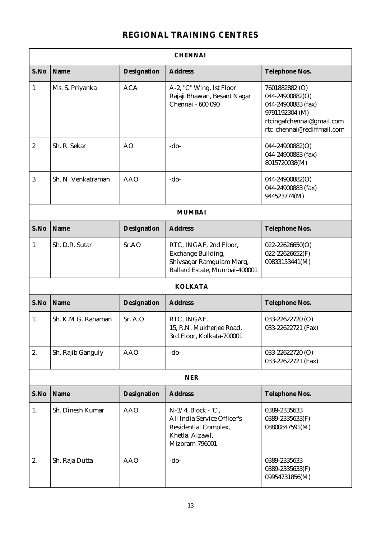#### **REGIONAL TRAINING CENTRES**

|                  | <b>CHENNAI</b>     |                |                                                                                                                 |                                                                                                                                      |  |  |  |
|------------------|--------------------|----------------|-----------------------------------------------------------------------------------------------------------------|--------------------------------------------------------------------------------------------------------------------------------------|--|--|--|
| S.No             | Name               | Designation    | <b>Address</b>                                                                                                  | Telephone Nos.                                                                                                                       |  |  |  |
| $\mathbf{1}$     | Ms. S. Priyanka    | <b>ACA</b>     | A-2, "C" Wing, Ist Floor<br>Rajaji Bhawan, Besant Nagar<br>Chennai - 600 090                                    | 7601882882 (O)<br>044-24900882(O)<br>044-24900883 (fax)<br>9791192304 (M)<br>rtcingafchennai@gmail.com<br>rtc_chennai@rediffmail.com |  |  |  |
| $\boldsymbol{2}$ | Sh. R. Sekar       | A <sub>O</sub> | $-do-$                                                                                                          | 044-24900882(O)<br>044-24900883 (fax)<br>8015720038(M)                                                                               |  |  |  |
| 3                | Sh. N. Venkatraman | AAO            | $-do-$                                                                                                          | 044-24900882(O)<br>044-24900883 (fax)<br>944523774(M)                                                                                |  |  |  |
|                  |                    |                | <b>MUMBAI</b>                                                                                                   |                                                                                                                                      |  |  |  |
| S.No             | Name               | Designation    | <b>Address</b>                                                                                                  | Telephone Nos.                                                                                                                       |  |  |  |
| $\mathbf{1}$     | Sh. D.R. Sutar     | Sr.AO          | RTC, INGAF, 2nd Floor,<br>Exchange Building,<br>Shivsagar Ramgulam Marg,<br>Ballard Estate, Mumbai-400001       | $022 - 22626650(O)$<br>$022 - 22626652(F)$<br>09833153441(M)                                                                         |  |  |  |
|                  |                    |                | <b>KOLKATA</b>                                                                                                  |                                                                                                                                      |  |  |  |
| S.No             | Name               | Designation    | <b>Address</b>                                                                                                  | Telephone Nos.                                                                                                                       |  |  |  |
| 1.               | Sh. K.M.G. Rahaman | Sr. A.O        | RTC, INGAF,<br>15, R.N. Mukherjee Road,<br>3rd Floor, Kolkata-700001                                            | 033-22622720 (O)<br>033-22622721 (Fax)                                                                                               |  |  |  |
| 2.               | Sh. Rajib Ganguly  | <b>AAO</b>     | $-do-$                                                                                                          | 033-22622720 (O)<br>033-22622721 (Fax)                                                                                               |  |  |  |
|                  |                    |                | <b>NER</b>                                                                                                      |                                                                                                                                      |  |  |  |
| S.No             | Name               | Designation    | <b>Address</b>                                                                                                  | Telephone Nos.                                                                                                                       |  |  |  |
| 1.               | Sh. Dinesh Kumar   | <b>AAO</b>     | N-3/4, Block - 'C',<br>All India Service Officer's<br>Residential Complex,<br>Khetla, Aizawl,<br>Mizoram-796001 | 0389-2335633<br>0389-2335633(F)<br>08800847591(M)                                                                                    |  |  |  |
| 2.               | Sh. Raja Dutta     | <b>AAO</b>     | $-do-$                                                                                                          | 0389-2335633<br>0389-2335633(F)<br>09954731856(M)                                                                                    |  |  |  |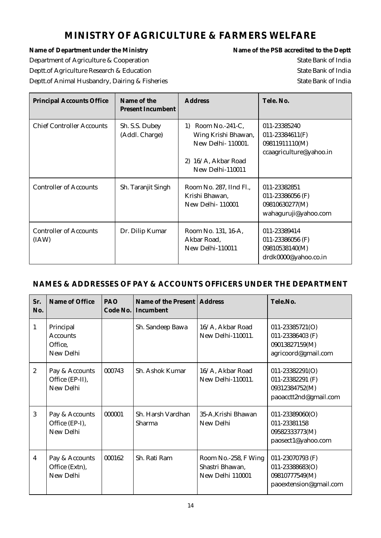#### **MINISTRY OF AGRICULTURE & FARMERS WELFARE**

Name of Department under the Ministry **Name of the PSB** accredited to the Deptt Department of Agriculture & Cooperation State Bank of India Deptt.of Agriculture Research & Education State Bank of India Deptt.of Animal Husbandry, Dairing & Fisheries State Bank of India

| <b>Principal Accounts Office</b>       | Name of the<br><b>Present Incumbent</b> | <b>Address</b>                                                                                                                             | Tele, No.                                                                        |
|----------------------------------------|-----------------------------------------|--------------------------------------------------------------------------------------------------------------------------------------------|----------------------------------------------------------------------------------|
| <b>Chief Controller Accounts</b>       | Sh. S.S. Dubey<br>(Addl. Charge)        | Room No.- $241$ -C,<br>$\left( \frac{1}{2} \right)$<br>Wing Krishi Bhawan,<br>New Delhi-110001.<br>2) 16/A, Akbar Road<br>New Delhi-110011 | 011-23385240<br>$011 - 23384611(F)$<br>09811911110(M)<br>ccaagriculture@yahoo.in |
| <b>Controller of Accounts</b>          | Sh. Taranjit Singh                      | Room No. 287, IInd Fl.,<br>Krishi Bhawan,<br><b>New Delhi-110001</b>                                                                       | 011-23382851<br>011-23386056 (F)<br>09810630277(M)<br>wahaguruji@yahoo.com       |
| <b>Controller of Accounts</b><br>(IAW) | Dr. Dilip Kumar                         | Room No. 131, 16-A,<br>Akbar Road,<br>New Delhi-110011                                                                                     | 011-23389414<br>011-23386056 (F)<br>09810538140(M)<br>drdk0000@yahoo.co.in       |

#### **NAMES & ADDRESSES OF PAY & ACCOUNTS OFFICERS UNDER THE DEPARTMENT**

| Sr.<br>No.     | Name of Office                                       | PAO<br>Code No. | Name of the Present   Address<br>Incumbent |                                                             | Tele No.                                                                           |
|----------------|------------------------------------------------------|-----------------|--------------------------------------------|-------------------------------------------------------------|------------------------------------------------------------------------------------|
| 1              | Principal<br><b>Accounts</b><br>Office,<br>New Delhi |                 | Sh. Sandeep Bawa                           | 16/A, Akbar Road<br>New Delhi-110011.                       | 011-23385721(O)<br>011-23386403 (F)<br>09013827159(M)<br>agricoord@gmail.com       |
| $\overline{2}$ | Pay & Accounts<br>Office (EP-II),<br>New Delhi       | 000743          | Sh. Ashok Kumar                            | 16/A, Akbar Road<br>New Delhi-110011.                       | $011 - 23382291(O)$<br>011-23382291 (F)<br>09312384752(M)<br>paoacctt2nd@gmail.com |
| 3              | Pay & Accounts<br>Office (EP-I),<br>New Delhi        | 000001          | Sh. Harsh Vardhan<br>Sharma                | 35-A, Krishi Bhawan<br>New Delhi                            | $011 - 23389060(O)$<br>011-23381158<br>09582333773(M)<br>paosect1@yahoo.com        |
| $\overline{4}$ | Pay & Accounts<br>Office (Extn),<br>New Delhi        | 000162          | Sh. Rati Ram                               | Room No.-258, F Wing<br>Shastri Bhawan,<br>New Delhi 110001 | 011-23070793 (F)<br>011-23388683(O)<br>09810777549(M)<br>paoextension@gmail.com    |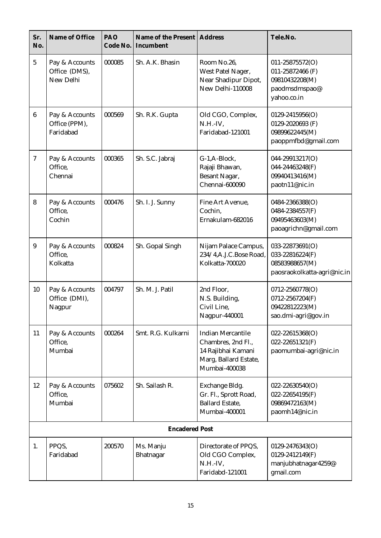| Sr.<br>No.       | Name of Office                               | PAO<br>Code No. | Name of the Present<br>Incumbent | <b>Address</b>                                                                                                 | Tele.No.                                                                              |
|------------------|----------------------------------------------|-----------------|----------------------------------|----------------------------------------------------------------------------------------------------------------|---------------------------------------------------------------------------------------|
| $\overline{5}$   | Pay & Accounts<br>Office (DMS),<br>New Delhi | 000085          | Sh. A.K. Bhasin                  | Room No.26,<br>West Patel Nager,<br>Near Shadipur Dipot,<br>New Delhi-110008                                   | 011-25875572(O)<br>011-25872466 (F)<br>09810432208(M)<br>paodmsdmspao@<br>yahoo.co.in |
| $6\phantom{1}6$  | Pay & Accounts<br>Office (PPM),<br>Faridabad | 000569          | Sh. R.K. Gupta                   | Old CGO, Complex,<br>$N.H.-IV,$<br>Faridabad-121001                                                            | 0129-2415956(O)<br>0129-2020693 (F)<br>09899622445(M)<br>paoppmfbd@gmail.com          |
| $\boldsymbol{7}$ | Pay & Accounts<br>Office,<br>Chennai         | 000365          | Sh. S.C. Jabraj                  | G-1,A-Block,<br>Rajaji Bhawan,<br><b>Besant Nagar,</b><br>Chennai-600090                                       | 044-29913217(O)<br>044-24463248(F)<br>09940413416(M)<br>paotn11@nic.in                |
| 8                | Pay & Accounts<br>Office,<br>Cochin          | 000476          | Sh. I. J. Sunny                  | Fine Art Avenue,<br>Cochin,<br>Ernakulam-682016                                                                | 0484-2366388(O)<br>0484-2384557(F)<br>09495463603(M)<br>paoagrichn@gmail.com          |
| 9                | Pay & Accounts<br>Office,<br>Kolkatta        | 000824          | Sh. Gopal Singh                  | Nijam Palace Campus,<br>234/4, A.J.C. Bose Road,<br>Kolkatta-700020                                            | 033-22873691(O)<br>033-22816224(F)<br>08583988657(M)<br>paosraokolkatta-agri@nic.in   |
| 10               | Pay & Accounts<br>Office (DMI),<br>Nagpur    | 004797          | Sh. M. J. Patil                  | 2nd Floor,<br>N.S. Building,<br>Civil Line.<br>Nagpur-440001                                                   | 0712-2560778(O)<br>0712-2567204(F)<br>09422812223(M)<br>sao.dmi-agri@gov.in           |
| 11               | Pay & Accounts<br>Office,<br>Mumbai          | 000264          | Smt. R.G. Kulkarni               | <b>Indian Mercantile</b><br>Chambres, 2nd Fl.,<br>14 Rajibhai Kamani<br>Marg, Ballard Estate,<br>Mumbai-400038 | 022-22615368(O)<br>022-22651321(F)<br>paomumbai-agri@nic.in                           |
| 12               | Pay & Accounts<br>Office,<br>Mumbai          | 075602          | Sh. Sailash R.                   | Exchange Bldg.<br>Gr. Fl., Sprott Road,<br><b>Ballard Estate,</b><br>Mumbai-400001                             | $022 - 22630540(O)$<br>022-22654195(F)<br>09869472163(M)<br>paomh14@nic.in            |
|                  |                                              |                 | <b>Encadered Post</b>            |                                                                                                                |                                                                                       |
| 1.               | PPQS,<br>Faridabad                           | 200570          | Ms. Manju<br>Bhatnagar           | Directorate of PPQS,<br>Old CGO Complex,<br>$N.H.-IV,$<br>Faridabd-121001                                      | 0129-2476343(O)<br>0129-2412149(F)<br>manjubhatnagar4259@<br>gmail.com                |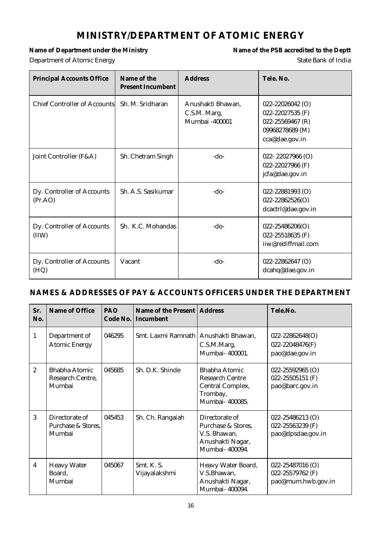#### **MINISTRY/DEPARTMENT OF ATOMIC ENERGY**

Name of Department under the Ministry **Name of the PSB** accredited to the Deptt **Department of Atomic Energy State Bank of India** 

| <b>Principal Accounts Office</b>      | Name of the<br><b>Present Incumbent</b> | <b>Address</b>                                      | Tele. No.                                                                                     |
|---------------------------------------|-----------------------------------------|-----------------------------------------------------|-----------------------------------------------------------------------------------------------|
| <b>Chief Controller of Accounts</b>   | Sh. M. Sridharan                        | Anushakti Bhawan,<br>C.S.M. Marg,<br>Mumbai -400001 | 022-22026042 (O)<br>022-22027535 (F)<br>022-25569467 (R)<br>09968278689 (M)<br>cca@dae.gov.in |
| Joint Controller (F&A)                | Sh. Chetram Singh                       | $-do-$                                              | 022-22027966 $(O)$<br>022-22027966 (F)<br>jcfa@dae.gov.in                                     |
| Dy. Controller of Accounts<br>(Pr.AO) | Sh. A.S. Sasikumar                      | $-do-$                                              | 022-22881993 (O)<br>$022 - 22862526(O)$<br>dcactrl@dae.gov.in                                 |
| Dy. Controller of Accounts<br>(IIW)   | Sh. K.C. Mohandas                       | -do-                                                | $022 - 25486206(O)$<br>022-25518635 (F)<br>iiw@rediffmail.com                                 |
| Dy. Controller of Accounts<br>(HQ)    | Vacant                                  | $-do-$                                              | 022-22862647 (O)<br>dcahq@dae.gov.in                                                          |

#### **NAMES & ADDRESSES OF PAY & ACCOUNTS OFFICERS UNDER THE DEPARTMENT**

| Sr.<br>No.       | Name of Office                                 | <b>PAO</b><br>Code No. | Name of the Present   Address<br>Incumbent |                                                                                                  | Tele.No.                                                      |
|------------------|------------------------------------------------|------------------------|--------------------------------------------|--------------------------------------------------------------------------------------------------|---------------------------------------------------------------|
| $\mathbf{1}$     | Department of<br><b>Atomic Energy</b>          | 046295                 | Smt. Laxmi Ramnath   Anushakti Bhawan,     | C.S.M.Marg,<br>Mumbai-400001.                                                                    | $022 - 22862648(O)$<br>022-22048476(F)<br>pao@dae.gov.in      |
| $\boldsymbol{2}$ | Bhabha Atomic<br>Research Centre,<br>Mumbai    | 045685                 | Sh. D.K. Shinde                            | <b>Bhabha Atomic</b><br><b>Research Centre</b><br>Central Complex,<br>Trombay,<br>Mumbai-400085. | $022 - 25592965$ (O)<br>022-25505151 (F)<br>pao@barc.gov.in   |
| 3                | Directorate of<br>Purchase & Stores.<br>Mumbai | 045453                 | Sh. Ch. Rangaiah                           | Directorate of<br>Purchase & Stores,<br>V.S. Bhawan.<br>Anushakti Nagar,<br>Mumbai- 400094.      | $022 - 25486213$ (O)<br>022-25563239 (F)<br>pao@dpsdae.gov.in |
| $\overline{4}$   | <b>Heavy Water</b><br>Board,<br>Mumbai         | 045067                 | Smt. K. S.<br>Vijayalakshmi                | Heavy Water Board,<br>V.S.Bhawan,<br>Anushakti Nagar,<br>Mumbai- 400094.                         | 022-25487016 (O)<br>022-25579762 (F)<br>pao@mum.hwb.gov.in    |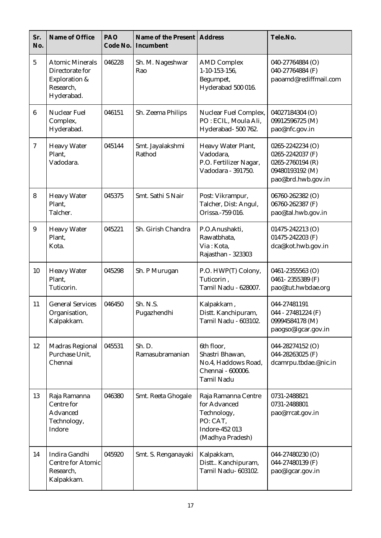| Sr.<br>No.      | Name of Office                                                                        | PAO<br>Code No. | Name of the Present<br>Incumbent | <b>Address</b>                                                                                       | Tele.No.                                                                                          |
|-----------------|---------------------------------------------------------------------------------------|-----------------|----------------------------------|------------------------------------------------------------------------------------------------------|---------------------------------------------------------------------------------------------------|
| $\overline{5}$  | <b>Atomic Minerals</b><br>Directorate for<br>Exploration &<br>Research,<br>Hyderabad. | 046228          | Sh. M. Nageshwar<br>Rao          | <b>AMD Complex</b><br>1-10-153-156,<br>Begumpet,<br>Hyderabad 500 016.                               | 040-27764884 (O)<br>040-27764884 (F)<br>paoamd@rediffmail.com                                     |
| $6\phantom{1}6$ | Nuclear Fuel<br>Complex,<br>Hyderabad.                                                | 046151          | Sh. Zeema Philips                | Nuclear Fuel Complex,<br>PO: ECIL, Moula Ali,<br>Hyderabad- 500 762.                                 | 04027184304 (O)<br>09912596725 (M)<br>pao@nfc.gov.in                                              |
| $\overline{7}$  | <b>Heavy Water</b><br>Plant,<br>Vadodara.                                             | 045144          | Smt. Jayalakshmi<br>Rathod       | Heavy Water Plant,<br>Vadodara,<br>P.O. Fertilizer Nagar,<br>Vadodara - 391750.                      | 0265-2242234 (O)<br>0265-2242037 (F)<br>0265-2760194 (R)<br>09480193192 (M)<br>pao@brd.hwb.gov.in |
| 8               | <b>Heavy Water</b><br>Plant.<br>Talcher.                                              | 045375          | Smt. Sathi S Nair                | Post: Vikrampur,<br>Talcher, Dist: Angul,<br>Orissa.-759 016.                                        | 06760-262382 (O)<br>06760-262387 (F)<br>pao@tal.hwb.gov.in                                        |
| 9               | <b>Heavy Water</b><br>Plant.<br>Kota.                                                 | 045221          | Sh. Girish Chandra               | P.O.Anushakti,<br>Rawatbhata,<br>Via: Kota,<br>Rajasthan - 323303                                    | 01475-242213 (O)<br>01475-242203 (F)<br>dca@kot.hwb.gov.in                                        |
| 10              | <b>Heavy Water</b><br>Plant,<br>Tuticorin.                                            | 045298          | Sh. P Murugan                    | P.O. HWP(T) Colony,<br>Tuticorin,<br>Tamil Nadu - 628007.                                            | 0461-2355563 (O)<br>0461-2355389 (F)<br>pao@tut.hwbdae.org                                        |
| 11              | <b>General Services</b><br>Organisation,<br>Kalpakkam.                                | 046450          | Sh. N.S.<br>Pugazhendhi          | Kalpakkam,<br>Distt. Kanchipuram,<br>Tamil Nadu - 603102.                                            | 044-27481191<br>044 - 27481224 (F)<br>09994584178 (M)<br>paogso@igcar.gov.in                      |
| 12              | Madras Regional<br>Purchase Unit,<br>Chennai                                          | 045531          | Sh. D.<br>Ramasubramanian        | 6th floor,<br>Shastri Bhawan,<br>No.4, Haddows Road,<br>Chennai - 600006.<br><b>Tamil Nadu</b>       | 044-28274152 (O)<br>044-28263025 (F)<br>dcamrpu.tbdae.@nic.in                                     |
| 13              | Raja Ramanna<br>Centre for<br>Advanced<br>Technology,<br>Indore                       | 046380          | Smt. Reeta Ghogale               | Raja Ramanna Centre<br>for Advanced<br>Technology,<br>PO: CAT,<br>Indore-452 013<br>(Madhya Pradesh) | 0731-2488821<br>0731-2488801<br>pao@rrcat.gov.in                                                  |
| 14              | Indira Gandhi<br><b>Centre for Atomic</b><br>Research,<br>Kalpakkam.                  | 045920          | Smt. S. Renganayaki              | Kalpakkam,<br>Distt Kanchipuram,<br>Tamil Nadu- 603102.                                              | 044-27480230 (O)<br>044-27480139 (F)<br>pao@igcar.gov.in                                          |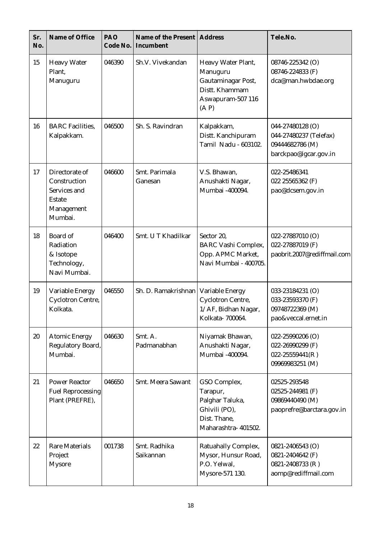| Sr.<br>No. | Name of Office                                                                           | PAO<br>Code No. | Name of the Present   Address<br>Incumbent |                                                                                                      | Tele.No.                                                                               |
|------------|------------------------------------------------------------------------------------------|-----------------|--------------------------------------------|------------------------------------------------------------------------------------------------------|----------------------------------------------------------------------------------------|
| 15         | <b>Heavy Water</b><br>Plant,<br>Manuguru                                                 | 046390          | Sh.V. Vivekandan                           | Heavy Water Plant,<br>Manuguru<br>Gautaminagar Post,<br>Distt. Khammam<br>Aswapuram-507 116<br>(A P) | 08746-225342 (O)<br>08746-224833 (F)<br>dca@man.hwbdae.org                             |
| 16         | <b>BARC</b> Facilities,<br>Kalpakkam.                                                    | 046500          | Sh. S. Ravindran                           | Kalpakkam,<br>Distt. Kanchipuram<br>Tamil Nadu - 603102.                                             | 044-27480128 (O)<br>044-27480237 (Telefax)<br>09444682786 (M)<br>barckpao@igcar.gov.in |
| 17         | Directorate of<br>Construction<br>Services and<br><b>Estate</b><br>Management<br>Mumbai. | 046600          | Smt. Parimala<br>Ganesan                   | V.S. Bhawan,<br>Anushakti Nagar,<br>Mumbai -400094.                                                  | 022-25486341<br>022 25565362 (F)<br>pao@dcsem.gov.in                                   |
| 18         | <b>Board</b> of<br>Radiation<br>& Isotope<br>Technology,<br>Navi Mumbai.                 | 046400          | Smt. U T Khadilkar                         | Sector 20,<br><b>BARC Vashi Complex,</b><br>Opp. APMC Market,<br>Navi Mumbai - 400705.               | 022-27887010 (O)<br>022-27887019 (F)<br>paobrit.2007@rediffmail.com                    |
| 19         | Variable Energy<br><b>Cyclotron Centre,</b><br>Kolkata.                                  | 046550          | Sh. D. Ramakrishnan                        | Variable Energy<br>Cyclotron Centre,<br>1/AF, Bidhan Nagar,<br>Kolkata-700064.                       | 033-23184231 (O)<br>033-23593370 (F)<br>09748722369 (M)<br>pao&veccal.ernet.in         |
| 20         | <b>Atomic Energy</b><br>Regulatory Board,<br>Mumbai.                                     | 046630          | Smt. A.<br>Padmanabhan                     | Niyamak Bhawan,<br>Anushakti Nagar,<br>Mumbai -400094.                                               | 022-25990206 (O)<br>022-26990299 (F)<br>$022 - 25559441(R)$<br>09969983251 (M)         |
| 21         | <b>Power Reactor</b><br><b>Fuel Reprocessing</b><br>Plant (PREFRE),                      | 046650          | Smt. Meera Sawant                          | GSO Complex,<br>Tarapur,<br>Palghar Taluka,<br>Ghivili (PO),<br>Dist. Thane,<br>Maharashtra-401502.  | 02525-293548<br>02525-244981 (F)<br>09869440490 (M)<br>paoprefre@barctara.gov.in       |
| 22         | <b>Rare Materials</b><br>Project<br><b>Mysore</b>                                        | 001738          | Smt. Radhika<br>Saikannan                  | Ratuahally Complex,<br>Mysor, Hunsur Road,<br>P.O. Yelwal,<br>Mysore-571 130.                        | 0821-2406543 (O)<br>0821-2404642 (F)<br>0821-2408733 (R)<br>aomp@rediffmail.com        |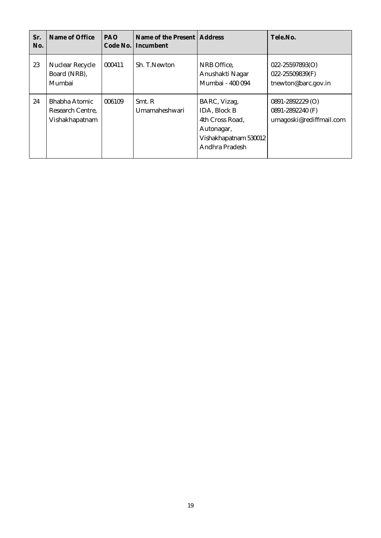| Sr.<br>No. | Name of Office                                             | <b>PAO</b><br>Code No. | Name of the Present   Address<br>Incumbent |                                                                                                                 | Tele.No.                                                            |
|------------|------------------------------------------------------------|------------------------|--------------------------------------------|-----------------------------------------------------------------------------------------------------------------|---------------------------------------------------------------------|
| 23         | Nuclear Recycle<br>Board (NRB),<br>Mumbai                  | 000411                 | Sh. T. Newton                              | NRB Office,<br>Anushakti Nagar<br>Mumbai - 400 094                                                              | $022 - 25597893(O)$<br>022-25509839(F)<br>tnewton@barc.gov.in       |
| 24         | <b>Bhabha Atomic</b><br>Research Centre,<br>Vishakhapatnam | 006109                 | Smt. R<br>Umamaheshwari                    | BARC, Vizag,<br><b>IDA, Block B</b><br>4th Cross Road,<br>Autonagar,<br>Vishakhapatnam 530012<br>Andhra Pradesh | $0891 - 2892229$ (O)<br>0891-2892240 (F)<br>umagoski@rediffmail.com |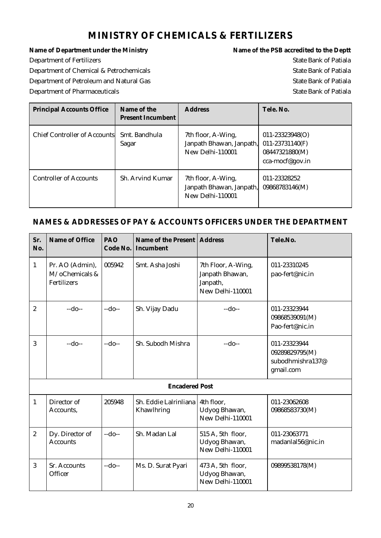#### **MINISTRY OF CHEMICALS & FERTILIZERS**

Name of Department under the Ministry **Name of the PSB** accredited to the Deptt Department of Fertilizers State Bank of Patiala Department of Chemical & Petrochemicals **State Bank of Patiala** Department of Petroleum and Natural Gas State Bank of Patiala Department of Pharmaceuticals and the state Bank of Patiala State Bank of Patiala

| <b>Principal Accounts Office</b>    | Name of the<br><b>Present Incumbent</b> | <b>Address</b>                                                     | Tele, No.                                                                   |
|-------------------------------------|-----------------------------------------|--------------------------------------------------------------------|-----------------------------------------------------------------------------|
| <b>Chief Controller of Accounts</b> | Smt. Bandhula<br>Sagar                  | 7th floor, A-Wing,<br>Janpath Bhawan, Janpath,<br>New Delhi-110001 | $011 - 23323948(O)$<br>011-23731140(F)<br>08447321880(M)<br>cca-mocf@gov.in |
| <b>Controller of Accounts</b>       | <b>Sh. Arvind Kumar</b>                 | 7th floor, A-Wing,<br>Janpath Bhawan, Janpath,<br>New Delhi-110001 | 011-23328252<br>09868783146(M)                                              |

#### **NAMES & ADDRESSES OF PAY & ACCOUNTS OFFICERS UNDER THE DEPARTMENT**

| Sr.<br>No.              | Name of Office                                   | <b>PAO</b><br>Code No. | Name of the Present   Address<br>Incumbent |                                                                       | Tele.No.                                                        |
|-------------------------|--------------------------------------------------|------------------------|--------------------------------------------|-----------------------------------------------------------------------|-----------------------------------------------------------------|
| $\mathbf{1}$            | Pr. AO (Admin),<br>M/oChemicals &<br>Fertilizers | 005942                 | Smt. Asha Joshi                            | 7th Floor, A-Wing,<br>Janpath Bhawan,<br>Janpath,<br>New Delhi-110001 | 011-23310245<br>pao-fert@nic.in                                 |
| $\overline{\mathbf{2}}$ | $-do-$                                           | $-do-$                 | Sh. Vijay Dadu                             | $-do-$                                                                | 011-23323944<br>09868539091(M)<br>Pao-fert@nic.in               |
| 3                       | $-do-$                                           | $-do-$                 | Sh. Subodh Mishra                          | $-do-$                                                                | 011-23323944<br>09289829795(M)<br>subodhmishra137@<br>gmail.com |
|                         |                                                  |                        | <b>Encadered Post</b>                      |                                                                       |                                                                 |
| $\mathbf{1}$            | Director of<br>Accounts,                         | 205948                 | Sh. Eddie Lalrinliana<br>Khawlhring        | 4th floor,<br>Udyog Bhawan,<br>New Delhi-110001                       | 011-23062608<br>09868583730(M)                                  |
| $\boldsymbol{2}$        | Dy. Director of<br><b>Accounts</b>               | $-do-$                 | Sh. Madan Lal                              | 515 A, 5th floor,<br>Udyog Bhawan,<br>New Delhi-110001                | 011-23063771<br>madanlal56@nic.in                               |
| 3                       | <b>Sr. Accounts</b><br>Officer                   | $-do-$                 | Ms. D. Surat Pyari                         | 473 A, 5th floor,<br>Udyog Bhawan,<br>New Delhi-110001                | 09899538178(M)                                                  |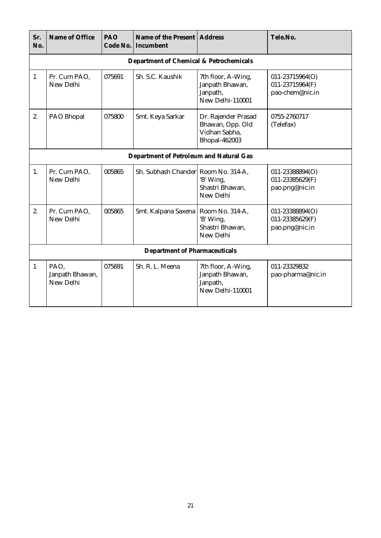| Sr.<br>No.   | Name of Office                       | PAO<br>Code No. | Name of the Present<br>Incumbent        | Address                                                                          | Tele.No.                                              |  |  |
|--------------|--------------------------------------|-----------------|-----------------------------------------|----------------------------------------------------------------------------------|-------------------------------------------------------|--|--|
|              |                                      |                 | Department of Chemical & Petrochemicals |                                                                                  |                                                       |  |  |
| $\mathbf{1}$ | Pr. Cum PAO,<br>New Delhi            | 075691          | Sh. S.C. Kaushik                        | 7th floor, A-Wing,<br>Janpath Bhawan,<br>Janpath,<br>New Delhi-110001            | 011-23715964(O)<br>011-23715964(F)<br>pao-chem@nic.in |  |  |
| 2.           | PAO Bhopal                           | 075800          | Smt. Keya Sarkar                        | Dr. Rajender Prasad<br>Bhawan, Opp. Old<br>Vidhan Sabha,<br><b>Bhopal-462003</b> | 0755-2760717<br>(Telefax)                             |  |  |
|              |                                      |                 | Department of Petroleum and Natural Gas |                                                                                  |                                                       |  |  |
| 1.           | Pr. Cum PAO,<br>New Delhi            | 005865          | Sh. Subhash Chander Room No. 314-A,     | 'B' Wing,<br>Shastri Bhawan,<br>New Delhi                                        | 011-23388894(O)<br>011-23385629(F)<br>pao.png@nic.in  |  |  |
| 2.           | Pr. Cum PAO,<br>New Delhi            | 005865          | Smt. Kalpana Saxena                     | Room No. 314-A,<br>'B' Wing,<br>Shastri Bhawan,<br>New Delhi                     | 011-23388894(O)<br>011-23385629(F)<br>pao.png@nic.in  |  |  |
|              | <b>Department of Pharmaceuticals</b> |                 |                                         |                                                                                  |                                                       |  |  |
| $\mathbf{1}$ | PAO,<br>Janpath Bhawan,<br>New Delhi | 075691          | Sh. R. L. Meena                         | 7th floor, A-Wing,<br>Janpath Bhawan,<br>Janpath,<br>New Delhi-110001            | 011-23329832<br>pao-pharma@nic.in                     |  |  |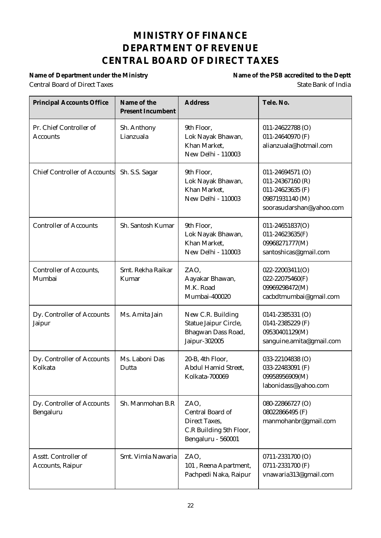#### **MINISTRY OF FINANCE DEPARTMENT OF REVENUE CENTRAL BOARD OF DIRECT TAXES**

Central Board of Direct Taxes State Bank of India

Name of Department under the Ministry **Name of the PSB** accredited to the Deptt

| <b>Principal Accounts Office</b>           | Name of the<br><b>Present Incumbent</b> | <b>Address</b>                                                                             | Tele, No.                                                                                               |
|--------------------------------------------|-----------------------------------------|--------------------------------------------------------------------------------------------|---------------------------------------------------------------------------------------------------------|
| Pr. Chief Controller of<br><b>Accounts</b> | Sh. Anthony<br>Lianzuala                | 9th Floor,<br>Lok Nayak Bhawan,<br>Khan Market,<br>New Delhi - 110003                      | 011-24622788 (O)<br>011-24640970 (F)<br>alianzuala@hotmail.com                                          |
| <b>Chief Controller of Accounts</b>        | Sh. S.S. Sagar                          | 9th Floor,<br>Lok Nayak Bhawan,<br>Khan Market,<br>New Delhi - 110003                      | 011-24694571 (O)<br>011-24367160 (R)<br>011-24623635 (F)<br>09871931140 (M)<br>soorasudarshan@yahoo.com |
| <b>Controller of Accounts</b>              | Sh. Santosh Kumar                       | 9th Floor,<br>Lok Nayak Bhawan,<br>Khan Market,<br><b>New Delhi - 110003</b>               | 011-24651837(O)<br>$011 - 24623635(F)$<br>09968271777(M)<br>santoshicas@gmail.com                       |
| <b>Controller of Accounts,</b><br>Mumbai   | Smt. Rekha Raikar<br>Kumar              | ZAO,<br>Aayakar Bhawan,<br>M.K. Road<br>Mumbai-400020                                      | 022-22003411(O)<br>022-22075460(F)<br>09969298472(M)<br>cacbdtmumbai@gmail.com                          |
| Dy. Controller of Accounts<br>Jaipur       | Ms. Amita Jain                          | New C.R. Building<br>Statue Jaipur Circle,<br>Bhagwan Dass Road,<br>Jaipur-302005          | 0141-2385331 (O)<br>0141-2385229 (F)<br>09530401129(M)<br>sanguine.amita@gmail.com                      |
| Dy. Controller of Accounts<br>Kolkata      | Ms. Laboni Das<br>Dutta                 | 20-B, 4th Floor,<br>Abdul Hamid Street,<br>Kolkata-700069                                  | 033-22104838 (O)<br>033-22483091 (F)<br>09958956909(M)<br>labonidass@yahoo.com                          |
| Dy. Controller of Accounts<br>Bengaluru    | Sh. Manmohan B.R                        | ZAO,<br>Central Board of<br>Direct Taxes,<br>C.R Building 5th Floor,<br>Bengaluru - 560001 | 080-22866727 (O)<br>08022866495 (F)<br>manmohanbr@gmail.com                                             |
| Asstt. Controller of<br>Accounts, Raipur   | Smt. Vimla Nawaria                      | ZAO,<br>101, Reena Apartment,<br>Pachpedi Naka, Raipur                                     | 0711-2331700 (O)<br>0711-2331700 (F)<br>vnawaria313@gmail.com                                           |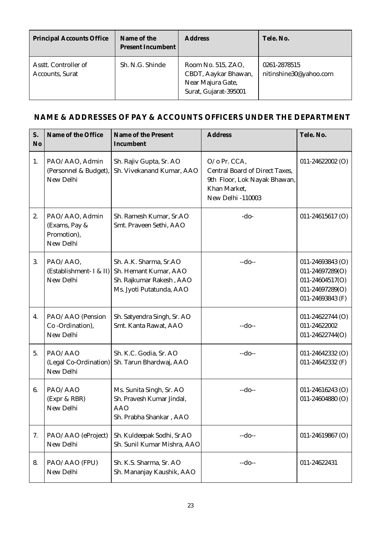| <b>Principal Accounts Office</b>               | Name of the<br><b>Present Incumbent</b> | <b>Address</b>                                                                           | Tele, No.                              |
|------------------------------------------------|-----------------------------------------|------------------------------------------------------------------------------------------|----------------------------------------|
| Asstt. Controller of<br><b>Accounts, Surat</b> | Sh. N.G. Shinde                         | Room No. 515, ZAO,<br>CBDT, Aaykar Bhawan,<br>Near Majura Gate,<br>Surat, Gujarat-395001 | 0261-2878515<br>nitinshine30@yahoo.com |

#### **NAME & ADDRESSES OF PAY & ACCOUNTS OFFICERS UNDER THE DEPARTMENT**

| S.<br>N <sub>o</sub> | Name of the Office                                          | Name of the Present<br>Incumbent                                                                        | <b>Address</b>                                                                                                             | Tele. No.                                                                                     |
|----------------------|-------------------------------------------------------------|---------------------------------------------------------------------------------------------------------|----------------------------------------------------------------------------------------------------------------------------|-----------------------------------------------------------------------------------------------|
| 1.                   | PAO/AAO, Admin<br>(Personnel & Budget),<br>New Delhi        | Sh. Rajiv Gupta, Sr. AO<br>Sh. Vivekanand Kumar, AAO                                                    | O/o Pr. CCA,<br><b>Central Board of Direct Taxes,</b><br>9th Floor, Lok Nayak Bhawan,<br>Khan Market,<br>New Delhi -110003 | $011 - 24622002$ (O)                                                                          |
| 2.                   | PAO/AAO, Admin<br>(Exams, Pay &<br>Promotion),<br>New Delhi | Sh. Ramesh Kumar, Sr.AO<br>Smt. Praveen Sethi, AAO                                                      | $-do-$                                                                                                                     | 011-24615617 (O)                                                                              |
| 3.                   | PAO/AAO,<br>(Establishment- I & II)<br>New Delhi            | Sh. A.K. Sharma, Sr.AO<br>Sh. Hemant Kumar, AAO<br>Sh. Rajkumar Rakesh, AAO<br>Ms. Jyoti Putatunda, AAO | $-do-$                                                                                                                     | 011-24693843 (O)<br>011-24697289(O)<br>011-24604517(O)<br>011-24697289(O)<br>011-24693843 (F) |
| 4.                   | PAO/AAO (Pension<br>Co-Ordination),<br>New Delhi            | Sh. Satyendra Singh, Sr. AO<br>Smt. Kanta Rawat, AAO                                                    | $-do-$                                                                                                                     | 011-24622744 (O)<br>011-24622002<br>011-24622744(O)                                           |
| 5.                   | PAO/AAO<br>(Legal Co-Ordination)<br>New Delhi               | Sh. K.C. Godia, Sr. AO<br>Sh. Tarun Bhardwaj, AAO                                                       | $-do-$                                                                                                                     | 011-24642332 (O)<br>011-24642332 (F)                                                          |
| 6.                   | PAO/AAO<br>(Expr & RBR)<br>New Delhi                        | Ms. Sunita Singh, Sr. AO<br>Sh. Pravesh Kumar Jindal,<br><b>AAO</b><br>Sh. Prabha Shankar, AAO          | $-do-$                                                                                                                     | 011-24616243 (O)<br>011-24604880 (O)                                                          |
| 7.                   | PAO/AAO (eProject)<br>New Delhi                             | Sh. Kuldeepak Sodhi, Sr.AO<br>Sh. Sunil Kumar Mishra, AAO                                               | $-do-$                                                                                                                     | 011-24619867 (O)                                                                              |
| 8.                   | PAO/AAO (FPU)<br>New Delhi                                  | Sh. K.S. Sharma, Sr. AO<br>Sh. Mananjay Kaushik, AAO                                                    | $-do-$                                                                                                                     | 011-24622431                                                                                  |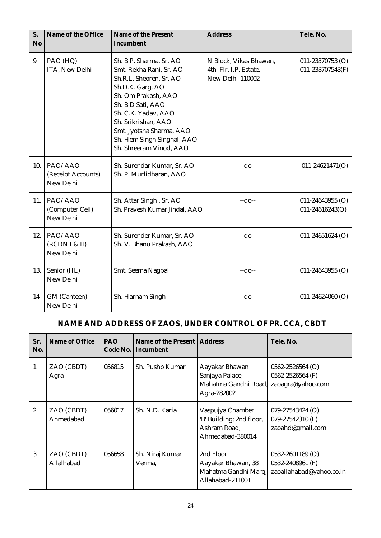| S.<br>No | Name of the Office                         | Name of the Present<br>Incumbent                                                                                                                                                                                                                                                 | <b>Address</b>                                                      | Tele. No.                            |
|----------|--------------------------------------------|----------------------------------------------------------------------------------------------------------------------------------------------------------------------------------------------------------------------------------------------------------------------------------|---------------------------------------------------------------------|--------------------------------------|
| 9.       | PAO (HQ)<br>ITA, New Delhi                 | Sh. B.P. Sharma, Sr. AO<br>Smt. Rekha Rani, Sr. AO<br>Sh.R.L. Sheoren, Sr. AO<br>Sh.D.K. Garg, AO<br>Sh. Om Prakash, AAO<br>Sh. B.D Sati, AAO<br>Sh. C.K. Yadav, AAO<br>Sh. Srikrishan, AAO<br>Smt. Jyotsna Sharma, AAO<br>Sh. Hem Singh Singhal, AAO<br>Sh. Shreeram Vinod, AAO | N Block, Vikas Bhawan,<br>4th Flr, I.P. Estate,<br>New Delhi-110002 | 011-23370753 (O)<br>011-233707543(F) |
| 10.      | PAO/AAO<br>(Receipt Accounts)<br>New Delhi | Sh. Surendar Kumar, Sr. AO<br>Sh. P. Murlidharan, AAO                                                                                                                                                                                                                            | $-do-$                                                              | 011-24621471(O)                      |
| 11.      | PAO/AAO<br>(Computer Cell)<br>New Delhi    | Sh. Attar Singh, Sr. AO<br>Sh. Pravesh Kumar Jindal, AAO                                                                                                                                                                                                                         | $-do-$                                                              | 011-24643955 (O)<br>011-24616243(O)  |
| 12.      | PAO/AAO<br>(RCDN I & II)<br>New Delhi      | Sh. Surender Kumar, Sr. AO<br>Sh. V. Bhanu Prakash, AAO                                                                                                                                                                                                                          | $-do-$                                                              | 011-24651624 (O)                     |
| 13.      | Senior (HL)<br>New Delhi                   | Smt. Seema Nagpal                                                                                                                                                                                                                                                                | $-do-$                                                              | 011-24643955 (O)                     |
| 14       | GM (Canteen)<br>New Delhi                  | Sh. Harnam Singh                                                                                                                                                                                                                                                                 | $-do-$                                                              | 011-24624060 $(O)$                   |

#### **NAME AND ADDRESS OF ZAOS, UNDER CONTROL OF PR. CCA, CBDT**

| Sr.<br>No.       | Name of Office           | <b>PAO</b><br>Code No. | Name of the Present   Address<br>Incumbent |                                                                                  | Tele, No.                                                            |
|------------------|--------------------------|------------------------|--------------------------------------------|----------------------------------------------------------------------------------|----------------------------------------------------------------------|
| 1                | ZAO (CBDT)<br>Agra       | 056815                 | Sh. Pushp Kumar                            | Aayakar Bhawan<br>Sanjaya Palace,<br>Mahatma Gandhi Road,<br>Agra-282002         | $0562 - 2526564$ (O)<br>0562-2526564 (F)<br>zaoagra@yahoo.com        |
| $\boldsymbol{2}$ | ZAO (CBDT)<br>Ahmedabad  | 056017                 | Sh. N.D. Karia                             | Vaspujya Chamber<br>'B' Building; 2nd floor,<br>Ashram Road.<br>Ahmedabad-380014 | $079 - 27543424$ (O)<br>079-27542310 (F)<br>zaoahd@gmail.com         |
| 3                | ZAO (CBDT)<br>Allalhabad | 056658                 | Sh. Niraj Kumar<br>Verma,                  | 2nd Floor<br>Aayakar Bhawan, 38<br>Mahatma Gandhi Marg,<br>Allahabad-211001      | $0532 - 2601189$ (O)<br>0532-2408961 (F)<br>zaoallahabad@yahoo.co.in |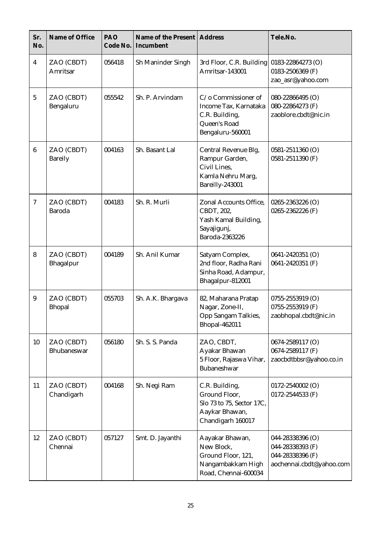| Sr.<br>No.      | Name of Office               | PAO<br>Code No. | Name of the Present   Address<br>Incumbent |                                                                                                     | Tele.No.                                                                             |
|-----------------|------------------------------|-----------------|--------------------------------------------|-----------------------------------------------------------------------------------------------------|--------------------------------------------------------------------------------------|
| $\overline{4}$  | ZAO (CBDT)<br>Amritsar       | 056418          | Sh Maninder Singh                          | 3rd Floor, C.R. Building 0183-22864273 (O)<br>Amritsar-143001                                       | 0183-2506369 (F)<br>zao_asr@yahoo.com                                                |
| $\overline{5}$  | ZAO (CBDT)<br>Bengaluru      | 055542          | Sh. P. Arvindam                            | C/o Commissioner of<br>Income Tax, Karnataka<br>C.R. Building,<br>Queen's Road<br>Bengaluru-560001  | 080-22866495 (O)<br>080-22864273 (F)<br>zaoblore.cbdt@nic.in                         |
| $6\phantom{.}6$ | ZAO (CBDT)<br><b>Bareily</b> | 004163          | Sh. Basant Lal                             | Central Revenue Blg,<br>Rampur Garden,<br>Civil Lines,<br>Kamla Nehru Marg,<br>Bareilly-243001      | 0581-2511360 (O)<br>0581-2511390 (F)                                                 |
| $\tau$          | ZAO (CBDT)<br><b>Baroda</b>  | 004183          | Sh. R. Murli                               | Zonal Accounts Office,<br>CBDT, 202,<br>Yash Kamal Building,<br>Sayajigunj,<br>Baroda-2363226       | 0265-2363226 (O)<br>0265-2362226 (F)                                                 |
| 8               | ZAO (CBDT)<br>Bhagalpur      | 004189          | Sh. Anil Kumar                             | Satyam Complex,<br>2nd floor, Radha Rani<br>Sinha Road, Adampur,<br>Bhagalpur-812001                | 0641-2420351 (O)<br>0641-2420351 (F)                                                 |
| 9               | ZAO (CBDT)<br><b>Bhopal</b>  | 055703          | Sh. A.K. Bhargava                          | 82, Maharana Pratap<br>Nagar, Zone-II,<br>Opp Sangam Talkies,<br><b>Bhopal-462011</b>               | 0755-2553919 (O)<br>0755-2553919 (F)<br>zaobhopal.cbdt@nic.in                        |
| 10              | ZAO (CBDT)<br>Bhubaneswar    | 056180          | Sh. S. S. Panda                            | ZAO, CBDT,<br>Ayakar Bhawan<br>5 Floor, Rajaswa Vihar,<br>Bubaneshwar                               | 0674-2589117 (O)<br>0674-2589117 (F)<br>zaocbdtbbsr@yahoo.co.in                      |
| 11              | ZAO (CBDT)<br>Chandigarh     | 004168          | Sh. Negi Ram                               | C.R. Building,<br>Ground Floor,<br>Slo 73 to 75, Sector 17C,<br>Aaykar Bhawan,<br>Chandigarh 160017 | 0172-2540002 (O)<br>0172-2544533 (F)                                                 |
| 12              | ZAO (CBDT)<br>Chennai        | 057127          | Smt. D. Jayanthi                           | Aayakar Bhawan,<br>New Block,<br>Ground Floor, 121,<br>Nangambakkam High<br>Road, Chennai-600034    | 044-28338396 (O)<br>044-28338393 (F)<br>044-28338396 (F)<br>aochennai.cbdt@yahoo.com |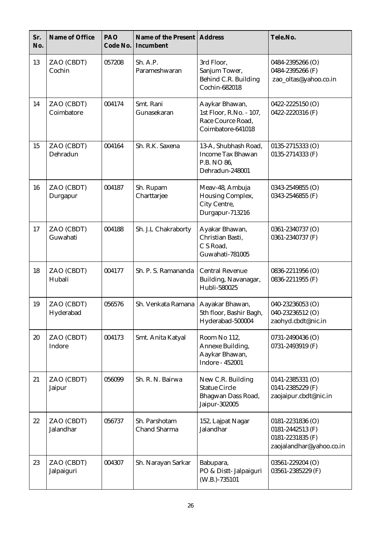| Sr.<br>No. | Name of Office           | PAO<br>Code No. | Name of the Present<br>Incumbent | <b>Address</b>                                                                      | Tele.No.                                                                                 |
|------------|--------------------------|-----------------|----------------------------------|-------------------------------------------------------------------------------------|------------------------------------------------------------------------------------------|
| 13         | ZAO (CBDT)<br>Cochin     | 057208          | Sh. A.P.<br>Parameshwaran        | 3rd Floor,<br>Sanjum Tower,<br>Behind C.R. Building<br>Cochin-682018                | 0484-2395266 (O)<br>0484-2395266 (F)<br>zao_oltas@yahoo.co.in                            |
| 14         | ZAO (CBDT)<br>Coimbatore | 004174          | Smt. Rani<br>Gunasekaran         | Aaykar Bhawan,<br>1st Floor, R.No. - 107,<br>Race Cource Road,<br>Coimbatore-641018 | 0422-2225150 (O)<br>0422-2220316 (F)                                                     |
| 15         | ZAO (CBDT)<br>Dehradun   | 004164          | Sh. R.K. Saxena                  | 13-A, Shubhash Road,<br><b>Income Tax Bhawan</b><br>P.B. NO 86,<br>Dehradun-248001  | 0135-2715333 (O)<br>0135-2714333 (F)                                                     |
| 16         | ZAO (CBDT)<br>Durgapur   | 004187          | Sh. Rupam<br>Charttarjee         | Meav-48, Ambuja<br>Housing Complex,<br>City Centre,<br>Durgapur-713216              | 0343-2549855 (O)<br>0343-2546855 (F)                                                     |
| 17         | ZAO (CBDT)<br>Guwahati   | 004188          | Sh. J.L Chakraborty              | Ayakar Bhawan,<br>Christian Basti,<br>C S Road.<br>Guwahati-781005                  | 0361-2340737 (O)<br>0361-2340737 (F)                                                     |
| 18         | ZAO (CBDT)<br>Hubali     | 004177          | Sh. P. S. Ramananda              | <b>Central Revenue</b><br>Building, Navanagar,<br>Hubli-580025                      | 0836-2211956 (O)<br>0836-2211955 (F)                                                     |
| 19         | ZAO (CBDT)<br>Hyderabad  | 056576          | Sh. Venkata Ramana               | Aayakar Bhawan,<br>5th floor, Bashir Bagh,<br>Hyderabad-500004                      | 040-23236053 (O)<br>040-23236512 (O)<br>zaohyd.cbdt@nic.in                               |
| 20         | ZAO (CBDT)<br>Indore     | 004173          | Smt. Anita Katyal                | Room No 112,<br>Annexe Building,<br>Aaykar Bhawan,<br>Indore - 452001               | 0731-2490436 (O)<br>0731-2493919 (F)                                                     |
| 21         | ZAO (CBDT)<br>Jaipur     | 056099          | Sh. R. N. Bairwa                 | New C.R. Building<br><b>Statue Circle</b><br>Bhagwan Dass Road,<br>Jaipur-302005    | $0141 - 2385331$ (O)<br>0141-2385229 (F)<br>zaojaipur.cbdt@nic.in                        |
| 22         | ZAO (CBDT)<br>Jalandhar  | 056737          | Sh. Parshotam<br>Chand Sharma    | 152, Lajpat Nagar<br>Jalandhar                                                      | $0181 - 2231836$ (O)<br>0181-2442513 (F)<br>0181-2231835 (F)<br>zaojalandhar@yahoo.co.in |
| 23         | ZAO (CBDT)<br>Jalpaiguri | 004307          | Sh. Narayan Sarkar               | Babupara,<br>PO & Distt-Jalpaiguri<br>(W.B.)-735101                                 | 03561-229204 (O)<br>03561-2385229 (F)                                                    |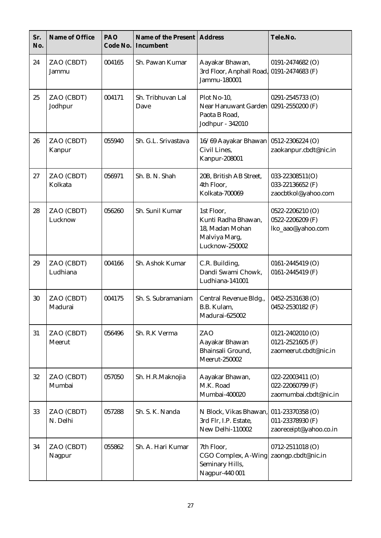| Sr.<br>No. | Name of Office         | PAO<br>Code No. | Name of the Present<br>Incumbent | <b>Address</b>                                                                            | Tele.No.                                                          |
|------------|------------------------|-----------------|----------------------------------|-------------------------------------------------------------------------------------------|-------------------------------------------------------------------|
| 24         | ZAO (CBDT)<br>Jammu    | 004165          | Sh. Pawan Kumar                  | Aayakar Bhawan,<br>3rd Floor, Anphall Road, 0191-2474683 (F)<br>Jammu-180001              | 0191-2474682 (O)                                                  |
| 25         | ZAO (CBDT)<br>Jodhpur  | 004171          | Sh. Tribhuvan Lal<br>Dave        | Plot No-10,<br>Near Hanuwant Garden 0291-2550200 (F)<br>Paota B Road,<br>Jodhpur - 342010 | 0291-2545733 (O)                                                  |
| 26         | ZAO (CBDT)<br>Kanpur   | 055940          | Sh. G.L. Srivastava              | 16/69 Aayakar Bhawan<br>Civil Lines,<br><b>Kanpur-208001</b>                              | 0512-2306224 (O)<br>zaokanpur.cbdt@nic.in                         |
| 27         | ZAO (CBDT)<br>Kolkata  | 056971          | Sh. B. N. Shah                   | 20B, British AB Street,<br>4th Floor,<br>Kolkata-700069                                   | 033-22308511(O)<br>033-22136652 (F)<br>zaocbtkol@yahoo.com        |
| 28         | ZAO (CBDT)<br>Lucknow  | 056260          | Sh. Sunil Kumar                  | 1st Floor,<br>Kunti Radha Bhawan,<br>18, Madan Mohan<br>Malviya Marg,<br>Lucknow-250002   | 0522-2206210 (O)<br>0522-2206209 (F)<br>lko_aao@yahoo.com         |
| 29         | ZAO (CBDT)<br>Ludhiana | 004166          | Sh. Ashok Kumar                  | C.R. Building,<br>Dandi Swami Chowk,<br>Ludhiana-141001                                   | 0161-2445419 (O)<br>0161-2445419 (F)                              |
| 30         | ZAO (CBDT)<br>Madurai  | 004175          | Sh. S. Subramaniam               | Central Revenue Bldg.,<br>B.B. Kulam,<br>Madurai-625002                                   | 0452-2531638 (O)<br>0452-2530182 (F)                              |
| 31         | ZAO (CBDT)<br>Meerut   | 056496          | Sh. R.K Verma                    | ZAO<br>Aayakar Bhawan<br>Bhainsali Ground,<br>Meerut-250002                               | $0121 - 2402010$ (O)<br>0121-2521605 (F)<br>zaomeerut.cbdt@nic.in |
| 32         | ZAO (CBDT)<br>Mumbai   | 057050          | Sh. H.R.Maknojia                 | Aayakar Bhawan,<br>M.K. Road<br>Mumbai-400020                                             | 022-22003411 (O)<br>022-22060799 (F)<br>zaomumbai.cbdt@nic.in     |
| 33         | ZAO (CBDT)<br>N. Delhi | 057288          | Sh. S. K. Nanda                  | N Block, Vikas Bhawan,<br>3rd Flr, I.P. Estate,<br>New Delhi-110002                       | 011-23370358 (O)<br>011-23378930 (F)<br>zaoreceipt@yahoo.co.in    |
| 34         | ZAO (CBDT)<br>Nagpur   | 055862          | Sh. A. Hari Kumar                | 7th Floor,<br>CGO Complex, A-Wing<br>Seminary Hills,<br>Nagpur-440 001                    | 0712-2511018 (O)<br>zaongp.cbdt@nic.in                            |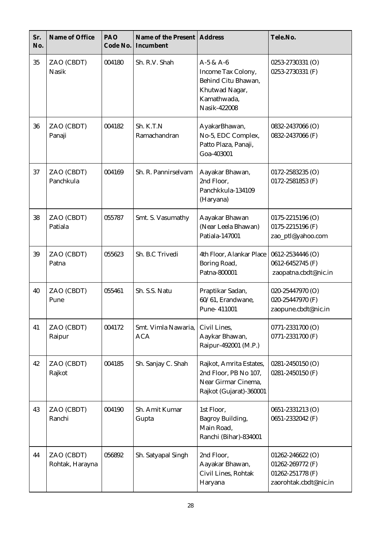| Sr.<br>No. | Name of Office                | PAO<br>Code No. | Name of the Present   Address<br>Incumbent |                                                                                                           | Tele.No.                                                                          |
|------------|-------------------------------|-----------------|--------------------------------------------|-----------------------------------------------------------------------------------------------------------|-----------------------------------------------------------------------------------|
| 35         | ZAO (CBDT)<br><b>Nasik</b>    | 004180          | Sh. R.V. Shah                              | $A-5 & A-6$<br>Income Tax Colony,<br>Behind Citu Bhawan,<br>Khutwad Nagar,<br>Kamathwada,<br>Nasik-422008 | 0253-2730331 (O)<br>0253-2730331 (F)                                              |
| 36         | ZAO (CBDT)<br>Panaji          | 004182          | Sh. K.T.N<br>Ramachandran                  | AyakarBhawan,<br>No-5, EDC Complex,<br>Patto Plaza, Panaji,<br>Goa-403001                                 | 0832-2437066 (O)<br>0832-2437066 (F)                                              |
| 37         | ZAO (CBDT)<br>Panchkula       | 004169          | Sh. R. Pannirselvam                        | Aayakar Bhawan,<br>2nd Floor,<br>Panchkkula-134109<br>(Haryana)                                           | $0172 - 2583235$ (O)<br>0172-2581853 (F)                                          |
| 38         | ZAO (CBDT)<br>Patiala         | 055787          | Smt. S. Vasumathy                          | Aayakar Bhawan<br>(Near Leela Bhawan)<br>Patiala-147001                                                   | 0175-2215196 (O)<br>0175-2215196 (F)<br>zao_ptl@yahoo.com                         |
| 39         | ZAO (CBDT)<br>Patna           | 055623          | Sh. B.C Trivedi                            | 4th Floor, Alankar Place<br>Boring Road,<br>Patna-800001                                                  | 0612-2534446 (O)<br>0612-6452745 (F)<br>zaopatna.cbdt@nic.in                      |
| 40         | ZAO (CBDT)<br>Pune            | 055461          | Sh. S.S. Natu                              | Praptikar Sadan,<br>60/61, Erandwane,<br>Pune-411001                                                      | 020-25447970 (O)<br>020-25447970 (F)<br>zaopune.cbdt@nic.in                       |
| 41         | ZAO (CBDT)<br>Raipur          | 004172          | Smt. Vimla Nawaria,<br><b>ACA</b>          | Civil Lines,<br>Aaykar Bhawan,<br>Raipur-492001 (M.P.)                                                    | 0771-2331700 (O)<br>0771-2331700 (F)                                              |
| 42         | ZAO (CBDT)<br>Rajkot          | 004185          | Sh. Sanjay C. Shah                         | Rajkot, Amrita Estates,<br>2nd Floor, PB No 107,<br>Near Girmar Cinema,<br>Rajkot (Gujarat)-360001        | 0281-2450150 (O)<br>0281-2450150 (F)                                              |
| 43         | ZAO (CBDT)<br>Ranchi          | 004190          | Sh. Amit Kumar<br>Gupta                    | 1st Floor,<br>Bagroy Building,<br>Main Road,<br>Ranchi (Bihar)-834001                                     | 0651-2331213 (O)<br>0651-2332042 (F)                                              |
| 44         | ZAO (CBDT)<br>Rohtak, Harayna | 056892          | Sh. Satyapal Singh                         | 2nd Floor,<br>Aayakar Bhawan,<br>Civil Lines, Rohtak<br>Haryana                                           | 01262-246622 (O)<br>01262-269772 (F)<br>01262-251778 (F)<br>zaorohtak.cbdt@nic.in |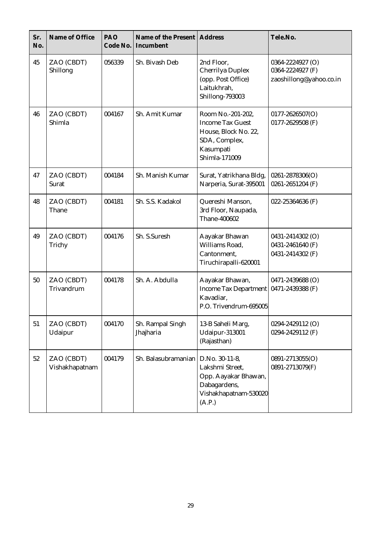| Sr.<br>No. | Name of Office               | PAO<br>Code No. | Name of the Present<br>Incumbent | <b>Address</b>                                                                                                      | Tele.No.                                                        |
|------------|------------------------------|-----------------|----------------------------------|---------------------------------------------------------------------------------------------------------------------|-----------------------------------------------------------------|
| 45         | ZAO (CBDT)<br>Shillong       | 056339          | Sh. Bivash Deb                   | 2nd Floor,<br>Cherrilya Duplex<br>(opp. Post Office)<br>Laitukhrah,<br>Shillong-793003                              | 0364-2224927 (O)<br>0364-2224927 (F)<br>zaoshillong@yahoo.co.in |
| 46         | ZAO (CBDT)<br>Shimla         | 004167          | Sh. Amit Kumar                   | Room No.-201-202,<br><b>Income Tax Guest</b><br>House, Block No. 22,<br>SDA, Complex,<br>Kasumpati<br>Shimla-171009 | $0177 - 2626507(O)$<br>0177-2629508 (F)                         |
| 47         | ZAO (CBDT)<br>Surat          | 004184          | Sh. Manish Kumar                 | Surat, Yatrikhana Bldg,<br>Narperia, Surat-395001                                                                   | $0261 - 2878306(O)$<br>0261-2651204 (F)                         |
| 48         | ZAO (CBDT)<br>Thane          | 004181          | Sh. S.S. Kadakol                 | Quereshi Manson,<br>3rd Floor, Naupada,<br>Thane-400602                                                             | 022-25364636 (F)                                                |
| 49         | ZAO (CBDT)<br>Trichy         | 004176          | Sh. S.Suresh                     | Aayakar Bhawan<br>Williams Road,<br>Cantonment,<br>Tiruchirapalli-620001                                            | 0431-2414302 (O)<br>0431-2461640 (F)<br>0431-2414302 (F)        |
| 50         | ZAO (CBDT)<br>Trivandrum     | 004178          | Sh. A. Abdulla                   | Aayakar Bhawan,<br><b>Income Tax Department</b><br>Kavadiar.<br>P.O. Trivendrum-695005                              | 0471-2439688 (O)<br>0471-2439388 (F)                            |
| 51         | ZAO (CBDT)<br>Udaipur        | 004170          | Sh. Rampal Singh<br>Jhajharia    | 13-B Saheli Marg,<br>Udaipur-313001<br>(Rajasthan)                                                                  | 0294-2429112 (O)<br>0294-2429112 (F)                            |
| 52         | ZAO (CBDT)<br>Vishakhapatnam | 004179          | Sh. Balasubramanian              | D.No. 30-11-8,<br>Lakshmi Street,<br>Opp. Aayakar Bhawan,<br>Dabagardens,<br>Vishakhapatnam-530020<br>(A.P.)        | 0891-2713055(O)<br>0891-2713079(F)                              |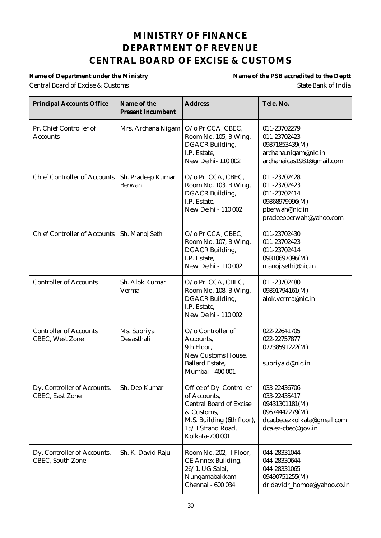#### **MINISTRY OF FINANCE DEPARTMENT OF REVENUE CENTRAL BOARD OF EXCISE & CUSTOMS**

Central Board of Excise & Customs State Bank of India

Name of Department under the Ministry **Name of the PSB** accredited to the Deptt

| <b>Principal Accounts Office</b>                        | Name of the<br><b>Present Incumbent</b> | <b>Address</b>                                                                                                                                                 | Tele. No.                                                                                                            |
|---------------------------------------------------------|-----------------------------------------|----------------------------------------------------------------------------------------------------------------------------------------------------------------|----------------------------------------------------------------------------------------------------------------------|
| Pr. Chief Controller of<br><b>Accounts</b>              | Mrs. Archana Nigam                      | O/o Pr.CCA, CBEC,<br>Room No. 105, B Wing,<br><b>DGACR</b> Building,<br>I.P. Estate,<br>New Delhi-110002                                                       | 011-23702279<br>011-23702423<br>09871853439(M)<br>archana.nigam@nic.in<br>archanaicas1981@gmail.com                  |
| <b>Chief Controller of Accounts</b>                     | Sh. Pradeep Kumar<br>Berwah             | O/o Pr. CCA, CBEC,<br>Room No. 103, B Wing,<br>DGACR Building,<br>I.P. Estate,<br>New Delhi - 110 002                                                          | 011-23702428<br>011-23702423<br>011-23702414<br>09868979996(M)<br>pberwah@nic.in<br>pradeepberwah@yahoo.com          |
| <b>Chief Controller of Accounts</b>                     | Sh. Manoj Sethi                         | O/o Pr.CCA, CBEC,<br>Room No. 107, B Wing,<br><b>DGACR</b> Building,<br>I.P. Estate,<br>New Delhi - 110 002                                                    | 011-23702430<br>011-23702423<br>011-23702414<br>09810697096(M)<br>manoj.sethi@nic.in                                 |
| <b>Controller of Accounts</b>                           | Sh. Alok Kumar<br>Verma                 | O/o Pr. CCA, CBEC,<br>Room No. 108, B Wing,<br>DGACR Building,<br>I.P. Estate,<br>New Delhi - 110 002                                                          | 011-23702480<br>09891794161(M)<br>alok.verma@nic.in                                                                  |
| <b>Controller of Accounts</b><br><b>CBEC, West Zone</b> | Ms. Supriya<br>Devasthali               | O/o Controller of<br>Accounts,<br>9th Floor,<br><b>New Customs House.</b><br><b>Ballard Estate,</b><br>Mumbai - 400 001                                        | 022-22641705<br>022-22757877<br>07738591222(M)<br>supriya.d@nic.in                                                   |
| Dy. Controller of Accounts,<br><b>CBEC, East Zone</b>   | Sh. Deo Kumar                           | Office of Dy. Controller<br>of Accounts,<br><b>Central Board of Excise</b><br>& Customs,<br>M.S. Building (6th floor),<br>15/1 Strand Road,<br>Kolkata-700 001 | 033-22436706<br>033-22435417<br>09431301181(M)<br>09674442279(M)<br>dcacbecezkolkata@gmail.com<br>dca.ez-cbec@gov.in |
| Dy. Controller of Accounts,<br><b>CBEC</b> , South Zone | Sh. K. David Raju                       | Room No. 202, II Floor,<br>CE Annex Building,<br>26/1, UG Salai,<br>Nungamabakkam<br>Chennai - 600 034                                                         | 044-28331044<br>044-28330644<br>044-28331065<br>09490751255(M)<br>dr.davidr_homoe@yahoo.co.in                        |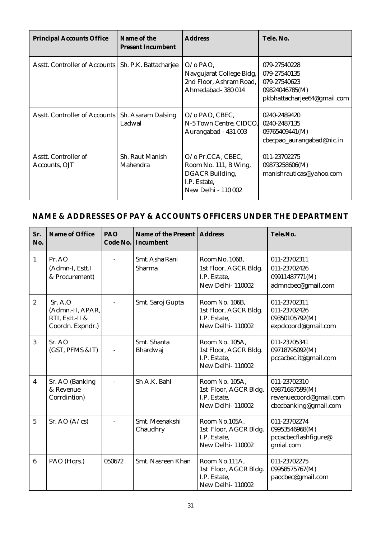| <b>Principal Accounts Office</b>                      | Name of the<br><b>Present Incumbent</b> | <b>Address</b>                                                                                       | Tele, No.                                                                                     |
|-------------------------------------------------------|-----------------------------------------|------------------------------------------------------------------------------------------------------|-----------------------------------------------------------------------------------------------|
| Asstt. Controller of Accounts   Sh. P.K. Battacharjee |                                         | $O$ / $\alpha$ PAO.<br>Navgujarat College Bldg,<br>2nd Floor, Ashram Road,<br>Ahmedabad-380014       | 079-27540228<br>079-27540135<br>079-27540623<br>09824046785(M)<br>pkbhattacharjee64@gmail.com |
| Asstt. Controller of Accounts                         | Sh. Asaram Dalsing<br>Ladwal            | $O/O$ PAO, CBEC,<br>N-5 Town Centre, CIDCO,<br>Aurangabad - 431 003                                  | 0240-2489420<br>0240-2487135<br>09765409441(M)<br>cbecpao_aurangabad@nic.in                   |
| Asstt. Controller of<br>Accounts, OJT                 | Sh. Raut Manish<br>Mahendra             | O/o Pr.CCA, CBEC,<br>Room No. 111, B Wing,<br>DGACR Building,<br>I.P. Estate,<br>New Delhi - 110 002 | 011-23702275<br>09873258606(M)<br>manishrauticas@yahoo.com                                    |

#### **NAME & ADDRESSES OF PAY & ACCOUNTS OFFICERS UNDER THE DEPARTMENT**

| Sr.<br>No.     | Name of Office                                                      | PAO<br>Code No. | Name of the Present   Address<br>Incumbent |                                                                             | Tele.No.                                                                          |
|----------------|---------------------------------------------------------------------|-----------------|--------------------------------------------|-----------------------------------------------------------------------------|-----------------------------------------------------------------------------------|
| $\mathbf{1}$   | Pr. AO<br>(Admn-I, Estt.I<br>& Procurement)                         |                 | Smt. Asha Rani<br>Sharma                   | Room No. 106B,<br>1st Floor, AGCR Bldg.<br>I.P. Estate.<br>New Delhi-110002 | 011-23702311<br>011-23702426<br>09911487771(M)<br>admncbec@gmail.com              |
| $\overline{c}$ | Sr. A. O<br>(Admn.-II, APAR,<br>RTI, Estt.-II &<br>Coordn. Expndr.) |                 | Smt. Saroj Gupta                           | Room No. 106B,<br>1st Floor, AGCR Bldg.<br>I.P. Estate.<br>New Delhi-110002 | 011-23702311<br>011-23702426<br>09350105792(M)<br>expdcoord@gmail.com             |
| 3              | Sr. AO<br>(GST, PFMS &IT)                                           |                 | Smt. Shanta<br>Bhardwaj                    | Room No. 105A,<br>1st Floor, AGCR Bldg.<br>I.P. Estate.<br>New Delhi-110002 | 011-23705341<br>09718795092(M)<br>pccacbec.it@gmail.com                           |
| 4              | Sr. AO (Banking<br>& Revenue<br>Corrdintion)                        |                 | Sh A.K. Bahl                               | Room No. 105A,<br>1st Floor, AGCR Bldg.<br>I.P. Estate,<br>New Delhi-110002 | 011-23702310<br>09871687599(M)<br>revenuecoord@gmail.com<br>cbecbanking@gmail.com |
| $\overline{5}$ | Sr. AO $(A/\text{cs})$                                              |                 | Smt. Meenakshi<br>Chaudhry                 | Room No.105A,<br>1st Floor, AGCR Bldg.<br>I.P. Estate,<br>New Delhi-110002  | 011-23702274<br>09953546968(M)<br>pccacbecflashfigure@<br>gmial.com               |
| 6              | PAO (Hqrs.)                                                         | 050672          | Smt. Nasreen Khan                          | Room No.111A,<br>1st Floor, AGCR Bldg.<br>I.P. Estate.<br>New Delhi-110002  | 011-23702275<br>09958575767(M)<br>paocbec@gmail.com                               |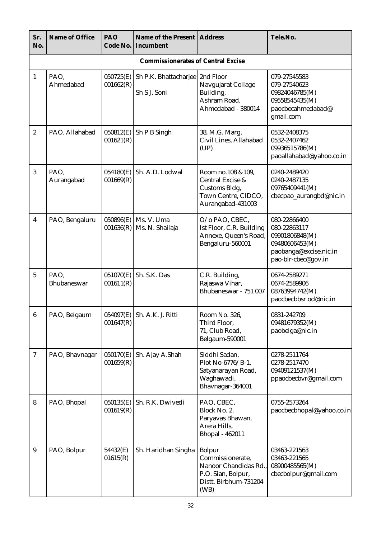| Sr.<br>No.       | Name of Office                            | PAO<br>Code No.        | Name of the Present   Address<br>Incumbent |                                                                                                                   | Tele.No.                                                                                                          |  |  |  |  |
|------------------|-------------------------------------------|------------------------|--------------------------------------------|-------------------------------------------------------------------------------------------------------------------|-------------------------------------------------------------------------------------------------------------------|--|--|--|--|
|                  | <b>Commissionerates of Central Excise</b> |                        |                                            |                                                                                                                   |                                                                                                                   |  |  |  |  |
| $\mathbf{1}$     | PAO,<br>Ahmedabad                         | 050725(E)<br>001662(R) | Sh P.K. Bhattacharjee<br>Sh S J. Soni      | 2nd Floor<br>Navgujarat Collage<br>Building,<br>Ashram Road,<br>Ahmedabad - 380014                                | 079-27545583<br>079-27540623<br>09824046785(M)<br>09558545435(M)<br>paocbecahmedabad@<br>gmail.com                |  |  |  |  |
| $\boldsymbol{2}$ | PAO, Allahabad                            | 050812(E)<br>001621(R) | Sh P B Singh                               | 38, M.G. Marg,<br>Civil Lines, Allahabad<br>(UP)                                                                  | 0532-2408375<br>0532-2407462<br>09936515786(M)<br>paoallahabad@yahoo.co.in                                        |  |  |  |  |
| 3                | PAO,<br>Aurangabad                        | 054180(E)<br>001669(R) | Sh. A.D. Lodwal                            | Room no.108 &109,<br>Central Excise &<br>Customs Bldg,<br>Town Centre, CIDCO,<br>Aurangabad-431003                | 0240-2489420<br>0240-2487135<br>09765409441(M)<br>cbecpao_aurangbd@nic.in                                         |  |  |  |  |
| 4                | PAO, Bengaluru                            | 050896(E)<br>001636(R) | Ms. V. Uma<br>Ms. N. Shailaja              | O/o PAO, CBEC,<br>Ist Floor, C.R. Building<br>Annexe, Queen's Road,<br>Bengaluru-560001                           | 080-22866400<br>080-22863117<br>09901806848(M)<br>09480606453(M)<br>paobanga@excise.nic.in<br>pao-blr-cbec@gov.in |  |  |  |  |
| $\overline{5}$   | PAO,<br>Bhubaneswar                       | 051070(E)<br>001611(R) | Sh. S.K. Das                               | C.R. Building,<br>Rajaswa Vihar,<br>Bhubaneswar - 751 007                                                         | 0674-2589271<br>0674-2589906<br>08763994742(M)<br>paocbecbbsr.od@nic.in                                           |  |  |  |  |
| $6\phantom{.0}$  | PAO, Belgaum                              | 001647(R)              | 054097(E) Sh. A.K. J. Ritti                | Room No. 326,<br>Third Floor,<br>71, Club Road,<br>Belgaum-590001                                                 | 0831-242709<br>09481679352(M)<br>paobelga@nic.in                                                                  |  |  |  |  |
| $\tau$           | PAO, Bhavnagar                            | 050170(E)<br>001659(R) | Sh. Ajay A.Shah                            | Siddhi Sadan,<br>Plot No-6776/B-1,<br>Satyanarayan Road,<br>Waghawadi,<br>Bhavnagar-364001                        | 0278-2511764<br>0278-2517470<br>09409121537(M)<br>ppaocbecbvr@gmail.com                                           |  |  |  |  |
| 8                | PAO, Bhopal                               | 050135(E)<br>001619(R) | Sh. R.K. Dwivedi                           | PAO, CBEC,<br>Block No. 2,<br>Paryavas Bhawan,<br>Arera Hills,<br>Bhopal - 462011                                 | 0755-2573264<br>paocbecbhopal@yahoo.co.in                                                                         |  |  |  |  |
| 9                | PAO, Bolpur                               | 54432(E)<br>01615(R)   | Sh. Haridhan Singha                        | <b>Bolpur</b><br>Commissionerate,<br>Nanoor Chandidas Rd.,<br>P.O. Sian, Bolpur,<br>Distt. Birbhum-731204<br>(WB) | 03463-221563<br>03463-221565<br>08900485565(M)<br>cbecbolpur@gmail.com                                            |  |  |  |  |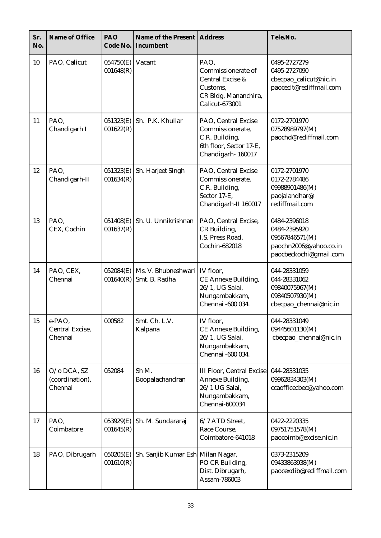| Sr.<br>No. | Name of Office                            | PAO<br>Code No.        | Name of the Present<br>Incumbent     | <b>Address</b>                                                                                              | Tele.No.                                                                                           |
|------------|-------------------------------------------|------------------------|--------------------------------------|-------------------------------------------------------------------------------------------------------------|----------------------------------------------------------------------------------------------------|
| 10         | PAO, Calicut                              | 054750(E)<br>001648(R) | Vacant                               | PAO,<br>Commissionerate of<br>Central Excise &<br>Customs,<br>CR Bldg, Mananchira,<br><b>Calicut-673001</b> | 0495-2727279<br>0495-2727090<br>cbecpao_calicut@nic.in<br>paoceclt@rediffmail.com                  |
| 11         | PAO,<br>Chandigarh I                      | 051323(E)<br>001622(R) | Sh. P.K. Khullar                     | PAO, Central Excise<br>Commissionerate,<br>C.R. Building,<br>6th floor, Sector 17-E,<br>Chandigarh-160017   | 0172-2701970<br>07528989797(M)<br>paochd@rediffmail.com                                            |
| 12         | PAO,<br>Chandigarh-II                     | 051323(E)<br>001634(R) | Sh. Harjeet Singh                    | PAO, Central Excise<br>Commissionerate,<br>C.R. Building,<br>Sector 17-E,<br>Chandigarh-II 160017           | 0172-2701970<br>0172-2784486<br>09988901486(M)<br>paojalandhar@<br>rediffmail.com                  |
| 13         | PAO,<br>CEX, Cochin                       | 051408(E)<br>001637(R) | Sh. U. Unnikrishnan                  | PAO, Central Excise,<br>CR Building,<br>I.S. Press Road,<br>Cochin-682018                                   | 0484-2396018<br>0484-2395920<br>09567846571(M)<br>paochn2006@yahoo.co.in<br>paocbeckochi@gmail.com |
| 14         | PAO, CEX,<br>Chennai                      | 052084(E)<br>001640(R) | Ms. V. Bhubneshwari<br>Smt. B. Radha | IV floor,<br><b>CE Annexe Building,</b><br>26/1, UG Salai,<br>Nungambakkam,<br>Chennai -600 034.            | 044-28331059<br>044-28331062<br>09840075967(M)<br>09840507930(M)<br>cbecpao_chennai@nic.in         |
| 15         | e-PAO,<br>Central Excise,<br>Chennai      | 000582                 | Smt. Ch. L.V.<br>Kalpana             | IV floor,<br><b>CE Annexe Building,</b><br>26/1, UG Salai,<br>Nungambakkam,<br>Chennai -600 034.            | 044-28331049<br>09445601130(M)<br>cbecpao_chennai@nic.in                                           |
| 16         | O/o DCA, SZ<br>(coordination),<br>Chennai | 052084                 | Sh M.<br>Boopalachandran             | <b>III Floor, Central Excise</b><br>Annexe Building,<br>26/1 UG Salai,<br>Nungambakkam,<br>Chennai-600034   | 044-28331035<br>09962834303(M)<br>ccaofficecbec@yahoo.com                                          |
| 17         | PAO,<br>Coimbatore                        | 053929(E)<br>001645(R) | Sh. M. Sundararaj                    | 6/7 ATD Street,<br>Race Course,<br>Coimbatore-641018                                                        | 0422-2220335<br>09751751578(M)<br>paocoimb@excise.nic.in                                           |
| 18         | PAO, Dibrugarh                            | 050205(E)<br>001610(R) | Sh. Sanjib Kumar Esh Milan Nagar,    | PO CR Building,<br>Dist. Dibrugarh,<br>Assam-786003                                                         | 0373-2315209<br>09433863938(M)<br>paocexdib@rediffmail.com                                         |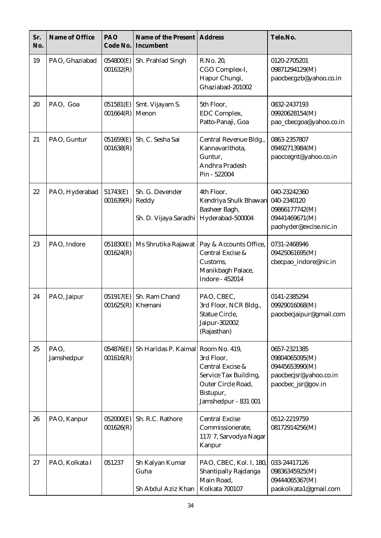| Sr.<br>No. | Name of Office     | PAO<br>Code No.        | Name of the Present<br>Incumbent                  | <b>Address</b>                                                                                                     | Tele.No.                                                                                         |
|------------|--------------------|------------------------|---------------------------------------------------|--------------------------------------------------------------------------------------------------------------------|--------------------------------------------------------------------------------------------------|
| 19         | PAO, Ghaziabad     | 054800(E)<br>001632(R) | Sh. Prahlad Singh                                 | R.No. 20,<br>CGO Complex-I,<br>Hapur Chungi,<br>Ghaziabad-201002                                                   | 0120-2705201<br>09871294129(M)<br>paocbecgzb@yahoo.co.in                                         |
| 20         | PAO, Goa           | 051581(E)<br>001664(R) | Smt. Vijayam S.<br>Menon                          | 5th Floor,<br>EDC Complex,<br>Patto-Panaji, Goa                                                                    | 0832-2437193<br>09920628154(M)<br>pao_cbecgoa@yahoo.co.in                                        |
| 21         | PAO, Guntur        | 051659(E)<br>001638(R) | Sh. C. Sesha Sai                                  | Central Revenue Bldg.,<br>Kannavarithota,<br>Guntur,<br>Andhra Pradesh<br>Pin - 522004                             | 0863-2357807<br>09492713984(M)<br>paoccegnt@yahoo.co.in                                          |
| 22         | PAO, Hyderabad     | 51743(E)<br>001639(R)  | Sh. G. Devender<br>Reddy<br>Sh. D. Vijaya Saradhi | 4th Floor,<br>Kendriya Shulk Bhawan<br>Basheer Bagh,<br>Hyderabad-500004                                           | 040-23242360<br>040-2340120<br>09866177742(M)<br>09441469671(M)<br>paohyder@excise.nic.in        |
| 23         | PAO, Indore        | 051830(E)<br>001624(R) | Ms Shrutika Rajawat                               | Pay & Accounts Office,<br>Central Excise &<br>Customs,<br>Manikbagh Palace,<br>Indore - 452014                     | 0731-2468946<br>09425061695(M)<br>cbecpao_indore@nic.in                                          |
| 24         | PAO, Jaipur        | 051917(E)<br>001625(R) | Sh. Ram Chand<br>Khemani                          | PAO, CBEC,<br>3rd Floor, NCR Bldg.,<br><b>Statue Circle.</b><br>Jaipur-302002<br>(Rajasthan)                       | 0141-2385294<br>09929016068(M)<br>paocbecjaipur@gmail.com                                        |
| 25         | PAO,<br>Jamshedpur | 054876(E)<br>001616(R) | Sh Haridas P. Kaimal Room No. 419,                | 3rd Floor,<br>Central Excise &<br>Service Tax Building,<br>Outer Circle Road,<br>Bistupur,<br>Jamshedpur - 831 001 | 0657-2321385<br>09804065095(M)<br>09445653990(M)<br>paocbecjsr@yahoo.co.in<br>paocbec_jsr@gov.in |
| 26         | PAO, Kanpur        | 052000(E)<br>001626(R) | Sh. R.C. Rathore                                  | <b>Central Excise</b><br>Commissionerate,<br>117/7, Sarvodya Nagar<br>Kanpur                                       | 0512-2219759<br>08172914256(M)                                                                   |
| 27         | PAO, Kolkata I     | 051237                 | Sh Kalyan Kumar<br>Guha<br>Sh Abdul Aziz Khan     | PAO, CBEC, Kol. I, 180,<br>Shantipally Rajdanga<br>Main Road,<br>Kolkata 700107                                    | 033-24417126<br>09836345925(M)<br>09444065367(M)<br>paokolkata1@gmail.com                        |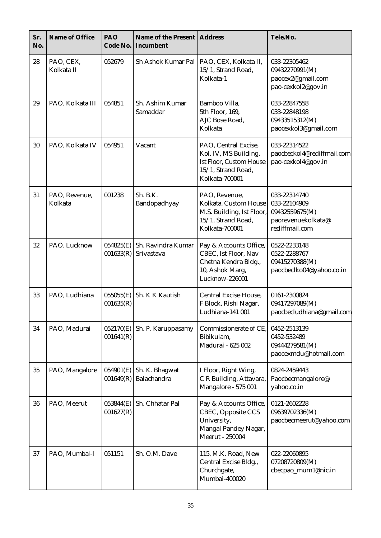| Sr.<br>No. | Name of Office           | PAO<br>Code No.        | Name of the Present   Address<br>Incumbent |                                                                                                                         | Tele.No.                                                                               |
|------------|--------------------------|------------------------|--------------------------------------------|-------------------------------------------------------------------------------------------------------------------------|----------------------------------------------------------------------------------------|
| 28         | PAO, CEX,<br>Kolkata II  | 052679                 | Sh Ashok Kumar Pal                         | PAO, CEX, Kolkata II,<br>15/1, Strand Road,<br>Kolkata-1                                                                | 033-22305462<br>09432270991(M)<br>paocex2@gmail.com<br>pao-cexkol2@gov.in              |
| 29         | PAO, Kolkata III         | 054851                 | Sh. Ashim Kumar<br>Samaddar                | Bamboo Villa,<br>5th Floor, 169,<br>AJC Bose Road,<br>Kolkata                                                           | 033-22847558<br>033-22848198<br>09433515312(M)<br>paocexkol3@gmail.com                 |
| 30         | PAO, Kolkata IV          | 054951                 | Vacant                                     | PAO, Central Excise,<br>Kol. IV, MS Building,<br><b>Ist Floor, Custom House</b><br>15/1, Strand Road,<br>Kolkata-700001 | 033-22314522<br>paocbeckol4@rediffmail.com<br>pao-cexkol4@gov.in                       |
| 31         | PAO, Revenue,<br>Kolkata | 001238                 | Sh. B.K.<br>Bandopadhyay                   | PAO, Revenue,<br>Kolkata, Custom House<br>M.S. Building, Ist Floor,<br>15/1, Strand Road,<br>Kolkata-700001             | 033-22314740<br>033-22104909<br>09432559675(M)<br>paorevenuekolkata@<br>rediffmail.com |
| 32         | PAO, Lucknow             | 054825(E)<br>001633(R) | Sh. Ravindra Kumar<br>Srivastava           | Pay & Accounts Office,<br>CBEC, Ist Floor, Nav<br>Chetna Kendra Bldg.,<br>10, Ashok Marg,<br>Lucknow-226001             | 0522-2233148<br>0522-2288767<br>09415270388(M)<br>paocbeclko04@yahoo.co.in             |
| 33         | PAO, Ludhiana            | 055055(E)<br>001635(R) | Sh. K K Kautish                            | <b>Central Excise House,</b><br>F Block, Rishi Nagar,<br>Ludhiana-141 001                                               | 0161-2300824<br>09417297089(M)<br>paocbecludhiana@gmail.com                            |
| 34         | PAO, Madurai             | 052170(E)<br>001641(R) | Sh. P. Karuppasamy                         | Commissionerate of CE,<br>Bibikulam,<br>Madurai - 625 002                                                               | 0452-2513139<br>0452-532489<br>09444279581(M)<br>paocexmdu@hotmail.com                 |
| 35         | PAO, Mangalore           | 054901(E)<br>001649(R) | Sh. K. Bhagwat<br>Balachandra              | I Floor, Right Wing,<br>C R Building, Attavara,<br>Mangalore - 575 001                                                  | 0824-2459443<br>Paocbecmangalore@<br>yahoo.co.in                                       |
| 36         | PAO, Meerut              | 053844(E)<br>001627(R) | Sh. Chhatar Pal                            | Pay & Accounts Office,<br>CBEC, Opposite CCS<br>University,<br>Mangal Pandey Nagar,<br>Meerut - 250004                  | 0121-2602228<br>09639702336(M)<br>paocbecmeerut@yahoo.com                              |
| 37         | PAO, Mumbai-I            | 051151                 | Sh. O.M. Dave                              | 115, M.K. Road, New<br>Central Excise Bldg.,<br>Churchgate,<br>Mumbai-400020                                            | 022-22060895<br>07208720809(M)<br>cbecpao_mum1@nic.in                                  |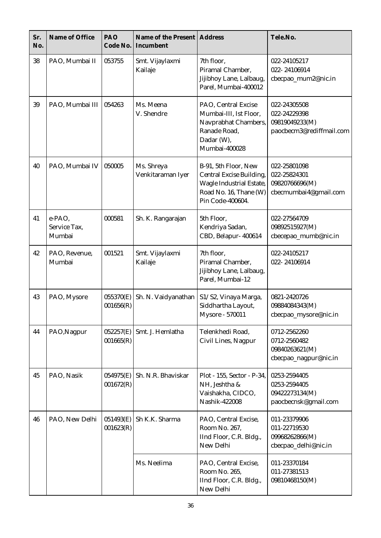| Sr.<br>No. | Name of Office                   | PAO<br>Code No.        | Name of the Present<br>Incumbent | <b>Address</b>                                                                                                                    | Tele.No.                                                                   |
|------------|----------------------------------|------------------------|----------------------------------|-----------------------------------------------------------------------------------------------------------------------------------|----------------------------------------------------------------------------|
| 38         | PAO, Mumbai II                   | 053755                 | Smt. Vijaylaxmi<br>Kailaje       | 7th floor,<br>Piramal Chamber,<br>Jijibhoy Lane, Lalbaug,<br>Parel, Mumbai-400012                                                 | 022-24105217<br>022-24106914<br>cbecpao_mum2@nic.in                        |
| 39         | PAO, Mumbai III                  | 054263                 | Ms. Meena<br>V. Shendre          | PAO, Central Excise<br>Mumbai-III, Ist Floor,<br>Navprabhat Chambers,<br>Ranade Road,<br>Dadar (W),<br>Mumbai-400028              | 022-24305508<br>022-24229398<br>09819049233(M)<br>paocbecm3@rediffmail.com |
| 40         | PAO, Mumbai IV                   | 050005                 | Ms. Shreya<br>Venkitaraman Iyer  | B-91, 5th Floor, New<br><b>Central Excise Building,</b><br>Wagle Industrial Estate,<br>Road No. 16, Thane (W)<br>Pin Code-400604. | 022-25801098<br>022-25824301<br>09820766696(M)<br>cbecmumbai4@gmail.com    |
| 41         | e-PAO,<br>Service Tax,<br>Mumbai | 000581                 | Sh. K. Rangarajan                | 5th Floor,<br>Kendriya Sadan,<br>CBD, Belapur- 400614                                                                             | 022-27564709<br>09892515927(M)<br>cbecepao_mumb@nic.in                     |
| 42         | PAO, Revenue,<br>Mumbai          | 001521                 | Smt. Vijaylaxmi<br>Kailaje       | 7th floor,<br>Piramal Chamber,<br>Jijibhoy Lane, Lalbaug,<br>Parel, Mumbai-12                                                     | 022-24105217<br>022-24106914                                               |
| 43         | PAO, Mysore                      | 055370(E)<br>001656(R) | Sh. N. Vaidyanathan              | S1/S2, Vinaya Marga,<br>Siddhartha Layout,<br>Mysore - 570011                                                                     | 0821-2420726<br>09884084343(M)<br>cbecpao_mysore@nic.in                    |
| 44         | PAO, Nagpur                      | 052257(E)<br>001665(R) | Smt. J. Hemlatha                 | Telenkhedi Road,<br>Civil Lines, Nagpur                                                                                           | 0712-2562260<br>0712-2560482<br>09840263621(M)<br>cbecpao_nagpur@nic.in    |
| 45         | PAO, Nasik                       | 054975(E)<br>001672(R) | Sh. N.R. Bhaviskar               | Plot - 155, Sector - P-34,<br>NH, Jeshtha &<br>Vaishakha, CIDCO,<br>Nashik-422008                                                 | 0253-2594405<br>0253-2594405<br>09422273134(M)<br>paocbecnsk@gmail.com     |
| 46         | PAO, New Delhi                   | 051493(E)<br>001623(R) | Sh K.K. Sharma                   | PAO, Central Excise,<br>Room No. 267,<br>IInd Floor, C.R. Bldg.,<br>New Delhi                                                     | 011-23379906<br>011-22719530<br>09968262866(M)<br>cbecpao_delhi@nic.in     |
|            |                                  |                        | Ms. Neelima                      | PAO, Central Excise,<br>Room No. 265,<br>IInd Floor, C.R. Bldg.,<br>New Delhi                                                     | 011-23370184<br>011-27381513<br>09810468150(M)                             |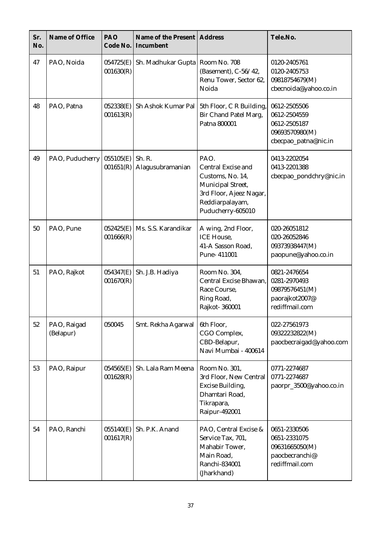| Sr.<br>No. | Name of Office           | PAO<br>Code No.        | Name of the Present<br>Incumbent  | <b>Address</b>                                                                                                                         | Tele.No.                                                                               |
|------------|--------------------------|------------------------|-----------------------------------|----------------------------------------------------------------------------------------------------------------------------------------|----------------------------------------------------------------------------------------|
| 47         | PAO, Noida               | 054725(E)<br>001630(R) | Sh. Madhukar Gupta   Room No. 708 | (Basement), C-56/42,<br>Renu Tower, Sector 62,<br>Noida                                                                                | 0120-2405761<br>0120-2405753<br>09818754679(M)<br>cbecnoida@yahoo.co.in                |
| 48         | PAO, Patna               | 052338(E)<br>001613(R) | Sh Ashok Kumar Pal                | 5th Floor, C R Building,<br>Bir Chand Patel Marg,<br>Patna 800001                                                                      | 0612-2505506<br>0612-2504559<br>0612-2505187<br>09693570980(M)<br>cbecpao_patna@nic.in |
| 49         | PAO, Puducherry          | 055105(E)<br>001651(R) | Sh. R.<br>Alagusubramanian        | PAO.<br>Central Excise and<br>Customs, No. 14,<br>Municipal Street,<br>3rd Floor, Ajeez Nagar,<br>Reddiarpalayam,<br>Puducherry-605010 | 0413-2202054<br>0413-2201388<br>cbecpao_pondchry@nic.in                                |
| 50         | PAO, Pune                | 052425(E)<br>001666(R) | Ms. S.S. Karandikar               | A wing, 2nd Floor,<br><b>ICE</b> House,<br>41-A Sasson Road,<br>Pune-411001                                                            | 020-26051812<br>020-26052846<br>09373938447(M)<br>paopune@yahoo.co.in                  |
| 51         | PAO, Rajkot              | 054347(E)<br>001670(R) | Sh. J.B. Hadiya                   | Room No. 304,<br>Central Excise Bhawan,<br>Race Course,<br>Ring Road,<br>Rajkot-360001                                                 | 0821-2476654<br>0281-2970493<br>09879576451(M)<br>paorajkot2007@<br>rediffmail.com     |
| 52         | PAO, Raigad<br>(Belapur) | 050045                 | Smt. Rekha Agarwal                | 6th Floor,<br>CGO Complex,<br>CBD-Belapur,<br>Navi Mumbai - 400614                                                                     | 022-27561973<br>09322232822(M)<br>paocbecraigad@yahoo.com                              |
| 53         | PAO, Raipur              | 054565(E)<br>001628(R) | Sh. Lala Ram Meena                | Room No. 301,<br>3rd Floor, New Central<br><b>Excise Building,</b><br>Dhamtari Road,<br>Tikrapara,<br>Raipur-492001                    | 0771-2274687<br>0771-2274687<br>paorpr_3500@yahoo.co.in                                |
| 54         | PAO, Ranchi              | 055140(E)<br>001617(R) | Sh. P.K. Anand                    | PAO, Central Excise &<br>Service Tax, 701,<br>Mahabir Tower,<br>Main Road,<br>Ranchi-834001<br>(Jharkhand)                             | 0651-2330506<br>0651-2331075<br>09631665050(M)<br>paocbecranchi@<br>rediffmail.com     |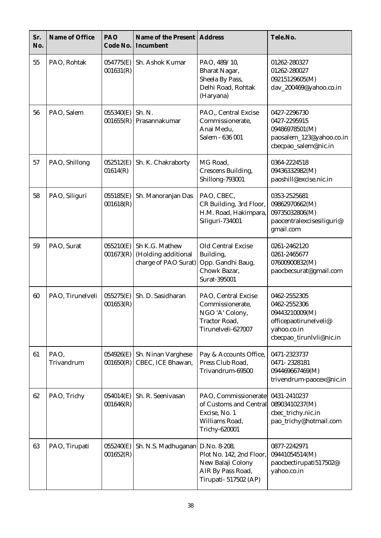| Sr.<br>No. | Name of Office     | PAO<br>Code No.        | Name of the Present<br>Incumbent                              | <b>Address</b>                                                                                              | Tele.No.                                                                                                           |
|------------|--------------------|------------------------|---------------------------------------------------------------|-------------------------------------------------------------------------------------------------------------|--------------------------------------------------------------------------------------------------------------------|
| 55         | PAO, Rohtak        | 054775(E)<br>001631(R) | Sh. Ashok Kumar                                               | PAO, 489/10,<br><b>Bharat Nagar,</b><br>Sheela By Pass,<br>Delhi Road, Rohtak<br>(Haryana)                  | 01262-280327<br>01262-280027<br>09215129605(M)<br>dav_200469@yahoo.co.in                                           |
| 56         | PAO, Salem         | 055340(E)<br>001655(R) | Sh. N.<br>Prasannakumar                                       | PAO,, Central Excise<br>Commissionerate,<br>Anai Medu,<br>Salem - 636 001                                   | 0427-2296730<br>0427-2295915<br>09486978501(M)<br>paosalem_123@yahoo.co.in<br>cbecpao_salem@nic.in                 |
| 57         | PAO, Shillong      | 052512(E)<br>01614(R)  | Sh. K. Chakraborty                                            | MG Road,<br><b>Crescens Building,</b><br>Shillong-793001                                                    | 0364-2224518<br>09436332982(M)<br>paoshill@excise.nic.in                                                           |
| 58         | PAO, Siliguri      | 055185(E)<br>001618(R) | Sh. Manoranjan Das                                            | PAO, CBEC,<br>CR Building, 3rd Floor,<br>H.M. Road, Hakimpara,<br>Siliguri-734001                           | 0353-2525681<br>09862970662(M)<br>09735032806(M)<br>paocentralexcisesiliguri@<br>gmail.com                         |
| 59         | PAO, Surat         | 055210(E)<br>001673(R) | Sh K.G. Mathew<br>(Holding additional<br>charge of PAO Surat) | Old Central Excise<br>Building,<br>Opp. Gandhi Baug,<br>Chowk Bazar,<br>Surat-395001                        | 0261-2462120<br>0261-2465677<br>07600900832(M)<br>paocbecsurat@gmail.com                                           |
| 60         | PAO, Tirunelveli   | 055275(E)<br>001653(R) | Sh. D. Sasidharan                                             | PAO, Central Excise<br>Commissionerate,<br>NGO 'A' Colony,<br>Tractor Road,<br>Tirunelveli-627007           | 0462-2552305<br>0462-2552306<br>09443210009(M)<br>officepaotirunelveli@<br>yahoo.co.in<br>cbecpao_tirunlvli@nic.in |
| 61         | PAO,<br>Trivandrum | 054926(E)<br>001650(R) | Sh. Ninan Varghese<br>CBEC, ICE Bhawan,                       | Pay & Accounts Office,<br>Press Club Road,<br>Trivandrum-69500                                              | 0471-2323737<br>0471-2328181<br>094469667469(M)<br>trivendrum-paocex@nic.in                                        |
| 62         | PAO, Trichy        | 054014(E)<br>001646(R) | Sh. R. Seenivasan                                             | PAO, Commissionerate<br>of Customs and Central<br>Excise, No. 1<br>Williams Road,<br><b>Trichy-620001</b>   | 0431-2410237<br>08903410237(M)<br>cbec_trichy.nic.in<br>pao_trichy@hotmail.com                                     |
| 63         | PAO, Tirupati      | 055240(E)<br>001652(R) | Sh. N.S. Madhuganan                                           | D.No. 8-208,<br>Plot No. 142, 2nd Floor,<br>New Balaji Colony<br>AIR By Pass Road,<br>Tirupati- 517502 (AP) | 0877-2242971<br>09441054514(M)<br>paocbectirupati517502@<br>yahoo.co.in                                            |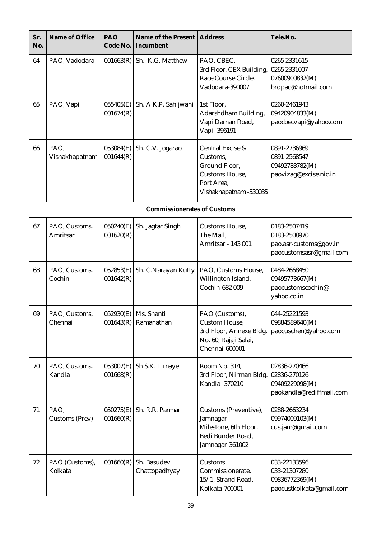| Sr.<br>No. | Name of Office            | PAO<br>Code No.        | Name of the Present<br>Incumbent                 | <b>Address</b>                                                                                          | Tele.No.                                                                          |
|------------|---------------------------|------------------------|--------------------------------------------------|---------------------------------------------------------------------------------------------------------|-----------------------------------------------------------------------------------|
| 64         | PAO, Vadodara             | 001663(R)              | Sh. K.G. Matthew                                 | PAO, CBEC,<br>3rd Floor, CEX Building,<br>Race Course Circle,<br>Vadodara-390007                        | 0265 2331615<br>0265 2331007<br>07600900832(M)<br>brdpao@hotmail.com              |
| 65         | PAO, Vapi                 | 055405(E)<br>001674(R) | Sh. A.K.P. Sahijwani                             | 1st Floor,<br>Adarshdham Building,<br>Vapi Daman Road,<br>Vapi-396191                                   | 0260-2461943<br>09420904833(M)<br>paocbecvapi@yahoo.com                           |
| 66         | PAO,<br>Vishakhapatnam    | 053084(E)<br>001644(R) | Sh. C.V. Jogarao                                 | Central Excise &<br>Customs,<br>Ground Floor,<br>Customs House,<br>Port Area,<br>Vishakhapatnam -530035 | 0891-2736969<br>0891-2568547<br>09492783782(M)<br>paovizag@excise.nic.in          |
|            |                           |                        | <b>Commissionerates of Customs</b>               |                                                                                                         |                                                                                   |
| 67         | PAO, Customs,<br>Amritsar | 050240(E)<br>001620(R) | Sh. Jagtar Singh                                 | Customs House,<br>The Mall,<br>Amritsar - 143 001                                                       | 0183-2507419<br>0183-2508970<br>pao.asr-customs@gov.in<br>paocustomsasr@gmail.com |
| 68         | PAO, Customs,<br>Cochin   | 052853(E)<br>001642(R) | Sh. C.Narayan Kutty                              | PAO, Customs House,<br>Willington Island,<br>Cochin-682 009                                             | 0484-2668450<br>09495773667(M)<br>paocustomscochin@<br>yahoo.co.in                |
| 69         | PAO, Customs,<br>Chennai  |                        | $052930(E)$ Ms. Shanti<br>$001643(R)$ Ramanathan | PAO (Customs),<br>Custom House,<br>3rd Floor, Annexe Bldg.<br>No. 60, Rajaji Salai,<br>Chennai-600001   | 044-25221593<br>09884589640(M)<br>paocuschen@yahoo.com                            |
| 70         | PAO, Customs,<br>Kandla   | 053007(E)<br>001668(R) | Sh S.K. Limaye                                   | Room No. 314,<br>3rd Floor, Nirman Bldg.<br>Kandla-370210                                               | 02836-270466<br>02836-270126<br>09409229098(M)<br>paokandla@rediffmail.com        |
| 71         | PAO,<br>Customs (Prev)    | 050275(E)<br>001660(R) | Sh. R.R. Parmar                                  | Customs (Preventive),<br>Jamnagar<br>Milestone, 6th Floor,<br>Bedi Bunder Road,<br>Jamnagar-361002      | 0288-2663234<br>09974009103(M)<br>cus.jam@gmail.com                               |
| 72         | PAO (Customs),<br>Kolkata | 001660(R)              | Sh. Basudev<br>Chattopadhyay                     | Customs<br>Commissionerate,<br>15/1, Strand Road,<br>Kolkata-700001                                     | 033-22133596<br>033-21307280<br>09836772369(M)<br>paocustkolkata@gmail.com        |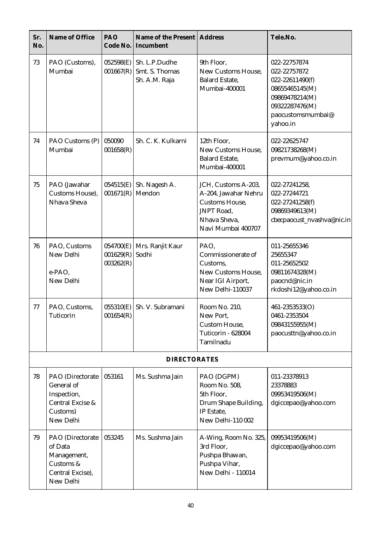| Sr.<br>No. | Name of Office                                                                             | PAO<br>Code No.                     | Name of the Present<br>Incumbent                 | <b>Address</b>                                                                                                                  | Tele.No.                                                                                                                               |
|------------|--------------------------------------------------------------------------------------------|-------------------------------------|--------------------------------------------------|---------------------------------------------------------------------------------------------------------------------------------|----------------------------------------------------------------------------------------------------------------------------------------|
| 73         | PAO (Customs),<br>Mumbai                                                                   | 052598(E)<br>001667(R)              | Sh. L.P.Dudhe<br>Smt. S. Thomas<br>Sh. A.M. Raja | 9th Floor,<br>New Customs House,<br><b>Balard Estate,</b><br>Mumbai-400001                                                      | 022-22757874<br>022-22757872<br>022-22611490(f)<br>08655465145(M)<br>09869478214(M)<br>09322287476(M)<br>paocustomsmumbai@<br>yahoo.in |
| 74         | PAO Customs (P)<br>Mumbai                                                                  | 050090<br>001658(R)                 | Sh. C. K. Kulkarni                               | 12th Floor,<br>New Customs House,<br><b>Balard Estate,</b><br>Mumbai-400001                                                     | 022-22625747<br>09821738268(M)<br>prevmum@yahoo.co.in                                                                                  |
| 75         | PAO (Jawahar<br>Customs House),<br>Nhava Sheva                                             | 054515(E)<br>001671(R)              | Sh. Nagesh A.<br>Mendon                          | JCH, Customs A-203,<br>A-204, Jawahar Nehru<br><b>Customs House,</b><br><b>JNPT</b> Road,<br>Nhava Sheva,<br>Navi Mumbai 400707 | 022-27241258,<br>022-27244721<br>022-27241258(f)<br>09869349613(M)<br>cbecpaocust_nvashva@nic.in                                       |
| 76         | PAO, Customs<br>New Delhi<br>e-PAO,<br>New Delhi                                           | 054700(E)<br>001629(R)<br>003262(R) | Mrs. Ranjit Kaur<br>Sodhi                        | PAO,<br>Commissionerate of<br>Customs,<br>New Customs House,<br>Near IGI Airport,<br>New Delhi-110037                           | 011-25655346<br>25655347<br>011-25652502<br>09811674328(M)<br>paocnd@nic.in<br>rkdoshi12@yahoo.co.in                                   |
| 77         | PAO, Customs,<br>Tuticorin                                                                 | 055310(E)<br>001654(R)              | Sh. V. Subramani                                 | Room No. 210,<br>New Port,<br>Custom House,<br>Tuticorin - 628004<br>Tamilnadu                                                  | 461-2353533(O)<br>0461-2353504<br>09843155955(M)<br>paocusttn@yahoo.co.in                                                              |
|            |                                                                                            |                                     | <b>DIRECTORATES</b>                              |                                                                                                                                 |                                                                                                                                        |
| 78         | PAO (Directorate<br>General of<br>Inspection,<br>Central Excise &<br>Customs)<br>New Delhi | 053161                              | Ms. Sushma Jain                                  | PAO (DGPM)<br>Room No. 508,<br>5th Floor,<br>Drum Shape Building,<br>IP Estate,<br>New Delhi-110 002                            | 011-23378913<br>23378883<br>09953419506(M)<br>dgiccepao@yahoo.com                                                                      |
| 79         | PAO (Directorate<br>of Data<br>Management,<br>Customs &<br>Central Excise),<br>New Delhi   | 053245                              | Ms. Sushma Jain                                  | A-Wing, Room No. 325,<br>3rd Floor,<br>Pushpa Bhawan,<br>Pushpa Vihar,<br>New Delhi - 110014                                    | 09953419506(M)<br>dgiccepao@yahoo.com                                                                                                  |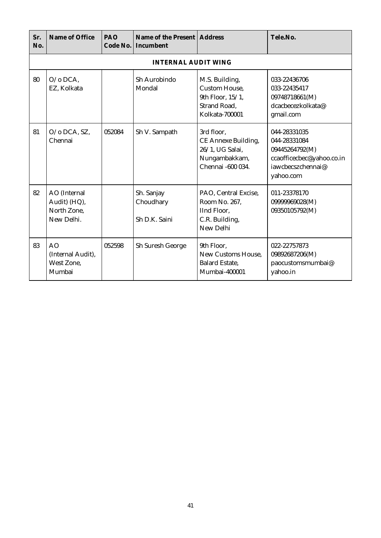| Sr.<br>No. | Name of Office                                              | PAO<br>Code No. | Name of the Present   Address<br>Incumbent |                                                                                                     | Tele.No.                                                                                                      |
|------------|-------------------------------------------------------------|-----------------|--------------------------------------------|-----------------------------------------------------------------------------------------------------|---------------------------------------------------------------------------------------------------------------|
|            |                                                             |                 | <b>INTERNAL AUDIT WING</b>                 |                                                                                                     |                                                                                                               |
| 80         | $O$ /o DCA.<br>EZ, Kolkata                                  |                 | Sh Aurobindo<br>Mondal                     | M.S. Building,<br><b>Custom House.</b><br>9th Floor, 15/1,<br><b>Strand Road,</b><br>Kolkata-700001 | 033-22436706<br>033-22435417<br>09748718661(M)<br>dcacbecezkolkata@<br>gmail.com                              |
| 81         | O/o DCA, SZ,<br>Chennai                                     | 052084          | Sh V. Sampath                              | 3rd floor,<br>CE Annexe Building,<br>26/1, UG Salai,<br>Nungambakkam,<br>Chennai -600 034.          | 044-28331035<br>044-28331084<br>09445264792(M)<br>ccaofficecbec@yahoo.co.in<br>iawcbecszchennai@<br>yahoo.com |
| 82         | AO (Internal<br>Audit) (HQ),<br>North Zone,<br>New Delhi.   |                 | Sh. Sanjay<br>Choudhary<br>Sh D.K. Saini   | PAO, Central Excise,<br>Room No. 267,<br>IInd Floor,<br>C.R. Building,<br>New Delhi                 | 011-23378170<br>09999969028(M)<br>09350105792(M)                                                              |
| 83         | A <sub>O</sub><br>(Internal Audit),<br>West Zone.<br>Mumbai | 052598          | Sh Suresh George                           | 9th Floor.<br>New Customs House.<br><b>Balard Estate,</b><br>Mumbai-400001                          | 022-22757873<br>09892687206(M)<br>paocustomsmumbai@<br>yahoo.in                                               |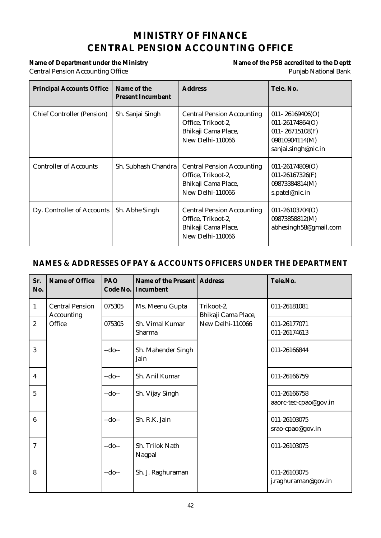# **MINISTRY OF FINANCE CENTRAL PENSION ACCOUNTING OFFICE**

# **Central Pension Accounting Office** Punjab National Bank

# Name of Department under the Ministry **Name of the PSB** accredited to the Deptt

| <b>Principal Accounts Office</b>  | Name of the<br><b>Present Incumbent</b> | <b>Address</b>                                                                                     | Tele. No.                                                                                              |
|-----------------------------------|-----------------------------------------|----------------------------------------------------------------------------------------------------|--------------------------------------------------------------------------------------------------------|
| <b>Chief Controller (Pension)</b> | Sh. Sanjai Singh                        | <b>Central Pension Accounting</b><br>Office, Trikoot-2,<br>Bhikaji Cama Place,<br>New Delhi-110066 | $011 - 26169406(O)$<br>$011 - 26174864(O)$<br>011-26715108(F)<br>09810904114(M)<br>sanjai.singh@nic.in |
| <b>Controller of Accounts</b>     | Sh. Subhash Chandra                     | <b>Central Pension Accounting</b><br>Office, Trikoot-2,<br>Bhikaji Cama Place,<br>New Delhi-110066 | $011 - 26174809(O)$<br>$011 - 26167326$ (F)<br>09873384814(M)<br>s.patel@nic.in                        |
| Dy. Controller of Accounts        | Sh. Abhe Singh                          | <b>Central Pension Accounting</b><br>Office, Trikoot-2,<br>Bhikaji Cama Place,<br>New Delhi-110066 | $011 - 26103704(O)$<br>09873858812(M)<br>abhesingh58@gmail.com                                         |

| Sr.<br>No.     | Name of Office                       | PAO<br>Code No. | Name of the Present   Address<br>Incumbent |                                   | Tele.No.                              |
|----------------|--------------------------------------|-----------------|--------------------------------------------|-----------------------------------|---------------------------------------|
| $\mathbf{1}$   | <b>Central Pension</b><br>Accounting | 075305          | Ms. Meenu Gupta                            | Trikoot-2,<br>Bhikaji Cama Place, | 011-26181081                          |
| $\overline{2}$ | Office                               | 075305          | Sh. Vimal Kumar<br>Sharma                  | New Delhi-110066                  | 011-26177071<br>011-26174613          |
| 3              |                                      | $-do-$          | Sh. Mahender Singh<br>Jain                 |                                   | 011-26166844                          |
| 4              |                                      | $-do-$          | Sh. Anil Kumar                             |                                   | 011-26166759                          |
| 5              |                                      | $-do-$          | Sh. Vijay Singh                            |                                   | 011-26166758<br>aaorc-tec-cpao@gov.in |
| 6              |                                      | $-do-$          | Sh. R.K. Jain                              |                                   | 011-26103075<br>srao-cpao@gov.in      |
| 7              |                                      | $-do-$          | Sh. Trilok Nath<br>Nagpal                  |                                   | 011-26103075                          |
| 8              |                                      | $-do-$          | Sh. J. Raghuraman                          |                                   | 011-26103075<br>j.raghuraman@gov.in   |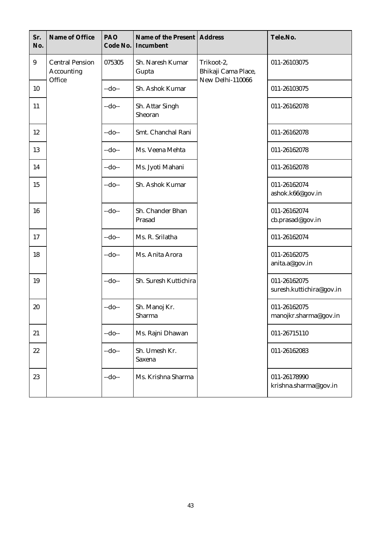| Sr.<br>No.      | Name of Office                              | PAO<br>Code No. | Name of the Present<br>Incumbent | <b>Address</b>                                        | Tele.No.                                 |
|-----------------|---------------------------------------------|-----------------|----------------------------------|-------------------------------------------------------|------------------------------------------|
| $9\phantom{.0}$ | <b>Central Pension</b><br><b>Accounting</b> | 075305          | Sh. Naresh Kumar<br>Gupta        | Trikoot-2,<br>Bhikaji Cama Place,<br>New Delhi-110066 | 011-26103075                             |
| 10              | Office                                      | $-do-$          | Sh. Ashok Kumar                  |                                                       | 011-26103075                             |
| 11              |                                             | $-do-$          | Sh. Attar Singh<br>Sheoran       |                                                       | 011-26162078                             |
| 12              |                                             | $-do-$          | Smt. Chanchal Rani               |                                                       | 011-26162078                             |
| 13              |                                             | $-do-$          | Ms. Veena Mehta                  |                                                       | 011-26162078                             |
| 14              |                                             | $-do-$          | Ms. Jyoti Mahani                 |                                                       | 011-26162078                             |
| 15              |                                             | $-do-$          | Sh. Ashok Kumar                  |                                                       | 011-26162074<br>ashok.k66@gov.in         |
| 16              |                                             | $-do-$          | Sh. Chander Bhan<br>Prasad       |                                                       | 011-26162074<br>cb.prasad@gov.in         |
| 17              |                                             | $-do-$          | Ms. R. Srilatha                  |                                                       | 011-26162074                             |
| 18              |                                             | $-do-$          | Ms. Anita Arora                  |                                                       | 011-26162075<br>anita.a@gov.in           |
| 19              |                                             | $-do-$          | Sh. Suresh Kuttichira            |                                                       | 011-26162075<br>suresh.kuttichira@gov.in |
| 20              |                                             | $-do-$          | Sh. Manoj Kr.<br>Sharma          |                                                       | 011-26162075<br>manojkr.sharma@gov.in    |
| 21              |                                             | $-do-$          | Ms. Rajni Dhawan                 |                                                       | 011-26715110                             |
| 22              |                                             | $-do-$          | Sh. Umesh Kr.<br>Saxena          |                                                       | 011-26162083                             |
| 23              |                                             | $-do-$          | Ms. Krishna Sharma               |                                                       | 011-26178990<br>krishna.sharma@gov.in    |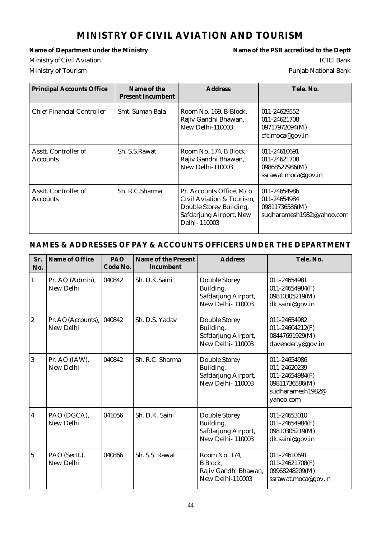# **MINISTRY OF CIVIL AVIATION AND TOURISM**

Name of Department under the Ministry **Name of the PSB** accredited to the Deptt Ministry of Civil Aviation **ICICI** Bank Ministry of Tourism Punjab National Bank

| <b>Principal Accounts Office</b>        | Name of the<br><b>Present Incumbent</b> | <b>Address</b>                                                                                                              | Tele, No.                                                                   |
|-----------------------------------------|-----------------------------------------|-----------------------------------------------------------------------------------------------------------------------------|-----------------------------------------------------------------------------|
| <b>Chief Financial Controller</b>       | Smt. Suman Bala                         | Room No. 169, B-Block,<br>Rajiv Gandhi Bhawan,<br>New Delhi-110003                                                          | 011-24629552<br>011-24621708<br>09717972094(M)<br>cfc.moca@gov.in           |
| Asstt. Controller of<br><b>Accounts</b> | Sh. S.S. Rawat                          | Room No. 174, B Block,<br>Rajiv Gandhi Bhawan,<br>New Delhi-110003                                                          | 011-24610691<br>011-24621708<br>09868527986(M)<br>ssrawat.moca@gov.in       |
| Asstt. Controller of<br><b>Accounts</b> | Sh. R.C.Sharma                          | Pr. Accounts Office, M/o<br>Civil Aviation & Tourism.<br>Double Storey Building,<br>Safdarjung Airport, New<br>Delhi-110003 | 011-24654986<br>011-24654984<br>09811736586(M)<br>sudharamesh1982@yahoo.com |

| Sr.<br>No.       | Name of Office                  | PAO<br>Code No. | Name of the Present<br>Incumbent | <b>Address</b>                                                               | Tele. No.                                                                                          |
|------------------|---------------------------------|-----------------|----------------------------------|------------------------------------------------------------------------------|----------------------------------------------------------------------------------------------------|
| 1                | Pr. AO (Admin),<br>New Delhi    | 040842          | Sh. D.K.Saini                    | Double Storey<br>Building,<br>Safdarjung Airport,<br><b>New Delhi-110003</b> | 011-24654981<br>011-24654984(F)<br>09810305219(M)<br>dk.saini@gov.in                               |
| $\boldsymbol{2}$ | Pr. AO (Accounts),<br>New Delhi | 040842          | Sh. D.S. Yadav                   | Double Storey<br>Building,<br>Safdarjung Airport,<br><b>New Delhi-110003</b> | 011-24654982<br>$011 - 24604212(F)$<br>08447691929(M)<br>davender.y@gov.in                         |
| 3                | Pr. AO (IAW),<br>New Delhi      | 040842          | Sh. R.C. Sharma                  | Double Storey<br>Building,<br>Safdarjung Airport,<br>New Delhi-110003        | 011-24654986<br>011-24620239<br>011-24654984(F)<br>09811736586(M)<br>sudharamesh1982@<br>yahoo.com |
| 4                | PAO (DGCA),<br>New Delhi        | 041056          | Sh. D.K. Saini                   | Double Storey<br>Building,<br>Safdarjung Airport,<br><b>New Delhi-110003</b> | 011-24653010<br>$011 - 24654984(F)$<br>09810305219(M)<br>dk.saini@gov.in                           |
| $\overline{5}$   | PAO (Sectt.),<br>New Delhi      | 040866          | Sh. S.S. Rawat                   | Room No. 174,<br><b>B</b> Block.<br>Rajiv Gandhi Bhawan,<br>New Delhi-110003 | 011-24610691<br>011-24621708(F)<br>09968248209(M)<br>ssrawat.moca@gov.in                           |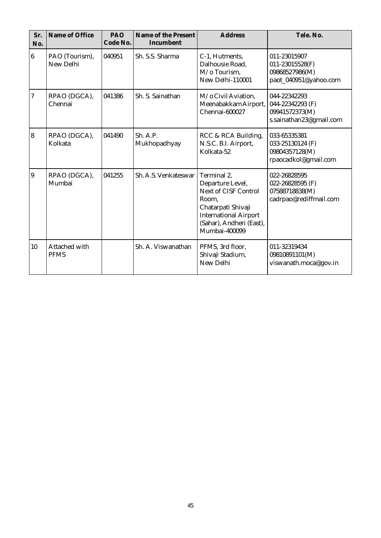| Sr.<br>No.       | Name of Office               | PAO<br>Code No. | Name of the Present<br>Incumbent | <b>Address</b>                                                                                                                                                             | Tele. No.                                                                     |
|------------------|------------------------------|-----------------|----------------------------------|----------------------------------------------------------------------------------------------------------------------------------------------------------------------------|-------------------------------------------------------------------------------|
| $\boldsymbol{6}$ | PAO (Tourism),<br>New Delhi  | 040951          | Sh. S.S. Sharma                  | C-1, Hutments,<br>Dalhousie Road,<br>M/o Tourism.<br>New Delhi-110001                                                                                                      | 011-23015907<br>011-23015528(F)<br>09868527986(M)<br>paot_040951@yahoo.com    |
| 7                | RPAO (DGCA),<br>Chennai      | 041386          | Sh. S. Sainathan                 | M/o Civil Aviation,<br>Meenabakkam Airport,<br>Chennai-600027                                                                                                              | 044-22342293<br>044-22342293 (F)<br>09941572373(M)<br>s.sainathan23@gmail.com |
| $\overline{8}$   | RPAO (DGCA),<br>Kolkata      | 041490          | Sh. A.P.<br>Mukhopadhyay         | RCC & RCA Building,<br>N.S.C. B.I. Airport,<br>Kolkata-52                                                                                                                  | 033-65335381<br>033-25130124 (F)<br>09804357128(M)<br>rpaocadkol@gmail.com    |
| $\overline{9}$   | RPAO (DGCA),<br>Mumbai       | 041255          | Sh. A.S. Venkateswar             | Terminal 2,<br>Departure Level,<br><b>Next of CISF Control</b><br>Room,<br>Chatarpati Shivaji<br><b>International Airport</b><br>(Sahar), Andheri (East),<br>Mumbai-400099 | 022-26828595<br>022-26828595 (F)<br>07588718838(M)<br>cadrpao@rediffmail.com  |
| 10               | Attached with<br><b>PFMS</b> |                 | Sh. A. Viswanathan               | PFMS, 3rd floor,<br>Shivaji Stadium,<br>New Delhi                                                                                                                          | 011-32319434<br>09810891101(M)<br>viswanath.moca@gov.in                       |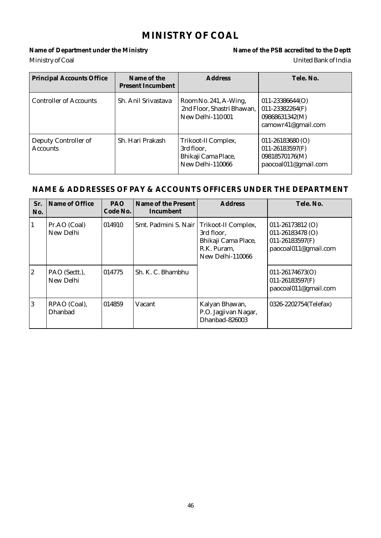# **MINISTRY OF COAL**

Name of Department under the Ministry **Name of the PSB** accredited to the Deptt Ministry of Coal United Bank of India

| <b>Principal Accounts Office</b>        | Name of the<br><b>Present Incumbent</b> | <b>Address</b>                                                               | Tele. No.                                                                             |
|-----------------------------------------|-----------------------------------------|------------------------------------------------------------------------------|---------------------------------------------------------------------------------------|
| <b>Controller of Accounts</b>           | Sh. Anil Srivastava                     | Room No. 241, A-Wing,<br>2nd Floor, Shastri Bhawan,<br>New Delhi-110001      | $011 - 23386644(O)$<br>$011 - 23382264(F)$<br>09868631342(M)<br>camowr41@gmail.com    |
| Deputy Controller of<br><b>Accounts</b> | Sh. Hari Prakash                        | Trikoot-II Complex,<br>3rd floor,<br>Bhikaji Cama Place,<br>New Delhi-110066 | $011 - 26183680$ (O)<br>$011 - 26183597(F)$<br>09818570176(M)<br>paocoal011@gmail.com |

| Sr.<br>No.     | Name of Office                 | <b>PAO</b><br>Code No. | Name of the Present<br>Incumbent | <b>Address</b>                                                                              | Tele. No.                                                                                   |
|----------------|--------------------------------|------------------------|----------------------------------|---------------------------------------------------------------------------------------------|---------------------------------------------------------------------------------------------|
|                | Pr.AO (Coal)<br>New Delhi      | 014910                 | Smt. Padmini S. Nair             | Trikoot-II Complex,<br>3rd floor.<br>Bhikaji Cama Place,<br>R.K. Puram,<br>New Delhi-110066 | $011 - 26173812$ (O)<br>$011 - 26183478$ (O)<br>$011 - 26183597(F)$<br>paocoal011@gmail.com |
| $\overline{2}$ | PAO (Sectt.),<br>New Delhi     | 014775                 | Sh. K. C. Bhambhu                |                                                                                             | $011 - 26174673(O)$<br>$011 - 26183597(F)$<br>paocoal011@gmail.com                          |
| $\overline{3}$ | RPAO (Coal),<br><b>Dhanbad</b> | 014859                 | Vacant                           | Kalyan Bhawan,<br>P.O. Jagjivan Nagar,<br>Dhanbad-826003                                    | 0326-2202754(Telefax)                                                                       |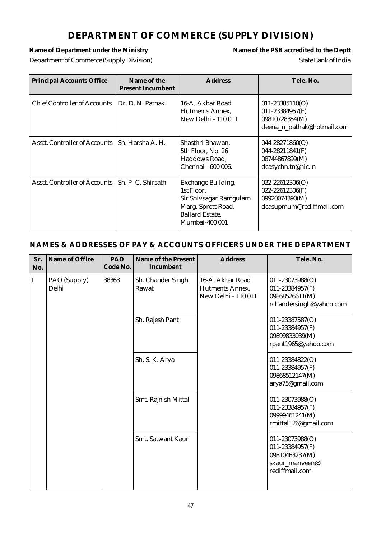# **DEPARTMENT OF COMMERCE (SUPPLY DIVISION)**

Name of Department under the Ministry **Name of the PSB** accredited to the Deptt Department of Commerce (Supply Division) State Bank of India

| <b>Principal Accounts Office</b>                   | Name of the<br><b>Present Incumbent</b> | <b>Address</b>                                                                                                               | Tele, No.                                                                                  |
|----------------------------------------------------|-----------------------------------------|------------------------------------------------------------------------------------------------------------------------------|--------------------------------------------------------------------------------------------|
| Chief Controller of Accounts 1                     | Dr. D. N. Pathak                        | 16-A, Akbar Road<br>Hutments Annex,<br>New Delhi - 110 011                                                                   | $011 - 23385110(O)$<br>$011 - 23384957(F)$<br>09810728354(M)<br>deena_n_pathak@hotmail.com |
| Asstt. Controller of Accounts   Sh. Harsha A. H.   |                                         | Shasthri Bhawan,<br>5th Floor, No. 26<br>Haddows Road,<br>Chennai - 600 006.                                                 | $044 - 28271860(O)$<br>044-28211841(F)<br>08744867899(M)<br>dcasychn.tn@nic.in             |
| Asstt. Controller of Accounts   Sh. P. C. Shirsath |                                         | Exchange Building,<br>1st Floor.<br>Sir Shivsagar Ramgulam<br>Marg, Sprott Road,<br><b>Ballard Estate,</b><br>Mumbai-400 001 | $022 - 22612306(O)$<br>$022 - 22612306(F)$<br>09920074390(M)<br>dcasupmum@rediffmail.com   |

| Sr.<br>No.   | Name of Office        | PAO<br>Code No. | Name of the Present<br>Incumbent | <b>Address</b>                                             | Tele. No.                                                                                |
|--------------|-----------------------|-----------------|----------------------------------|------------------------------------------------------------|------------------------------------------------------------------------------------------|
| $\mathbf{1}$ | PAO (Supply)<br>Delhi | 38363           | Sh. Chander Singh<br>Rawat       | 16-A, Akbar Road<br>Hutments Annex,<br>New Delhi - 110 011 | 011-23073988(O)<br>011-23384957(F)<br>09868526611(M)<br>rchandersingh@yahoo.com          |
|              |                       |                 | Sh. Rajesh Pant                  |                                                            | 011-23387587(O)<br>011-23384957(F)<br>09899833039(M)<br>rpant1965@yahoo.com              |
|              |                       |                 | Sh. S. K. Arya                   |                                                            | 011-23384822(O)<br>011-23384957(F)<br>09868512147(M)<br>arya75@gmail.com                 |
|              |                       |                 | Smt. Rajnish Mittal              |                                                            | 011-23073988(O)<br>011-23384957(F)<br>09999461241(M)<br>rmittal126@gmail.com             |
|              |                       |                 | Smt. Satwant Kaur                |                                                            | 011-23073988(O)<br>011-23384957(F)<br>09810463237(M)<br>skaur_manveen@<br>rediffmail.com |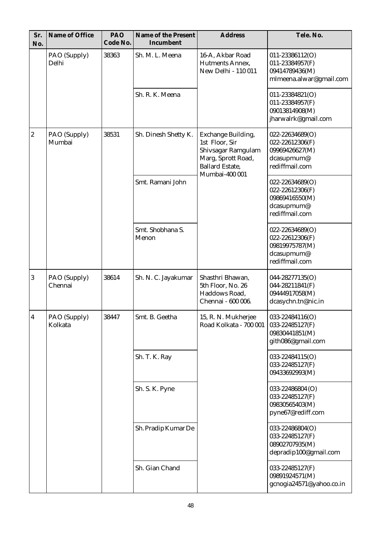| Sr.<br>No.       | Name of Office          | PAO<br>Code No. | Name of the Present<br>Incumbent | <b>Address</b>                                                                                                               | Tele. No.                                                                                    |
|------------------|-------------------------|-----------------|----------------------------------|------------------------------------------------------------------------------------------------------------------------------|----------------------------------------------------------------------------------------------|
|                  | PAO (Supply)<br>Delhi   | 38363           | Sh. M. L. Meena                  | 16-A, Akbar Road<br>Hutments Annex.<br>New Delhi - 110 011                                                                   | 011-23386112(O)<br>011-23384957(F)<br>09414789436(M)<br>mlmeena.alwar@gmail.com              |
|                  |                         |                 | Sh. R. K. Meena                  |                                                                                                                              | 011-23384821(O)<br>011-23384957(F)<br>09013814908(M)<br>jharwalrk@gmail.com                  |
| $\boldsymbol{2}$ | PAO (Supply)<br>Mumbai  | 38531           | Sh. Dinesh Shetty K.             | Exchange Building,<br>1st Floor, Sir<br>Shivsagar Ramgulam<br>Marg, Sprott Road,<br><b>Ballard Estate,</b><br>Mumbai-400 001 | 022-22634689(O)<br>022-22612306(F)<br>09969426627(M)<br>dcasupmum@<br>rediffmail.com         |
|                  |                         |                 | Smt. Ramani John                 |                                                                                                                              | $022 - 22634689(O)$<br>$022 - 22612306(F)$<br>09869416550(M)<br>dcasupmum@<br>rediffmail.com |
|                  |                         |                 | Smt. Shobhana S.<br>Menon        |                                                                                                                              | 022-22634689(O)<br>022-22612306(F)<br>09819975787(M)<br>dcasupmum@<br>rediffmail.com         |
| 3                | PAO (Supply)<br>Chennai | 38614           | Sh. N. C. Jayakumar              | Shasthri Bhawan,<br>5th Floor, No. 26<br>Haddows Road,<br>Chennai - 600 006.                                                 | 044-28277135(O)<br>044-28211841(F)<br>09444917058(M)<br>dcasychn.tn@nic.in                   |
| 4                | PAO (Supply)<br>Kolkata | 38447           | Smt. B. Geetha                   | 15, R. N. Mukherjee<br>Road Kolkata - 700 001                                                                                | 033-22484116(O)<br>033-22485127(F)<br>09830441851(M)<br>gith086@gmail.com                    |
|                  |                         |                 | Sh. T. K. Ray                    |                                                                                                                              | 033-22484115(O)<br>033-22485127(F)<br>09433692993(M)                                         |
|                  |                         |                 | Sh. S. K. Pyne                   |                                                                                                                              | 033-22486804 (O)<br>033-22485127(F)<br>09830565403(M)<br>pyne67@rediff.com                   |
|                  |                         |                 | Sh. Pradip Kumar De              |                                                                                                                              | 033-22486804(O)<br>033-22485127(F)<br>08902707935(M)<br>depradip100@gmail.com                |
|                  |                         |                 | Sh. Gian Chand                   |                                                                                                                              | 033-22485127(F)<br>09891924571(M)<br>gcnogia24571@yahoo.co.in                                |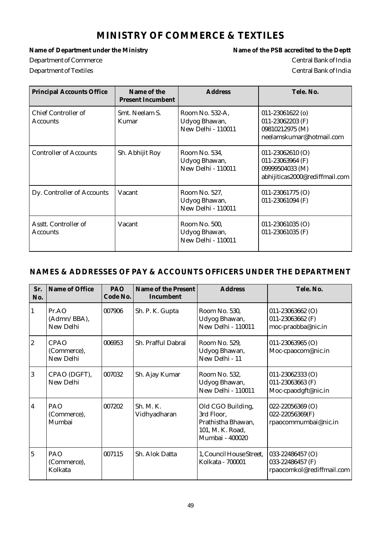### **MINISTRY OF COMMERCE & TEXTILES**

Department of Commerce Central Bank of India Department of Textiles Central Bank of India

Name of Department under the Ministry **Name of the PSB** accredited to the Deptt

| <b>Principal Accounts Office</b>        | Name of the<br><b>Present Incumbent</b> | <b>Address</b>                                                | Tele. No.                                                                                     |
|-----------------------------------------|-----------------------------------------|---------------------------------------------------------------|-----------------------------------------------------------------------------------------------|
| Chief Controller of<br>Accounts         | Smt. Neelam S.<br>Kumar                 | Room No. 532-A,<br>Udyog Bhawan,<br><b>New Delhi - 110011</b> | $011 - 23061622$ (o)<br>011-23062203 $(F)$<br>09810212975 (M)<br>neelamskumar@hotmail.com     |
| <b>Controller of Accounts</b>           | Sh. Abhijit Roy                         | Room No. 534,<br>Udyog Bhawan,<br><b>New Delhi - 110011</b>   | $011 - 23062610$ (O)<br>011-23063964 (F)<br>09999504033 (M)<br>abhijiticas2000@rediffmail.com |
| Dy. Controller of Accounts              | Vacant                                  | Room No. 527,<br>Udyog Bhawan,<br>New Delhi - 110011          | $011 - 23061775$ (O)<br>011-23061094 (F)                                                      |
| Asstt. Controller of<br><b>Accounts</b> | Vacant                                  | Room No. 500,<br>Udyog Bhawan,<br><b>New Delhi - 110011</b>   | $011 - 23061035$ (O)<br>011-23061035 (F)                                                      |

| Sr.<br>No.     | Name of Office                          | <b>PAO</b><br>Code No. | Name of the Present<br>Incumbent | <b>Address</b>                                                                               | Tele, No.                                                         |
|----------------|-----------------------------------------|------------------------|----------------------------------|----------------------------------------------------------------------------------------------|-------------------------------------------------------------------|
| 1              | Pr. AO<br>(Admn/BBA),<br>New Delhi      | 007906                 | Sh. P. K. Gupta                  | Room No. 530,<br>Udyog Bhawan,<br>New Delhi - 110011                                         | $011 - 23063662$ (O)<br>011-23063662 (F)<br>moc-praobba@nic.in    |
| $\overline{2}$ | <b>CPAO</b><br>(Commerce),<br>New Delhi | 006953                 | Sh. Prafful Dabral               | Room No. 529,<br>Udyog Bhawan,<br>New Delhi - 11                                             | 011-23063965 (O)<br>Moc-cpaocom@nic.in                            |
| $\overline{3}$ | CPAO (DGFT),<br>New Delhi               | 007032                 | Sh. Ajay Kumar                   | Room No. 532,<br>Udyog Bhawan,<br><b>New Delhi - 110011</b>                                  | $011 - 23062333$ (O)<br>011-23063663 (F)<br>Moc-cpaodgft@nic.in   |
| 4              | PAO<br>(Commerce),<br>Mumbai            | 007202                 | Sh. M. K.<br>Vidhyadharan        | Old CGO Building,<br>3rd Floor,<br>Prathistha Bhawan,<br>101, M. K. Road,<br>Mumbai - 400020 | 022-22056369 (O)<br>022-22056369(F)<br>rpaocommumbai@nic.in       |
| $\overline{5}$ | PAO<br>(Commerce),<br>Kolkata           | 007115                 | Sh. Alok Datta                   | 1, Council House Street,<br>Kolkata - 700001                                                 | 033-22486457 (O)<br>033-22486457 (F)<br>rpaocomkol@rediffmail.com |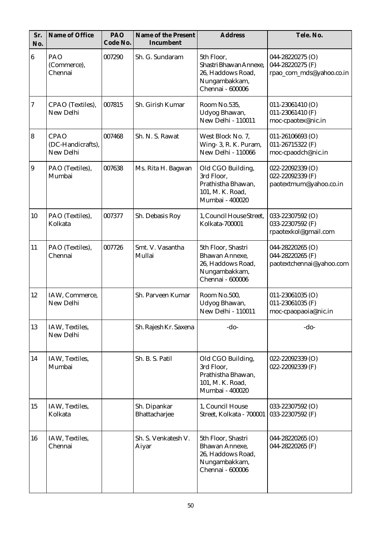| Sr.<br>No.       | Name of Office                                | PAO<br>Code No. | Name of the Present<br>Incumbent | <b>Address</b>                                                                                 | Tele. No.                                                        |
|------------------|-----------------------------------------------|-----------------|----------------------------------|------------------------------------------------------------------------------------------------|------------------------------------------------------------------|
| $\bf 6$          | PAO<br>(Commerce),<br>Chennai                 | 007290          | Sh. G. Sundaram                  | 5th Floor,<br>Shastri Bhawan Annexe,<br>26, Haddows Road,<br>Nungambakkam,<br>Chennai - 600006 | 044-28220275 (O)<br>044-28220275 (F)<br>rpao_com_mds@yahoo.co.in |
| $\boldsymbol{7}$ | CPAO (Textiles),<br>New Delhi                 | 007815          | Sh. Girish Kumar                 | Room No.535,<br>Udyog Bhawan,<br><b>New Delhi - 110011</b>                                     | $011 - 23061410$ (O)<br>011-23061410 (F)<br>moc-cpaotex@nic.in   |
| $\bf{8}$         | <b>CPAO</b><br>(DC-Handicrafts),<br>New Delhi | 007468          | Sh. N. S. Rawat                  | West Block No. 7,<br>Wing- 3, R. K. Puram,<br><b>New Delhi - 110066</b>                        | $011 - 26106693$ (O)<br>011-26715322 (F)<br>moc-cpaodch@nic.in   |
| $\overline{9}$   | PAO (Textiles),<br>Mumbai                     | 007638          | Ms. Rita H. Bagwan               | Old CGO Building,<br>3rd Floor,<br>Prathistha Bhawan,<br>101, M. K. Road,<br>Mumbai - 400020   | 022-22092339 (O)<br>022-22092339 (F)<br>paotextmum@yahoo.co.in   |
| 10               | PAO (Textiles),<br>Kolkata                    | 007377          | Sh. Debasis Roy                  | 1, Council House Street,<br><b>Kolkata-700001</b>                                              | 033-22307592 (O)<br>033-22307592 (F)<br>rpaotexkol@gmail.com     |
| 11               | PAO (Textiles),<br>Chennai                    | 007726          | Smt. V. Vasantha<br>Mullai       | 5th Floor, Shastri<br>Bhawan Annexe,<br>26, Haddows Road,<br>Nungambakkam,<br>Chennai - 600006 | 044-28220265 (O)<br>044-28220265 (F)<br>paotextchennai@yahoo.com |
| 12               | IAW, Commerce,<br>New Delhi                   |                 | Sh. Parveen Kumar                | Room No.500,<br>Udyog Bhawan,<br>New Delhi - 110011                                            | $011 - 23061035$ (O)<br>011-23061035 (F)<br>moc-cpaopaoia@nic.in |
| 13               | IAW, Textiles,<br>New Delhi                   |                 | Sh. Rajesh Kr. Saxena            | $-do-$                                                                                         | $-do-$                                                           |
| 14               | IAW, Textiles,<br>Mumbai                      |                 | Sh. B. S. Patil                  | Old CGO Building,<br>3rd Floor,<br>Prathistha Bhawan,<br>101, M. K. Road,<br>Mumbai - 400020   | 022-22092339 (O)<br>022-22092339 (F)                             |
| 15               | IAW, Textiles,<br>Kolkata                     |                 | Sh. Dipankar<br>Bhattacharjee    | 1, Council House<br>Street, Kolkata - 700001                                                   | 033-22307592 (O)<br>033-22307592 (F)                             |
| 16               | IAW, Textiles,<br>Chennai                     |                 | Sh. S. Venkatesh V.<br>Aiyar     | 5th Floor, Shastri<br>Bhawan Annexe,<br>26, Haddows Road,<br>Nungambakkam,<br>Chennai - 600006 | 044-28220265 (O)<br>044-28220265 (F)                             |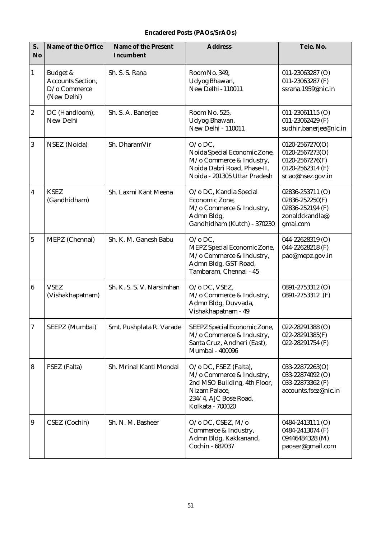#### **Encadered Posts (PAOs/SrAOs)**

| S.<br>No                | Name of the Office                                                  | Name of the Present<br>Incumbent | <b>Address</b>                                                                                                                                  | Tele. No.                                                                                      |
|-------------------------|---------------------------------------------------------------------|----------------------------------|-------------------------------------------------------------------------------------------------------------------------------------------------|------------------------------------------------------------------------------------------------|
| $\mathbf{1}$            | Budget &<br><b>Accounts Section,</b><br>D/o Commerce<br>(New Delhi) | Sh. S. S. Rana                   | Room No. 349,<br>Udyog Bhawan,<br>New Delhi - 110011                                                                                            | 011-23063287 (O)<br>011-23063287 (F)<br>ssrana.1959@nic.in                                     |
| $\overline{c}$          | DC (Handloom),<br>New Delhi                                         | Sh. S. A. Banerjee               | Room No. 525,<br>Udyog Bhawan,<br>New Delhi - 110011                                                                                            | $011-23061115$ (O)<br>011-23062429 (F)<br>sudhir.banerjee@nic.in                               |
| $\boldsymbol{3}$        | NSEZ (Noida)                                                        | Sh. DharamVir                    | $O$ /o DC,<br>Noida Special Economic Zone,<br>M/o Commerce & Industry,<br>Noida Dabri Road, Phase-II,<br>Noida - 201305 Uttar Pradesh           | 0120-2567270(O)<br>0120-2567273(O)<br>0120-2567276(F)<br>0120-2562314 (F)<br>sr.ao@nsez.gov.in |
| 4                       | <b>KSEZ</b><br>(Gandhidham)                                         | Sh. Laxmi Kant Meena             | O/o DC, Kandla Special<br>Economic Zone,<br>M/o Commerce & Industry,<br>Admn Bldg,<br>Gandhidham (Kutch) - 370230                               | 02836-253711 (O)<br>02836-252250(F)<br>02836-252194 (F)<br>zonaldckandla@<br>gmai.com          |
| $\overline{5}$          | MEPZ (Chennai)                                                      | Sh. K. M. Ganesh Babu            | $O$ /o DC,<br>MEPZ Special Economic Zone,<br>M/o Commerce & Industry,<br>Admn Bldg, GST Road,<br>Tambaram, Chennai - 45                         | 044-22628319 (O)<br>044-22628218 (F)<br>pao@mepz.gov.in                                        |
| 6                       | <b>VSEZ</b><br>(Vishakhapatnam)                                     | Sh. K. S. S. V. Narsimhan        | O/o DC, VSEZ,<br>M/o Commerce & Industry,<br>Admn Bldg, Duvvada,<br>Vishakhapatnam - 49                                                         | 0891-2753312 (O)<br>0891-2753312 (F)                                                           |
| 7                       | SEEPZ (Mumbai)                                                      | Smt. Pushplata R. Varade         | SEEPZ Special Economic Zone,<br>M/o Commerce & Industry,<br>Santa Cruz, Andheri (East),<br>Mumbai - 400096                                      | 022-28291388 (O)<br>022-28291385(F)<br>022-28291754 (F)                                        |
| $\overline{\mathbf{8}}$ | FSEZ (Falta)                                                        | Sh. Mrinal Kanti Mondal          | O/o DC, FSEZ (Falta),<br>M/o Commerce & Industry,<br>2nd MSO Building, 4th Floor,<br>Nizam Palace,<br>234/4, AJC Bose Road,<br>Kolkata - 700020 | 033-22872263(O)<br>033-22874092 (O)<br>033-22873362 (F)<br>accounts.fsez@nic.in                |
| $\overline{9}$          | CSEZ (Cochin)                                                       | Sh. N. M. Basheer                | O/o DC, CSEZ, M/o<br>Commerce & Industry,<br>Admn Bldg, Kakkanand,<br>Cochin - 682037                                                           | 0484-2413111 (O)<br>0484-2413074 (F)<br>09446484328 (M)<br>paosez@gmail.com                    |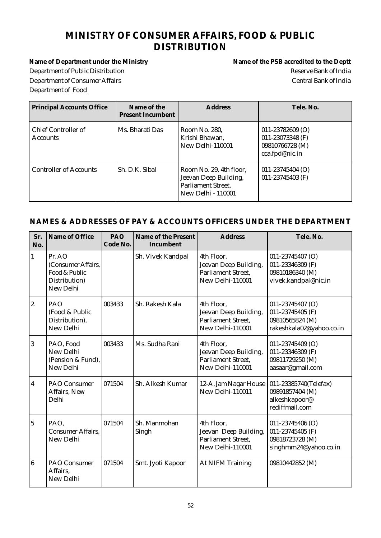# **MINISTRY OF CONSUMER AFFAIRS, FOOD & PUBLIC DISTRIBUTION**

Name of Department under the Ministry **Name of the PSB** accredited to the Deptt Department of Public Distribution and the control of Public Distribution Reserve Bank of India Department of Consumer Affairs Central Bank of India Department of Food

| <b>Principal Accounts Office</b>       | Name of the<br><b>Present Incumbent</b> | Address                                                                                                    | Tele. No.                                                                     |
|----------------------------------------|-----------------------------------------|------------------------------------------------------------------------------------------------------------|-------------------------------------------------------------------------------|
| Chief Controller of<br><b>Accounts</b> | Ms. Bharati Das                         | Room No. 280.<br>Krishi Bhawan,<br>New Delhi-110001                                                        | $011 - 23782609$ (O)<br>011-23073348 (F)<br>09810766728 (M)<br>cca.fpd@nic.in |
| <b>Controller of Accounts</b>          | Sh. D.K. Sibal                          | Room No. 29, 4th floor,<br>Jeevan Deep Building,<br><b>Parliament Street,</b><br><b>New Delhi - 110001</b> | $011 - 23745404$ (O)<br>011-23745403 (F)                                      |

| Sr.<br>No.       | Name of Office                                                              | PAO<br>Code No. | Name of the Present<br>Incumbent | <b>Address</b>                                                                       | Tele. No.                                                                            |
|------------------|-----------------------------------------------------------------------------|-----------------|----------------------------------|--------------------------------------------------------------------------------------|--------------------------------------------------------------------------------------|
| $\mathbf{1}$     | Pr. AO<br>(Consumer Affairs,<br>Food & Public<br>Distribution)<br>New Delhi |                 | Sh. Vivek Kandpal                | 4th Floor,<br>Jeevan Deep Building,<br>Parliament Street,<br>New Delhi-110001        | 011-23745407 (O)<br>011-23346309 (F)<br>09810186340 (M)<br>vivek.kandpal@nic.in      |
| 2.               | PAO<br>(Food & Public<br>Distribution),<br>New Delhi                        | 003433          | Sh. Rakesh Kala                  | 4th Floor,<br>Jeevan Deep Building,<br><b>Parliament Street,</b><br>New Delhi-110001 | 011-23745407 (O)<br>011-23745405 (F)<br>09810565824 (M)<br>rakeshkala02@yahoo.co.in  |
| 3                | PAO, Food<br>New Delhi<br>(Pension & Fund),<br>New Delhi                    | 003433          | Ms. Sudha Rani                   | 4th Floor,<br>Jeevan Deep Building,<br>Parliament Street,<br>New Delhi-110001        | 011-23745409 (O)<br>011-23346309 (F)<br>09811729250 (M)<br>aasaar@gmail.com          |
| $\boldsymbol{4}$ | PAO Consumer<br>Affairs, New<br>Delhi                                       | 071504          | Sh. Alkesh Kumar                 | 12-A, Jam Nagar House<br>New Delhi-110011                                            | 011-23385740(Telefax)<br>09891857404 (M)<br>alkeshkapoor@<br>rediffmail.com          |
| $\overline{5}$   | PAO.<br><b>Consumer Affairs,</b><br>New Delhi                               | 071504          | Sh. Manmohan<br>Singh            | 4th Floor,<br>Jeevan Deep Building,<br><b>Parliament Street,</b><br>New Delhi-110001 | $011 - 23745406$ (O)<br>011-23745405 (F)<br>09818723728 (M)<br>singhmm24@yahoo.co.in |
| $\overline{6}$   | PAO Consumer<br>Affairs,<br>New Delhi                                       | 071504          | Smt. Jyoti Kapoor                | At NIFM Training                                                                     | 09810442852 (M)                                                                      |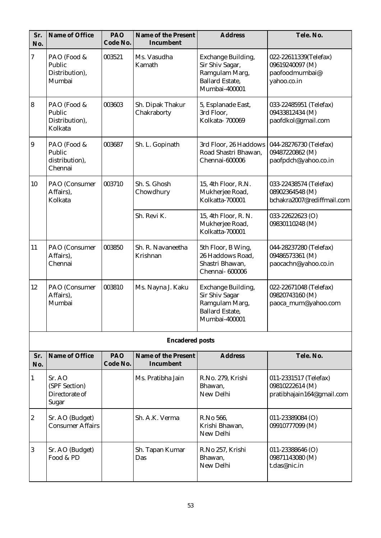| Sr.<br>No.       | Name of Office                                     | PAO<br>Code No. | Name of the Present<br>Incumbent | <b>Address</b>                                                                                           | Tele. No.                                                                 |
|------------------|----------------------------------------------------|-----------------|----------------------------------|----------------------------------------------------------------------------------------------------------|---------------------------------------------------------------------------|
| $\boldsymbol{7}$ | PAO (Food &<br>Public<br>Distribution),<br>Mumbai  | 003521          | Ms. Vasudha<br>Kamath            | Exchange Building,<br>Sir Shiv Sagar,<br>Ramgulam Marg,<br><b>Ballard Estate,</b><br>Mumbai-400001       | 022-22611339(Telefax)<br>09619240097 (M)<br>paofoodmumbai@<br>yahoo.co.in |
| $\bf{8}$         | PAO (Food &<br>Public<br>Distribution),<br>Kolkata | 003603          | Sh. Dipak Thakur<br>Chakraborty  | 5, Esplanade East,<br>3rd Floor,<br>Kolkata-700069                                                       | 033-22485951 (Telefax)<br>09433812434 (M)<br>paofdkol@gmail.com           |
| $\overline{9}$   | PAO (Food &<br>Public<br>distribution),<br>Chennai | 003687          | Sh. L. Gopinath                  | 3rd Floor, 26 Haddows<br>Road Shastri Bhawan,<br>Chennai-600006                                          | 044-28276730 (Telefax)<br>09487220862 (M)<br>paofpdch@yahoo.co.in         |
| 10               | PAO (Consumer<br>Affairs),<br>Kolkata              | 003710          | Sh. S. Ghosh<br>Chowdhury        | 15, 4th Floor, R.N.<br>Mukherjee Road,<br>Kolkatta-700001                                                | 033-22438574 (Telefax)<br>08902364548 (M)<br>bchakra2007@rediffmail.com   |
|                  |                                                    |                 | Sh. Revi K.                      | 15, 4th Floor, R. N.<br>Mukherjee Road,<br>Kolkatta-700001                                               | 033-22622623 (O)<br>09830110248 (M)                                       |
| 11               | PAO (Consumer<br>Affairs),<br>Chennai              | 003850          | Sh. R. Navaneetha<br>Krishnan    | 5th Floor, B Wing,<br>26 Haddows Road,<br>Shastri Bhawan,<br>Chennai- 600006                             | 044-28237280 (Telefax)<br>09486573361 (M)<br>paocachn@yahoo.co.in         |
| 12               | PAO (Consumer<br>Affairs),<br>Mumbai               | 003810          | Ms. Nayna J. Kaku                | Exchange Building,<br><b>Sir Shiv Sagar</b><br>Ramgulam Marg,<br><b>Ballard Estate,</b><br>Mumbai-400001 | 022-22671048 (Telefax)<br>09820743160 (M)<br>paoca_mum@yahoo.com          |
|                  |                                                    |                 | <b>Encadered posts</b>           |                                                                                                          |                                                                           |
| Sr.<br>No.       | Name of Office                                     | PAO<br>Code No. | Name of the Present<br>Incumbent | <b>Address</b>                                                                                           | Tele. No.                                                                 |
| 1                | Sr. AO<br>(SPF Section)<br>Directorate of<br>Sugar |                 | Ms. Pratibha Jain                | R.No. 279, Krishi<br>Bhawan,<br>New Delhi                                                                | 011-2331517 (Telefax)<br>09810222614 (M)<br>pratibhajain164@gmail.com     |
| $\boldsymbol{2}$ | Sr. AO (Budget)<br><b>Consumer Affairs</b>         |                 | Sh. A.K. Verma                   | R.No 566,<br>Krishi Bhawan,<br>New Delhi                                                                 | 011-23389084 (O)<br>09910777099 (M)                                       |
| 3                | Sr. AO (Budget)<br>Food & PD                       |                 | Sh. Tapan Kumar<br>Das           | R.No 257, Krishi<br>Bhawan,<br>New Delhi                                                                 | $011 - 23388646$ (O)<br>09871143080 (M)<br>t.das@nic.in                   |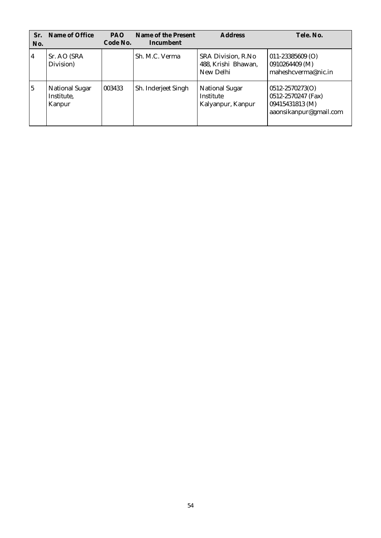| Sr.<br>No. | Name of Office                         | <b>PAO</b><br>Code No. | Name of the Present<br>Incumbent | <b>Address</b>                                          | Tele. No.                                                                              |
|------------|----------------------------------------|------------------------|----------------------------------|---------------------------------------------------------|----------------------------------------------------------------------------------------|
| 4          | Sr. AO (SRA<br>Division)               |                        | Sh. M.C. Verma                   | SRA Division, R.No<br>488, Krishi Bhawan,<br>New Delhi  | $011 - 23385609$ (O)<br>0910264409 (M)<br>maheshcverma@nic.in                          |
| 5          | National Sugar<br>Institute,<br>Kanpur | 003433                 | Sh. Inderjeet Singh              | <b>National Sugar</b><br>Institute<br>Kalyanpur, Kanpur | $0512 - 2570273(O)$<br>0512-2570247 (Fax)<br>09415431813 (M)<br>aaonsikanpur@gmail.com |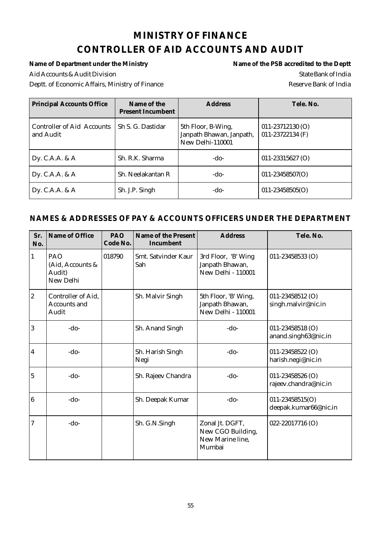# **MINISTRY OF FINANCE CONTROLLER OF AID ACCOUNTS AND AUDIT**

Aid Accounts & Audit Division State Bank of India Deptt. of Economic Affairs, Ministry of Finance Reserve Bank of India

Name of Department under the Ministry **Name of the PSB** accredited to the Deptt

| <b>Principal Accounts Office</b>        | Name of the<br><b>Present Incumbent</b> | <b>Address</b>                                                     | Tele. No.                                |
|-----------------------------------------|-----------------------------------------|--------------------------------------------------------------------|------------------------------------------|
| Controller of Aid Accounts<br>and Audit | Sh S. G. Dastidar                       | 5th Floor, B-Wing,<br>Janpath Bhawan, Janpath,<br>New Delhi-110001 | $011 - 23712130$ (O)<br>011-23722134 (F) |
| Dy. C.A.A. & $A$                        | Sh. R.K. Sharma                         | $-do-$                                                             | $011 - 23315627$ (O)                     |
| Dy. C.A.A. & $A$                        | Sh. Neelakantan R                       | $-do-$                                                             | $011 - 23458507(O)$                      |
| Dy. C.A.A. & $A$                        | Sh. J.P. Singh                          | $-do-$                                                             | $011 - 23458505(O)$                      |

| Sr.<br>No.              | Name of Office                                 | PAO<br>Code No. | Name of the Present<br>Incumbent | <b>Address</b>                                                       | Tele. No.                                    |
|-------------------------|------------------------------------------------|-----------------|----------------------------------|----------------------------------------------------------------------|----------------------------------------------|
| $\mathbf{1}$            | PAO<br>(Aid, Accounts &<br>Audit)<br>New Delhi | 018790          | Smt. Satvinder Kaur<br>Sah       | 3rd Floor, 'B' Wing<br>Janpath Bhawan,<br>New Delhi - 110001         | $011 - 23458533$ (O)                         |
| $\overline{2}$          | Controller of Aid,<br>Accounts and<br>Audit    |                 | Sh. Malvir Singh                 | 5th Floor, 'B' Wing,<br>Janpath Bhawan,<br><b>New Delhi - 110001</b> | $011 - 23458512$ (O)<br>singh.malvir@nic.in  |
| 3                       | $-do-$                                         |                 | Sh. Anand Singh                  | $-do-$                                                               | 011-23458518 (O)<br>anand.singh63@nic.in     |
| $\overline{\mathbf{4}}$ | $-do-$                                         |                 | Sh. Harish Singh<br>Negi         | $-do-$                                                               | 011-23458522 (O)<br>harish.negi@nic.in       |
| $\overline{5}$          | $-do-$                                         |                 | Sh. Rajeev Chandra               | $-do-$                                                               | 011-23458526 (O)<br>rajeev.chandra@nic.in    |
| $\boldsymbol{6}$        | $-do-$                                         |                 | Sh. Deepak Kumar                 | $-do-$                                                               | $011 - 23458515(O)$<br>deepak.kumar66@nic.in |
| $\overline{7}$          | $-do-$                                         |                 | Sh. G.N.Singh                    | Zonal Jt. DGFT,<br>New CGO Building,<br>New Marine line,<br>Mumbai   | 022-22017716 (O)                             |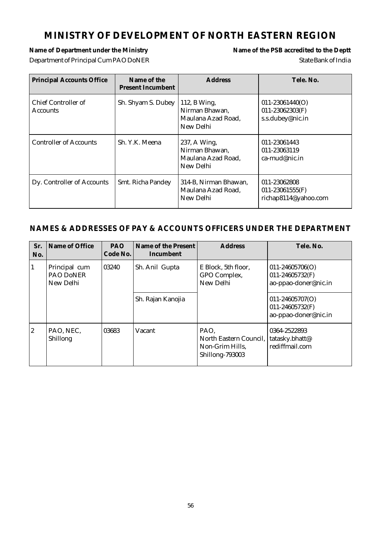# **MINISTRY OF DEVELOPMENT OF NORTH EASTERN REGION**

#### Name of Department under the Ministry **Name of the PSB** accredited to the Deptt Department of Principal Cum PAO DoNER State Bank of India

| <b>Principal Accounts Office</b>       | Name of the<br>Present Incumbent | <b>Address</b>                                                    | Tele. No.                                                      |
|----------------------------------------|----------------------------------|-------------------------------------------------------------------|----------------------------------------------------------------|
| Chief Controller of<br><b>Accounts</b> | Sh. Shyam S. Dubey               | 112, B Wing,<br>Nirman Bhawan,<br>Maulana Azad Road,<br>New Delhi | $011 - 23061440(O)$<br>$011 - 23062303(F)$<br>s.s.dubey@nic.in |
| <b>Controller of Accounts</b>          | Sh. Y.K. Meena                   | 237, A Wing,<br>Nirman Bhawan,<br>Maulana Azad Road,<br>New Delhi | 011-23061443<br>011-23063119<br>$ca$ -mud@nic.in               |
| Dy. Controller of Accounts             | Smt. Richa Pandey                | 314-B, Nirman Bhawan,<br>Maulana Azad Road,<br>New Delhi          | 011-23062808<br>$011 - 23061555$ (F)<br>richap8114@yahoo.com   |

| Sr.<br>No.     | Name of Office                          | <b>PAO</b><br>Code No. | Name of the Present<br>Incumbent | <b>Address</b>                                                       | Tele. No.                                                      |
|----------------|-----------------------------------------|------------------------|----------------------------------|----------------------------------------------------------------------|----------------------------------------------------------------|
| 1              | Principal cum<br>PAO DoNER<br>New Delhi | 03240                  | Sh. Anil Gupta                   | E Block, 5th floor,<br>GPO Complex,<br>New Delhi                     | $011 - 24605706(O)$<br>011-24605732(F)<br>ao-ppao-doner@nic.in |
|                |                                         |                        | Sh. Rajan Kanojia                |                                                                      | $011 - 24605707(O)$<br>011-24605732(F)<br>ao-ppao-doner@nic.in |
| $\overline{2}$ | PAO, NEC,<br><b>Shillong</b>            | 03683                  | Vacant                           | PAO.<br>North Eastern Council,<br>Non-Grim Hills,<br>Shillong-793003 | 0364-2522893<br>tatasky.bhatt@<br>rediffmail.com               |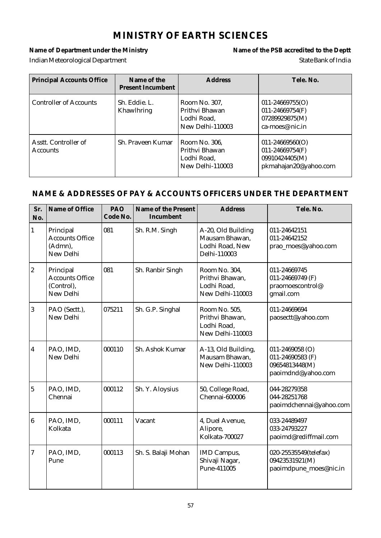# **MINISTRY OF EARTH SCIENCES**

#### Name of Department under the Ministry **Name of the PSB** accredited to the Deptt Indian Meteorological Department and State Bank of India

| <b>Principal Accounts Office</b>        | Name of the<br><b>Present Incumbent</b> | <b>Address</b>                                                     | Tele. No.                                                                             |
|-----------------------------------------|-----------------------------------------|--------------------------------------------------------------------|---------------------------------------------------------------------------------------|
| <b>Controller of Accounts</b>           | Sh. Eddie. L.<br>Khawlhring             | Room No. 307,<br>Prithvi Bhawan<br>Lodhi Road,<br>New Delhi-110003 | $011 - 24669755(O)$<br>$011 - 24669754(F)$<br>07289929875(M)<br>$ca$ -moes@ nic.in    |
| Asstt. Controller of<br><b>Accounts</b> | Sh. Praveen Kumar                       | Room No. 306,<br>Prithyi Bhawan<br>Lodhi Road,<br>New Delhi-110003 | $011 - 24669560(O)$<br>$011 - 24669754(F)$<br>09910424405(M)<br>pkmahajan20@yahoo.com |

| Sr.<br>No.               | Name of Office                                                 | PAO<br>Code No. | Name of the Present<br>Incumbent | <b>Address</b>                                                          | Tele. No.                                                                       |
|--------------------------|----------------------------------------------------------------|-----------------|----------------------------------|-------------------------------------------------------------------------|---------------------------------------------------------------------------------|
| $\mathbf{1}$             | Principal<br><b>Accounts Office</b><br>(Admn),<br>New Delhi    | 081             | Sh. R.M. Singh                   | A-20, Old Building<br>Mausam Bhawan,<br>Lodhi Road, New<br>Delhi-110003 | 011-24642151<br>011-24642152<br>prao_moes@yahoo.com                             |
| $\overline{2}$           | Principal<br><b>Accounts Office</b><br>(Control),<br>New Delhi | 081             | Sh. Ranbir Singh                 | Room No. 304,<br>Prithvi Bhawan,<br>Lodhi Road,<br>New Delhi-110003     | 011-24669745<br>011-24669749 (F)<br>praomoescontrol@<br>gmail.com               |
| 3                        | PAO (Sectt.),<br>New Delhi                                     | 075211          | Sh. G.P. Singhal                 | Room No. 505,<br>Prithvi Bhawan,<br>Lodhi Road,<br>New Delhi-110003     | 011-24669694<br>paosectt@yahoo.com                                              |
| 4                        | PAO, IMD,<br>New Delhi                                         | 000110          | Sh. Ashok Kumar                  | A-13, Old Building,<br>Mausam Bhawan,<br>New Delhi-110003               | $011 - 2469058$ (O)<br>011-24690583 (F)<br>09654813448(M)<br>paoimdnd@yahoo.com |
| $\overline{\mathbf{5}}$  | PAO, IMD,<br>Chennai                                           | 000112          | Sh. Y. Aloysius                  | 50, College Road,<br>Chennai-600006                                     | 044-28279358<br>044-28251768<br>paoimdchennai@yahoo.com                         |
| $\boldsymbol{6}$         | PAO, IMD,<br>Kolkata                                           | 000111          | Vacant                           | 4, Duel Avenue,<br>Alipore,<br>Kolkata-700027                           | 033-24489497<br>033-24793227<br>paoimd@rediffmail.com                           |
| $\overline{\mathcal{U}}$ | PAO, IMD,<br>Pune                                              | 000113          | Sh. S. Balaji Mohan              | IMD Campus,<br>Shivaji Nagar,<br>Pune-411005                            | 020-25535549(telefax)<br>09423531921(M)<br>paoimdpune_moes@nic.in               |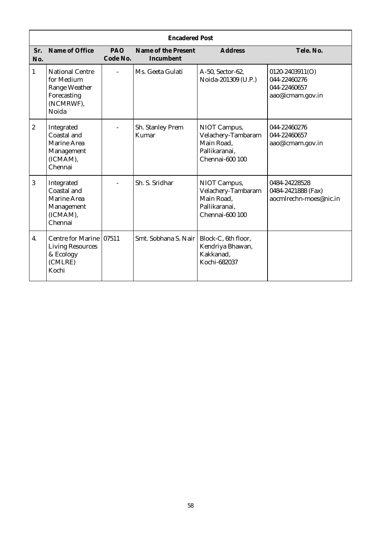|                  | <b>Encadered Post</b>                                                                             |                 |                                  |                                                                                      |                                                                     |  |  |
|------------------|---------------------------------------------------------------------------------------------------|-----------------|----------------------------------|--------------------------------------------------------------------------------------|---------------------------------------------------------------------|--|--|
| Sr.<br>No.       | Name of Office                                                                                    | PAO<br>Code No. | Name of the Present<br>Incumbent | <b>Address</b>                                                                       | Tele, No.                                                           |  |  |
| $\mathbf{1}$     | <b>National Centre</b><br>for Medium<br><b>Range Weather</b><br>Forecasting<br>(NCMRWF),<br>Noida | $\overline{a}$  | Ms. Geeta Gulati                 | A-50, Sector-62,<br>Noida-201309 (U.P.)                                              | 0120-2403911(O)<br>044-22460276<br>044-22460657<br>aao@icmam.gov.in |  |  |
| $\boldsymbol{2}$ | Integrated<br>Coastal and<br><b>Marine Area</b><br>Management<br>(ICMAM),<br>Chennai              |                 | Sh. Stanley Prem<br>Kumar        | NIOT Campus,<br>Velachery-Tambaram<br>Main Road,<br>Pallikaranai,<br>Chennai-600 100 | 044-22460276<br>044-22460657<br>aao@icmam.gov.in                    |  |  |
| 3                | Integrated<br>Coastal and<br><b>Marine Area</b><br>Management<br>(ICMAM),<br>Chennai              |                 | Sh. S. Sridhar                   | NIOT Campus,<br>Velachery-Tambaram<br>Main Road,<br>Pallikaranai,<br>Chennai-600 100 | 0484-24228528<br>0484-2421888 (Fax)<br>aocmlrechn-moes@nic.in       |  |  |
| 4.               | Centre for Marine 07511<br><b>Living Resources</b><br>& Ecology<br>(CMLRE)<br>Kochi               |                 | Smt. Sobhana S. Nair             | Block-C, 6th floor,<br>Kendriya Bhawan,<br>Kakkanad,<br>Kochi-682037                 |                                                                     |  |  |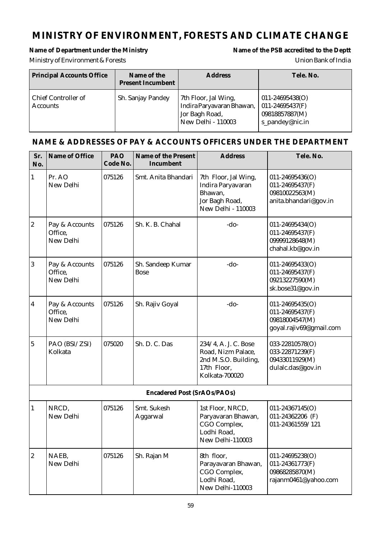# **MINISTRY OF ENVIRONMENT, FORESTS AND CLIMATE CHANGE**

#### Name of Department under the Ministry **Name of the PSB** accredited to the Deptt

# Ministry of Environment & Forests Union Bank of India

| Principal Accounts Office              | Name of the<br><b>Present Incumbent</b> | <b>Address</b>                                                                                   | Tele. No.                                                                   |
|----------------------------------------|-----------------------------------------|--------------------------------------------------------------------------------------------------|-----------------------------------------------------------------------------|
| Chief Controller of<br><b>Accounts</b> | Sh. Sanjay Pandey                       | 7th Floor, Jal Wing,<br>Indira Paryavaran Bhawan,<br>Jor Bagh Road,<br><b>New Delhi - 110003</b> | $011 - 24695438(O)$<br>011-24695437(F)<br>09818857887(M)<br>s_pandey@nic.in |

| Sr.<br>No.       | Name of Office                         | PAO<br>Code No. | Name of the Present<br>Incumbent | <b>Address</b>                                                                                      | Tele. No.                                                                         |
|------------------|----------------------------------------|-----------------|----------------------------------|-----------------------------------------------------------------------------------------------------|-----------------------------------------------------------------------------------|
| $\vert$ 1        | Pr. AO<br>New Delhi                    | 075126          | Smt. Anita Bhandari              | 7th Floor, Jal Wing,<br>Indira Paryavaran<br>Bhawan,<br>Jor Bagh Road,<br>New Delhi - 110003        | $011 - 24695436(O)$<br>011-24695437(F)<br>09810022563(M)<br>anita.bhandari@gov.in |
| $\overline{2}$   | Pay & Accounts<br>Office,<br>New Delhi | 075126          | Sh. K. B. Chahal                 | $-do-$                                                                                              | 011-24695434(O)<br>011-24695437(F)<br>09999128648(M)<br>chahal.kb@gov.in          |
| $\mathbf{3}$     | Pay & Accounts<br>Office,<br>New Delhi | 075126          | Sh. Sandeep Kumar<br><b>Bose</b> | $-do-$                                                                                              | 011-24695433(O)<br>011-24695437(F)<br>09213227590(M)<br>sk.bose31@gov.in          |
| $\boldsymbol{4}$ | Pay & Accounts<br>Office.<br>New Delhi | 075126          | Sh. Rajiv Goyal                  | $-do-$                                                                                              | 011-24695435(O)<br>011-24695437(F)<br>09818004547(M)<br>goyal.rajiv69@gmail.com   |
| $\bf 5$          | PAO (BSI/ZSI)<br>Kolkata               | 075020          | Sh. D. C. Das                    | 234/4, A. J. C. Bose<br>Road, Nizm Palace,<br>2nd M.S.O. Building,<br>17th Floor,<br>Kolkata-700020 | 033-22810578(O)<br>033-22871239(F)<br>09433011929(M)<br>dulalc.das@gov.in         |
|                  |                                        |                 | Encadered Post (SrAOs/PAOs)      |                                                                                                     |                                                                                   |
| $\mathbf{1}$     | NRCD,<br>New Delhi                     | 075126          | Smt. Sukesh<br>Aggarwal          | 1st Floor, NRCD,<br>Paryavaran Bhawan,<br>CGO Complex,<br>Lodhi Road,<br>New Delhi-110003           | 011-24367145(O)<br>011-24362206 (F)<br>011-24361559/121                           |
| $\boldsymbol{2}$ | NAEB,<br>New Delhi                     | 075126          | Sh. Rajan M                      | 8th floor,<br>Parayavaran Bhawan,<br>CGO Complex,<br>Lodhi Road,<br>New Delhi-110003                | 011-24695238(O)<br>011-24361773(F)<br>09868285870(M)<br>rajanm0461@yahoo.com      |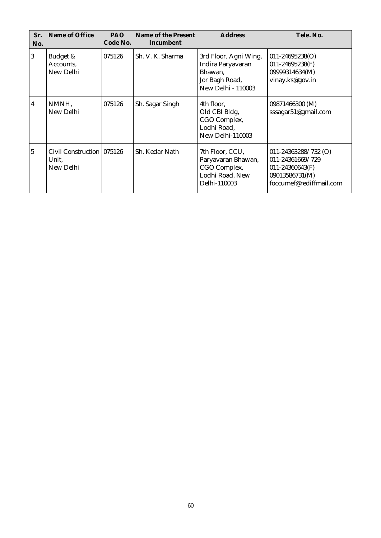| Sr.<br>No.      | Name of Office                                   | PAO.<br>Code No. | Name of the Present<br>Incumbent | <b>Address</b>                                                                                       | Tele, No.                                                                                                      |
|-----------------|--------------------------------------------------|------------------|----------------------------------|------------------------------------------------------------------------------------------------------|----------------------------------------------------------------------------------------------------------------|
| $\vert 3 \vert$ | Budget &<br>Accounts,<br>New Delhi               | 075126           | Sh. V. K. Sharma                 | 3rd Floor, Agni Wing,<br>Indira Paryavaran<br>Bhawan,<br>Jor Bagh Road,<br><b>New Delhi - 110003</b> | $011 - 24695238(O)$<br>011-24695238(F)<br>09999314634(M)<br>vinay.ks@gov.in                                    |
| 4               | NMNH,<br>New Delhi                               | 075126           | Sh. Sagar Singh                  | 4th floor,<br>Old CBI Bldg,<br>CGO Complex,<br>Lodhi Road,<br>New Delhi-110003                       | 09871466300 (M)<br>sssagar51@gmail.com                                                                         |
| 5               | Civil Construction 1075126<br>Unit.<br>New Delhi |                  | Sh. Kedar Nath                   | 7th Floor, CCU,<br>Paryavaran Bhawan,<br>CGO Complex,<br>Lodhi Road, New<br>Delhi-110003             | 011-24363288/732 $(O)$<br>011-24361669/729<br>$011 - 24360643(F)$<br>09013586731(M)<br>foccumef@rediffmail.com |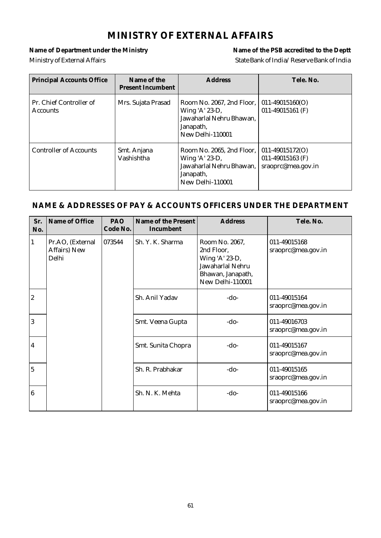# **MINISTRY OF EXTERNAL AFFAIRS**

Name of Department under the Ministry **Name of the PSB** accredited to the Deptt Ministry of External Affairs and the State Bank of India/Reserve Bank of India

| <b>Principal Accounts Office</b>           | Name of the<br><b>Present Incumbent</b> | <b>Address</b>                                                                                           | Tele. No.                                                     |
|--------------------------------------------|-----------------------------------------|----------------------------------------------------------------------------------------------------------|---------------------------------------------------------------|
| Pr. Chief Controller of<br><b>Accounts</b> | Mrs. Sujata Prasad                      | Room No. 2067, 2nd Floor,<br>Wing 'A' 23-D,<br>Jawaharlal Nehru Bhawan,<br>Janapath,<br>New Delhi-110001 | $011-49015160(O)$<br>011-49015161 $(F)$                       |
| <b>Controller of Accounts</b>              | Smt. Anjana<br>Vashishtha               | Room No. 2065, 2nd Floor,<br>Wing 'A' 23-D,<br>Jawaharlal Nehru Bhawan,<br>Janapath,<br>New Delhi-110001 | $011-49015172(O)$<br>011-49015163 $(F)$<br>sraoprc@mea.gov.in |

| Sr.<br>No.              | Name of Office                            | PAO<br>Code No. | Name of the Present<br>Incumbent | <b>Address</b>                                                                                              | Tele. No.                          |
|-------------------------|-------------------------------------------|-----------------|----------------------------------|-------------------------------------------------------------------------------------------------------------|------------------------------------|
| 1                       | Pr.AO, (External<br>Affairs) New<br>Delhi | 073544          | Sh. Y. K. Sharma                 | Room No. 2067,<br>2nd Floor,<br>Wing 'A' 23-D,<br>Jawaharlal Nehru<br>Bhawan, Janapath,<br>New Delhi-110001 | 011-49015168<br>sraoprc@mea.gov.in |
| $\boldsymbol{2}$        |                                           |                 | Sh. Anil Yadav                   | $-do-$                                                                                                      | 011-49015164<br>sraoprc@mea.gov.in |
| 3                       |                                           |                 | Smt. Veena Gupta                 | $-do-$                                                                                                      | 011-49016703<br>sraoprc@mea.gov.in |
| $\overline{\mathbf{4}}$ |                                           |                 | Smt. Sunita Chopra               | $-do-$                                                                                                      | 011-49015167<br>sraoprc@mea.gov.in |
| $\overline{5}$          |                                           |                 | Sh. R. Prabhakar                 | -do-                                                                                                        | 011-49015165<br>sraoprc@mea.gov.in |
| $\boldsymbol{6}$        |                                           |                 | Sh. N. K. Mehta                  | $-do-$                                                                                                      | 011-49015166<br>sraoprc@mea.gov.in |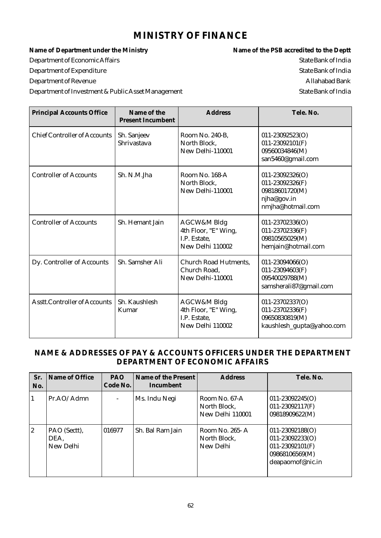### **MINISTRY OF FINANCE**

Name of Department under the Ministry **Name of the PSB** accredited to the Deptt Department of Economic Affairs and the state Bank of India State Bank of India Department of Expenditure State Bank of India Department of Revenue Allahabad Bank Department of Investment & Public Asset Management State Bank of India

| <b>Principal Accounts Office</b>    | Name of the<br><b>Present Incumbent</b> | <b>Address</b>                                                          | Tele, No.                                                                                        |
|-------------------------------------|-----------------------------------------|-------------------------------------------------------------------------|--------------------------------------------------------------------------------------------------|
| <b>Chief Controller of Accounts</b> | Sh. Sanjeev<br>Shrivastava              | Room No. 240-B,<br>North Block,<br>New Delhi-110001                     | $011 - 23092523(O)$<br>$011 - 23092101(F)$<br>09560034846(M)<br>san5460@gmail.com                |
| <b>Controller of Accounts</b>       | Sh. N.M.Jha                             | Room No. 168-A<br>North Block,<br>New Delhi-110001                      | $011 - 23092326(O)$<br>$011 - 23092326(F)$<br>09818601720(M)<br>njha@gov.in<br>nmjha@hotmail.com |
| <b>Controller of Accounts</b>       | Sh. Hemant Jain                         | AGCW&M Bldg<br>4th Floor, "E" Wing,<br>I.P. Estate,<br>New Delhi 110002 | $011 - 23702336(O)$<br>011-23702336(F)<br>09810565029(M)<br>hemjain@hotmail.com                  |
| Dy. Controller of Accounts          | Sh. Samsher Ali                         | Church Road Hutments,<br>Church Road,<br>New Delhi-110001               | $011 - 23094066$ (O)<br>011-23094603(F)<br>09540029788(M)<br>samsherali87@gmail.com              |
| <b>Asstt.Controller of Accounts</b> | Sh. Kaushlesh<br>Kumar                  | AGCW&M Bldg<br>4th Floor, "E" Wing,<br>I.P. Estate,<br>New Delhi 110002 | 011-23702337(O)<br>011-23702336(F)<br>09650830819(M)<br>kaushlesh_gupta@yahoo.com                |

#### **NAME & ADDRESSES OF PAY & ACCOUNTS OFFICERS UNDER THE DEPARTMENT DEPARTMENT OF ECONOMIC AFFAIRS**

| Sr.<br>No.     | Name of Office                    | <b>PAO</b><br>Code No. | Name of the Present<br>Incumbent | <b>Address</b>                                    | Tele, No.                                                                                           |
|----------------|-----------------------------------|------------------------|----------------------------------|---------------------------------------------------|-----------------------------------------------------------------------------------------------------|
| 1              | Pr.AO/Admn                        |                        | Ms. Indu Negi                    | Room No. 67-A<br>North Block,<br>New Delhi 110001 | $011 - 23092245(O)$<br>011-23092117(F)<br>09818909622(M)                                            |
| $\overline{2}$ | PAO (Sectt),<br>DEA,<br>New Delhi | 1016977                | Sh. Bal Ram Jain                 | Room No. 265- A<br>North Block,<br>New Delhi      | $011 - 23092188(O)$<br>011-23092233(O)<br>$011 - 23092101(F)$<br>09868106569(M)<br>deapaomof@nic.in |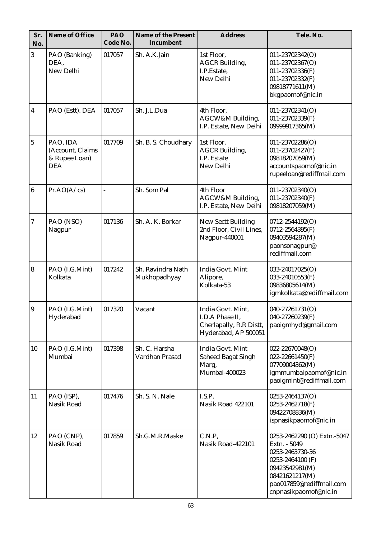| Sr.<br>No.              | Name of Office                                              | PAO<br>Code No. | Name of the Present<br>Incumbent  | <b>Address</b>                                                                          | Tele. No.                                                                                                                                                                   |
|-------------------------|-------------------------------------------------------------|-----------------|-----------------------------------|-----------------------------------------------------------------------------------------|-----------------------------------------------------------------------------------------------------------------------------------------------------------------------------|
| $\mathbf{3}$            | PAO (Banking)<br>DEA,<br>New Delhi                          | 017057          | Sh. A.K.Jain                      | 1st Floor,<br><b>AGCR Building,</b><br>I.P.Estate,<br>New Delhi                         | 011-23702342(O)<br>011-23702367(O)<br>011-23702336(F)<br>011-23702332(F)<br>09818771611(M)<br>bkgpaomof@nic.in                                                              |
| $\boldsymbol{4}$        | PAO (Estt). DEA                                             | 017057          | Sh. J.L.Dua                       | 4th Floor,<br>AGCW&M Building,<br>I.P. Estate, New Delhi                                | 011-23702341(O)<br>011-23702339(F)<br>09999917365(M)                                                                                                                        |
| $\overline{5}$          | PAO, IDA<br>(Account, Claims<br>& Rupee Loan)<br><b>DEA</b> | 017709          | Sh. B. S. Choudhary               | 1st Floor,<br><b>AGCR Building,</b><br>I.P. Estate<br>New Delhi                         | $011 - 23702286(O)$<br>011-23702427(F)<br>09818207059(M)<br>accountspaomof@nic.in<br>rupeeloan@rediffmail.com                                                               |
| $\bf 6$                 | Pr.AO(A/cs)                                                 |                 | Sh. Som Pal                       | 4th Floor<br>AGCW&M Building,<br>I.P. Estate, New Delhi                                 | 011-23702340(O)<br>011-23702340(F)<br>09818207059(M)                                                                                                                        |
| $\boldsymbol{7}$        | PAO (NSO)<br>Nagpur                                         | 017136          | Sh. A. K. Borkar                  | <b>New Sectt Building</b><br>2nd Floor, Civil Lines,<br>Nagpur-440001                   | 0712-2544192(O)<br>0712-2564395(F)<br>09403594287(M)<br>paonsonagpur@<br>rediffmail.com                                                                                     |
| $\overline{\mathbf{8}}$ | PAO (I.G.Mint)<br>Kolkata                                   | 017242          | Sh. Ravindra Nath<br>Mukhopadhyay | India Govt. Mint<br>Alipore,<br>Kolkata-53                                              | 033-24017025(O)<br>033-24010553(F)<br>09836805614(M)<br>igmkolkata@rediffmail.com                                                                                           |
| $\overline{9}$          | PAO (I.G.Mint)<br>Hyderabad                                 | 017320          | Vacant                            | India Govt. Mint,<br>I.D.A Phase II.<br>Cherlapally, R.R Distt,<br>Hyderabad, AP 500051 | 040-27261731(O)<br>$040 - 27260239(F)$<br>paoigmhyd@gmail.com                                                                                                               |
| 10                      | PAO (I.G.Mint)<br>Mumbai                                    | 017398          | Sh. C. Harsha<br>Vardhan Prasad   | India Govt. Mint<br><b>Saheed Bagat Singh</b><br>Marg,<br>Mumbai-400023                 | 022-22670048(O)<br>$022 - 22661450(F)$<br>07709004362(M)<br>igmmumbaipaomof@nic.in<br>paoigmint@rediffmail.com                                                              |
| 11                      | PAO (ISP),<br>Nasik Road                                    | 017476          | Sh. S. N. Nale                    | I.S.P,<br>Nasik Road 422101                                                             | 0253-2464137(O)<br>0253-2462718(F)<br>09422708836(M)<br>ispnasikpaomof@nic.in                                                                                               |
| 12                      | PAO (CNP),<br>Nasik Road                                    | 017859          | Sh.G.M.R.Maske                    | C.N.P,<br>Nasik Road-422101                                                             | 0253-2462290 (O) Extn.-5047<br>Extn. - 5049<br>0253-2463730-36<br>0253-2464100 (F)<br>09423542981(M)<br>08421621217(M)<br>pao017859@rediffmail.com<br>cnpnasikpaomof@nic.in |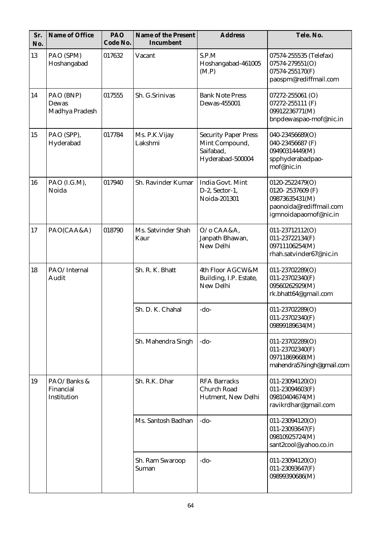| Sr.<br>No. | Name of Office                          | PAO<br>Code No. | Name of the Present<br>Incumbent | <b>Address</b>                                                                 | Tele. No.                                                                                                 |
|------------|-----------------------------------------|-----------------|----------------------------------|--------------------------------------------------------------------------------|-----------------------------------------------------------------------------------------------------------|
| 13         | PAO (SPM)<br>Hoshangabad                | 017632          | Vacant                           | S.P.M<br>Hoshangabad-461005<br>(M.P)                                           | 07574-255535 (Telefax)<br>$07574 - 279551(O)$<br>07574-255170(F)<br>paospm@rediffmail.com                 |
| 14         | PAO (BNP)<br>Dewas<br>Madhya Pradesh    | 017555          | Sh. G.Srinivas                   | <b>Bank Note Press</b><br>Dewas-455001                                         | 07272-255061 (O)<br>07272-255111 (F)<br>09912236771(M)<br>bnpdewaspao-mof@nic.in                          |
| 15         | PAO (SPP),<br>Hyderabad                 | 017784          | Ms. P.K.Vijay<br>Lakshmi         | <b>Security Paper Press</b><br>Mint Compound,<br>Saifabad,<br>Hyderabad-500004 | 040-23456689(O)<br>040-23456687 (F)<br>09490314449(M)<br>spphyderabadpao-<br>mof@nic.in                   |
| 16         | PAO (I.G.M),<br>Noida                   | 017940          | Sh. Ravinder Kumar               | India Govt. Mint<br>D-2, Sector-1,<br>Noida-201301                             | 0120-2522479(O)<br>0120-2537609 (F)<br>09873635431(M)<br>paonoida@rediffmail.com<br>igmnoidapaomof@nic.in |
| 17         | PAO(CAA&A)                              | 018790          | Ms. Satvinder Shah<br>Kaur       | O/o CAA&A,<br>Janpath Bhawan,<br>New Delhi                                     | 011-23712112(O)<br>011-23722134(F)<br>09711106254(M)<br>rhah.satvinder67@nic.in                           |
| 18         | PAO/Internal<br>Audit                   |                 | Sh. R. K. Bhatt                  | 4th Floor AGCW&M<br>Building, I.P. Estate,<br>New Delhi                        | 011-23702289(O)<br>011-23702340(F)<br>09560262929(M)<br>rk.bhatt64@gmail.com                              |
|            |                                         |                 | Sh. D. K. Chahal                 | -do-                                                                           | 011-23702289(O)<br>011-23702340(F)<br>09899189634(M)                                                      |
|            |                                         |                 | Sh. Mahendra Singh               | $-do-$                                                                         | 011-23702289(O)<br>011-23702340(F)<br>09711869668(M)<br>mahendra57singh@gmail.com                         |
| 19         | PAO/Banks &<br>Financial<br>Institution |                 | Sh. R.K. Dhar                    | <b>RFA Barracks</b><br><b>Church Road</b><br>Hutment, New Delhi                | 011-23094120(O)<br>011-23094603(F)<br>09810404674(M)<br>ravikrdhar@gmail.com                              |
|            |                                         |                 | Ms. Santosh Badhan               | -do-                                                                           | 011-23094120(O)<br>011-23093647(F)<br>09810925724(M)<br>sant2cool@yahoo.co.in                             |
|            |                                         |                 | Sh. Ram Swaroop<br>Suman         | $-do-$                                                                         | 011-23094120(O)<br>011-23093647(F)<br>09899390686(M)                                                      |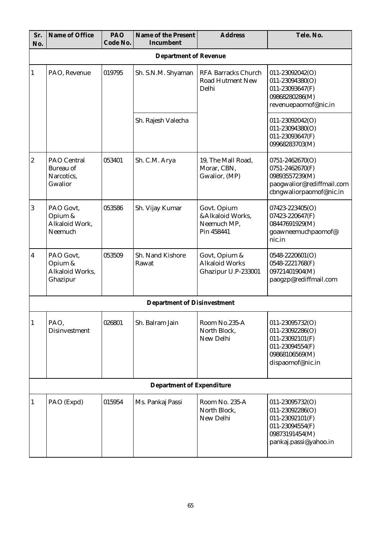| Sr.<br>No.       | Name of Office                                           | PAO<br>Code No. | Name of the Present<br>Incumbent   | <b>Address</b>                                                 | Tele. No.                                                                                                                   |
|------------------|----------------------------------------------------------|-----------------|------------------------------------|----------------------------------------------------------------|-----------------------------------------------------------------------------------------------------------------------------|
|                  |                                                          |                 | <b>Department of Revenue</b>       |                                                                |                                                                                                                             |
| 1                | PAO, Revenue                                             | 019795          | Sh. S.N.M. Shyaman                 | <b>RFA Barracks Church</b><br><b>Road Hutment New</b><br>Delhi | 011-23092042(O)<br>011-23094380(O)<br>011-23093647(F)<br>09868280286(M)<br>revenuepaomof@nic.in                             |
|                  |                                                          |                 | Sh. Rajesh Valecha                 |                                                                | 011-23092042(O)<br>011-23094380(O)<br>011-23093647(F)<br>09968283703(M)                                                     |
| $\boldsymbol{2}$ | PAO Central<br><b>Bureau</b> of<br>Narcotics.<br>Gwalior | 053401          | Sh. C.M. Arya                      | 19, The Mall Road,<br>Morar, CBN,<br>Gwalior, (MP)             | $0751 - 2462670(O)$<br>0751-2462670(F)<br>09893557239(M)<br>paogwalior@rediffmail.com<br>cbngwaliorpaomof@nic.in            |
| 3                | PAO Govt.<br>Opium &<br>Alkaloid Work,<br>Neemuch        | 053586          | Sh. Vijay Kumar                    | Govt. Opium<br>&Alkaloid Works,<br>Neemuch MP,<br>Pin 458441   | 07423-223405(O)<br>07423-220647(F)<br>08447691929(M)<br>goawneemuchpaomof@<br>nic.in                                        |
| 4                | PAO Govt,<br>Opium &<br>Alkaloid Works,<br>Ghazipur      | 053509          | Sh. Nand Kishore<br>Rawat          | Govt, Opium &<br><b>Alkaloid Works</b><br>Ghazipur U.P-233001  | 0548-2220601(O)<br>0548-2221768(F)<br>09721401904(M)<br>paogzp@rediffmail.com                                               |
|                  |                                                          |                 | <b>Department of Disinvestment</b> |                                                                |                                                                                                                             |
| $\mathbf{1}$     | PAO,<br>Disinvestment                                    | 026801          | Sh. Balram Jain                    | Room No.235-A<br>North Block,<br>New Delhi                     | 011-23095732(O)<br>$011 - 23092286(O)$<br>$011 - 23092101(F)$<br>011-23094554(F)<br>09868106569(M)<br>dispaomof@nic.in      |
|                  |                                                          |                 | Department of Expenditure          |                                                                |                                                                                                                             |
| 1                | PAO (Expd)                                               | 015954          | Ms. Pankaj Passi                   | Room No. 235-A<br>North Block,<br>New Delhi                    | 011-23095732(O)<br>$011 - 23092286(O)$<br>$011 - 23092101(F)$<br>011-23094554(F)<br>09873191454(M)<br>pankaj.passi@yahoo.in |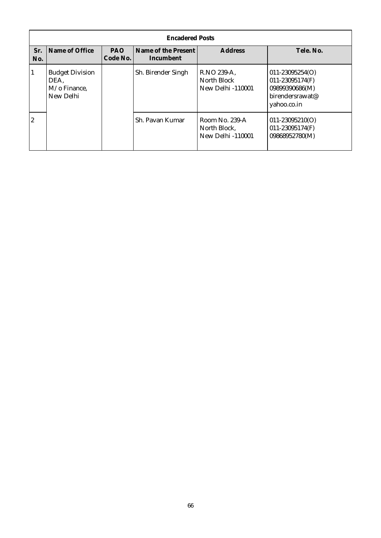|                  | <b>Encadered Posts</b>                                      |                 |                                  |                                                            |                                                                                            |  |
|------------------|-------------------------------------------------------------|-----------------|----------------------------------|------------------------------------------------------------|--------------------------------------------------------------------------------------------|--|
| Sr.<br>No.       | Name of Office                                              | PAO<br>Code No. | Name of the Present<br>Incumbent | <b>Address</b>                                             | Tele. No.                                                                                  |  |
| 1                | <b>Budget Division</b><br>DEA,<br>M/o Finance,<br>New Delhi |                 | Sh. Birender Singh               | R.NO 239-A,<br>North Block<br><b>New Delhi-110001</b>      | $011 - 23095254(O)$<br>011-23095174(F)<br>09899390686(M)<br>birendersrawat@<br>yahoo.co.in |  |
| $\boldsymbol{2}$ |                                                             |                 | Sh. Pavan Kumar                  | Room No. 239-A<br>North Block,<br><b>New Delhi -110001</b> | $011 - 23095210(O)$<br>011-23095174(F)<br>09868952780(M)                                   |  |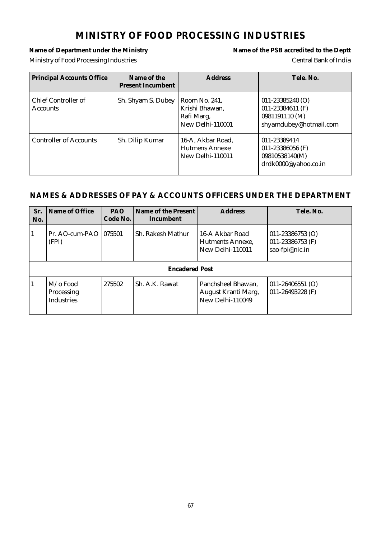### **MINISTRY OF FOOD PROCESSING INDUSTRIES**

# Ministry of Food Processing Industries Central Bank of India

# Name of Department under the Ministry **Name of the PSB** accredited to the Deptt

| <b>Principal Accounts Office</b>       | Name of the<br><b>Present Incumbent</b> | <b>Address</b>                                                    | Tele, No.                                                                            |
|----------------------------------------|-----------------------------------------|-------------------------------------------------------------------|--------------------------------------------------------------------------------------|
| Chief Controller of<br><b>Accounts</b> | Sh. Shyam S. Dubey                      | Room No. 241,<br>Krishi Bhawan,<br>Rafi Marg,<br>New Delhi-110001 | $011 - 23385240$ (O)<br>011-23384611 (F)<br>0981191110 (M)<br>shyamdubey@hotmail.com |
| <b>Controller of Accounts</b>          | Sh. Dilip Kumar                         | 16-A, Akbar Road,<br>Hutmens Annexe<br>New Delhi-110011           | 011-23389414<br>011-23386056 (F)<br>09810538140(M)<br>drdk0000@yahoo.co.in           |

| Sr.<br>No.            | Name of Office                                     | <b>PAO</b><br>Code No. | Name of the Present<br>Incumbent | <b>Address</b>                                                | Tele, No.                                                      |
|-----------------------|----------------------------------------------------|------------------------|----------------------------------|---------------------------------------------------------------|----------------------------------------------------------------|
| $\mathbf{1}$          | Pr. AO-cum-PAO<br>(FPI)                            | 1075501                | Sh. Rakesh Mathur                | 16-A Akbar Road<br>Hutments Annexe.<br>New Delhi-110011       | $011 - 23386753$ (O)<br>$011 - 23386753$ (F)<br>sao-fpi@nic.in |
| <b>Encadered Post</b> |                                                    |                        |                                  |                                                               |                                                                |
| $\mathbf{1}$          | $M/\sigma$ Food<br>Processing<br><b>Industries</b> | 275502                 | Sh. A.K. Rawat                   | Panchsheel Bhawan,<br>August Kranti Marg,<br>New Delhi-110049 | $011 - 26406551$ (O)<br>$011 - 26493228$ (F)                   |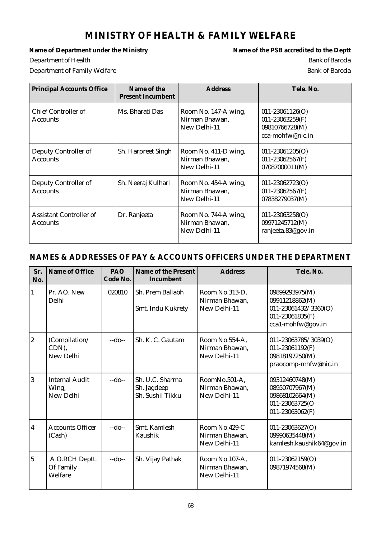# **MINISTRY OF HEALTH & FAMILY WELFARE**

**Department of Health** Bank of Baroda

Name of Department under the Ministry **Name of the PSB** accredited to the Deptt Department of Family Welfare **Bank of Bank of Bank of Bank** of Bank of Bank of Bank of Bank of Bank of Bank of Bank of Bank of Bank of Bank of Bank of Bank of Bank of Bank of Bank of Bank of Bank of Bank of Bank of Bank of

| <b>Principal Accounts Office</b>           | Name of the<br><b>Present Incumbent</b> | <b>Address</b>                                         | Tele. No.                                                                    |
|--------------------------------------------|-----------------------------------------|--------------------------------------------------------|------------------------------------------------------------------------------|
| Chief Controller of<br><b>Accounts</b>     | Ms. Bharati Das                         | Room No. 147-A wing,<br>Nirman Bhawan,<br>New Delhi-11 | $011 - 23061126(O)$<br>011-23063259(F)<br>09810766728(M)<br>cca-mohfw@nic.in |
| Deputy Controller of<br><b>Accounts</b>    | Sh. Harpreet Singh                      | Room No. 411-D wing,<br>Nirman Bhawan,<br>New Delhi-11 | $011 - 23061205(O)$<br>$011 - 23062567(F)$<br>07087000011(M)                 |
| Deputy Controller of<br><b>Accounts</b>    | Sh. Neeraj Kulhari                      | Room No. 454-A wing,<br>Nirman Bhawan,<br>New Delhi-11 | $011 - 23062723(O)$<br>$011 - 23062567(F)$<br>07838279037(M)                 |
| Assistant Controller of<br><b>Accounts</b> | Dr. Ranjeeta                            | Room No. 744-A wing,<br>Nirman Bhawan,<br>New Delhi-11 | $011 - 23063258(O)$<br>09971245712(M)<br>ranjeeta.83@gov.in                  |

| Sr.<br>No.       | Name of Office                              | PAO<br>Code No. | Name of the Present<br>Incumbent                   | <b>Address</b>                                   | Tele. No.                                                                                        |
|------------------|---------------------------------------------|-----------------|----------------------------------------------------|--------------------------------------------------|--------------------------------------------------------------------------------------------------|
| $\mathbf{1}$     | Pr. AO, New<br>Delhi                        | 020810          | Sh. Prem Ballabh<br>Smt. Indu Kukrety              | Room No.313-D,<br>Nirman Bhawan,<br>New Delhi-11 | 09899293975(M)<br>09911218862(M)<br>011-23061432/3360(O)<br>011-23061835(F)<br>cca1-mohfw@gov.in |
| $\boldsymbol{2}$ | (Compilation/<br>CDN),<br>New Delhi         | $-do-$          | Sh. K. C. Gautam                                   | Room No.554-A,<br>Nirman Bhawan,<br>New Delhi-11 | 011-23063785/3039(O)<br>011-23061192(F)<br>09818197250(M)<br>praocomp-mhfw@nic.in                |
| 3                | <b>Internal Audit</b><br>Wing,<br>New Delhi | $-do-$          | Sh. U.C. Sharma<br>Sh. Jagdeep<br>Sh. Sushil Tikku | RoomNo.501-A.<br>Nirman Bhawan,<br>New Delhi-11  | 09312460748(M)<br>08950707967(M)<br>09868102664(M)<br>011-23063725(O<br>011-23063062(F)          |
| $\boldsymbol{4}$ | <b>Accounts Officer</b><br>(Cash)           | $-do-$          | Smt. Kamlesh<br>Kaushik                            | Room No.429-C<br>Nirman Bhawan,<br>New Delhi-11  | 011-23063627(O)<br>09990635448(M)<br>kamlesh.kaushik64@gov.in                                    |
| $\overline{5}$   | A.O.RCH Deptt.<br>Of Family<br>Welfare      | $-do-$          | Sh. Vijay Pathak                                   | Room No.107-A,<br>Nirman Bhawan,<br>New Delhi-11 | $011 - 23062159(O)$<br>09871974568(M)                                                            |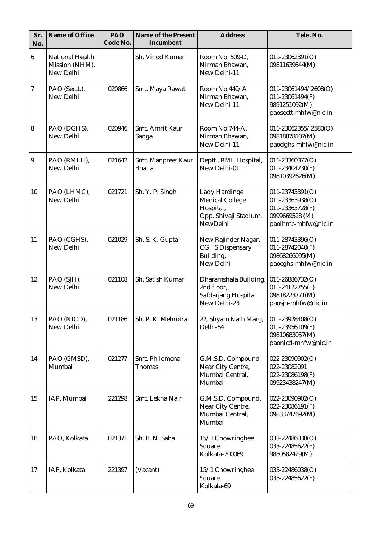| Sr.<br>No.     | Name of Office                                        | PAO<br>Code No. | Name of the Present<br>Incumbent    | <b>Address</b>                                                                            | Tele. No.                                                                                      |
|----------------|-------------------------------------------------------|-----------------|-------------------------------------|-------------------------------------------------------------------------------------------|------------------------------------------------------------------------------------------------|
| $6\phantom{.}$ | <b>National Health</b><br>Mission (NHM),<br>New Delhi |                 | Sh. Vinod Kumar                     | Room No. 509-D,<br>Nirman Bhawan,<br>New Delhi-11                                         | $011 - 23062391(O)$<br>09811639544(M)                                                          |
| 7              | PAO (Sectt.),<br>New Delhi                            | 020866          | Smt. Maya Rawat                     | Room No.440/A<br>Nirman Bhawan,<br>New Delhi-11                                           | 011-23061494/2608(O)<br>011-23061494(F)<br>9891251092(M)<br>paosectt-mhfw@nic.in               |
| $\bf{8}$       | PAO (DGHS),<br>New Delhi                              | 020946          | Smt. Amrit Kaur<br>Sanga            | Room No.744-A,<br>Nirman Bhawan,<br>New Delhi-11                                          | 011-23062355/2580(O)<br>09818878107(M)<br>paodghs-mhfw@nic.in                                  |
| 9              | PAO (RMLH),<br>New Delhi                              | 021642          | Smt. Manpreet Kaur<br><b>Bhatia</b> | Deptt., RML Hospital,<br>New Delhi-01                                                     | 011-23360377(O)<br>011-23404230(F)<br>09810392626(M)                                           |
| 10             | PAO (LHMC),<br>New Delhi                              | 021721          | Sh. Y. P. Singh                     | Lady Hardinge<br><b>Medical College</b><br>Hospital,<br>Opp. Shivaji Stadium,<br>NewDelhi | 011-23743391(O)<br>011-23363938(O)<br>011-23363728(F)<br>0999669528 (M)<br>paolhmc-mhfw@nic.in |
| 11             | PAO (CGHS),<br>New Delhi                              | 021029          | Sh. S. K. Gupta                     | New Rajinder Nagar,<br><b>CGHS Dispensary</b><br>Building,<br>New Delhi                   | 011-28743396(O)<br>011-28742040(F)<br>09868266095(M)<br>paocghs-mhfw@nic.in                    |
| 12             | PAO (SJH),<br>New Delhi                               | 021108          | Sh. Satish Kumar                    | Dharamshala Building,<br>2nd floor,<br>Safdarjang Hospital<br>New Delhi-23                | 011-26886732(O)<br>011-24122755(F)<br>09818223771(M)<br>paosjh-mhfw@nic.in                     |
| 13             | PAO (NICD),<br>New Delhi                              | 021186          | Sh. P. K. Mehrotra                  | 22, Shyam Nath Marg,<br>Delhi-54                                                          | $011 - 23928408(O)$<br>011-23956109(F)<br>09810683057(M)<br>paonicd-mhfw@nic.in                |
| 14             | PAO (GMSD),<br>Mumbai                                 | 021277          | Smt. Philomena<br><b>Thomas</b>     | G.M.S.D. Compound<br>Near City Centre,<br>Mumbai Central,<br>Mumbai                       | 022-23090902(O)<br>022-23082091<br>022-23086198(F)<br>09923438247(M)                           |
| 15             | IAP, Mumbai                                           | 221298          | Smt. Lekha Nair                     | G.M.S.D. Compound,<br>Near City Centre,<br>Mumbai Central,<br>Mumbai                      | 022-23090902(O)<br>022-23086191(F)<br>09833747692(M)                                           |
| 16             | PAO, Kolkata                                          | 021371          | Sh. B. N. Saha                      | 15/1 Chowringhee<br>Square,<br>Kolkata-700069                                             | 033-22486038(O)<br>033-22485622(F)<br>9830582429(M)                                            |
| 17             | IAP, Kolkata                                          | 221397          | (Vacant)                            | 15/1 Chowringhee<br>Square,<br>Kolkata-69                                                 | 033-22486038(O)<br>033-22485622(F)                                                             |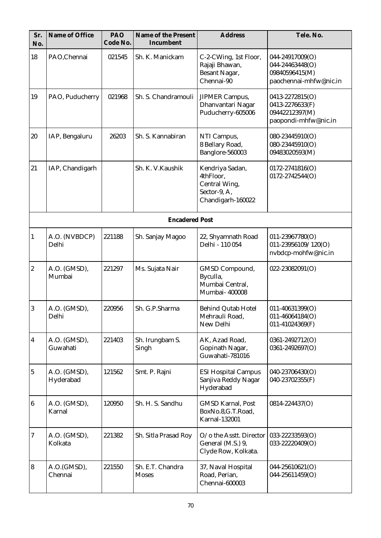| Sr.<br>No.              | Name of Office            | PAO<br>Code No. | Name of the Present<br>Incumbent | <b>Address</b>                                                                     | Tele. No.                                                                      |
|-------------------------|---------------------------|-----------------|----------------------------------|------------------------------------------------------------------------------------|--------------------------------------------------------------------------------|
| 18                      | PAO, Chennai              | 021545          | Sh. K. Manickam                  | C-2-CWing, 1st Floor,<br>Rajaji Bhawan,<br><b>Besant Nagar,</b><br>Chennai-90      | 044-24917009(O)<br>044-24463448(O)<br>09840596415(M)<br>paochennai-mhfw@nic.in |
| 19                      | PAO, Puducherry           | 021968          | Sh. S. Chandramouli              | <b>JIPMER Campus,</b><br>Dhanvantari Nagar<br>Puducherry-605006                    | 0413-2272815(O)<br>0413-2276633(F)<br>09442212397(M)<br>paopondi-mhfw@nic.in   |
| 20                      | IAP, Bengaluru            | 26203           | Sh. S. Kannabiran                | NTI Campus,<br>8 Bellary Road,<br>Banglore-560003                                  | 080-23445910(O)<br>080-23445910(O)<br>09483020593(M)                           |
| 21                      | IAP, Chandigarh           |                 | Sh. K. V. Kaushik                | Kendriya Sadan,<br>4thFloor,<br>Central Wing,<br>Sector-9, A,<br>Chandigarh-160022 | $0172 - 2741816(O)$<br>0172-2742544(O)                                         |
|                         |                           |                 | <b>Encadered Post</b>            |                                                                                    |                                                                                |
| $\mathbf{1}$            | A.O. (NVBDCP)<br>Delhi    | 221188          | Sh. Sanjay Magoo                 | 22, Shyamnath Road<br>Delhi - 110 054                                              | $011 - 23967780(O)$<br>011-23956109/120(O)<br>nvbdcp-mohfw@nic.in              |
| $\boldsymbol{2}$        | A.O. (GMSD),<br>Mumbai    | 221297          | Ms. Sujata Nair                  | GMSD Compound,<br>Byculla,<br>Mumbai Central,<br>Mumbai- 400008                    | 022-23082091(O)                                                                |
| $\vert 3 \vert$         | A.O. (GMSD),<br>Delhi     | 220956          | Sh. G.P.Sharma                   | <b>Behind Qutab Hotel</b><br>Mehrauli Road,<br>New Delhi                           | 011-40631399(O)<br>011-46064184(O)<br>011-41024369(F)                          |
| $\boldsymbol{4}$        | A.O. (GMSD),<br>Guwahati  | 221403          | Sh. Irungbam S.<br>Singh         | AK, Azad Road,<br>Gopinath Nagar,<br>Guwahati-781016                               | 0361-2492712(O)<br>0361-2492697(O)                                             |
| $\bf 5$                 | A.O. (GMSD),<br>Hyderabad | 121562          | Smt. P. Rajni                    | <b>ESI Hospital Campus</b><br>Sanjiva Reddy Nagar<br>Hyderabad                     | 040-23706430(O)<br>040-23702355(F)                                             |
| $\boldsymbol{6}$        | A.O. (GMSD),<br>Karnal    | 120950          | Sh. H. S. Sandhu                 | <b>GMSD Karnal, Post</b><br>BoxNo.8, G.T.Road,<br><b>Karnal-132001</b>             | 0814-224437(O)                                                                 |
| 7                       | A.O. (GMSD),<br>Kolkata   | 221382          | Sh. Sitla Prasad Roy             | O/o the Asstt. Director<br>General (M.S.) 9,<br>Clyde Row, Kolkata.                | 033-22233593(O)<br>033-22220409(O)                                             |
| $\overline{\mathbf{8}}$ | A.O.(GMSD),<br>Chennai    | 221550          | Sh. E.T. Chandra<br><b>Moses</b> | 37, Naval Hospital<br>Road, Perian,<br>Chennai-600003                              | 044-25610621(O)<br>044-25611459(O)                                             |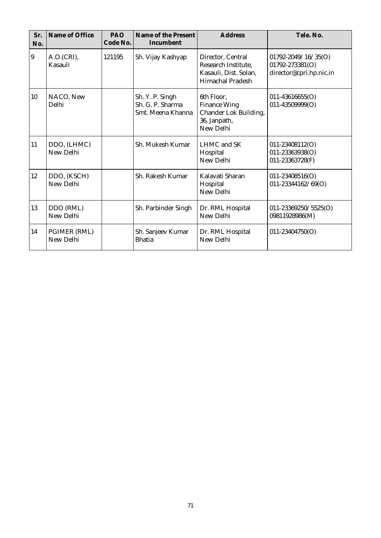| Sr.<br>No.     | Name of Office            | PAO<br>Code No. | Name of the Present<br>Incumbent                         | <b>Address</b>                                                                          | Tele. No.                                                                 |
|----------------|---------------------------|-----------------|----------------------------------------------------------|-----------------------------------------------------------------------------------------|---------------------------------------------------------------------------|
| $\overline{9}$ | A.O.(CRI),<br>Kasauli     | 121195          | Sh. Vijay Kashyap                                        | Director, Central<br>Research Institute,<br>Kasauli, Dist. Solan,<br>Himachal Pradesh   | $01792 - 2049 / 16 / 35(0)$<br>01792-273381(O)<br>director@cpri.hp.nic.in |
| 10             | NACO, New<br>Delhi        |                 | Sh. Y. P. Singh<br>Sh. G. P. Sharma<br>Smt. Meena Khanna | 6th Floor.<br><b>Finance Wing</b><br>Chander Lok Building,<br>36, Janpath,<br>New Delhi | $011 - 43616655(O)$<br>011-43509999(O)                                    |
| 11             | DDO, (LHMC)<br>New Delhi  |                 | Sh. Mukesh Kumar                                         | <b>LHMC</b> and SK<br>Hospital<br>New Delhi                                             | $011 - 23408112(O)$<br>011-23363938(O)<br>011-23363728(F)                 |
| 12             | DDO, (KSCH)<br>New Delhi  |                 | Sh. Rakesh Kumar                                         | Kalavati Sharan<br>Hospital<br>New Delhi                                                | $011 - 23408516(O)$<br>011-23344162/69(O)                                 |
| 13             | DDO (RML)<br>New Delhi    |                 | Sh. Parbinder Singh                                      | Dr. RML Hospital<br>New Delhi                                                           | 011-23369250/5525(O)<br>09811928986(M)                                    |
| 14             | PGIMER (RML)<br>New Delhi |                 | Sh. Sanjeev Kumar<br><b>Bhatia</b>                       | Dr. RML Hospital<br>New Delhi                                                           | 011-23404750(O)                                                           |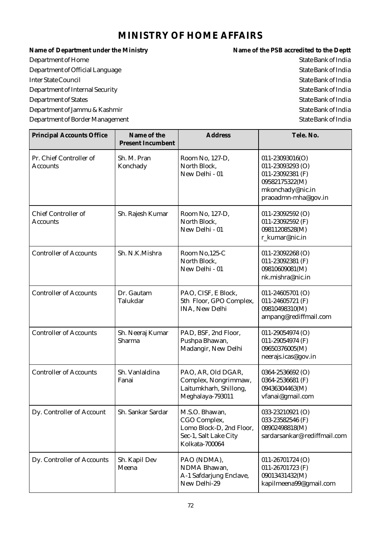# **MINISTRY OF HOME AFFAIRS**

Name of Department under the Ministry **Name of the PSB** accredited to the Deptt Department of Home State Bank of India Department of Official Language State Bank of India Inter State Council State Bank of India Department of Internal Security and the state Bank of India Department of States State Bank of India

Department of Jammu & Kashmir State Bank of India Department of Border Management State Bank of India

| <b>Principal Accounts Office</b>           | Name of the<br><b>Present Incumbent</b> | <b>Address</b>                                                                                        | Tele. No.                                                                                                                    |
|--------------------------------------------|-----------------------------------------|-------------------------------------------------------------------------------------------------------|------------------------------------------------------------------------------------------------------------------------------|
| Pr. Chief Controller of<br><b>Accounts</b> | Sh. M. Pran<br>Konchady                 | Room No, 127-D,<br>North Block,<br>New Delhi - 01                                                     | $011 - 23093016(O)$<br>$011 - 23093293$ (O)<br>011-23092381 (F)<br>09582175322(M)<br>mkonchady@nic.in<br>praoadmn-mha@gov.in |
| Chief Controller of<br><b>Accounts</b>     | Sh. Rajesh Kumar                        | Room No, 127-D,<br>North Block,<br>New Delhi - 01                                                     | 011-23092592 (O)<br>011-23092592 (F)<br>09811208528(M)<br>r_kumar@nic.in                                                     |
| <b>Controller of Accounts</b>              | Sh. N.K.Mishra                          | Room No,125-C<br>North Block,<br>New Delhi - 01                                                       | $011 - 23092268$ (O)<br>011-23092381 (F)<br>09810609081(M)<br>nk.mishra@nic.in                                               |
| <b>Controller of Accounts</b>              | Dr. Gautam<br>Talukdar                  | PAO, CISF, E Block,<br>5th Floor, GPO Complex,<br><b>INA, New Delhi</b>                               | 011-24605701 (O)<br>011-24605721 (F)<br>09810498310(M)<br>ampang@rediffmail.com                                              |
| <b>Controller of Accounts</b>              | Sh. Neeraj Kumar<br>Sharma              | PAD, BSF, 2nd Floor,<br>Pushpa Bhawan,<br>Madangir, New Delhi                                         | 011-29054974 (O)<br>011-29054974 (F)<br>09650376005(M)<br>neerajs.icas@gov.in                                                |
| <b>Controller of Accounts</b>              | Sh. Vanlaldina<br>Fanai                 | PAO, AR, Old DGAR,<br>Complex, Nongrimmaw,<br>Laitumkharh, Shillong,<br>Meghalaya-793011              | 0364-2536692 (O)<br>0364-2536681 (F)<br>09436304463(M)<br>vfanai@gmail.com                                                   |
| Dy. Controller of Account                  | Sh. Sankar Sardar                       | M.S.O. Bhawan,<br>CGO Complex,<br>Lomo Block-D, 2nd Floor,<br>Sec-1, Salt Lake City<br>Kolkata-700064 | 033-23210921 (O)<br>033-23582546 (F)<br>08902498818(M)<br>sardarsankar@rediffmail.com                                        |
| Dy. Controller of Accounts                 | Sh. Kapil Dev<br>Meena                  | PAO (NDMA),<br>NDMA Bhawan,<br>A-1 Safdarjung Enclave,<br>New Delhi-29                                | 011-26701724 (O)<br>011-26701723 (F)<br>09013431432(M)<br>kapilmeena99@gmail.com                                             |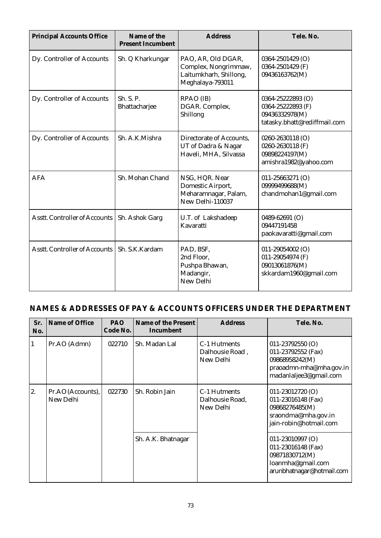| <b>Principal Accounts Office</b>     | Name of the<br><b>Present Incumbent</b> | <b>Address</b>                                                                           | Tele. No.                                                                                |
|--------------------------------------|-----------------------------------------|------------------------------------------------------------------------------------------|------------------------------------------------------------------------------------------|
| Dy. Controller of Accounts           | Sh. Q Kharkungar                        | PAO, AR, Old DGAR,<br>Complex, Nongrimmaw,<br>Laitumkharh, Shillong,<br>Meghalaya-793011 | 0364-2501429 (O)<br>0364-2501429 (F)<br>09436163762(M)                                   |
| Dy. Controller of Accounts           | Sh. S. P.<br>Bhattacharjee              | RPAO (IB)<br>DGAR. Complex,<br>Shillong                                                  | 0364-25222893 (O)<br>0364-25222893 (F)<br>09436332978(M)<br>tatasky.bhatt@rediffmail.com |
| Dy. Controller of Accounts           | Sh. A.K.Mishra                          | Directorate of Accounts,<br>UT of Dadra & Nagar<br>Haveli, MHA, Silvassa                 | 0260-2630118 (O)<br>0260-2630118 (F)<br>09898224197(M)<br>amishra1982@yahoo.com          |
| AFA                                  | Sh. Mohan Chand                         | NSG, HQR. Near<br>Domestic Airport,<br>Meharamnagar, Palam,<br>New Delhi-110037          | 011-25663271 (O)<br>09999499688(M)<br>chandmohan1@gmail.com                              |
| <b>Asstt. Controller of Accounts</b> | Sh. Ashok Garg                          | U.T. of Lakshadeep<br>Kavaratti                                                          | 0489-62691 (O)<br>09447191458<br>paokavaratti@gmail.com                                  |
| Asstt. Controller of Accounts        | Sh. S.K.Kardam                          | PAD, BSF,<br>2nd Floor.<br>Pushpa Bhawan,<br>Madangir,<br>New Delhi                      | 011-29054002 (O)<br>011-29054974 (F)<br>09013061876(M)<br>skkardam1960@gmail.com         |

| Sr.<br>No. | Name of Office                 | PAO.<br>Code No. | Name of the Present<br>Incumbent | <b>Address</b>                               | Tele, No.                                                                                                         |
|------------|--------------------------------|------------------|----------------------------------|----------------------------------------------|-------------------------------------------------------------------------------------------------------------------|
| 1          | Pr.AO (Admn)                   | 022710           | Sh. Madan Lal                    | C-1 Hutments<br>Dalhousie Road,<br>New Delhi | $011 - 23792550$ (O)<br>011-23792552 (Fax)<br>09868958242(M)<br>praoadmn-mha@mha.gov.in<br>madanlaljee3@gmail.com |
| 2.         | Pr.AO (Accounts),<br>New Delhi | 022730           | Sh. Robin Jain                   | C-1 Hutments<br>Dalhousie Road,<br>New Delhi | $011-23012720$ (O)<br>011-23016148 (Fax)<br>09868276485(M)<br>sraondma@mha.gov.in<br>jain-robin@hotmail.com       |
|            |                                |                  | Sh. A.K. Bhatnagar               |                                              | $011-23010997$ (O)<br>011-23016148 (Fax)<br>09871830712(M)<br>loanmha@gmail.com<br>arunbhatnagar@hotmail.com      |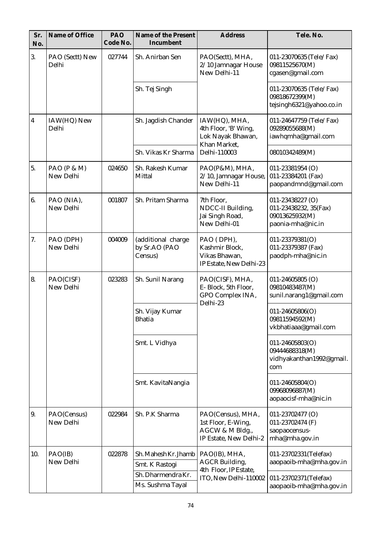| Sr.<br>No.              | Name of Office           | PAO<br>Code No. | Name of the Present<br>Incumbent               | <b>Address</b>                                                                       | Tele. No.                                                                        |
|-------------------------|--------------------------|-----------------|------------------------------------------------|--------------------------------------------------------------------------------------|----------------------------------------------------------------------------------|
| 3.                      | PAO (Sectt) New<br>Delhi | 027744          | Sh. Anirban Sen                                | PAO(Sectt), MHA,<br>2/10 Jamnagar House<br>New Delhi-11                              | 011-23070635 (Tele/Fax)<br>09811525670(M)<br>cgasen@gmail.com                    |
|                         |                          |                 | Sh. Tej Singh                                  |                                                                                      | 011-23070635 (Tele/Fax)<br>09818672399(M)<br>tejsingh6321@yahoo.co.in            |
| $\overline{\mathbf{4}}$ | IAW(HQ) New<br>Delhi     |                 | Sh. Jagdish Chander                            | IAW(HQ), MHA,<br>4th Floor, 'B' Wing,<br>Lok Nayak Bhawan,<br>Khan Market,           | 011-24647759 (Tele/Fax)<br>09289055688(M)<br>iawhqmha@gmail.com                  |
|                         |                          |                 | Sh. Vikas Kr Sharma                            | Delhi-110003                                                                         | 08010342489(M)                                                                   |
| 5.                      | PAO (P & M)<br>New Delhi | 024650          | Sh. Rakesh Kumar<br>Mittal                     | PAO(P&M), MHA,<br>2/10, Jamnagar House,<br>New Delhi-11                              | 011-23381954 (O)<br>011-23384201 (Fax)<br>paopandmnd@gmail.com                   |
| 6.                      | PAO (NIA),<br>New Delhi  | 001807          | Sh. Pritam Sharma                              | 7th Floor,<br>NDCC-II Building,<br>Jai Singh Road,<br>New Delhi-01                   | 011-23438227 (O)<br>011-23438232, 35(Fax)<br>09013625932(M)<br>paonia-mha@nic.in |
| 7.                      | PAO (DPH)<br>New Delhi   | 004009          | (additional charge<br>by Sr.AO (PAO<br>Census) | PAO (DPH),<br>Kashmir Block,<br>Vikas Bhawan,<br>IP Estate, New Delhi-23             | 011-23379381(O)<br>011-23379387 (Fax)<br>paodph-mha@nic.in                       |
| 8.                      | PAO(CISF)<br>New Delhi   | 023283          | Sh. Sunil Narang                               | PAO(CISF), MHA,<br>E-Block, 5th Floor,<br>GPO Complex INA,<br>Delhi-23               | $011 - 24605805$ (O)<br>09810483487(M)<br>sunil.narang1@gmail.com                |
|                         |                          |                 | Sh. Vijay Kumar<br><b>Bhatia</b>               |                                                                                      | $011 - 24605806(O)$<br>09811594592(M)<br>vkbhatiaaa@gmail.com                    |
|                         |                          |                 | Smt. L Vidhya                                  |                                                                                      | 011-24605803(O)<br>09444688318(M)<br>vidhyakanthan1992@gmail.<br>com             |
|                         |                          |                 | Smt. KavitaNangia                              |                                                                                      | 011-24605804(O)<br>09968096887(M)<br>aopaocisf-mha@nic.in                        |
| 9.                      | PAO(Census)<br>New Delhi | 022984          | Sh. P.K Sharma                                 | PAO(Census), MHA,<br>1st Floor, E-Wing,<br>AGCW & M Bldg.,<br>IP Estate, New Delhi-2 | 011-23702477 (O)<br>011-23702474 (F)<br>saopaocensus-<br>mha@mha.gov.in          |
| 10.                     | PAO(IB)<br>New Delhi     | 022878          | Sh. Mahesh Kr. Jhamb<br>Smt. K Rastogi         | PAO(IB), MHA,<br><b>AGCR</b> Building,                                               | 011-23702331(Telefax)<br>aaopaoib-mha@mha.gov.in                                 |
|                         |                          |                 | Sh. Dharmendra Kr.<br>Ms. Sushma Tayal         | 4th Floor, IP Estate,<br>ITO, New Delhi-110002                                       | 011-23702371(Telefax)<br>aaopaoib-mha@mha.gov.in                                 |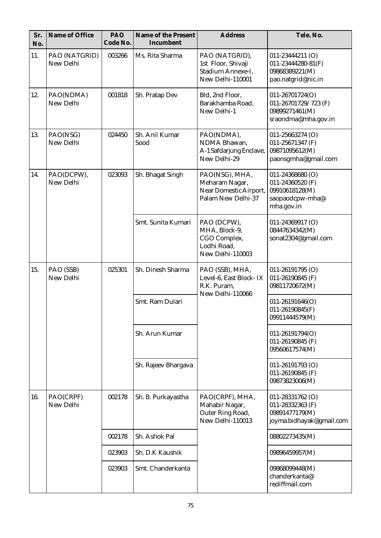| Sr.<br>No. | Name of Office             | PAO<br>Code No. | Name of the Present<br>Incumbent | <b>Address</b>                                                                   | Tele. No.                                                                                   |
|------------|----------------------------|-----------------|----------------------------------|----------------------------------------------------------------------------------|---------------------------------------------------------------------------------------------|
| 11.        | PAO (NATGRID)<br>New Delhi | 003266          | Ms. Rita Sharma                  | PAO (NATGRID),<br>1st Floor, Shivaji<br>Stadium Annexe-I,<br>New Delhi-110001    | $011 - 23444211$ (O)<br>$011 - 23444280 - 81(F)$<br>09868389221(M)<br>pao.natgrid@nic.in    |
| 12.        | PAO(NDMA)<br>New Delhi     | 001818          | Sh. Pratap Dev                   | Bld, 2nd Floor,<br>Barakhamba Road,<br>New Delhi-1                               | 011-26701724(O)<br>011-26701729/723 (F)<br>09899271461(M)<br>sraondma@mha.gov.in            |
| 13.        | PAO(NSG)<br>New Delhi      | 024450          | Sh. Anil Kumar<br>Sood           | PAO(NDMA),<br>NDMA Bhawan,<br>A-1 Safdarjung Enclave,<br>New Delhi-29            | 011-25663274 (O)<br>011-25671347 (F)<br>09871095612(M)<br>paonsgmha@gmail.com               |
| 14.        | PAO(DCPW),<br>New Delhi    | 023093          | Sh. Bhagat Singh                 | PAO(NSG), MHA,<br>Meharam Nagar,<br>Near Domestic Airport,<br>Palam New Delhi-37 | $011 - 24368680$ (O)<br>011-24360520 (F)<br>09910618128(M)<br>saopaodcpw-mha@<br>mha.gov.in |
|            |                            |                 | Smt. Sunita Kumari               | PAO (DCPW),<br>MHA, Block-9,<br>CGO Complex,<br>Lodhi Road,<br>New Delhi-110003  | $011 - 24369917$ (O)<br>08447634342(M)<br>sonat2304@gmail.com                               |
| 15.        | PAO (SSB)<br>New Delhi     | 025301          | Sh. Dinesh Sharma                | PAO (SSB), MHA,<br>Level-6, East Block-IX<br>R.K. Puram,<br>New Delhi-110066     | $011 - 26191795$ (O)<br>011-26190845 (F)<br>09811720672(M)                                  |
|            |                            |                 | Smt. Ram Dulari                  |                                                                                  | $011 - 26191646(O)$<br>$011 - 26190845(F)$<br>09911444579(M)                                |
|            |                            |                 | Sh. Arun Kumar                   |                                                                                  | 011-26191794(O)<br>011-26190845 (F)<br>09560617574(M)                                       |
|            |                            |                 | Sh. Rajeev Bhargava              |                                                                                  | $011 - 26191793$ (O)<br>011-26190845 (F)<br>09873823006(M)                                  |
| 16.        | PAO(CRPF)<br>New Delhi     | 002178          | Sh. B. Purkayastha               | PAO(CRPF), MHA,<br>Mahabir Nagar,<br>Outer Ring Road,<br>New Delhi-110013        | 011-28331762 (O)<br>011-28332363 (F)<br>09891477179(M)<br>joyma.bidhayak@gmail.com          |
|            |                            | 002178          | Sh. Ashok Pal                    |                                                                                  | 08802273435(M)                                                                              |
|            |                            | 023903          | Sh. D.K Kaushik                  |                                                                                  | 09896459957(M)                                                                              |
|            |                            | 023903          | Smt. Chanderkanta                |                                                                                  | 09868099448(M)<br>chanderkanta@<br>rediffmail.com                                           |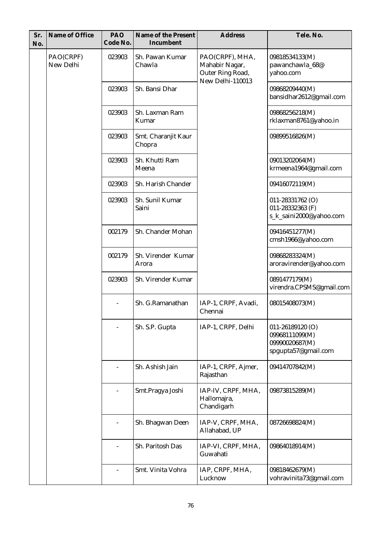| Sr.<br>No. | Name of Office         | PAO<br>Code No. | Name of the Present<br>Incumbent | <b>Address</b>                                                            | Tele. No.                                                       |                                                                                 |
|------------|------------------------|-----------------|----------------------------------|---------------------------------------------------------------------------|-----------------------------------------------------------------|---------------------------------------------------------------------------------|
|            | PAO(CRPF)<br>New Delhi | 023903          | Sh. Pawan Kumar<br>Chawla        | PAO(CRPF), MHA,<br>Mahabir Nagar,<br>Outer Ring Road,<br>New Delhi-110013 | 09818534133(M)<br>pawanchawla_68@<br>yahoo.com                  |                                                                                 |
|            |                        | 023903          | Sh. Bansi Dhar                   |                                                                           | 09868209440(M)<br>bansidhar2612@gmail.com                       |                                                                                 |
|            |                        | 023903          | Sh. Laxman Ram<br>Kumar          |                                                                           | 09868256218(M)<br>rklaxman8761@yahoo.in                         |                                                                                 |
|            |                        | 023903          | Smt. Charanjit Kaur<br>Chopra    |                                                                           | 09899516826(M)                                                  |                                                                                 |
|            |                        | 023903          | Sh. Khutti Ram<br>Meena          |                                                                           | 09013202064(M)<br>krmeena1964@gmail.com                         |                                                                                 |
|            |                        | 023903          | Sh. Harish Chander               |                                                                           | 09416072119(M)                                                  |                                                                                 |
|            |                        | 023903          | Sh. Sunil Kumar<br>Saini         |                                                                           | 011-28331762 (O)<br>011-28332363 (F)<br>s_k_saini2000@yahoo.com |                                                                                 |
|            |                        | 002179          | Sh. Chander Mohan                |                                                                           | 09416451277(M)<br>cmsh1966@yahoo.com                            |                                                                                 |
|            |                        | 002179          | Sh. Virender Kumar<br>Arora      |                                                                           | 09868283324(M)<br>aroravirender@yahoo.com                       |                                                                                 |
|            |                        | 023903          | Sh. Virender Kumar               |                                                                           | 0891477179(M)<br>virendra.CPSMS@gmail.com                       |                                                                                 |
|            |                        |                 | Sh. G.Ramanathan                 | IAP-1, CRPF, Avadi,<br>Chennai                                            | 08015408073(M)                                                  |                                                                                 |
|            |                        |                 |                                  | Sh. S.P. Gupta                                                            | IAP-1, CRPF, Delhi                                              | $011 - 26189120$ (O)<br>09968111099(M)<br>09990020687(M)<br>spgupta57@gmail.com |
|            |                        |                 | Sh. Ashish Jain                  | IAP-1, CRPF, Ajmer,<br>Rajasthan                                          | 09414707842(M)                                                  |                                                                                 |
|            |                        |                 | Smt.Pragya Joshi                 | IAP-IV, CRPF, MHA,<br>Hallomajra,<br>Chandigarh                           | 09873815289(M)                                                  |                                                                                 |
|            |                        |                 | Sh. Bhagwan Deen                 | IAP-V, CRPF, MHA,<br>Allahabad, UP                                        | 08726698824(M)                                                  |                                                                                 |
|            |                        |                 | Sh. Paritosh Das                 | IAP-VI, CRPF, MHA,<br>Guwahati                                            | 09864018914(M)                                                  |                                                                                 |
|            |                        |                 | Smt. Vinita Vohra                | IAP, CRPF, MHA,<br>Lucknow                                                | 09818462679(M)<br>vohravinita73@gmail.com                       |                                                                                 |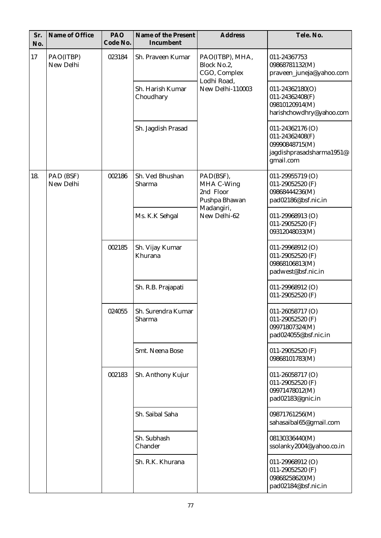| Sr.<br>No. | Name of Office         | PAO<br>Code No.            | Name of the Present<br>Incumbent | <b>Address</b>                                                | Tele. No.                                                                                      |                                      |
|------------|------------------------|----------------------------|----------------------------------|---------------------------------------------------------------|------------------------------------------------------------------------------------------------|--------------------------------------|
| 17         | PAO(ITBP)<br>New Delhi | 023184                     | Sh. Praveen Kumar                | PAO(ITBP), MHA,<br>Block No.2,<br>CGO, Complex<br>Lodhi Road, | 011-24367753<br>09868781132(M)<br>praveen_juneja@yahoo.com                                     |                                      |
|            |                        |                            | Sh. Harish Kumar<br>Choudhary    | New Delhi-110003                                              | $011 - 24362180(O)$<br>011-24362408(F)<br>09810120914(M)<br>harishchowdhry@yahoo.com           |                                      |
|            |                        |                            | Sh. Jagdish Prasad               |                                                               | 011-24362176 (O)<br>011-24362408(F)<br>09990848715(M)<br>jagdishprasadsharma1951@<br>gmail.com |                                      |
| 18.        | PAD (BSF)<br>New Delhi | 002186                     | Sh. Ved Bhushan<br>Sharma        | PAD(BSF),<br>MHA C-Wing<br>2nd Floor<br>Pushpa Bhawan         | 011-29955719 (O)<br>011-29052520 (F)<br>09868444236(M)<br>pad02186@bsf.nic.in                  |                                      |
|            |                        |                            | Ms. K.K Sehgal                   | Madangiri,<br>New Delhi-62                                    | 011-29968913 (O)<br>011-29052520 (F)<br>09312048033(M)                                         |                                      |
|            |                        | 002185<br>024055<br>002183 | Sh. Vijay Kumar<br>Khurana       |                                                               | 011-29968912 (O)<br>011-29052520 (F)<br>09868106813(M)<br>padwest@bsf.nic.in                   |                                      |
|            |                        |                            | Sh. R.B. Prajapati               |                                                               | 011-29968912 (O)<br>011-29052520 (F)                                                           |                                      |
|            |                        |                            | Sh. Surendra Kumar<br>Sharma     |                                                               | $011 - 26058717$ (O)<br>011-29052520 (F)<br>09971807324(M)<br>pad024055@bsf.nic.in             |                                      |
|            |                        |                            | Smt. Neena Bose                  |                                                               |                                                                                                | 011-29052520 $(F)$<br>09868101783(M) |
|            |                        |                            | Sh. Anthony Kujur                |                                                               | 011-26058717 (O)<br>011-29052520 (F)<br>09971478012(M)<br>pad02183@gnic.in                     |                                      |
|            |                        |                            | Sh. Saibal Saha                  |                                                               | 09871761256(M)<br>sahasaibal65@gmail.com                                                       |                                      |
|            |                        |                            | Sh. Subhash<br>Chander           |                                                               | 08130336440(M)<br>ssolanky2004@yahoo.co.in                                                     |                                      |
|            |                        |                            | Sh. R.K. Khurana                 |                                                               | 011-29968912 (O)<br>011-29052520 (F)<br>09868258620(M)<br>pad02184@bsf.nic.in                  |                                      |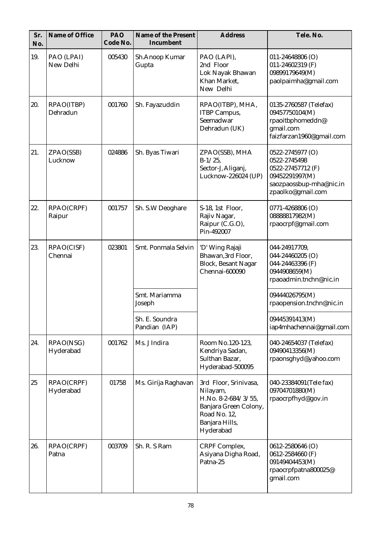| Sr.<br>No. | Name of Office          | PAO<br>Code No. | Name of the Present<br>Incumbent | <b>Address</b>                                                                                                                   | Tele. No.                                                                                                               |
|------------|-------------------------|-----------------|----------------------------------|----------------------------------------------------------------------------------------------------------------------------------|-------------------------------------------------------------------------------------------------------------------------|
| 19.        | PAO (LPAI)<br>New Delhi | 005430          | Sh.Anoop Kumar<br>Gupta          | PAO (LAPI),<br>2nd Floor<br>Lok Nayak Bhawan<br>Khan Market,<br>New Delhi                                                        | $011 - 24648806$ (O)<br>011-24602319 (F)<br>09899179649(M)<br>paolpaimha@gmail.com                                      |
| 20.        | RPAO(ITBP)<br>Dehradun  | 001760          | Sh. Fayazuddin                   | RPAO(ITBP), MHA,<br><b>ITBP</b> Campus,<br>Seemadwar<br>Dehradun (UK)                                                            | 0135-2760587 (Telefax)<br>09457750104(M)<br>rpaoitbphomeddn@<br>gmail.com<br>faizfarzan1960@gmail.com                   |
| 21.        | ZPAO(SSB)<br>Lucknow    | 024886          | Sh. Byas Tiwari                  | ZPAO(SSB), MHA<br>$B-1/25$ ,<br>Sector-J, Aliganj,<br>Lucknow-226024 (UP)                                                        | 0522-2745977 (O)<br>0522-2745498<br>0522-27457712 (F)<br>09452291997(M)<br>saozpaossbup-mha@nic.in<br>zpaolko@gmail.com |
| 22.        | RPAO(CRPF)<br>Raipur    | 001757          | Sh. S.W Deoghare                 | S-18, 1st Floor,<br>Rajiv Nagar,<br>Raipur (C.G.O),<br>Pin-492007                                                                | 0771-4268806 (O)<br>08888817982(M)<br>rpaocrpf@gmail.com                                                                |
| 23.        | RPAO(CISF)<br>Chennai   | 023801          | Smt. Ponmala Selvin              | 'D' Wing Rajaji<br>Bhawan, 3rd Floor,<br><b>Block, Besant Nagar</b><br>Chennai-600090                                            | 044-24917709,<br>044-24460205 (O)<br>044-24463396 (F)<br>0944908659(M)<br>rpaoadmin.tnchn@nic.in                        |
|            |                         |                 | Smt. Mariamma<br>Joseph          |                                                                                                                                  | 09444026795(M)<br>rpaopension.tnchn@nic.in                                                                              |
|            |                         |                 | Sh. E. Soundra<br>Pandian (IAP)  |                                                                                                                                  | 09445391413(M)<br>iap4mhachennai@gmail.com                                                                              |
| 24.        | RPAO(NSG)<br>Hyderabad  | 001762          | Ms. J Indira                     | Room No.120-123,<br>Kendriya Sadan,<br>Sulthan Bazar,<br>Hyderabad-500095                                                        | 040-24654037 (Telefax)<br>09490413356(M)<br>rpaonsghyd@yahoo.com                                                        |
| 25         | RPAO(CRPF)<br>Hyderabad | 01758           | Ms. Girija Raghavan              | 3rd Floor, Srinivasa,<br>Nilayam,<br>H.No. 8-2-684/3/55,<br>Banjara Green Colony,<br>Road No. 12,<br>Banjara Hills,<br>Hyderabad | 040-23384091 (Tele fax)<br>09704701880(M)<br>rpaocrpfhyd@gov.in                                                         |
| 26.        | RPAO(CRPF)<br>Patna     | 003709          | Sh. R. S Ram                     | CRPF Complex,<br>Asiyana Digha Road,<br>Patna-25                                                                                 | 0612-2580646 (O)<br>0612-2584660 (F)<br>09149404453(M)<br>rpaocrpfpatna800025@<br>gmail.com                             |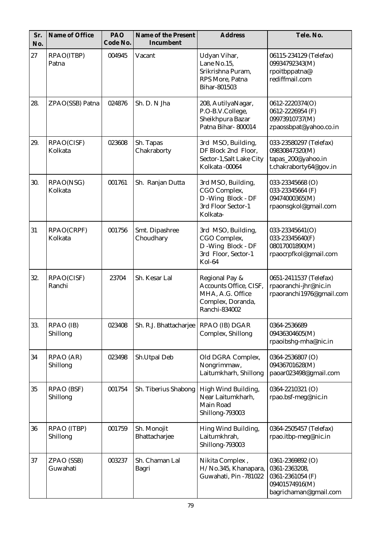| Sr.<br>No. | Name of Office                | PAO<br>Code No. | Name of the Present<br>Incumbent | <b>Address</b>                                                                                     | Tele. No.                                                                                        |
|------------|-------------------------------|-----------------|----------------------------------|----------------------------------------------------------------------------------------------------|--------------------------------------------------------------------------------------------------|
| 27         | RPAO(ITBP)<br>Patna           | 004945          | Vacant                           | Udyan Vihar,<br>Lane No.15,<br>Srikrishna Puram,<br>RPS More, Patna<br>Bihar-801503                | 06115-234129 (Telefax)<br>09934792343(M)<br>rpoitbppatna@<br>rediffmail.com                      |
| 28.        | ZPAO(SSB) Patna               | 024876          | Sh. D. N Jha                     | 208, AutilyaNagar,<br>P.O-B.V.College,<br>Sheikhpura Bazar<br>Patna Bihar-800014                   | 0612-2220374(O)<br>0612-2226954 (F)<br>09973910737(M)<br>zpaossbpat@yahoo.co.in                  |
| 29.        | RPAO(CISF)<br>Kolkata         | 023608          | Sh. Tapas<br>Chakraborty         | 3rd MSO, Building,<br>DF Block 2nd Floor,<br>Sector-1, Salt Lake City<br>Kolkata -00064            | 033-23580297 (Telefax)<br>09830847320(M)<br>tapas_200@yahoo.in<br>t.chakraborty64@gov.in         |
| 30.        | RPAO(NSG)<br>Kolkata          | 001761          | Sh. Ranjan Dutta                 | 3rd MSO, Building,<br>CGO Complex,<br>D - Wing Block - DF<br>3rd Floor Sector-1<br>Kolkata-        | 033-23345668 (O)<br>033-23345664 (F)<br>09474000365(M)<br>rpaonsgkol@gmail.com                   |
| 31         | RPAO(CRPF)<br>Kolkata         | 001756          | Smt. Dipashree<br>Choudhary      | 3rd MSO, Building,<br>CGO Complex,<br>D - Wing Block - DF<br>3rd Floor, Sector-1<br>Kol-64         | 033-23345641(O)<br>033-23345640(F)<br>08017001890(M)<br>rpaocrpfkol@gmail.com                    |
| 32.        | RPAO(CISF)<br>Ranchi          | 23704           | Sh. Kesar Lal                    | Regional Pay &<br>Accounts Office, CISF,<br>MHA, A.G. Office<br>Complex, Doranda,<br>Ranchi-834002 | 0651-2411537 (Telefax)<br>rpaoranchi-jhr@nic.in<br>rpaoranchi1976@gmail.com                      |
| 33.        | RPAO (IB)<br>Shillong         | 023408          | Sh. R.J. Bhattacharjee           | RPAO (IB) DGAR<br>Complex, Shillong                                                                | 0364-2536689<br>09436304605(M)<br>rpaoibshg-mha@nic.in                                           |
| 34         | RPAO (AR)<br>Shillong         | 023498          | Sh.Utpal Deb                     | Old DGRA Complex,<br>Nongrimmaw,<br>Laitumkharh, Shillong                                          | 0364-2536807 (O)<br>09436701628(M)<br>paoar023498@gmail.com                                      |
| 35         | <b>RPAO (BSF)</b><br>Shillong | 001754          | Sh. Tiberius Shabong             | High Wind Building,<br>Near Laitumkharh,<br>Main Road<br>Shillong-793003                           | 0364-2210321 (O)<br>rpao.bsf-meg@nic.in                                                          |
| 36         | RPAO (ITBP)<br>Shillong       | 001759          | Sh. Monojit<br>Bhattacharjee     | Hing Wind Building,<br>Laitumkhrah,<br>Shillong-793003                                             | 0364-2505457 (Telefax)<br>rpao.itbp-meg@nic.in                                                   |
| 37         | ZPAO (SSB)<br>Guwahati        | 003237          | Sh. Chaman Lal<br>Bagri          | Nikita Complex,<br>H/No.345, Khanapara,<br>Guwahati, Pin -781022                                   | 0361-2369892 (O)<br>0361-2363208,<br>0361-2361054 (F)<br>09401574916(M)<br>bagrichaman@gmail.com |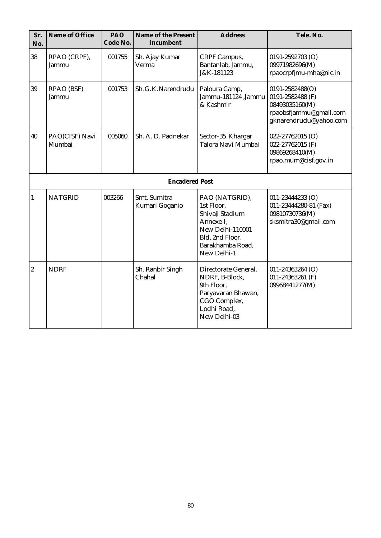| Sr.<br>No.       | Name of Office             | PAO<br>Code No. | Name of the Present<br>Incumbent | <b>Address</b>                                                                                                                         | Tele. No.                                                                                                 |
|------------------|----------------------------|-----------------|----------------------------------|----------------------------------------------------------------------------------------------------------------------------------------|-----------------------------------------------------------------------------------------------------------|
| 38               | RPAO (CRPF),<br>Jammu      | 001755          | Sh. Ajay Kumar<br>Verma          | CRPF Campus,<br>Bantanlab, Jammu,<br>J&K-181123                                                                                        | 0191-2592703 (O)<br>09971982696(M)<br>rpaocrpfjmu-mha@nic.in                                              |
| 39               | <b>RPAO (BSF)</b><br>Jammu | 001753          | Sh. G. K. Narendrudu             | Paloura Camp,<br>Jammu-181124 ,Jammu<br>& Kashmir                                                                                      | 0191-2582488(O)<br>0191-2582488 (F)<br>08493035160(M)<br>rpaobsfjammu@gmail.com<br>gknarendrudu@yahoo.com |
| 40               | PAO(CISF) Navi<br>Mumbai   | 005060          | Sh. A. D. Padnekar               | Sector-35 Khargar<br>Talora Navi Mumbai                                                                                                | 022-27762015 (O)<br>022-27762015 (F)<br>09869268410(M)<br>rpao.mum@cisf.gov.in                            |
|                  |                            |                 | <b>Encadered Post</b>            |                                                                                                                                        |                                                                                                           |
| $\mathbf{1}$     | <b>NATGRID</b>             | 003266          | Smt. Sumitra<br>Kumari Goganio   | PAO (NATGRID),<br>1st Floor,<br>Shivaji Stadium<br>Annexe-I.<br>New Delhi-110001<br>Bld, 2nd Floor,<br>Barakhamba Road,<br>New Delhi-1 | $011 - 23444233$ (O)<br>011-23444280-81 (Fax)<br>09810730736(M)<br>sksmitra30@gmail.com                   |
| $\boldsymbol{2}$ | <b>NDRF</b>                |                 | Sh. Ranbir Singh<br>Chahal       | Directorate General,<br>NDRF, B-Block,<br>9th Floor,<br>Paryavaran Bhawan,<br>CGO Complex,<br>Lodhi Road,<br>New Delhi-03              | $011 - 24363264$ (O)<br>011-24363261 (F)<br>09968441277(M)                                                |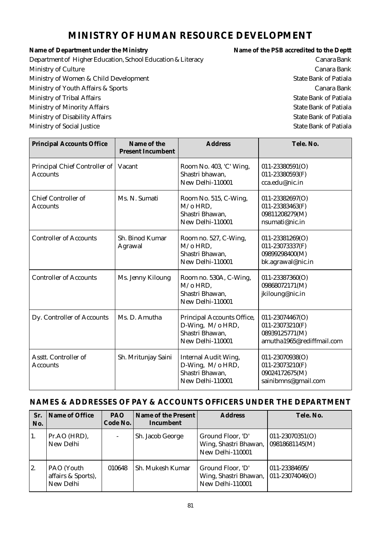# **MINISTRY OF HUMAN RESOURCE DEVELOPMENT**

Name of Department under the Ministry **Name of the PSB** accredited to the Deptt Department of Higher Education, School Education & Literacy Canara Bank Ministry of Culture Canara Bank Ministry of Women & Child Development State Bank of Patiala Ministry of Youth Affairs & Sports Canara Bank Ministry of Tribal Affairs **State Bank of Patiala** Ministry of Minority Affairs **State Bank of Patiala** Ministry of Disability Affairs **State Bank of Patiala** Ministry of Social Justice State Bank of Patiala

| <b>Principal Accounts Office</b>                 | Name of the<br><b>Present Incumbent</b> | <b>Address</b>                                                                         | Tele. No.                                                                         |
|--------------------------------------------------|-----------------------------------------|----------------------------------------------------------------------------------------|-----------------------------------------------------------------------------------|
| Principal Chief Controller of<br><b>Accounts</b> | Vacant                                  | Room No. 403, 'C' Wing,<br>Shastri bhawan.<br>New Delhi-110001                         | $011 - 23380591(O)$<br>011-23380593(F)<br>cca.edu@nic.in                          |
| <b>Chief Controller of</b><br>Accounts           | Ms. N. Sumati                           | Room No. 515, C-Wing,<br>$M$ /o HRD.<br>Shastri Bhawan,<br>New Delhi-110001            | 011-23382697(O)<br>011-23383463(F)<br>09811208279(M)<br>nsumati@nic.in            |
| <b>Controller of Accounts</b>                    | Sh. Binod Kumar<br>Agrawal              | Room no. 527, C-Wing,<br>$M$ /o HRD.<br>Shastri Bhawan,<br>New Delhi-110001            | $011 - 23381269(O)$<br>011-23073337(F)<br>09899298400(M)<br>bk.agrawal@nic.in     |
| <b>Controller of Accounts</b>                    | Ms. Jenny Kiloung                       | Room no. 530A, C-Wing,<br>$M$ /o HRD.<br>Shastri Bhawan,<br>New Delhi-110001           | $011 - 23387360(O)$<br>09868072171(M)<br>jkiloung@nic.in                          |
| Dy. Controller of Accounts                       | Ms. D. Amutha                           | Principal Accounts Office,<br>D-Wing, M/o HRD,<br>Shastri Bhawan,<br>New Delhi-110001  | 011-23074467(O)<br>011-23073210(F)<br>08939125771(M)<br>amutha1965@rediffmail.com |
| Asstt. Controller of<br><b>Accounts</b>          | Sh. Mritunjay Saini                     | <b>Internal Audit Wing,</b><br>D-Wing, M/o HRD,<br>Shastri Bhawan,<br>New Delhi-110001 | 011-23070938(O)<br>011-23073210(F)<br>09024172675(M)<br>sainibmns@gmail.com       |

| Sr.<br>No. | Name of Office                                | <b>PAO</b><br>Code No.   | Name of the Present<br>Incumbent | <b>Address</b>                                                 | Tele. No.                              |
|------------|-----------------------------------------------|--------------------------|----------------------------------|----------------------------------------------------------------|----------------------------------------|
| 1.         | Pr.AO (HRD),<br>New Delhi                     | $\overline{\phantom{a}}$ | Sh. Jacob George                 | Ground Floor, 'D'<br>Wing, Shastri Bhawan,<br>New Delhi-110001 | $011 - 23070351(0)$<br> 09818681145(M) |
| 2.         | PAO (Youth<br>affairs & Sports),<br>New Delhi | 010648                   | Sh. Mukesh Kumar                 | Ground Floor, 'D'<br>Wing, Shastri Bhawan,<br>New Delhi-110001 | 011-23384695/<br>$ 011 - 23074046(0) $ |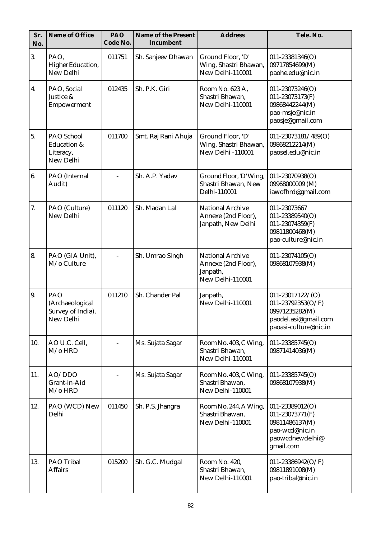| Sr.<br>No. | Name of Office                                                 | PAO<br>Code No. | Name of the Present<br>Incumbent | <b>Address</b>                                                                 | Tele. No.                                                                                                      |
|------------|----------------------------------------------------------------|-----------------|----------------------------------|--------------------------------------------------------------------------------|----------------------------------------------------------------------------------------------------------------|
| 3.         | PAO,<br>Higher Education,<br>New Delhi                         | 011751          | Sh. Sanjeev Dhawan               | Ground Floor, 'D'<br>Wing, Shastri Bhawan,<br>New Delhi-110001                 | 011-23381346(O)<br>09717854699(M)<br>paohe.edu@nic.in                                                          |
| 4.         | PAO, Social<br>Justice &<br>Empowerment                        | 012435          | Sh. P.K. Giri                    | Room No. 623 A,<br>Shastri Bhawan,<br>New Delhi-110001                         | $011 - 23073246(O)$<br>011-23073173(F)<br>09868442244(M)<br>pao-msje@nic.in<br>paosje@gmail.com                |
| 5.         | PAO School<br><b>Education &amp;</b><br>Literacy,<br>New Delhi | 011700          | Smt. Raj Rani Ahuja              | Ground Floor, 'D'<br>Wing, Shastri Bhawan,<br><b>New Delhi-110001</b>          | 011-23073181/489(O)<br>09868212214(M)<br>paosel.edu@nic.in                                                     |
| 6.         | PAO (Internal<br>Audit)                                        |                 | Sh. A.P. Yadav                   | Ground Floor, 'D' Wing,<br>Shastri Bhawan, New<br>Delhi-110001                 | 011-23070938(O)<br>09968000009 (M)<br>iawofhrd@gmail.com                                                       |
| 7.         | PAO (Culture)<br>New Delhi                                     | 011120          | Sh. Madan Lal                    | <b>National Archive</b><br>Annexe (2nd Floor),<br>Janpath, New Delhi           | 011-23073667<br>$011 - 23389540(O)$<br>011-23074359(F)<br>09811800468(M)<br>pao-culture@nic.in                 |
| 8.         | PAO (GIA Unit),<br>M/o Culture                                 |                 | Sh. Umrao Singh                  | <b>National Archive</b><br>Annexe (2nd Floor),<br>Janpath,<br>New Delhi-110001 | 011-23074105(O)<br>09868107938(M)                                                                              |
| 9.         | PAO<br>(Archaeological<br>Survey of India),<br>New Delhi       | 011210          | Sh. Chander Pal                  | Janpath,<br>New Delhi-110001                                                   | $011 - 23017122 / (O)$<br>011-23792353(O/F)<br>09971235282(M)<br>paodel.asi@gmail.com<br>paoasi-culture@nic.in |
| 10.        | AO U.C. Cell,<br>$M$ /0 HRD                                    |                 | Ms. Sujata Sagar                 | Room No. 403, C Wing,<br>Shastri Bhawan,<br>New Delhi-110001                   | 011-23385745(O)<br>09871414036(M)                                                                              |
| 11.        | AO/DDO<br>Grant-in-Aid<br>$M$ /o $HRD$                         |                 | Ms. Sujata Sagar                 | Room No. 403, C Wing,<br>Shastri Bhawan,<br>New Delhi-110001                   | $011 - 23385745(O)$<br>09868107938(M)                                                                          |
| 12.        | PAO (WCD) New<br>Delhi                                         | 011450          | Sh. P.S. Jhangra                 | Room No. 244, A Wing,<br>Shastri Bhawan,<br>New Delhi-110001                   | 011-23389012(O)<br>011-23073771(F)<br>09811486137(M)<br>pao-wcd@nic.in<br>paowcdnewdelhi@<br>gmail.com         |
| 13.        | PAO Tribal<br><b>Affairs</b>                                   | 015200          | Sh. G.C. Mudgal                  | Room No. 420,<br>Shastri Bhawan,<br>New Delhi-110001                           | 011-23386942( $O/F$ )<br>09811891008(M)<br>pao-tribal@nic.in                                                   |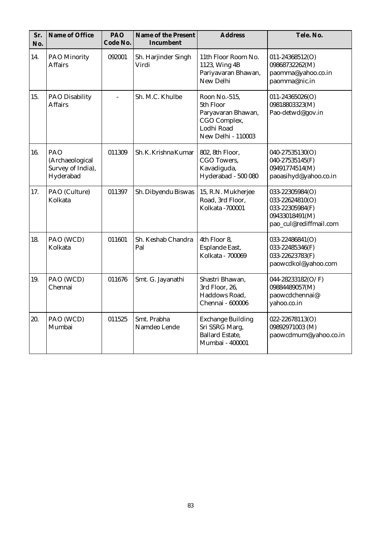| Sr.<br>No. | Name of Office                                           | PAO<br>Code No. | Name of the Present<br>Incumbent | <b>Address</b>                                                                                       | Tele. No.                                                                                         |
|------------|----------------------------------------------------------|-----------------|----------------------------------|------------------------------------------------------------------------------------------------------|---------------------------------------------------------------------------------------------------|
| 14.        | <b>PAO Minority</b><br><b>Affairs</b>                    | 092001          | Sh. Harjinder Singh<br>Virdi     | 11th Floor Room No.<br>1123, Wing 4B<br>Pariyavaran Bhawan,<br>New Delhi                             | 011-24368512(O)<br>09868732262(M)<br>paomma@yahoo.co.in<br>paomma@nic.in                          |
| 15.        | <b>PAO Disability</b><br><b>Affairs</b>                  | $\overline{a}$  | Sh. M.C. Khulbe                  | Roon No.-515,<br>5th Floor<br>Paryavaran Bhawan,<br>CGO Complex,<br>Lodhi Road<br>New Delhi - 110003 | 011-24365026(O)<br>09818803323(M)<br>Pao-detwd@gov.in                                             |
| 16.        | PAO<br>(Archaeological<br>Survey of India),<br>Hyderabad | 011309          | Sh. K. Krishna Kumar             | 802, 8th Floor,<br>CGO Towers.<br>Kavadiguda,<br>Hyderabad - 500 080                                 | 040-27535130(O)<br>040-27535145(F)<br>09491774514(M)<br>paoasihyd@yahoo.co.in                     |
| 17.        | PAO (Culture)<br>Kolkata                                 | 011397          | Sh. Dibyendu Biswas              | 15, R.N. Mukherjee<br>Road, 3rd Floor,<br>Kolkata - 700001                                           | 033-22305984(O)<br>033-22624810(O)<br>033-22305984(F)<br>09433018491(M)<br>pao_cul@rediffmail.com |
| 18.        | PAO (WCD)<br>Kolkata                                     | 011601          | Sh. Keshab Chandra<br>Pal        | 4th Floor 8,<br>Esplande East,<br>Kolkata - 700069                                                   | 033-22486841(O)<br>033-22485346(F)<br>033-22623783(F)<br>paowcdkol@yahoo.com                      |
| 19.        | PAO (WCD)<br>Chennai                                     | 011676          | Smt. G. Jayanathi                | Shastri Bhawan,<br>3rd Floor, 26,<br>Haddows Road,<br>Chennai - 600006                               | 044-28233182(O/F)<br>09884489057(M)<br>paowcdchennai@<br>yahoo.co.in                              |
| 20.        | PAO (WCD)<br>Mumbai                                      | 011525          | Smt. Prabha<br>Namdeo Lende      | <b>Exchange Building</b><br>Sri SSRG Marg,<br><b>Ballard Estate,</b><br>Mumbai - 400001              | 022-22678113(O)<br>09892971003 (M)<br>paowcdmum@yahoo.co.in                                       |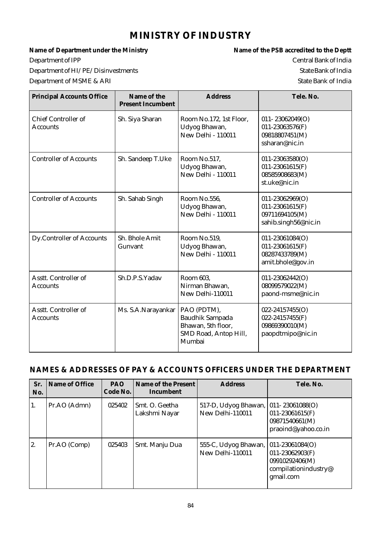# **MINISTRY OF INDUSTRY**

Department of IPP Central Bank of India Department of HI/PE/Disinvestments State Bank of India

Name of Department under the Ministry **Name of the PSB** accredited to the Deptt Department of MSME & ARI State Bank of India

| <b>Principal Accounts Office</b>              | Name of the<br><b>Present Incumbent</b> | <b>Address</b>                                                                                 | Tele. No.                                                                             |
|-----------------------------------------------|-----------------------------------------|------------------------------------------------------------------------------------------------|---------------------------------------------------------------------------------------|
| <b>Chief Controller of</b><br><b>Accounts</b> | Sh. Siya Sharan                         | Room No.172, 1st Floor,<br>Udyog Bhawan,<br><b>New Delhi - 110011</b>                          | 011-23062049(O)<br>011-23063576(F)<br>09818807451(M)<br>ssharan@nic.in                |
| <b>Controller of Accounts</b>                 | Sh. Sandeep T.Uke                       | Room No.517,<br>Udyog Bhawan,<br><b>New Delhi - 110011</b>                                     | $011 - 23063580(O)$<br>$011 - 23061615(F)$<br>08585908683(M)<br>st.uke@nic.in         |
| <b>Controller of Accounts</b>                 | Sh. Sahab Singh                         | Room No.556,<br>Udyog Bhawan,<br><b>New Delhi - 110011</b>                                     | $011 - 23062969(O)$<br>$011 - 23061615$ (F)<br>09711694105(M)<br>sahib.singh56@nic.in |
| <b>Dy.Controller of Accounts</b>              | Sh. Bhole Amit<br>Gunvant               | Room No.519,<br>Udyog Bhawan,<br>New Delhi - 110011                                            | 011-23061084(O)<br>$011 - 23061615$ (F)<br>08287433789(M)<br>amit.bhole@gov.in        |
| Asstt. Controller of<br><b>Accounts</b>       | Sh.D.P.S.Yadav                          | Room 603,<br>Nirman Bhawan,<br>New Delhi-110011                                                | 011-23062442(O)<br>08099579022(M)<br>paond-msme@nic.in                                |
| Asstt. Controller of<br><b>Accounts</b>       | Ms. S.A.Narayankar                      | PAO (PDTM),<br><b>Baudhik Sampada</b><br>Bhawan, 5th floor,<br>SMD Road, Antop Hill,<br>Mumbai | 022-24157455(O)<br>022-24157455(F)<br>09869390010(M)<br>paopdtmipo@nic.in             |

| Sr.<br>No.    | Name of Office | <b>PAO</b><br>Code No. | Name of the Present<br>Incumbent | <b>Address</b>                           | Tele. No.                                                                                         |
|---------------|----------------|------------------------|----------------------------------|------------------------------------------|---------------------------------------------------------------------------------------------------|
| 1.            | Pr.AO (Admn)   | 025402                 | Smt. O. Geetha<br>Lakshmi Nayar  | 517-D, Udyog Bhawan,<br>New Delhi-110011 | $ 011 - 23061088(O) $<br>$011 - 23061615$ (F)<br>09871540661(M)<br>praoind@yahoo.co.in            |
| <sup>2.</sup> | Pr.AO (Comp)   | 025403                 | Smt. Manju Dua                   | 555-C, Udyog Bhawan,<br>New Delhi-110011 | $ 011-23061084(O) $<br>$011 - 23062903(F)$<br>09910292406(M)<br>compilationindustry@<br>gmail.com |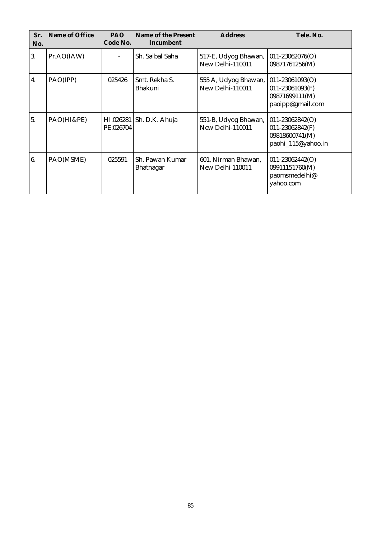| Sr.<br>No. | Name of Office | PAO.<br>Code No.       | Name of the Present<br>Incumbent | <b>Address</b>                           | Tele. No.                                                                      |
|------------|----------------|------------------------|----------------------------------|------------------------------------------|--------------------------------------------------------------------------------|
| 3.         | Pr.AO(IAW)     |                        | Sh. Saibal Saha                  | 517-E, Udyog Bhawan,<br>New Delhi-110011 | $011 - 23062076(O)$<br>09871761256(M)                                          |
| 4.         | PAO(IPP)       | 025426                 | Smt. Rekha S.<br>Bhakuni         | 555 A, Udyog Bhawan,<br>New Delhi-110011 | 011-23061093(O)<br>011-23061093(F)<br>09871699111(M)<br>paoipp@gmail.com       |
| 5.         | PAO(HI&PE)     | HI:026281<br>PE:026704 | Sh. D.K. Ahuja                   | 551-B, Udyog Bhawan,<br>New Delhi-110011 | $011 - 23062842(O)$<br>011-23062842(F)<br>09818600741(M)<br>paohi_115@yahoo.in |
| 6.         | PAO(MSME)      | 025591                 | Sh. Pawan Kumar<br>Bhatnagar     | 601, Nirman Bhawan,<br>New Delhi 110011  | $011 - 23062442(O)$<br>09911151760(M)<br>paomsmedelhi@<br>yahoo.com            |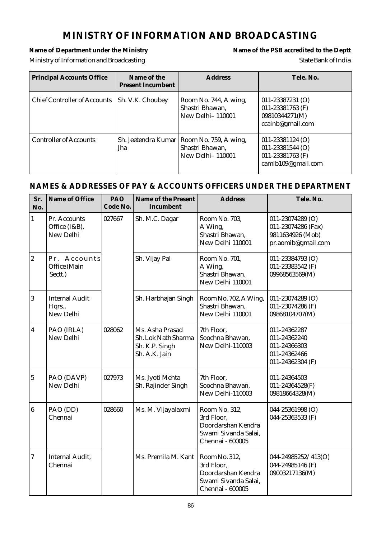# **MINISTRY OF INFORMATION AND BROADCASTING**

### Name of Department under the Ministry **Name of the PSB** accredited to the Deptt Ministry of Information and Broadcasting State Bank of India

| <b>Principal Accounts Office</b> | Name of the<br><b>Present Incumbent</b> | <b>Address</b>                                                                            | Tele. No.                                                                              |
|----------------------------------|-----------------------------------------|-------------------------------------------------------------------------------------------|----------------------------------------------------------------------------------------|
| Chief Controller of Accounts     | Sh. V.K. Choubey                        | Room No. 744, A wing,<br>Shastri Bhawan,<br><b>New Delhi-110001</b>                       | $011 - 23387231$ (O)<br>011-23381763 (F)<br>09810344271(M)<br>ccainb@gmail.com         |
| <b>Controller of Accounts</b>    | Jha                                     | Sh. Jeetendra Kumar   Room No. 759, A wing,<br>Shastri Bhawan,<br><b>New Delhi-110001</b> | $011 - 23381124$ (O)<br>$011 - 23381544$ (O)<br>011-23381763 (F)<br>camib109@gmail.com |

| Sr.<br>No.     | Name of Office                               | PAO<br>Code No. | Name of the Present<br>Incumbent                                          | <b>Address</b>                                                                                | Tele. No.                                                                        |
|----------------|----------------------------------------------|-----------------|---------------------------------------------------------------------------|-----------------------------------------------------------------------------------------------|----------------------------------------------------------------------------------|
| $\mathbf{1}$   | Pr. Accounts<br>Office (I&B),<br>New Delhi   | 027667          | Sh. M.C. Dagar                                                            | Room No. 703.<br>A Wing,<br>Shastri Bhawan,<br>New Delhi 110001                               | 011-23074289 (O)<br>011-23074286 (Fax)<br>9811634926 (Mob)<br>pr.aomib@gmail.com |
| $ 2\rangle$    | Pr. Accounts<br>Office (Main<br>Sectt.)      |                 | Sh. Vijay Pal                                                             | Room No. 701,<br>A Wing,<br>Shastri Bhawan,<br>New Delhi 110001                               | 011-23384793 (O)<br>011-23383542 (F)<br>09968563569(M)                           |
| 3              | <b>Internal Audit</b><br>Hqrs.,<br>New Delhi |                 | Sh. Harbhajan Singh                                                       | Room No. 702, A Wing,<br>Shastri Bhawan,<br>New Delhi 110001                                  | 011-23074289 (O)<br>011-23074286 (F)<br>09868104707(M)                           |
| $\overline{4}$ | PAO (IRLA)<br>New Delhi                      | 028062          | Ms. Asha Prasad<br>Sh. Lok Nath Sharma<br>Sh. K.P. Singh<br>Sh. A.K. Jain | 7th Floor,<br>Soochna Bhawan,<br>New Delhi-110003                                             | 011-24362287<br>011-24362240<br>011-24366303<br>011-24362466<br>011-24362304 (F) |
| $\overline{5}$ | PAO (DAVP)<br>New Delhi                      | 027973          | Ms. Jyoti Mehta<br>Sh. Rajinder Singh                                     | 7th Floor,<br>Soochna Bhawan,<br>New Delhi-110003                                             | 011-24364503<br>011-24364528(F)<br>09818664328(M)                                |
| 6              | PAO (DD)<br>Chennai                          | 028660          | Ms. M. Vijayalaxmi                                                        | Room No. 312,<br>3rd Floor,<br>Doordarshan Kendra<br>Swami Sivanda Salai,<br>Chennai - 600005 | 044-25361998 (O)<br>044-25363533 (F)                                             |
| 7              | <b>Internal Audit,</b><br>Chennai            |                 | Ms. Premila M. Kant                                                       | Room No. 312,<br>3rd Floor,<br>Doordarshan Kendra<br>Swami Sivanda Salai,<br>Chennai - 600005 | 044-24985252/413(O)<br>044-24985146 (F)<br>09003217136(M)                        |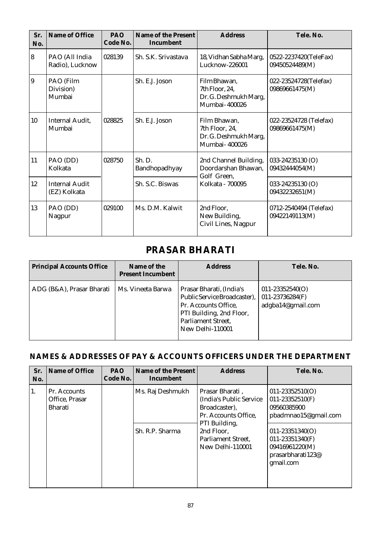| Sr.<br>No. | Name of Office                        | <b>PAO</b><br>Code No. | Name of the Present<br>Incumbent | <b>Address</b>                                                           | Tele. No.                                |
|------------|---------------------------------------|------------------------|----------------------------------|--------------------------------------------------------------------------|------------------------------------------|
| 8          | PAO (All India<br>Radio), Lucknow     | 028139                 | Sh. S.K. Srivastava              | 18, Vidhan Sabha Marg,<br>Lucknow-226001                                 | 0522-2237420(TeleFax)<br>09450524489(M)  |
| 9          | PAO (Film<br>Division)<br>Mumbai      |                        | Sh. E.J. Joson                   | Film Bhawan,<br>7th Floor, 24,<br>Dr. G. Deshmukh Marg,<br>Mumbai-400026 | 022-23524728(Telefax)<br>09869661475(M)  |
| 10         | <b>Internal Audit,</b><br>Mumbai      | 028825                 | Sh. E.J. Joson                   | Film Bhawan,<br>7th Floor, 24,<br>Dr. G. Deshmukh Marg,<br>Mumbai-400026 | 022-23524728 (Telefax)<br>09869661475(M) |
| 11         | PAO (DD)<br>Kolkata                   | 028750                 | Sh. D.<br>Bandhopadhyay          | 2nd Channel Building,<br>Doordarshan Bhawan,<br>Golf Green,              | 033-24235130 (O)<br>09432444054(M)       |
| 12         | <b>Internal Audit</b><br>(EZ) Kolkata |                        | Sh. S.C. Biswas                  | Kolkata - 700095                                                         | 033-24235130 (O)<br>09432232651(M)       |
| 13         | PAO (DD)<br>Nagpur                    | 029100                 | Ms. D.M. Kalwit                  | 2nd Floor,<br>New Building,<br>Civil Lines, Nagpur                       | 0712-2540494 (Telefax)<br>09422149113(M) |

# **PRASAR BHARATI**

| <b>Principal Accounts Office</b> | Name of the<br><b>Present Incumbent</b> | <b>Address</b>                                                                                                                                         | Tele, No.                                                   |
|----------------------------------|-----------------------------------------|--------------------------------------------------------------------------------------------------------------------------------------------------------|-------------------------------------------------------------|
| ADG (B&A), Prasar Bharati        | Ms. Vineeta Barwa                       | Prasar Bharati, (India's<br>Public Service Broadcaster),<br>Pr. Accounts Office,<br>PTI Building, 2nd Floor,<br>Parliament Street,<br>New Delhi-110001 | $011 - 23352540(O)$<br>011-23736284(F)<br>adgba14@gmail.com |

| Sr.<br>No. | Name of Office                                   | <b>PAO</b><br>Code No. | Name of the Present<br>Incumbent    | <b>Address</b>                                                                                                                                                | Tele. No.                                                                                                                                                                       |
|------------|--------------------------------------------------|------------------------|-------------------------------------|---------------------------------------------------------------------------------------------------------------------------------------------------------------|---------------------------------------------------------------------------------------------------------------------------------------------------------------------------------|
| 1.         | Pr. Accounts<br>Office, Prasar<br><b>Bharati</b> |                        | Ms. Raj Deshmukh<br>Sh. R.P. Sharma | Prasar Bharati,<br>(India's Public Service)<br>Broadcaster),<br>Pr. Accounts Office.<br>PTI Building,<br>2nd Floor,<br>Parliament Street.<br>New Delhi-110001 | $011 - 23352510(O)$<br>$011 - 23352510(F)$<br>09560385900<br>pbadmnao15@gmail.com<br>$011 - 23351340(O)$<br>011-23351340(F)<br>09416961220(M)<br>prasarbharati123@<br>gmail.com |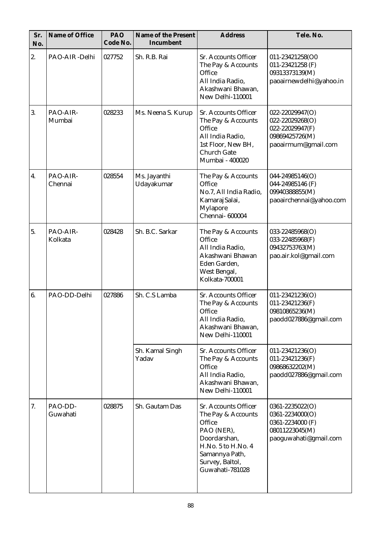| Sr.<br>No. | Name of Office      | PAO<br>Code No. | Name of the Present<br>Incumbent | <b>Address</b>                                                                                                                                                   | Tele. No.                                                                                             |
|------------|---------------------|-----------------|----------------------------------|------------------------------------------------------------------------------------------------------------------------------------------------------------------|-------------------------------------------------------------------------------------------------------|
| 2.         | PAO-AIR-Delhi       | 027752          | Sh. R.B. Rai                     | Sr. Accounts Officer<br>The Pay & Accounts<br>Office<br>All India Radio,<br>Akashwani Bhawan,<br>New Delhi-110001                                                | 011-23421258(O0<br>011-23421258 (F)<br>09313373139(M)<br>paoairnewdelhi@yahoo.in                      |
| 3.         | PAO-AIR-<br>Mumbai  | 028233          | Ms. Neena S. Kurup               | Sr. Accounts Officer<br>The Pay & Accounts<br>Office<br>All India Radio,<br>1st Floor, New BH,<br><b>Church Gate</b><br>Mumbai - 400020                          | 022-22029947(O)<br>$022 - 22029268(O)$<br>022-22029947(F)<br>09869425726(M)<br>paoairmum@gmail.com    |
| 4.         | PAO-AIR-<br>Chennai | 028554          | Ms. Jayanthi<br>Udayakumar       | The Pay & Accounts<br>Office<br>No.7, All India Radio,<br>Kamaraj Salai,<br>Mylapore<br>Chennai- 600004                                                          | 044-24985146(O)<br>044-24985146 (F)<br>09940388855(M)<br>paoairchennai@yahoo.com                      |
| 5.         | PAO-AIR-<br>Kolkata | 028428          | Sh. B.C. Sarkar                  | The Pay & Accounts<br>Office<br>All India Radio,<br>Akashwani Bhawan<br>Eden Garden,<br>West Bengal,<br>Kolkata-700001                                           | 033-22485968(O)<br>033-22485968(F)<br>09432753763(M)<br>pao.air.kol@gmail.com                         |
| 6.         | PAO-DD-Delhi        | 027886          | Sh. C.S Lamba                    | Sr. Accounts Officer<br>The Pay & Accounts<br>Office<br>All India Radio,<br>Akashwani Bhawan,<br>New Delhi-110001                                                | 011-23421236(O)<br>011-23421236(F)<br>09810865236(M)<br>paodd027886@gmail.com                         |
|            |                     |                 | Sh. Kamal Singh<br>Yadav         | Sr. Accounts Officer<br>The Pay & Accounts<br>Office<br>All India Radio,<br>Akashwani Bhawan,<br>New Delhi-110001                                                | $011 - 23421236(O)$<br>011-23421236(F)<br>09868632202(M)<br>paodd027886@gmail.com                     |
| 7.         | PAO-DD-<br>Guwahati | 028875          | Sh. Gautam Das                   | Sr. Accounts Officer<br>The Pay & Accounts<br>Office<br>PAO (NER),<br>Doordarshan,<br>H.No. 5 to H.No. 4<br>Samannya Path,<br>Survey, Baltol,<br>Guwahati-781028 | 0361-2235022(O)<br>$0361 - 2234000(O)$<br>0361-2234000 (F)<br>08011223045(M)<br>paoguwahati@gmail.com |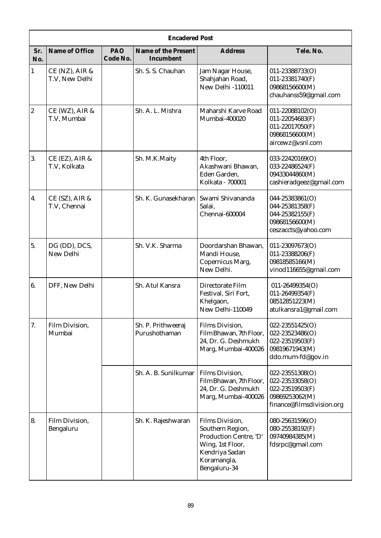|                | <b>Encadered Post</b>            |                 |                                     |                                                                                                                                    |                                                                                                      |  |  |
|----------------|----------------------------------|-----------------|-------------------------------------|------------------------------------------------------------------------------------------------------------------------------------|------------------------------------------------------------------------------------------------------|--|--|
| Sr.<br>No.     | Name of Office                   | PAO<br>Code No. | Name of the Present<br>Incumbent    | <b>Address</b>                                                                                                                     | Tele. No.                                                                                            |  |  |
| $\mathbf{1}$   | CE (NZ), AIR &<br>T.V, New Delhi |                 | Sh. S. S. Chauhan                   | Jam Nagar House,<br>Shahjahan Road,<br>New Delhi -110011                                                                           | 011-23388733(O)<br>011-23381740(F)<br>09868156600(M)<br>chauhanss59@gmail.com                        |  |  |
| $\overline{2}$ | CE (WZ), AIR &<br>T.V, Mumbai    |                 | Sh. A. L. Mishra                    | Maharshi Karve Road<br>Mumbai-400020                                                                                               | $011 - 22088102(O)$<br>011-22054683(F)<br>011-22017050(F)<br>09868156600(M)<br>aircewz@vsnl.com      |  |  |
| 3.             | CE (EZ), AIR &<br>T.V, Kolkata   |                 | Sh. M.K.Maity                       | 4th Floor,<br>Akashwani Bhawan,<br>Eden Garden,<br>Kolkata - 700001                                                                | 033-22420169(O)<br>033-22486524(F)<br>09433044860(M)<br>cashieradgeez@gmail.com                      |  |  |
| 4.             | CE (SZ), AIR &<br>T.V, Chennai   |                 | Sh. K. Gunasekharan                 | Swami Shivananda<br>Salai,<br>Chennai-600004                                                                                       | 044-25383861(O)<br>044-25381358(F)<br>044-25382155(F)<br>09868156600(M)<br>ceszaccts@yahoo.com       |  |  |
| 5.             | DG (DD), DCS,<br>New Delhi       |                 | Sh. V.K. Sharma                     | Doordarshan Bhawan.<br>Mandi House,<br>Copernicus Marg,<br>New Delhi.                                                              | 011-23097673(O)<br>011-23388206(F)<br>09818585166(M)<br>vinod116655@gmail.com                        |  |  |
| 6.             | DFF, New Delhi                   |                 | Sh. Atul Kansra                     | Directorate Film<br>Festival, Siri Fort,<br>Khelgaon,<br>New Delhi-110049                                                          | 011-26499354(O)<br>011-26499354(F)<br>08512851223(M)<br>atulkansra1@gmail.com                        |  |  |
| 7.             | Film Division,<br>Mumbai         |                 | Sh. P. Prithweeraj<br>Purushothaman | <b>Films Division,</b><br>Film Bhawan, 7th Floor,<br>24, Dr. G. Deshmukh<br>Marg, Mumbai-400026                                    | 022-23551425(O)<br>022-23523486(O)<br>022-23519503(F)<br>09819671943(M)<br>ddo.mum-fd@gov.in         |  |  |
|                |                                  |                 | Sh. A. B. Sunilkumar                | <b>Films Division,</b><br>Film Bhawan, 7th Floor,<br>24, Dr. G. Deshmukh<br>Marg, Mumbai-400026                                    | 022-23551308(O)<br>022-23533058(O)<br>022-23519503(F)<br>09869253062(M)<br>finance@filmsdivision.org |  |  |
| 8.             | Film Division,<br>Bengaluru      |                 | Sh. K. Rajeshwaran                  | Films Division,<br>Southern Region,<br>Production Centre, 'D'<br>Wing, 1st Floor,<br>Kendriya Sadan<br>Koramangla,<br>Bengaluru-34 | 080-25631596(O)<br>080-25538192(F)<br>09740984385(M)<br>fdsrpc@gmail.com                             |  |  |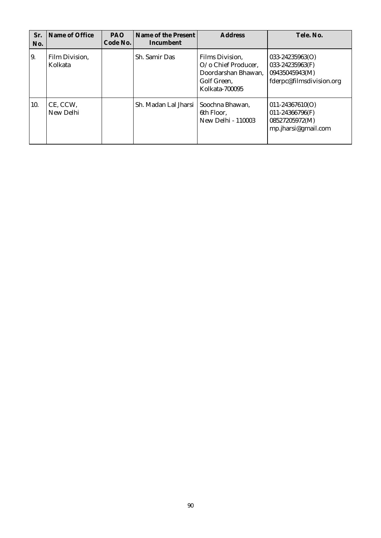| Sr.<br>No. | Name of Office            | <b>PAO</b><br>Code No. | Name of the Present<br>Incumbent       | <b>Address</b>                                                                                           | Tele. No.                                                                            |
|------------|---------------------------|------------------------|----------------------------------------|----------------------------------------------------------------------------------------------------------|--------------------------------------------------------------------------------------|
| 19.        | Film Division,<br>Kolkata |                        | Sh. Samir Das                          | <b>Films Division.</b><br>$O$ /o Chief Producer.<br>Doordarshan Bhawan,<br>Golf Green,<br>Kolkata-700095 | $033 - 24235963(O)$<br>033-24235963(F)<br>09435045943(M)<br>fderpc@filmsdivision.org |
| 10.        | CE, CCW,<br>New Delhi     |                        | Sh. Madan Lal Jharsi   Soochna Bhawan, | 6th Floor,<br>New Delhi - 110003                                                                         | $011 - 24367610(O)$<br>011-24366796(F)<br>08527205972(M)<br>mp.jharsi@gmail.com      |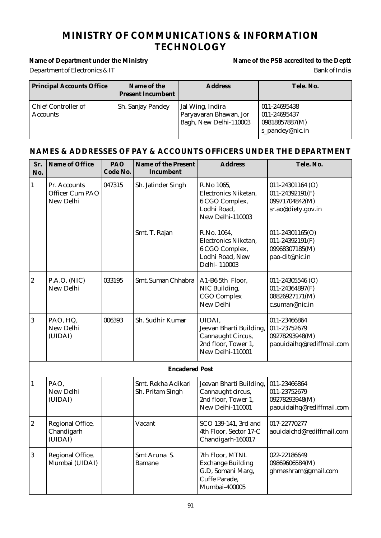# **MINISTRY OF COMMUNICATIONS & INFORMATION TECHNOLOGY**

# Name of Department under the Ministry **Name of the PSB** accredited to the Deptt

# Department of Electronics & IT Bank of India

| <b>Principal Accounts Office</b>              | Name of the<br><b>Present Incumbent</b> | <b>Address</b>                                                       | Tele. No.                                                         |
|-----------------------------------------------|-----------------------------------------|----------------------------------------------------------------------|-------------------------------------------------------------------|
| <b>Chief Controller of</b><br><b>Accounts</b> | Sh. Sanjay Pandey                       | Jal Wing, Indira<br>Paryavaran Bhawan, Jor<br>Bagh, New Delhi-110003 | 011-24695438<br>011-24695437<br>09818857887(M)<br>s_pandey@nic.in |

| Sr.<br>No.       | Name of Office                               | PAO<br>Code No. | Name of the Present<br>Incumbent       | <b>Address</b>                                                                                     | Tele. No.                                                                       |
|------------------|----------------------------------------------|-----------------|----------------------------------------|----------------------------------------------------------------------------------------------------|---------------------------------------------------------------------------------|
| $\mathbf{1}$     | Pr. Accounts<br>Officer Cum PAO<br>New Delhi | 047315          | Sh. Jatinder Singh                     | R.No 1065,<br>Electronics Niketan,<br>6 CGO Complex,<br>Lodhi Road,<br>New Delhi-110003            | 011-24301164 (O)<br>$011 - 24392191(F)$<br>09971704842(M)<br>sr.ao@diety.gov.in |
|                  |                                              |                 | Smt. T. Rajan                          | R.No. 1064,<br>Electronics Niketan,<br>6 CGO Complex,<br>Lodhi Road, New<br>Delhi-110003           | 011-24301165(O)<br>$011 - 24392191(F)$<br>09968307185(M)<br>pao-dit@nic.in      |
| $ 2\rangle$      | P.A.O. (NIC)<br>New Delhi                    | 033195          | Smt. Suman Chhabra                     | A1-B6 5th Floor,<br>NIC Building,<br><b>CGO</b> Complex<br>New Delhi                               | $011 - 24305546$ (O)<br>011-24364897(F)<br>08826927171(M)<br>c.suman@nic.in     |
| 3                | PAO, HQ,<br>New Delhi<br>(UIDAI)             | 006393          | Sh. Sudhir Kumar                       | UIDAI,<br>Jeevan Bharti Building,<br>Cannaught Circus,<br>2nd floor, Tower 1,<br>New Delhi-110001  | 011-23466864<br>011-23752679<br>09278293948(M)<br>paouidaihq@rediffmail.com     |
|                  |                                              |                 | <b>Encadered Post</b>                  |                                                                                                    |                                                                                 |
| $\mathbf{1}$     | PAO,<br>New Delhi<br>(UIDAI)                 |                 | Smt. Rekha Adikari<br>Sh. Pritam Singh | Jeevan Bharti Building,<br>Cannaught circus,<br>2nd floor, Tower 1,<br>New Delhi-110001            | 011-23466864<br>011-23752679<br>09278293948(M)<br>paouidaihq@rediffmail.com     |
| $\boldsymbol{2}$ | Regional Office,<br>Chandigarh<br>(UIDAI)    |                 | Vacant                                 | SCO 139-141, 3rd and<br>4th Floor, Sector 17-C<br>Chandigarh-160017                                | 017-22770277<br>aouidaichd@rediffmail.com                                       |
| $\vert 3 \vert$  | Regional Office,<br>Mumbai (UIDAI)           |                 | Smt Aruna S.<br><b>Bamane</b>          | 7th Floor, MTNL<br><b>Exchange Building</b><br>G.D, Somani Marg,<br>Cuffe Parade,<br>Mumbai-400005 | 022-22186649<br>09869606584(M)<br>ghmeshram@gmail.com                           |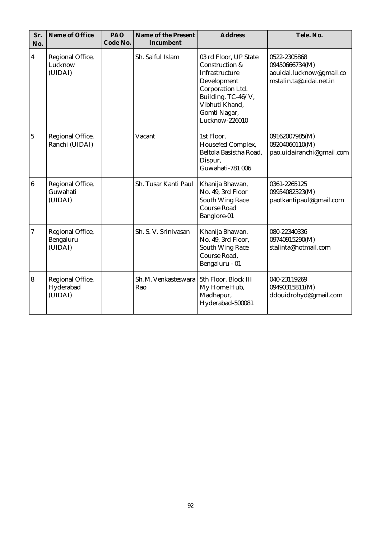| Sr.<br>No.              | Name of Office                           | PAO<br>Code No. | Name of the Present<br>Incumbent | <b>Address</b>                                                                                                                                                         | Tele. No.                                                                             |
|-------------------------|------------------------------------------|-----------------|----------------------------------|------------------------------------------------------------------------------------------------------------------------------------------------------------------------|---------------------------------------------------------------------------------------|
| $\overline{\mathbf{4}}$ | Regional Office,<br>Lucknow<br>(UIDAI)   |                 | Sh. Saiful Islam                 | 03 rd Floor, UP State<br>Construction &<br>Infrastructure<br>Development<br>Corporation Ltd.<br>Building, TC-46/V,<br>Vibhuti Khand,<br>Gomti Nagar,<br>Lucknow-226010 | 0522-2305868<br>09450666734(M)<br>aouidai.lucknow@gmail.co<br>mstalin.ta@uidai.net.in |
| 5                       | Regional Office,<br>Ranchi (UIDAI)       |                 | Vacant                           | 1st Floor,<br>Housefed Complex,<br>Beltola Basistha Road,<br>Dispur,<br>Guwahati-781 006                                                                               | 09162007985(M)<br>09204060110(M)<br>pao.uidairanchi@gmail.com                         |
| $\boldsymbol{6}$        | Regional Office,<br>Guwahati<br>(UIDAI)  |                 | Sh. Tusar Kanti Paul             | Khanija Bhawan,<br>No. 49, 3rd Floor<br><b>South Wing Race</b><br><b>Course Road</b><br>Banglore-01                                                                    | 0361-2265125<br>09954082323(M)<br>paotkantipaul@gmail.com                             |
| 7                       | Regional Office,<br>Bengaluru<br>(UIDAI) |                 | Sh. S. V. Srinivasan             | Khanija Bhawan,<br>No. 49, 3rd Floor,<br><b>South Wing Race</b><br>Course Road,<br>Bengaluru - 01                                                                      | 080-22340336<br>09740915290(M)<br>stalinta@hotmail.com                                |
| $\overline{\mathbf{8}}$ | Regional Office,<br>Hyderabad<br>(UIDAI) |                 | Sh. M. Venkasteswara<br>Rao      | 5th Floor, Block III<br>My Home Hub,<br>Madhapur,<br>Hyderabad-500081                                                                                                  | 040-23119269<br>09490315811(M)<br>ddouidrohyd@gmail.com                               |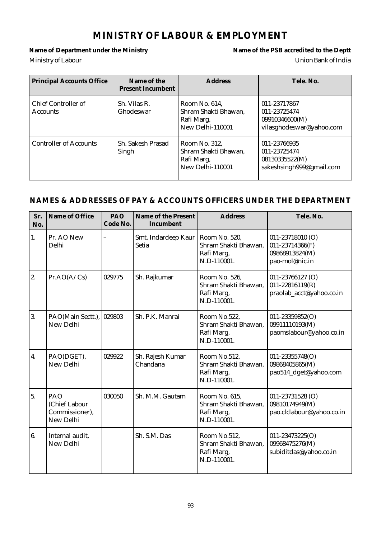# **MINISTRY OF LABOUR & EMPLOYMENT**

Ministry of Labour Union Bank of India

Name of Department under the Ministry **Name of the PSB** accredited to the Deptt

| <b>Principal Accounts Office</b>       | Name of the<br><b>Present Incumbent</b> | <b>Address</b>                                                          | Tele, No.                                                                  |
|----------------------------------------|-----------------------------------------|-------------------------------------------------------------------------|----------------------------------------------------------------------------|
| Chief Controller of<br><b>Accounts</b> | Sh. Vilas R.<br>Ghodeswar               | Room No. 614,<br>Shram Shakti Bhawan,<br>Rafi Marg,<br>New Delhi-110001 | 011-23717867<br>011-23725474<br>09910346600(M)<br>vilasghodeswar@yahoo.com |
| <b>Controller of Accounts</b>          | Sh. Sakesh Prasad<br>Singh              | Room No. 312,<br>Shram Shakti Bhawan,<br>Rafi Marg,<br>New Delhi-110001 | 011-23766935<br>011-23725474<br>08130335522(M)<br>sakeshsingh999@gmail.com |

| Sr.<br>No.       | Name of Office                                      | PAO<br>Code No. | Name of the Present<br>Incumbent | <b>Address</b>                                                     | Tele. No.                                                                   |
|------------------|-----------------------------------------------------|-----------------|----------------------------------|--------------------------------------------------------------------|-----------------------------------------------------------------------------|
| 1.               | Pr. AO New<br>Delhi                                 |                 | Smt. Indardeep Kaur<br>Setia     | Room No. 520,<br>Shram Shakti Bhawan,<br>Rafi Marg,<br>N.D-110001. | $011 - 23718010$ (O)<br>011-23714366(F)<br>09868913824(M)<br>pao-mol@nic.in |
| 2.               | Pr.AO(A/Cs)                                         | 029775          | Sh. Rajkumar                     | Room No. 526.<br>Shram Shakti Bhawan,<br>Rafi Marg,<br>N.D-110001. | 011-23766127 (O)<br>$011 - 22816119(R)$<br>praolab_acct@yahoo.co.in         |
| 3.               | PAO(Main Sectt.),<br>New Delhi                      | 029803          | Sh. P.K. Manrai                  | Room No.522,<br>Shram Shakti Bhawan,<br>Rafi Marg,<br>N.D-110001.  | $011 - 23359852(O)$<br>09911110193(M)<br>paomslabour@yahoo.co.in            |
| $\overline{4}$ . | PAO(DGET),<br>New Delhi                             | 029922          | Sh. Rajesh Kumar<br>Chandana     | Room No.512,<br>Shram Shakti Bhawan,<br>Rafi Marg,<br>N.D-110001.  | 011-23355748(O)<br>09868405865(M)<br>pao514_dget@yahoo.com                  |
| 5.               | PAO<br>(Chief Labour<br>Commissioner),<br>New Delhi | 030050          | Sh. M.M. Gautam                  | Room No. 615.<br>Shram Shakti Bhawan,<br>Rafi Marg,<br>N.D-110001. | 011-23731528 (O)<br>09810174949(M)<br>pao.clclabour@yahoo.co.in             |
| 6.               | Internal audit,<br>New Delhi                        |                 | Sh. S.M. Das                     | Room No.512,<br>Shram Shakti Bhawan,<br>Rafi Marg,<br>N.D-110001.  | $011 - 23473225(O)$<br>09968475276(M)<br>subiditdas@yahoo.co.in             |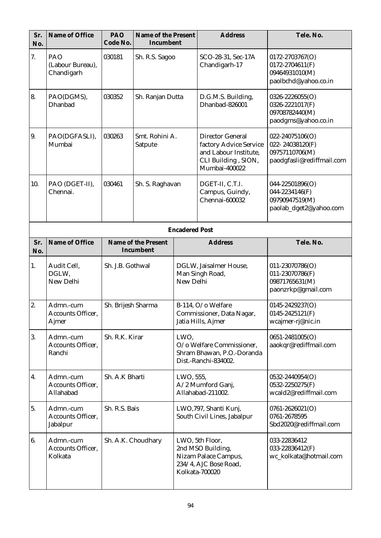| Sr.<br>No. | Name of Office                                 | PAO<br>Code No.    | Name of the Present<br>Incumbent |                                                                                         | <b>Address</b>                                                                                                     | Tele. No.                                                                         |  |
|------------|------------------------------------------------|--------------------|----------------------------------|-----------------------------------------------------------------------------------------|--------------------------------------------------------------------------------------------------------------------|-----------------------------------------------------------------------------------|--|
| 7.         | PAO<br>(Labour Bureau),<br>Chandigarh          | 030181             | Sh. R.S. Sagoo                   |                                                                                         | SCO-28-31, Sec-17A<br>Chandigarh-17                                                                                | 0172-2703767(O)<br>$0172 - 2704611(F)$<br>09464931010(M)<br>paolbchd@yahoo.co.in  |  |
| 8.         | PAO(DGMS),<br>Dhanbad                          | 030352             | Sh. Ranjan Dutta                 |                                                                                         | D.G.M.S. Building,<br>Dhanbad-826001                                                                               | 0326-2226055(O)<br>0326-2221017(F)<br>09708782440(M)<br>paodgms@yahoo.co.in       |  |
| 9.         | PAO(DGFASLI),<br>Mumbai                        | 030263             | Smt. Rohini A.<br>Satpute        |                                                                                         | <b>Director General</b><br>factory Advice Service<br>and Labour Institute,<br>CLI Building, SION,<br>Mumbai-400022 | 022-24075106(O)<br>022-24038120(F)<br>09757110706(M)<br>paodgfasli@rediffmail.com |  |
| 10.        | PAO (DGET-II),<br>Chennai.                     | 030461             | Sh. S. Raghavan                  |                                                                                         | DGET-II, C.T.I.<br>Campus, Guindy,<br>Chennai-600032                                                               | 044-22501896(O)<br>044-2234146(F)<br>09790947519(M)<br>paolab_dget2@yahoo.com     |  |
|            | <b>Encadered Post</b>                          |                    |                                  |                                                                                         |                                                                                                                    |                                                                                   |  |
| Sr.<br>No. | Name of Office                                 |                    | Name of the Present<br>Incumbent |                                                                                         | <b>Address</b>                                                                                                     | Tele. No.                                                                         |  |
| 1.         | Audit Cell,<br>DGLW,<br>New Delhi              | Sh. J.B. Gothwal   |                                  | DGLW, Jaisalmer House,<br>Man Singh Road,<br>New Delhi                                  |                                                                                                                    | 011-23070786(O)<br>011-23070786(F)<br>09871765631(M)<br>paonzrkp@gmail.com        |  |
| 2.         | Admn.-cum<br><b>Accounts Officer,</b><br>Ajmer |                    | Sh. Brijesh Sharma               |                                                                                         | B-114, O/o Welfare<br>Commissioner, Data Nagar,<br>Jatia Hills, Ajmer                                              | 0145-2429237(O)<br>$0145 - 2425121$ (F)<br>wcajmer-rj@nic.in                      |  |
| 3.         | Admn.-cum<br>Accounts Officer,<br>Ranchi       | Sh. R.K. Kirar     |                                  | LWO,<br>O/o Welfare Commissioner,<br>Shram Bhawan, P.O.-Doranda<br>Dist.-Ranchi-834002. |                                                                                                                    | 0651-2481005(O)<br>aaokqr@rediffmail.com                                          |  |
| 4.         | Admn.-cum<br>Accounts Officer,<br>Allahabad    | Sh. A.K Bharti     |                                  | LWO, 555,<br>A/2 Mumford Ganj,<br>Allahabad-211002.                                     |                                                                                                                    | 0532-2440954(O)<br>0532-2250275(F)<br>wcald2@rediffmail.com                       |  |
| 5.         | Admn.-cum<br>Accounts Officer,<br>Jabalpur     | Sh. R.S. Bais      |                                  |                                                                                         | LWO,797, Shanti Kunj,<br>South Civil Lines, Jabalpur                                                               | $0761 - 2626021(O)$<br>0761-2678595<br>Sbd2020@rediffmail.com                     |  |
| 6.         | Admn.-cum<br>Accounts Officer,<br>Kolkata      | Sh. A.K. Choudhary |                                  |                                                                                         | LWO, 5th Floor,<br>2nd MSO Building,<br>Nizam Palace Campus,<br>234/4, AJC Bose Road,<br>Kolkata-700020            | 033-22836412<br>033-22836412(F)<br>wc_kolkata@hotmail.com                         |  |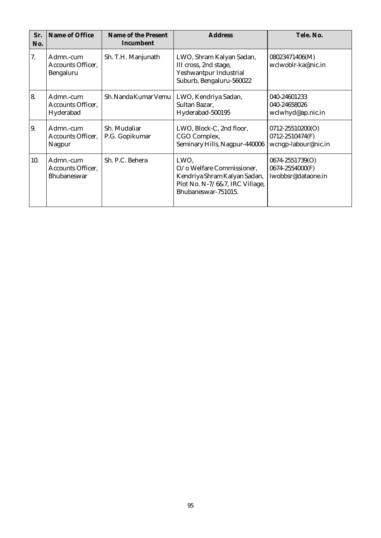| Sr.<br>No. | Name of Office                                       | Name of the Present<br>Incumbent | <b>Address</b>                                                                                                             | Tele, No.                                                  |
|------------|------------------------------------------------------|----------------------------------|----------------------------------------------------------------------------------------------------------------------------|------------------------------------------------------------|
| 7.         | Admn.-cum<br>Accounts Officer,<br>Bengaluru          | Sh. T.H. Manjunath               | LWO, Shram Kalyan Sadan,<br>III cross, 2nd stage,<br>Yeshwantpur Industrial<br>Suburb, Bengaluru-560022                    | 08023471406(M)<br>wclwoblr-ka@nic.in                       |
| 18.        | Admn.-cum<br>Accounts Officer,<br>Hyderabad          | Sh. Nanda Kumar Vemu             | LWO, Kendriya Sadan,<br>Sultan Bazar,<br>Hyderabad-500195                                                                  | 040-24601233<br>040-24658026<br>wclwhyd@ap.nic.in          |
| 19.        | Admn.-cum<br>Accounts Officer,<br>Nagpur             | Sh. Mudaliar<br>P.G. Gopikumar   | LWO, Block-C, 2nd floor,<br>CGO Complex,<br>Seminary Hills, Nagpur-440006                                                  | 0712-25510200(O)<br>0712-2510474(F)<br>wcngp-labour@nic.in |
| 10.        | Admn.-cum<br>Accounts Officer,<br><b>Bhubaneswar</b> | Sh. P.C. Behera                  | LWO,<br>O/o Welfare Commissioner,<br>Kendriya Shram Kalyan Sadan,<br>Plot No. N-7/6&7, IRC Village,<br>Bhubaneswar-751015. | 0674-2551739(O)<br>0674-2554000(F)<br>lwobbsr@dataone.in   |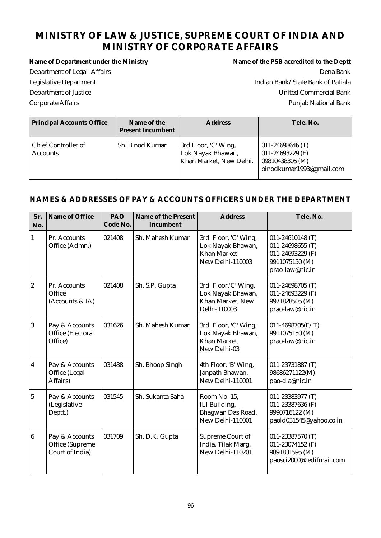# **MINISTRY OF LAW & JUSTICE, SUPREME COURT OF INDIA AND MINISTRY OF CORPORATE AFFAIRS**

Name of Department under the Ministry **Name of the PSB** accredited to the Deptt Department of Legal Affairs Dena Bank Legislative Department **Indian Bank/State Bank of Patiala** Department of Justice United Commercial Bank Corporate Affairs Punjab National Bank

| <b>Principal Accounts Office</b>       | Name of the<br><b>Present Incumbent</b> | <b>Address</b>                                                       | Tele. No.                                                                               |
|----------------------------------------|-----------------------------------------|----------------------------------------------------------------------|-----------------------------------------------------------------------------------------|
| Chief Controller of<br><b>Accounts</b> | Sh. Binod Kumar                         | 3rd Floor, 'C' Wing,<br>Lok Nayak Bhawan,<br>Khan Market, New Delhi. | 011-24698646 $(T)$<br>011-24693229 $(F)$<br>09810438305 (M)<br>binodkumar1993@gmail.com |

| Sr.<br>No.       | Name of Office                                       | PAO<br>Code No. | Name of the Present<br>Incumbent | <b>Address</b>                                                                | Tele. No.                                                                                     |
|------------------|------------------------------------------------------|-----------------|----------------------------------|-------------------------------------------------------------------------------|-----------------------------------------------------------------------------------------------|
| 1                | Pr. Accounts<br>Office (Admn.)                       | 021408          | Sh. Mahesh Kumar                 | 3rd Floor, 'C' Wing,<br>Lok Nayak Bhawan,<br>Khan Market,<br>New Delhi-110003 | 011-24610148 (T)<br>011-24698655 (T)<br>011-24693229 (F)<br>9911075150 (M)<br>prao-law@nic.in |
| $\boldsymbol{2}$ | Pr. Accounts<br>Office<br>(Accounts & IA)            | 021408          | Sh. S.P. Gupta                   | 3rd Floor, 'C' Wing,<br>Lok Nayak Bhawan,<br>Khan Market, New<br>Delhi-110003 | 011-24698705 (T)<br>011-24693229 (F)<br>9971828505 (M)<br>prao-law@nic.in                     |
| 3                | Pay & Accounts<br>Office (Electoral<br>Office)       | 031626          | Sh. Mahesh Kumar                 | 3rd Floor, 'C' Wing,<br>Lok Nayak Bhawan,<br>Khan Market,<br>New Delhi-03     | 011-4698705( $F/T$ )<br>9911075150 (M)<br>prao-law@nic.in                                     |
| $\boldsymbol{4}$ | Pay & Accounts<br>Office (Legal<br>Affairs)          | 031438          | Sh. Bhoop Singh                  | 4th Floor, 'B' Wing,<br>Janpath Bhawan,<br>New Delhi-110001                   | 011-23731887 (T)<br>98686271122(M)<br>pao-dla@nic.in                                          |
| $\overline{5}$   | Pay & Accounts<br>(Legislative<br>Deptt.)            | 031545          | Sh. Sukanta Saha                 | Room No. 15,<br>ILI Building,<br>Bhagwan Das Road,<br>New Delhi-110001        | 011-23383977 (T)<br>011-23387636 (F)<br>9990716122 (M)<br>paold031545@yahoo.co.in             |
| $\overline{6}$   | Pay & Accounts<br>Office (Supreme<br>Court of India) | 031709          | Sh. D.K. Gupta                   | Supreme Court of<br>India, Tilak Marg,<br>New Delhi-110201                    | 011-23387570 (T)<br>011-23074152 (F)<br>9891831595 (M)<br>paosci2000@redifmail.com            |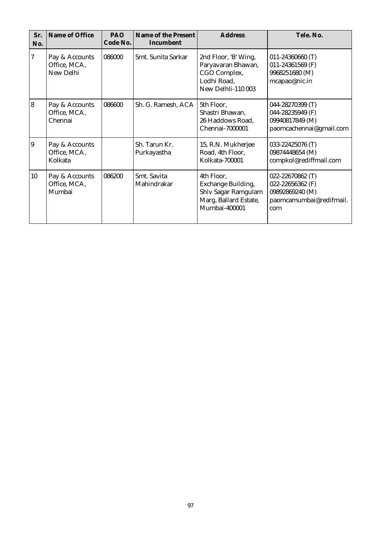| Sr.<br>No.     | Name of Office                              | PAO<br>Code No. | Name of the Present<br>Incumbent | <b>Address</b>                                                                                    | Tele. No.                                                                                 |
|----------------|---------------------------------------------|-----------------|----------------------------------|---------------------------------------------------------------------------------------------------|-------------------------------------------------------------------------------------------|
| 7              | Pay & Accounts<br>Office, MCA,<br>New Delhi | 086000          | Smt. Sunita Sarkar               | 2nd Floor, 'B' Wing,<br>Paryavaran Bhawan,<br>CGO Complex,<br>Lodhi Road,<br>New Delhli-110 003   | $011 - 24360660$ (T)<br>011-24361569 $(F)$<br>9968251680 (M)<br>mcapao@nic.in             |
| $\overline{8}$ | Pay & Accounts<br>Office, MCA,<br>Chennai   | 086600          | Sh. G. Ramesh, ACA               | 5th Floor,<br>Shastri Bhawan,<br>26 Haddows Road,<br>Chennai-7000001                              | 044-28270399 (T)<br>044-28235949 (F)<br>09940817849 (M)<br>paomcachennai@gmail.com        |
| 9              | Pay & Accounts<br>Office, MCA,<br>Kolkata   |                 | Sh. Tarun Kr.<br>Purkayastha     | 15, R.N. Mukherjee<br>Road, 4th Floor,<br><b>Kolkata-700001</b>                                   | 033-22425076 (T)<br>09874448654 (M)<br>compkol@rediffmail.com                             |
| 10             | Pay & Accounts<br>Office, MCA,<br>Mumbai    | 086200          | Smt. Savita<br>Mahindrakar       | 4th Floor,<br>Exchange Building,<br>Shiv Sagar Ramgulam<br>Marg, Ballard Estate,<br>Mumbai-400001 | 022-22670862 (T)<br>022-22656362 (F)<br>09892869240 (M)<br>paomcamumbai@redifmail.<br>com |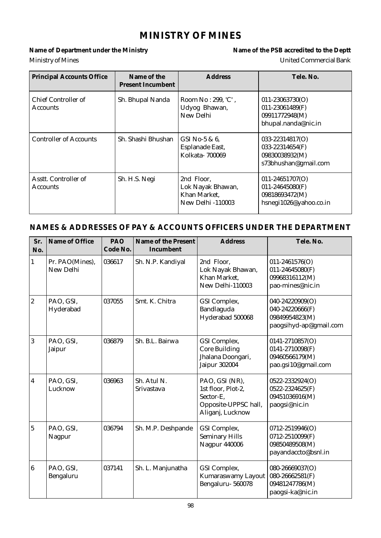# **MINISTRY OF MINES**

Name of Department under the Ministry **Name of the PSB** accredited to the Deptt Ministry of Mines United Commercial Bank

| <b>Principal Accounts Office</b>        | Name of the<br><b>Present Incumbent</b> | <b>Address</b>                                                              | Tele, No.                                                                              |
|-----------------------------------------|-----------------------------------------|-----------------------------------------------------------------------------|----------------------------------------------------------------------------------------|
| Chief Controller of<br><b>Accounts</b>  | Sh. Bhupal Nanda                        | Room No: 299, 'C',<br>Udyog Bhawan,<br>New Delhi                            | $011 - 23063730(O)$<br>$011 - 23061489(F)$<br>09911772948(M)<br>bhupal.nanda@nic.in    |
| <b>Controller of Accounts</b>           | Sh. Shashi Bhushan                      | GSI No-5 & $6$ ,<br>Esplanade East,<br>Kolkata-700069                       | $033 - 22314817(O)$<br>033-22314654(F)<br>09830038932(M)<br>s73bhushan@gmail.com       |
| Asstt. Controller of<br><b>Accounts</b> | Sh. H.S. Negi                           | 2nd Floor.<br>Lok Nayak Bhawan,<br>Khan Market,<br><b>New Delhi -110003</b> | $011 - 24651707(O)$<br>$011 - 24645080(F)$<br>09818693472(M)<br>hsnegi1026@yahoo.co.in |

| Sr.<br>No.       | Name of Office               | PAO<br>Code No. | Name of the Present<br>Incumbent | <b>Address</b>                                                                                | Tele. No.                                                                      |
|------------------|------------------------------|-----------------|----------------------------------|-----------------------------------------------------------------------------------------------|--------------------------------------------------------------------------------|
| $\mathbf{1}$     | Pr. PAO(Mines),<br>New Delhi | 036617          | Sh. N.P. Kandiyal                | 2nd Floor,<br>Lok Nayak Bhawan,<br>Khan Market,<br>New Delhi-110003                           | $011 - 2461576(O)$<br>011-24645080(F)<br>09968316112(M)<br>pao-mines@nic.in    |
| $\overline{2}$   | PAO, GSI,<br>Hyderabad       | 037055          | Smt. K. Chitra                   | GSI Complex,<br>Bandlaguda<br>Hyderabad 500068                                                | 040-24220909(O)<br>040-24220666(F)<br>09849954823(M)<br>paogsihyd-ap@gmail.com |
| $\overline{3}$   | PAO, GSI,<br>Jaipur          | 036879          | Sh. B.L. Bairwa                  | GSI Complex,<br><b>Core Building</b><br>Jhalana Doongari,<br><b>Jaipur 302004</b>             | 0141-2710857(O)<br>0141-2710098(F)<br>09460566179(M)<br>pao.gsi10@gmail.com    |
| $\overline{4}$   | PAO, GSI,<br>Lucknow         | 036963          | Sh. Atul N.<br>Srivastava        | PAO, GSI (NR),<br>1st floor, Plot-2,<br>Sector-E,<br>Opposite-UPPSC hall,<br>Aliganj, Lucknow | 0522-2332924(O)<br>0522-2324625(F)<br>09451036916(M)<br>paogsi@nic.in          |
| $\overline{5}$   | PAO, GSI,<br>Nagpur          | 036794          | Sh. M.P. Deshpande               | GSI Complex,<br><b>Seminary Hills</b><br><b>Nagpur 440006</b>                                 | 0712-2519946(O)<br>0712-2510099(F)<br>09850489508(M)<br>payandaccto@bsnl.in    |
| $\boldsymbol{6}$ | PAO, GSI,<br>Bengaluru       | 037141          | Sh. L. Manjunatha                | GSI Complex,<br>Kumaraswamy Layout<br>Bengaluru-560078                                        | 080-26669037(O)<br>080-26662581(F)<br>09481247786(M)<br>paogsi-ka@nic.in       |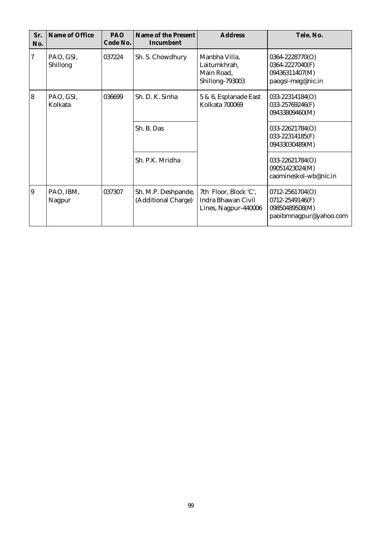| Sr.<br>No. | Name of Office        | PAO<br>Code No. | Name of the Present<br>Incumbent           | <b>Address</b>                                                      | Tele, No.                                                                      |
|------------|-----------------------|-----------------|--------------------------------------------|---------------------------------------------------------------------|--------------------------------------------------------------------------------|
| 7          | PAO, GSI,<br>Shillong | 037224          | Sh. S. Chowdhury                           | Manbha Villa,<br>Laitumkhrah,<br>Main Road,<br>Shillong-793003      | 0364-2228770(O)<br>0364-2227040(F)<br>09436311407(M)<br>paogsi-meg@nic.in      |
| 8          | PAO, GSI,<br>Kolkata  | 036699          | Sh. D. K. Sinha                            | 5 & 6, Esplanade East<br>Kolkata 700069                             | 033-22314184(O)<br>033-25769246(F)<br>09433809460(M)                           |
|            |                       |                 | Sh. B. Das                                 |                                                                     | 033-22621784(O)<br>033-22314185(F)<br>09433030489(M)                           |
|            |                       |                 | Sh. P.K. Mridha                            |                                                                     | 033-22621784(O)<br>09051423024(M)<br>caomineskol-wb@nic.in                     |
| 9          | PAO, IBM,<br>Nagpur   | 037307          | Sh. M.P. Deshpande,<br>(Additional Charge) | 7th Floor, Block 'C',<br>Indra Bhawan Civil<br>Lines, Nagpur-440006 | 0712-2561704(O)<br>0712-2549146(F)<br>09850489508(M)<br>paoibmnagpur@yahoo.com |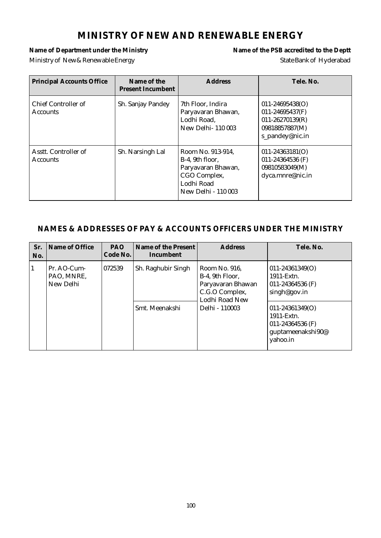# **MINISTRY OF NEW AND RENEWABLE ENERGY**

Name of Department under the Ministry **Name of the PSB** accredited to the Deptt Ministry of New & Renewable Energy State Bank of Hyderabad

| <b>Principal Accounts Office</b>        | Name of the<br><b>Present Incumbent</b> | <b>Address</b>                                                                                                         | Tele. No.                                                                                          |
|-----------------------------------------|-----------------------------------------|------------------------------------------------------------------------------------------------------------------------|----------------------------------------------------------------------------------------------------|
| Chief Controller of<br><b>Accounts</b>  | Sh. Sanjay Pandey                       | 7th Floor, Indira<br>Paryavaran Bhawan,<br>Lodhi Road,<br><b>New Delhi-110003</b>                                      | $011 - 24695438(O)$<br>011-24695437(F)<br>$011 - 26270139(R)$<br>09818857887(M)<br>s_pandey@nic.in |
| Asstt. Controller of<br><b>Accounts</b> | Sh. Narsingh Lal                        | Room No. 913-914,<br>B-4, 9th floor.<br>Paryavaran Bhawan,<br>CGO Complex,<br>Lodhi Road<br><b>New Delhi - 110 003</b> | $011 - 24363181(O)$<br>011-24364536 (F)<br>09810583049(M)<br>dyca.mnre@nic.in                      |

| Sr.<br>No.   | Name of Office                         | <b>PAO</b><br>Code No. | Name of the Present<br>Incumbent     | <b>Address</b>                                                                                              | Tele. No.                                                                                                                                                       |
|--------------|----------------------------------------|------------------------|--------------------------------------|-------------------------------------------------------------------------------------------------------------|-----------------------------------------------------------------------------------------------------------------------------------------------------------------|
| $\mathbf{1}$ | Pr. AO-Cum-<br>PAO, MNRE,<br>New Delhi | 072539                 | Sh. Raghubir Singh<br>Smt. Meenakshi | Room No. 916.<br>B-4, 9th Floor,<br>Paryavaran Bhawan<br>C.G.O Complex,<br>Lodhi Road New<br>Delhi - 110003 | $011 - 24361349(O)$<br>1911-Extn.<br>011-24364536 (F)<br>singh@gov.in<br>$011 - 24361349(O)$<br>1911-Extn.<br>011-24364536 (F)<br>guptameenakshi90@<br>yahoo.in |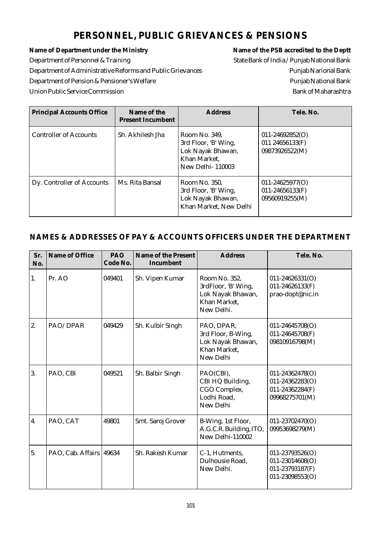# **PERSONNEL, PUBLIC GRIEVANCES & PENSIONS**

Name of Department under the Ministry **Name of the PSB** accredited to the Deptt Department of Personnel & Training State Bank of India / Punjab National Bank Department of Administrative Reforms and Public Grievances Punjab Narional Bank Department of Pension & Pensioner's Welfare Punjab National Bank Union Public Service Commission and the Union Public Service Commission Bank of Maharashtra

| <b>Principal Accounts Office</b> | Name of the<br>Present Incumbent | <b>Address</b>                                                                                        | Tele. No.                                                    |
|----------------------------------|----------------------------------|-------------------------------------------------------------------------------------------------------|--------------------------------------------------------------|
| <b>Controller of Accounts</b>    | Sh. Akhilesh Jha                 | Room No. 349.<br>3rd Floor, 'B' Wing,<br>Lok Nayak Bhawan,<br>Khan Market,<br><b>New Delhi-110003</b> | $011 - 24692852(O)$<br>011 24656133(F)<br>09873926522(M)     |
| Dy. Controller of Accounts       | Ms. Rita Bansal                  | Room No. 350.<br>3rd Floor, 'B' Wing,<br>Lok Nayak Bhawan,<br>Khan Market, New Delhi                  | $011 - 24625977(O)$<br>$011 - 24656133(F)$<br>09560919255(M) |

| Sr.<br>No. | Name of Office    | PAO<br>Code No. | Name of the Present<br>Incumbent | <b>Address</b>                                                                          | Tele. No.                                                                    |
|------------|-------------------|-----------------|----------------------------------|-----------------------------------------------------------------------------------------|------------------------------------------------------------------------------|
| 1.         | Pr. AO            | 049401          | Sh. Vipen Kumar                  | Room No. 352,<br>3rdFloor, 'B' Wing,<br>Lok Nayak Bhawan,<br>Khan Market,<br>New Delhi. | $011 - 24626331(O)$<br>$011 - 24626133(F)$<br>prao-dopt@nic.in               |
| 2.         | PAO/DPAR          | 049429          | Sh. Kulbir Singh                 | PAO, DPAR,<br>3rd Floor, B-Wing,<br>Lok Nayak Bhawan,<br>Khan Market,<br>New Delhi      | 011-24645708(O)<br>011-24645708(F)<br>09810916798(M)                         |
| 3.         | PAO, CBI          | 049521          | Sh. Balbir Singh                 | PAO(CBI),<br>CBI HQ Building,<br>CGO Complex,<br>Lodhi Road,<br>New Delhi               | 011-24362478(O)<br>$011 - 24362283(O)$<br>011-24362284(F)<br>09968275701(M)  |
| 4.         | PAO, CAT          | 49801           | Smt. Saroj Grover                | B-Wing, 1st Floor,<br>A.G.C.R. Building, ITO,<br>New Delhi-110002                       | 011-23702470(O)<br>09953698279(M)                                            |
| 5.         | PAO, Cab. Affairs | 49634           | Sh. Rakesh Kumar                 | C-1, Hutments,<br>Dulhousie Road,<br>New Delhi.                                         | 011-23793526(O)<br>$011 - 23014608(O)$<br>011-23793187(F)<br>011-23098553(O) |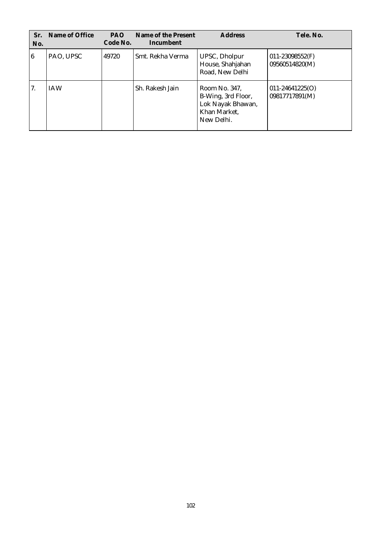| Sr.<br>No. | Name of Office | <b>PAO</b><br>Code No. | Name of the Present<br>Incumbent | <b>Address</b>                                                                         | Tele. No.                              |
|------------|----------------|------------------------|----------------------------------|----------------------------------------------------------------------------------------|----------------------------------------|
| 16         | PAO, UPSC      | 49720                  | Smt. Rekha Verma                 | UPSC, Dholpur<br>House, Shahjahan<br>Road, New Delhi                                   | $011 - 23098552$ (F)<br>09560514820(M) |
| 7.         | <b>IAW</b>     |                        | Sh. Rakesh Jain                  | Room No. 347,<br>B-Wing, 3rd Floor,<br>Lok Nayak Bhawan,<br>Khan Market,<br>New Delhi. | $011 - 24641225(O)$<br>09817717891(M)  |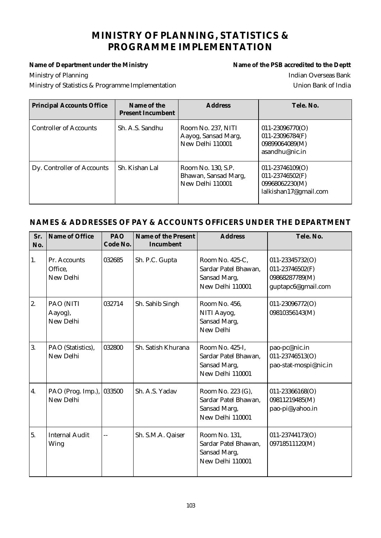# **MINISTRY OF PLANNING, STATISTICS & PROGRAMME IMPLEMENTATION**

Name of Department under the Ministry **Name of the PSB** accredited to the Deptt Ministry of Planning **Indian Overseas Bank** Ministry of Statistics & Programme Implementation Union Bank of India

| <b>Principal Accounts Office</b> | Name of the<br><b>Present Incumbent</b> | <b>Address</b>                                                 | Tele, No.                                                                              |
|----------------------------------|-----------------------------------------|----------------------------------------------------------------|----------------------------------------------------------------------------------------|
| <b>Controller of Accounts</b>    | Sh. A.S. Sandhu                         | Room No. 237, NITI<br>Aayog, Sansad Marg,<br>New Delhi 110001  | $011 - 23096770(O)$<br>011-23096784(F)<br>09899064089(M)<br>asandhu@nic.in             |
| Dy. Controller of Accounts       | Sh. Kishan Lal                          | Room No. 130, S.P.<br>Bhawan, Sansad Marg,<br>New Delhi 110001 | $011 - 23746109(O)$<br>$011 - 23746502$ (F)<br>09968062230(M)<br>lalkishan17@gmail.com |

| Sr.<br>No. | Name of Office                       | PAO<br>Code No. | Name of the Present<br>Incumbent | <b>Address</b>                                                                | Tele. No.                                                                  |
|------------|--------------------------------------|-----------------|----------------------------------|-------------------------------------------------------------------------------|----------------------------------------------------------------------------|
| 1.         | Pr. Accounts<br>Office,<br>New Delhi | 032685          | Sh. P.C. Gupta                   | Room No. 425-C.<br>Sardar Patel Bhawan,<br>Sansad Marg,<br>New Delhi 110001   | 011-23345732(O)<br>011-23746502(F)<br>09868287789(M)<br>guptapc6@gmail.com |
| 2.         | PAO (NITI<br>Aayog),<br>New Delhi    | 032714          | Sh. Sahib Singh                  | Room No. 456,<br>NITI Aayog,<br>Sansad Marg,<br>New Delhi                     | 011-23096772(O)<br>09810356143(M)                                          |
| 3.         | PAO (Statistics),<br>New Delhi       | 032800          | Sh. Satish Khurana               | Room No. 425-I,<br>Sardar Patel Bhawan,<br>Sansad Marg,<br>New Delhi 110001   | pao-pc@nic.in<br>011-23746513(O)<br>pao-stat-mospi@nic.in                  |
| 4.         | PAO (Prog. Imp.),<br>New Delhi       | 033500          | Sh. A.S. Yadav                   | Room No. 223 (G),<br>Sardar Patel Bhawan,<br>Sansad Marg,<br>New Delhi 110001 | $011 - 23366168(O)$<br>09811219485(M)<br>pao-pi@yahoo.in                   |
| 5.         | <b>Internal Audit</b><br>Wing        | $\overline{a}$  | Sh. S.M.A. Qaiser                | Room No. 131,<br>Sardar Patel Bhawan,<br>Sansad Marg,<br>New Delhi 110001     | 011-23744173(O)<br>09718511120(M)                                          |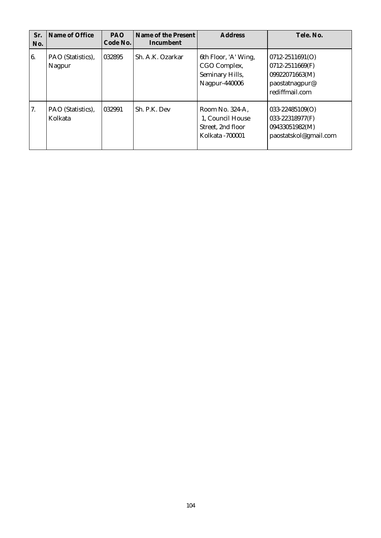| Sr.<br>No. | Name of Office               | <b>PAO</b><br>Code No. | Name of the Present<br>Incumbent | <b>Address</b>                                                               | Tele, No.                                                                                    |
|------------|------------------------------|------------------------|----------------------------------|------------------------------------------------------------------------------|----------------------------------------------------------------------------------------------|
| 6.         | PAO (Statistics),<br>Nagpur  | 032895                 | Sh. A.K. Ozarkar                 | 6th Floor, 'A' Wing,<br>CGO Complex,<br>Seminary Hills,<br>Nagpur-440006     | $0712 - 2511691(O)$<br>0712-2511669(F)<br>09922071663(M)<br>paostatnagpur@<br>rediffmail.com |
| 7.         | PAO (Statistics),<br>Kolkata | 1032991                | Sh. P.K. Dev                     | Room No. 324-A.<br>1. Council House<br>Street, 2nd floor<br>Kolkata - 700001 | $033 - 22485109(O)$<br>033-22318977(F)<br>09433051982(M)<br>paostatskol@gmail.com            |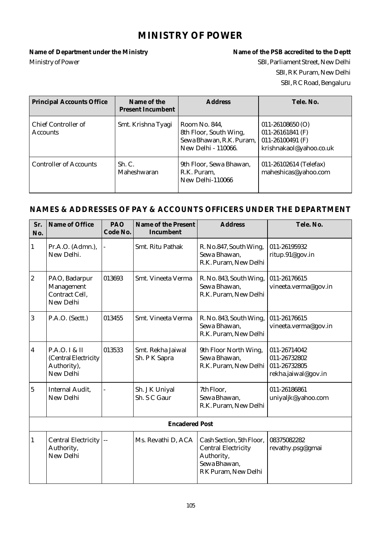### **MINISTRY OF POWER**

Name of Department under the Ministry **Name of the PSB** accredited to the Deptt Ministry of Power SBI, Parliament Street, New Delhi

# SBI, R K Puram, New Delhi SBI, R C Road, Bengaluru

| <b>Principal Accounts Office</b>       | Name of the<br><b>Present Incumbent</b> | <b>Address</b>                                                                             | Tele. No.                                                                                     |
|----------------------------------------|-----------------------------------------|--------------------------------------------------------------------------------------------|-----------------------------------------------------------------------------------------------|
| Chief Controller of<br><b>Accounts</b> | Smt. Krishna Tyagi                      | Room No. 844,<br>8th Floor, South Wing,<br>Sewa Bhawan, R.K. Puram,<br>New Delhi - 110066. | $011 - 26108650$ (O)<br>$011 - 26161841$ (F)<br>011-26100491 $(F)$<br>krishnakaol@yahoo.co.uk |
| <b>Controller of Accounts</b>          | Sh. C.<br>Maheshwaran                   | 9th Floor, Sewa Bhawan,<br>R.K. Puram,<br>New Delhi-110066                                 | 011-26102614 (Telefax)<br>maheshicas@yahoo.com                                                |

| Sr.<br>No.              | Name of Office                                                    | PAO<br>Code No. | Name of the Present<br>Incumbent   | <b>Address</b>                                                                                              | Tele. No.                                                           |  |
|-------------------------|-------------------------------------------------------------------|-----------------|------------------------------------|-------------------------------------------------------------------------------------------------------------|---------------------------------------------------------------------|--|
| $\mathbf{1}$            | Pr.A.O. (Admn.),<br>New Delhi.                                    |                 | Smt. Ritu Pathak                   | R. No.847, South Wing,<br>Sewa Bhawan,<br>R.K. Puram, New Delhi                                             | 011-26195932<br>ritup.91@gov.in                                     |  |
| $\overline{2}$          | PAO, Badarpur<br>Management<br>Contract Cell,<br>New Delhi        | 013693          | Smt. Vineeta Verma                 | R. No. 843, South Wing,<br>Sewa Bhawan,<br>R.K. Puram, New Delhi                                            | 011-26176615<br>vineeta.verma@gov.in                                |  |
| 3                       | P.A.O. (Sectt.)                                                   | 013455          | Smt. Vineeta Verma                 | R. No. 843, South Wing,<br>Sewa Bhawan,<br>R.K. Puram, New Delhi                                            | 011-26176615<br>vineeta.verma@gov.in                                |  |
| $\overline{\mathbf{4}}$ | P.A.O. I & II<br>(Central Electricity<br>Authority),<br>New Delhi | 013533          | Smt. Rekha Jaiwal<br>Sh. P K Sapra | 9th Floor North Wing,<br>Sewa Bhawan,<br>R.K. Puram, New Delhi                                              | 011-26714042<br>011-26732802<br>011-26732805<br>rekha.jaiwal@gov.in |  |
| $\overline{5}$          | <b>Internal Audit,</b><br>New Delhi                               |                 | Sh. J K Uniyal<br>Sh. S C Gaur     | 7th Floor,<br>Sewa Bhawan,<br>R.K. Puram, New Delhi                                                         | 011-26186861<br>uniyaljk@yahoo.com                                  |  |
| <b>Encadered Post</b>   |                                                                   |                 |                                    |                                                                                                             |                                                                     |  |
| 1                       | <b>Central Electricity</b><br>Authority,<br>New Delhi             |                 | Ms. Revathi D, ACA                 | Cash Section, 5th Floor,<br><b>Central Electricity</b><br>Authority,<br>Sewa Bhawan,<br>RK Puram, New Delhi | 08375082282<br>revathy.psg@gmai                                     |  |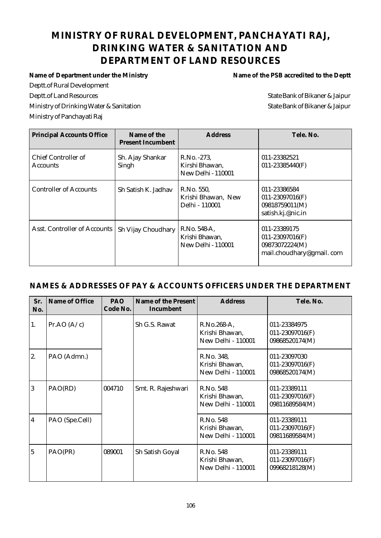# **MINISTRY OF RURAL DEVELOPMENT, PANCHAYATI RAJ, DRINKING WATER & SANITATION AND DEPARTMENT OF LAND RESOURCES**

Deptt.of Rural Development Deptt.of Land Resources State Bank of Bikaner & Jaipur Ministry of Drinking Water & Sanitation State Bank of Bikaner & Jaipur Ministry of Panchayati Raj

Name of Department under the Ministry **Name of the PSB** accredited to the Deptt

| <b>Principal Accounts Office</b>       | Name of the<br><b>Present Incumbent</b> | <b>Address</b>                                              | Tele. No.                                                                     |
|----------------------------------------|-----------------------------------------|-------------------------------------------------------------|-------------------------------------------------------------------------------|
| Chief Controller of<br><b>Accounts</b> | Sh. Ajay Shankar<br>Singh               | R.No. -273.<br>Kirshi Bhawan,<br><b>New Delhi - 110001</b>  | 011-23382521<br>$011 - 23385440(F)$                                           |
| <b>Controller of Accounts</b>          | Sh Satish K. Jadhav                     | R.No. 550,<br>Krishi Bhawan, New<br>Delhi - 110001          | 011-23386584<br>$011 - 23097016$ (F)<br>09818759011(M)<br>satish.kj.@nic.in   |
| Asst. Controller of Accounts           | Sh Vijay Choudhary                      | R.No. 548-A,<br>Krishi Bhawan,<br><b>New Delhi - 110001</b> | 011-23389175<br>011-23097016(F)<br>09873072224(M)<br>mail.choudhary@gmail.com |

| Sr.<br>No.              | Name of Office | <b>PAO</b><br>Code No. | Name of the Present<br>Incumbent | <b>Address</b>                                            | Tele. No.                                             |
|-------------------------|----------------|------------------------|----------------------------------|-----------------------------------------------------------|-------------------------------------------------------|
| 1.                      | Pr.AO $(A/c)$  |                        | Sh G.S. Rawat                    | R.No.268-A,<br>Krishi Bhawan,<br>New Delhi - 110001       | 011-23384975<br>011-23097016(F)<br>09868520174(M)     |
| 2.                      | PAO (Admn.)    |                        |                                  | R.No. 348,<br>Krishi Bhawan,<br><b>New Delhi - 110001</b> | 011-23097030<br>011-23097016(F)<br>09868520174(M)     |
| $\overline{3}$          | PAO(RD)        | 004710                 | Smt. R. Rajeshwari               | R.No. 548<br>Krishi Bhawan,<br>New Delhi - 110001         | 011-23389111<br>011-23097016(F)<br>09811689584(M)     |
| $\overline{\mathbf{4}}$ | PAO (Spe.Cell) |                        |                                  | R.No. 548<br>Krishi Bhawan,<br><b>New Delhi - 110001</b>  | 011-23389111<br>$011 - 23097016(F)$<br>09811689584(M) |
| 5                       | PAO(PR)        | 089001                 | Sh Satish Goyal                  | R.No. 548<br>Krishi Bhawan,<br><b>New Delhi - 110001</b>  | 011-23389111<br>011-23097016(F)<br>09968218128(M)     |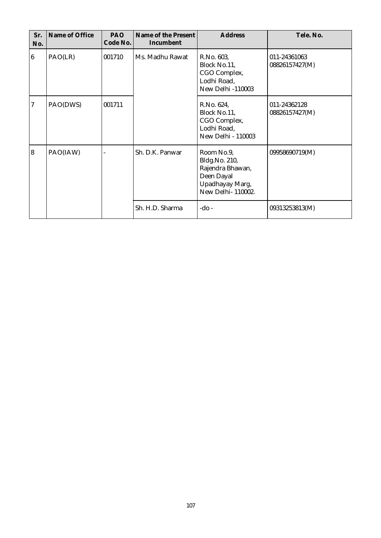| Sr.<br>No.       | Name of Office | PAO<br>Code No. | Name of the Present<br>Incumbent | <b>Address</b>                                                                                        | Tele. No.                      |
|------------------|----------------|-----------------|----------------------------------|-------------------------------------------------------------------------------------------------------|--------------------------------|
| $\boldsymbol{6}$ | PAO(LR)        | 001710          | Ms. Madhu Rawat                  | R.No. 603,<br>Block No.11,<br>CGO Complex,<br>Lodhi Road,<br><b>New Delhi-110003</b>                  | 011-24361063<br>08826157427(M) |
| 7                | PAO(DWS)       | 001711          |                                  | R.No. 624,<br>Block No.11,<br>CGO Complex,<br>Lodhi Road,<br>New Delhi - 110003                       | 011-24362128<br>08826157427(M) |
| $\overline{8}$   | PAO(IAW)       |                 | Sh. D.K. Panwar                  | Room No.9,<br>Bldg.No. 210,<br>Rajendra Bhawan,<br>Deen Dayal<br>Upadhayay Marg,<br>New Delhi-110002. | 09958690719(M)                 |
|                  |                |                 | Sh. H.D. Sharma                  | $-do -$                                                                                               | 09313253813(M)                 |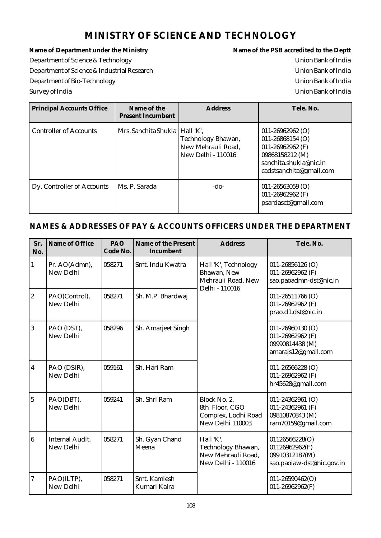# **MINISTRY OF SCIENCE AND TECHNOLOGY**

Name of Department under the Ministry **Name of the PSB** accredited to the Deptt Department of Science & Technology Union Bank of India Department of Science & Industrial Research Union Bank of India Department of Bio-Technology Union Bank of India Survey of India Union Bank of India

| <b>Principal Accounts Office</b> | Name of the<br><b>Present Incumbent</b> | <b>Address</b>                                                 | Tele, No.                                                                                                                                  |
|----------------------------------|-----------------------------------------|----------------------------------------------------------------|--------------------------------------------------------------------------------------------------------------------------------------------|
| <b>Controller of Accounts</b>    | Mrs. Sanchita Shukla   Hall 'K',        | Technology Bhawan,<br>New Mehrauli Road,<br>New Delhi - 110016 | $011 - 26962962$ (O)<br>$011 - 26868154$ (O)<br>011-26962962 $(F)$<br>09868158212 (M)<br>sanchita.shukla@nic.in<br>cadstsanchita@gmail.com |
| Dy. Controller of Accounts       | Ms. P. Sarada                           | -do-                                                           | $011 - 26563059$ (O)<br>011-26962962 $(F)$<br>psardasct@gmail.com                                                                          |

| Sr.<br>No.              | Name of Office                      | PAO<br>Code No. | Name of the Present<br>Incumbent | <b>Address</b>                                                                     | Tele. No.                                                                         |
|-------------------------|-------------------------------------|-----------------|----------------------------------|------------------------------------------------------------------------------------|-----------------------------------------------------------------------------------|
| $\mathbf{1}$            | Pr. AO(Admn),<br>New Delhi          | 058271          | Smt. Indu Kwatra                 | Hall 'K', Technology<br>Bhawan, New<br>Mehrauli Road, New<br>Delhi - 110016        | $011 - 26856126$ (O)<br>011-26962962 (F)<br>sao.paoadmn-dst@nic.in                |
| $\overline{2}$          | PAO(Control),<br>New Delhi          | 058271          | Sh. M.P. Bhardwaj                |                                                                                    |                                                                                   |
| $\overline{3}$          | PAO (DST),<br>New Delhi             | 058296          | Sh. Amarjeet Singh               |                                                                                    | 011-26960130 (O)<br>011-26962962 (F)<br>09990814438 (M)<br>amarajs12@gmail.com    |
| $\overline{\mathbf{4}}$ | PAO (DSIR),<br>New Delhi            | 059161          | Sh. Hari Ram                     |                                                                                    | 011-26566228 (O)<br>011-26962962 (F)<br>hr45628@gmail.com                         |
| $\overline{5}$          | PAO(DBT),<br>New Delhi              | 059241          | Sh. Shri Ram                     | Block No. 2,<br>8th Floor, CGO<br>Complex, Lodhi Road<br>New Delhi 110003          | $011 - 24362961$ (O)<br>011-24362961 (F)<br>09810870843 (M)<br>ram70159@gmail.com |
| $\boldsymbol{6}$        | <b>Internal Audit,</b><br>New Delhi | 058271          | Sh. Gyan Chand<br>Meena          | Hall 'K',<br>Technology Bhawan,<br>New Mehrauli Road,<br><b>New Delhi - 110016</b> | 01126566228(O)<br>01126962962(F)<br>09910312187(M)<br>sao.paoiaw-dst@nic.gov.in   |
| $\overline{7}$          | PAO(ILTP),<br>New Delhi             | 058271          | Smt. Kamlesh<br>Kumari Kalra     |                                                                                    | $011 - 26590462(O)$<br>$011 - 26962962(F)$                                        |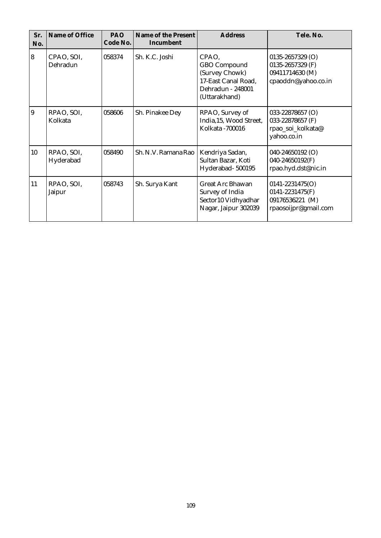| Sr.<br>No.     | Name of Office          | PAO<br>Code No. | Name of the Present<br>Incumbent | <b>Address</b>                                                                                              | Tele. No.                                                                          |
|----------------|-------------------------|-----------------|----------------------------------|-------------------------------------------------------------------------------------------------------------|------------------------------------------------------------------------------------|
| 8              | CPAO, SOI,<br>Dehradun  | 058374          | Sh. K.C. Joshi                   | CPAO,<br><b>GBO</b> Compound<br>(Survey Chowk)<br>17-East Canal Road,<br>Dehradun - 248001<br>(Uttarakhand) | $0135 - 2657329$ (O)<br>0135-2657329 (F)<br>09411714630 (M)<br>cpaoddn@yahoo.co.in |
| $\overline{9}$ | RPAO, SOI,<br>Kolkata   | 058606          | Sh. Pinakee Dey                  | RPAO, Survey of<br>India, 15, Wood Street,<br>Kolkata - 700016                                              | 033-22878657 (O)<br>033-22878657 (F)<br>rpao_soi_kolkata@<br>yahoo.co.in           |
| 10             | RPAO, SOI,<br>Hyderabad | 058490          | Sh. N.V. Ramana Rao              | Kendriya Sadan,<br>Sultan Bazar, Koti<br>Hyderabad-500195                                                   | 040-24650192 (O)<br>040-24650192(F)<br>rpao.hyd.dst@nic.in                         |
| 11             | RPAO, SOI,<br>Jaipur    | 058743          | Sh. Surya Kant                   | <b>Great Arc Bhawan</b><br>Survey of India<br>Sector10 Vidhyadhar<br>Nagar, Jaipur 302039                   | $0141 - 2231475(O)$<br>0141-2231475(F)<br>09176536221 (M)<br>rpaosoijpr@gmail.com  |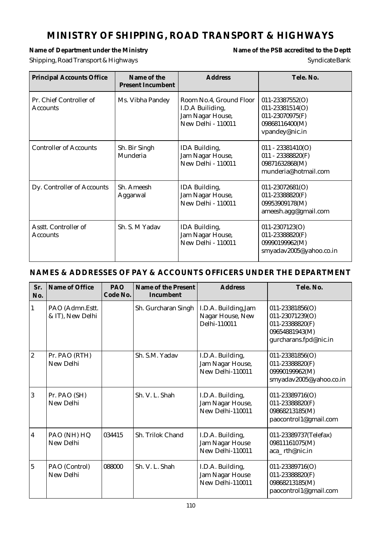# **MINISTRY OF SHIPPING, ROAD TRANSPORT & HIGHWAYS**

# Shipping, Road Transport & Highways Syndicate Bank

Name of Department under the Ministry **Name of the PSB** accredited to the Deptt

| <b>Principal Accounts Office</b>           | Name of the<br><b>Present Incumbent</b> | <b>Address</b>                                                                        | Tele. No.                                                                                             |
|--------------------------------------------|-----------------------------------------|---------------------------------------------------------------------------------------|-------------------------------------------------------------------------------------------------------|
| Pr. Chief Controller of<br><b>Accounts</b> | Ms. Vibha Pandey                        | Room No.4, Ground Floor<br>I.D.A Builiding,<br>Jam Nagar House,<br>New Delhi - 110011 | $011 - 23387552(0)$<br>$011 - 23381514(O)$<br>$011 - 23070975(F)$<br>09868116400(M)<br>vpandey@nic.in |
| <b>Controller of Accounts</b>              | Sh. Bir Singh<br>Munderia               | IDA Building,<br>Jam Nagar House,<br>New Delhi - 110011                               | $011 - 23381410(O)$<br>$011 - 23388820(F)$<br>09871632868(M)<br>munderia@hotmail.com                  |
| Dy. Controller of Accounts                 | Sh. Ameesh<br>Aggarwal                  | IDA Building,<br>Jam Nagar House,<br>New Delhi - 110011                               | $011 - 23072681(O)$<br>$011 - 23388820(F)$<br>09953909178(M)<br>ameesh.agg@gmail.com                  |
| Asstt. Controller of<br>Accounts           | Sh. S. M Yadav                          | IDA Building,<br>Jam Nagar House,<br>New Delhi - 110011                               | $011 - 2307123(O)$<br>011-23388820(F)<br>09990199962(M)<br>smyadav2005@yahoo.co.in                    |

| Sr.<br>No.       | Name of Office                      | PAO<br>Code No. | Name of the Present<br>Incumbent | <b>Address</b>                                           | Tele. No.                                                                                            |
|------------------|-------------------------------------|-----------------|----------------------------------|----------------------------------------------------------|------------------------------------------------------------------------------------------------------|
| $\mathbf{1}$     | PAO (Admn.Estt.<br>& IT), New Delhi |                 | Sh. Gurcharan Singh              | I.D.A. Building, Jam<br>Nagar House, New<br>Delhi-110011 | $011 - 23381856(O)$<br>011-23071239(O)<br>011-23388820(F)<br>09654881943(M)<br>gurcharans.fpd@nic.in |
| $\boldsymbol{2}$ | Pr. PAO (RTH)<br>New Delhi          |                 | Sh. S.M. Yadav                   | I.D.A. Building,<br>Jam Nagar House,<br>New Delhi-110011 | $011 - 23381856(O)$<br>011-23388820(F)<br>09990199962(M)<br>smyadav2005@yahoo.co.in                  |
| $\overline{3}$   | Pr. PAO (SH)<br>New Delhi           |                 | Sh. V. L. Shah                   | I.D.A. Building,<br>Jam Nagar House,<br>New Delhi-110011 | $011 - 23389716(O)$<br>011-23388820(F)<br>09868213185(M)<br>paocontrol1@gmail.com                    |
| 4                | PAO (NH) HQ<br>New Delhi            | 034415          | Sh. Trilok Chand                 | I.D.A. Building,<br>Jam Nagar House<br>New Delhi-110011  | 011-23389737(Telefax)<br>09811161075(M)<br>aca_rth@nic.in                                            |
| $\overline{5}$   | PAO (Control)<br>New Delhi          | 088000          | Sh. V. L. Shah                   | I.D.A. Building,<br>Jam Nagar House<br>New Delhi-110011  | $011 - 23389716(O)$<br>011-23388820(F)<br>09868213185(M)<br>paocontrol1@gmail.com                    |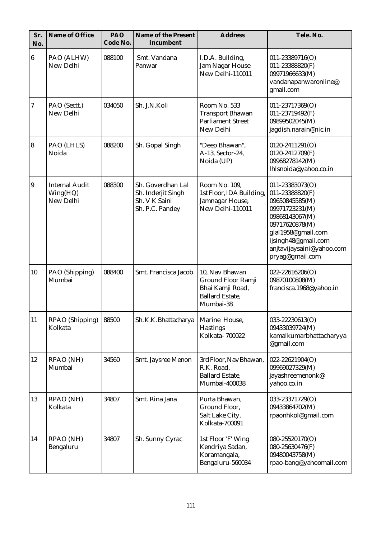| Sr.<br>No.       | Name of Office                                 | PAO<br>Code No. | Name of the Present<br>Incumbent                                            | <b>Address</b>                                                                                  | Tele. No.                                                                                                                                                                                               |
|------------------|------------------------------------------------|-----------------|-----------------------------------------------------------------------------|-------------------------------------------------------------------------------------------------|---------------------------------------------------------------------------------------------------------------------------------------------------------------------------------------------------------|
| $6\phantom{.}$   | PAO (ALHW)<br>New Delhi                        | 088100          | Smt. Vandana<br>Panwar                                                      | I.D.A. Building,<br>Jam Nagar House<br>New Delhi-110011                                         | $011 - 23389716(O)$<br>011-23388820(F)<br>09971966633(M)<br>vandanapanwaronline@<br>gmail.com                                                                                                           |
| $\boldsymbol{7}$ | PAO (Sectt.)<br>New Delhi                      | 034050          | Sh. J.N.Koli                                                                | Room No. 533<br><b>Transport Bhawan</b><br><b>Parliament Street</b><br>New Delhi                | 011-23717369(O)<br>011-23719492(F)<br>09899502045(M)<br>jagdish.narain@nic.in                                                                                                                           |
| $\boldsymbol{8}$ | PAO (LHLS)<br>Noida                            | 088200          | Sh. Gopal Singh                                                             | "Deep Bhawan",<br>A-13, Sector-24,<br>Noida (UP)                                                | 0120-2411291(O)<br>0120-2412709(F)<br>09968278142(M)<br>lhlsnoida@yahoo.co.in                                                                                                                           |
| $\overline{9}$   | <b>Internal Audit</b><br>Wing(HQ)<br>New Delhi | 088300          | Sh. Goverdhan Lal<br>Sh. Inderjit Singh<br>Sh. V K Saini<br>Sh. P.C. Pandey | Room No. 109,<br>1st Floor, IDA Building,<br>Jamnagar House,<br>New Delhi-110011                | 011-23383073(O)<br>011-23388820(F)<br>09650845585(M)<br>09971723231(M)<br>09868143067(M)<br>09717620878(M)<br>glal1958@gmail.com<br>ijsingh48@gmail.com<br>anjtavijaysaini@yahoo.com<br>pryag@gmail.com |
| 10               | PAO (Shipping)<br>Mumbai                       | 088400          | Smt. Francisca Jacob                                                        | 10, Nav Bhawan<br>Ground Floor Ramji<br>Bhai Kamji Road,<br><b>Ballard Estate,</b><br>Mumbai-38 | $022 - 22616206(O)$<br>09870100808(M)<br>francisca.1968@yahoo.in                                                                                                                                        |
| 11               | RPAO (Shipping)<br>Kolkata                     | 88500           | Sh. K.K. Bhattacharya                                                       | Marine House,<br><b>Hastings</b><br>Kolkata-700022                                              | 033-22230613(O)<br>09433039724(M)<br>kamalkumarbhattacharyya<br>@gmail.com                                                                                                                              |
| 12               | RPAO (NH)<br>Mumbai                            | 34560           | Smt. Jaysree Menon                                                          | 3rd Floor, Nav Bhawan,<br>R.K. Road,<br><b>Ballard Estate,</b><br>Mumbai-400038                 | 022-22621904(O)<br>09969027329(M)<br>jayashreemenonk@<br>yahoo.co.in                                                                                                                                    |
| 13               | RPAO (NH)<br>Kolkata                           | 34807           | Smt. Rina Jana                                                              | Purta Bhawan,<br>Ground Floor,<br>Salt Lake City,<br>Kolkata-700091                             | 033-23371729(O)<br>09433864702(M)<br>rpaonhkol@gmail.com                                                                                                                                                |
| 14               | RPAO (NH)<br>Bengaluru                         | 34807           | Sh. Sunny Cyrac                                                             | 1st Floor 'F' Wing<br>Kendriya Sadan,<br>Koramangala,<br>Bengaluru-560034                       | 080-25520170(O)<br>080-25630476(F)<br>09480043758(M)<br>rpao-bang@yahoomail.com                                                                                                                         |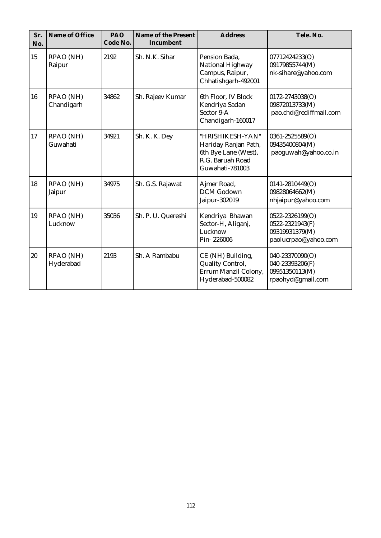| Sr.<br>No. | Name of Office          | PAO<br>Code No. | Name of the Present<br>Incumbent | <b>Address</b>                                                                                          | Tele. No.                                                                    |
|------------|-------------------------|-----------------|----------------------------------|---------------------------------------------------------------------------------------------------------|------------------------------------------------------------------------------|
| 15         | RPAO (NH)<br>Raipur     | 2192            | Sh. N.K. Sihar                   | Pension Bada,<br>National Highway<br>Campus, Raipur,<br>Chhatishgarh-492001                             | 07712424233(O)<br>09179855744(M)<br>nk-sihare@yahoo.com                      |
| 16         | RPAO (NH)<br>Chandigarh | 34862           | Sh. Rajeev Kumar                 | 6th Floor, IV Block<br>Kendriya Sadan<br>Sector 9-A<br>Chandigarh-160017                                | 0172-2743038(O)<br>09872013733(M)<br>pao.chd@rediffmail.com                  |
| 17         | RPAO (NH)<br>Guwahati   | 34921           | Sh. K. K. Dey                    | "HRISHIKESH-YAN"<br>Hariday Ranjan Path,<br>6th Bye Lane (West),<br>R.G. Baruah Road<br>Guwahati-781003 | 0361-2525589(O)<br>09435400804(M)<br>paoguwah@yahoo.co.in                    |
| 18         | RPAO (NH)<br>Jaipur     | 34975           | Sh. G.S. Rajawat                 | Ajmer Road,<br><b>DCM</b> Godown<br>Jaipur-302019                                                       | 0141-2810449(O)<br>09828064662(M)<br>nhjaipur@yahoo.com                      |
| 19         | RPAO (NH)<br>Lucknow    | 35036           | Sh. P. U. Quereshi               | Kendriya Bhawan<br>Sector-H, Aliganj,<br>Lucknow<br>Pin-226006                                          | 0522-2326199(O)<br>0522-2321943(F)<br>09319931379(M)<br>paolucrpao@yahoo.com |
| 20         | RPAO (NH)<br>Hyderabad  | 2193            | Sh. A Rambabu                    | CE (NH) Building,<br>Quality Control,<br>Errum Manzil Colony,<br>Hyderabad-500082                       | 040-23370090(O)<br>040-23393206(F)<br>09951350113(M)<br>rpaohyd@gmail.com    |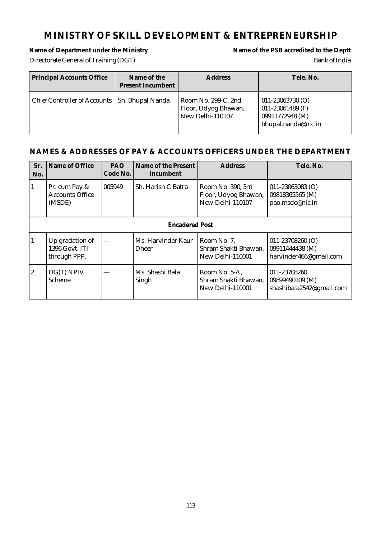## **MINISTRY OF SKILL DEVELOPMENT & ENTREPRENEURSHIP**

# Directorate General of Training (DGT) Bank of India

# Name of Department under the Ministry **Name of the PSB** accredited to the Deptt

| <b>Principal Accounts Office</b>                | Name of the<br><b>Present Incumbent</b> | <b>Address</b>                                                  | Tele. No.                                                                            |
|-------------------------------------------------|-----------------------------------------|-----------------------------------------------------------------|--------------------------------------------------------------------------------------|
| Chief Controller of Accounts   Sh. Bhupal Nanda |                                         | Room No. 299-C, 2nd<br>Floor, Udyog Bhawan,<br>New Delhi-110107 | $011 - 23063730$ (O)<br>011-23061489 $(F)$<br>09911772948 (M)<br>bhupal.nanda@nic.in |

| Sr.<br>No.     | Name of Office                                    | PAO<br>Code No. | Name of the Present<br>Incumbent | Address                                                       | Tele. No.                                                         |  |  |
|----------------|---------------------------------------------------|-----------------|----------------------------------|---------------------------------------------------------------|-------------------------------------------------------------------|--|--|
| $\mathbf{1}$   | Pr. cum Pay &<br><b>Accounts Office</b><br>(MSDE) | 005949          | Sh. Harish C Batra               | Room No. 390, 3rd<br>Floor, Udyog Bhawan,<br>New Delhi-110107 | $011 - 23063083$ (O)<br>09818365565 (M)<br>pao.msde@nic.in        |  |  |
|                | <b>Encadered Post</b>                             |                 |                                  |                                                               |                                                                   |  |  |
| $\mathbf{1}$   | Up gradation of<br>1396 Govt. ITI<br>through PPP. |                 | Ms. Harvinder Kaur<br>Dheer      | Room No. 7,<br>Shram Shakti Bhawan,<br>New Delhi-110001       | $011 - 23708260$ (O)<br>09911444438 (M)<br>harvinder466@gmail.com |  |  |
| $\overline{2}$ | DG(T) NPIV<br>Scheme                              |                 | Ms. Shashi Bala<br>Singh         | Room No. 5-A,<br>Shram Shakti Bhawan,<br>New Delhi-110001     | 011-23708260<br>09899490109 (M)<br>shashibala2542@gmail.com       |  |  |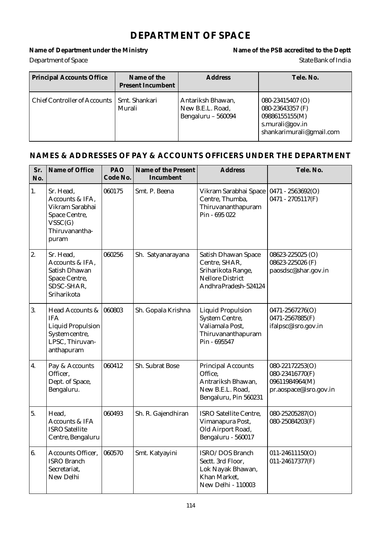#### **DEPARTMENT OF SPACE**

# **Department of Space** State Bank of India

Name of Department under the Ministry **Name of the PSB** accredited to the Deptt

| <b>Principal Accounts Office</b> | Name of the<br><b>Present Incumbent</b> | <b>Address</b>                                              | Tele, No.                                                                                             |
|----------------------------------|-----------------------------------------|-------------------------------------------------------------|-------------------------------------------------------------------------------------------------------|
| Chief Controller of Accounts     | Smt. Shankari<br>Murali                 | Antariksh Bhawan,<br>New B.E.L. Road,<br>Bengaluru - 560094 | 080-23415407 (O)<br>080-23643357 (F)<br>09886155155(M)<br>s.murali@gov.in<br>shankarimurali@gmail.com |

| Sr.<br>No.       | Name of Office                                                                                               | PAO<br>Code No. | Name of the Present<br>Incumbent | <b>Address</b>                                                                                                 | Tele. No.                                                                      |
|------------------|--------------------------------------------------------------------------------------------------------------|-----------------|----------------------------------|----------------------------------------------------------------------------------------------------------------|--------------------------------------------------------------------------------|
| 1.               | Sr. Head,<br>Accounts & IFA,<br>Vikram Sarabhai<br>Space Centre,<br>VSSC(G)<br>Thiruvanantha-<br>puram       | 060175          | Smt. P. Beena                    | Vikram Sarabhai Space<br>Centre, Thumba,<br>Thiruvananthapuram<br>Pin - 695 022                                | $0471 - 2563692(O)$<br>$0471 - 2705117(F)$                                     |
| 2.               | Sr. Head,<br>Accounts & IFA,<br>Satish Dhawan<br>Space Centre,<br>SDSC-SHAR,<br>Sriharikota                  | 060256          | Sh. Satyanarayana                | Satish Dhawan Space<br>Centre, SHAR,<br>Sriharikota Range,<br><b>Nellore District</b><br>Andhra Pradesh-524124 | 08623-225025 (O)<br>08623-225026 (F)<br>paosdsc@shar.gov.in                    |
| 3.               | Head Accounts &<br><b>IFA</b><br><b>Liquid Propulsion</b><br>System centre,<br>LPSC, Thiruvan-<br>anthapuram | 060803          | Sh. Gopala Krishna               | <b>Liquid Propulsion</b><br>System Centre,<br>Valiamala Post,<br>Thiruvananthapuram<br>Pin - 695547            | 0471-2567276(O)<br>0471-2567885(F)<br>ifalpsc@isro.gov.in                      |
| $\overline{4}$ . | Pay & Accounts<br>Officer,<br>Dept. of Space,<br>Bengaluru.                                                  | 060412          | Sh. Subrat Bose                  | <b>Principal Accounts</b><br>Office,<br>Antrariksh Bhawan,<br>New B.E.L. Road,<br>Bengaluru, Pin 560231        | 080-22172253(O)<br>080-23416770(F)<br>09611984964(M)<br>pr.aospace@isro.gov.in |
| 5.               | Head,<br>Accounts & IFA<br><b>ISRO</b> Satellite<br>Centre, Bengaluru                                        | 060493          | Sh. R. Gajendhiran               | <b>ISRO Satellite Centre,</b><br>Vimanapura Post,<br>Old Airport Road,<br>Bengaluru - 560017                   | 080-25205287(O)<br>080-25084203(F)                                             |
| 6.               | <b>Accounts Officer,</b><br><b>ISRO Branch</b><br>Secretariat,<br>New Delhi                                  | 060570          | Smt. Katyayini                   | ISRO/DOS Branch<br>Sectt. 3rd Floor,<br>Lok Nayak Bhawan,<br>Khan Market,<br><b>New Delhi - 110003</b>         | 011-24611150(O)<br>011-24617377(F)                                             |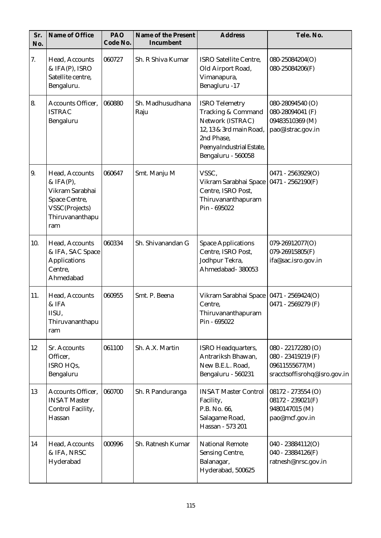| Sr.<br>No. | Name of Office                                                                                              | PAO<br>Code No. | Name of the Present<br>Incumbent | <b>Address</b>                                                                                                                                              | Tele. No.                                                                                  |
|------------|-------------------------------------------------------------------------------------------------------------|-----------------|----------------------------------|-------------------------------------------------------------------------------------------------------------------------------------------------------------|--------------------------------------------------------------------------------------------|
| 7.         | Head, Accounts<br>& IFA(P), ISRO<br>Satellite centre,<br>Bengaluru.                                         | 060727          | Sh. R Shiva Kumar                | <b>ISRO Satellite Centre,</b><br>Old Airport Road,<br>Vimanapura,<br>Benagluru -17                                                                          | 080-25084204(O)<br>080-25084206(F)                                                         |
| 8.         | Accounts Officer,<br><b>ISTRAC</b><br>Bengaluru                                                             | 060880          | Sh. Madhusudhana<br>Raju         | <b>ISRO</b> Telemetry<br>Tracking & Command<br>Network (ISTRAC)<br>12, 13 & 3rd main Road,<br>2nd Phase,<br>Peenya Industrial Estate,<br>Bengaluru - 560058 | 080-28094540 (O)<br>080-28094041 (F)<br>09483510369 (M)<br>pao@istrac.gov.in               |
| 9.         | Head, Accounts<br>& IFA(P),<br>Vikram Sarabhai<br>Space Centre,<br>VSSC(Projects)<br>Thiruvananthapu<br>ram | 060647          | Smt. Manju M                     | VSSC,<br>Vikram Sarabhai Space<br>Centre, ISRO Post,<br>Thiruvananthapuram<br>Pin - 695022                                                                  | $0471 - 2563929(O)$<br>$0471 - 2562190(F)$                                                 |
| 10.        | Head, Accounts<br>& IFA, SAC Space<br><b>Applications</b><br>Centre,<br>Ahmedabad                           | 060334          | Sh. Shivanandan G                | <b>Space Applications</b><br>Centre, ISRO Post,<br>Jodhpur Tekra,<br>Ahmedabad- 380053                                                                      | 079-26912077(O)<br>079-26915805(F)<br>ifa@sac.isro.gov.in                                  |
| 11.        | Head, Accounts<br>& IFA<br>IISU,<br>Thiruvananthapu<br>ram                                                  | 060955          | Smt. P. Beena                    | Vikram Sarabhai Space   0471 - 2569424(O)<br>Centre,<br>Thiruvananthapuram<br>Pin - 695022                                                                  | 0471 - 2569279 (F)                                                                         |
| 12         | Sr. Accounts<br>Officer,<br>ISRO HQs,<br>Bengaluru                                                          | 061100          | Sh. A.X. Martin                  | <b>ISRO Headquarters,</b><br>Antrariksh Bhawan,<br>New B.E.L. Road,<br>Bengaluru - 560231                                                                   | 080 - 22172280 (O)<br>080 - 23419219 (F)<br>09611555677(M)<br>sracctsoffisrohq@isro.gov.in |
| 13         | Accounts Officer,<br><b>INSAT Master</b><br>Control Facility,<br>Hassan                                     | 060700          | Sh. R Panduranga                 | <b>INSAT Master Control</b><br>Facility,<br>P.B. No. 66,<br>Salagame Road,<br>Hassan - 573 201                                                              | 08172 - 273554 (O)<br>$08172 - 239021(F)$<br>9480147015 (M)<br>pao@mcf.gov.in              |
| 14         | Head, Accounts<br>& IFA, NRSC<br>Hyderabad                                                                  | 000996          | Sh. Ratnesh Kumar                | <b>National Remote</b><br><b>Sensing Centre,</b><br>Balanagar,<br>Hyderabad, 500625                                                                         | $040 - 23884112(O)$<br>040 - 23884126(F)<br>ratnesh@nrsc.gov.in                            |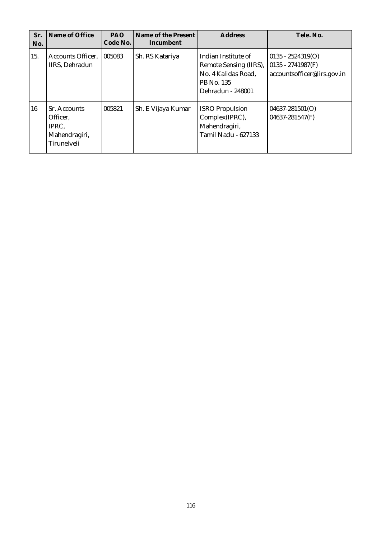| Sr.<br>No. | Name of Office                                                    | <b>PAO</b><br>Code No. | Name of the Present<br>Incumbent | Address                                                                                                 | Tele, No.                                                                 |
|------------|-------------------------------------------------------------------|------------------------|----------------------------------|---------------------------------------------------------------------------------------------------------|---------------------------------------------------------------------------|
| 15.        | Accounts Officer,<br>IIRS, Dehradun                               | 005083                 | Sh. RS Katariya                  | Indian Institute of<br>Remote Sensing (IIRS),<br>No. 4 Kalidas Road,<br>PB No. 135<br>Dehradun - 248001 | $0135 - 2524319(O)$<br>$0135 - 2741987(F)$<br>accountsofficer@iirs.gov.in |
| 16         | Sr. Accounts<br>Officer,<br>IPRC,<br>Mahendragiri,<br>Tirunelveli | 005821                 | Sh. E Vijaya Kumar               | <b>ISRO</b> Propulsion<br>Complex(IPRC),<br>Mahendragiri,<br>Tamil Nadu - 627133                        | $04637 - 281501(0)$<br>04637-281547(F)                                    |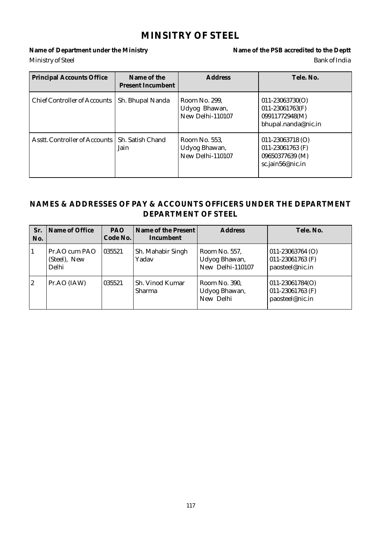### **MINSITRY OF STEEL**

Name of Department under the Ministry **Name of the PSB** accredited to the Deptt Ministry of Steel Bank of India

| <b>Principal Accounts Office</b> | Name of the<br>Present Incumbent | <b>Address</b>                                     | Tele, No.                                                                       |
|----------------------------------|----------------------------------|----------------------------------------------------|---------------------------------------------------------------------------------|
| Chief Controller of Accounts     | Sh. Bhupal Nanda                 | Room No. 299.<br>Udyog Bhawan,<br>New Delhi-110107 | $011 - 23063730(O)$<br>011-23061763(F)<br>09911772948(M)<br>bhupal.nanda@nic.in |
| Asstt. Controller of Accounts 1  | Sh. Satish Chand<br>Jain         | Room No. 553,<br>Udyog Bhawan,<br>New Delhi-110107 | $011 - 23063718$ (O)<br>011-23061763 (F)<br>09650377639 (M)<br>sc.jain56@nic.in |

#### **NAMES & ADDRESSES OF PAY & ACCOUNTS OFFICERS UNDER THE DEPARTMENT DEPARTMENT OF STEEL**

| Sr.<br>No. | Name of Office                         | <b>PAO</b><br>Code No. | Name of the Present I<br>Incumbent | <b>Address</b>                                     | Tele, No.                                                         |
|------------|----------------------------------------|------------------------|------------------------------------|----------------------------------------------------|-------------------------------------------------------------------|
| 1          | Pr.AO cum PAO<br>(Steel), New<br>Delhi | 035521                 | Sh. Mahabir Singh<br>Yadav         | Room No. 557,<br>Udyog Bhawan,<br>New Delhi-110107 | $ 011 - 23063764 0\rangle$<br>011-23061763 (F)<br>paosteel@nic.in |
| 2          | Pr.AO (IAW)                            | 035521                 | Sh. Vinod Kumar<br><b>Sharma</b>   | Room No. 390,<br>Udyog Bhawan,<br>New Delhi        | $ 011 - 23061784(0) $<br>011-23061763 (F)<br>paosteel@nic.in      |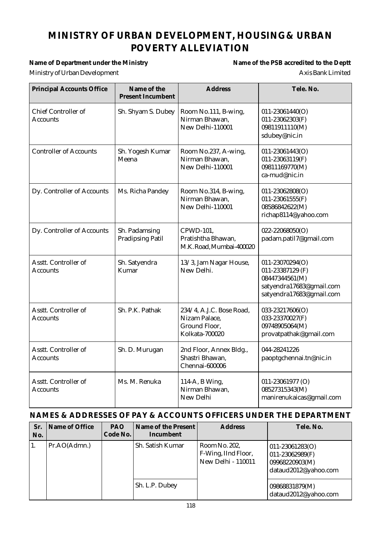# **MINISTRY OF URBAN DEVELOPMENT, HOUSING& URBAN POVERTY ALLEVIATION**

#### Name of Department under the Ministry **Name of the PSB** accredited to the Deptt

# Ministry of Urban Development **Axis Bank Limited**

| <b>Principal Accounts Office</b>              | Name of the<br><b>Present Incumbent</b>  | <b>Address</b>                                                               | Tele. No.                                                                                                     |
|-----------------------------------------------|------------------------------------------|------------------------------------------------------------------------------|---------------------------------------------------------------------------------------------------------------|
| <b>Chief Controller of</b><br><b>Accounts</b> | Sh. Shyam S. Dubey                       | Room No.111, B-wing,<br>Nirman Bhawan,<br>New Delhi-110001                   | $011 - 23061440(O)$<br>011-23062303(F)<br>09811911110(M)<br>sdubey@nic.in                                     |
| <b>Controller of Accounts</b>                 | Sh. Yogesh Kumar<br>Meena                | Room No.237, A-wing,<br>Nirman Bhawan,<br>New Delhi-110001                   | $011 - 23061443(O)$<br>011-23063119(F)<br>09811169770(M)<br>ca-mud@nic.in                                     |
| Dy. Controller of Accounts                    | Ms. Richa Pandey                         | Room No.314, B-wing,<br>Nirman Bhawan,<br>New Delhi-110001                   | $011 - 23062808(O)$<br>011-23061555(F)<br>08586842622(M)<br>richap8114@yahoo.com                              |
| Dy. Controller of Accounts                    | Sh. Padamsing<br><b>Pradipsing Patil</b> | CPWD-101,<br>Pratishtha Bhawan,<br>M.K. Road, Mumbai-400020                  | $022 - 22068050(O)$<br>padam.patil7@gmail.com                                                                 |
| Asstt. Controller of<br>Accounts              | Sh. Satyendra<br>Kumar                   | 13/3, Jam Nagar House,<br>New Delhi.                                         | 011-23070294(O)<br>011-23387129 (F)<br>08447344561(M)<br>satyendra17683@gmail.com<br>satyendra17683@gmail.com |
| Asstt. Controller of<br><b>Accounts</b>       | Sh. P.K. Pathak                          | 234/4, A.J.C. Bose Road,<br>Nizam Palace,<br>Ground Floor,<br>Kolkata-700020 | 033-23217606(O)<br>033-23370027(F)<br>09748905064(M)<br>provatpathak@gmail.com                                |
| Asstt. Controller of<br>Accounts              | Sh. D. Murugan                           | 2nd Floor, Annex Bldg.,<br>Shastri Bhawan,<br>Chennai-600006                 | 044-28241226<br>paoptgchennai.tn@nic.in                                                                       |
| Asstt. Controller of<br>Accounts              | Ms. M. Renuka                            | 114-A, B Wing,<br>Nirman Bhawan,<br>New Delhi                                | 011-23061977 (O)<br>08527315343(M)<br>manirenukaicas@gmail.com                                                |

| Sr.<br>No. | Name of Office | <b>PAO</b><br>Code No. | Name of the Present<br>Incumbent | <b>Address</b>                                                    | Tele. No.                                                                            |
|------------|----------------|------------------------|----------------------------------|-------------------------------------------------------------------|--------------------------------------------------------------------------------------|
|            | Pr.AO(Admn.)   |                        | Sh. Satish Kumar                 | Room No. 202,<br>F-Wing, IInd Floor,<br><b>New Delhi - 110011</b> | $011 - 23061283(O)$<br>$011 - 23062989(F)$<br>09968220903(M)<br>dataud2012@yahoo.com |
|            |                |                        | Sh. L.P. Dubey                   |                                                                   | 09868831879(M)<br>dataud2012@yahoo.com                                               |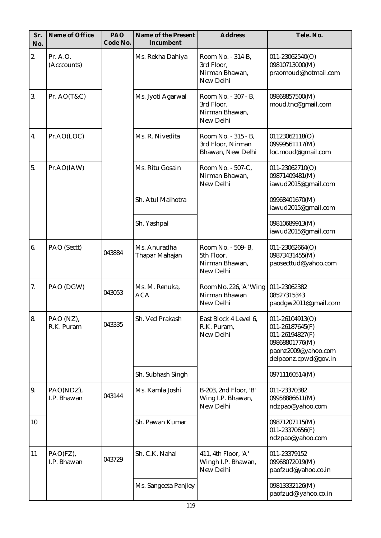| Sr.<br>No. | Name of Office           | PAO<br>Code No. | Name of the Present<br>Incumbent | <b>Address</b>                                                   | Tele. No.                                                                                                                  |
|------------|--------------------------|-----------------|----------------------------------|------------------------------------------------------------------|----------------------------------------------------------------------------------------------------------------------------|
| 2.         | Pr. A.O.<br>(Acccounts)  |                 | Ms. Rekha Dahiya                 | Room No. - 314-B,<br>3rd Floor,<br>Nirman Bhawan,<br>New Delhi   | $011 - 23062540(O)$<br>09810713000(M)<br>praomoud@hotmail.com                                                              |
| 3.         | Pr. $AO(T&C)$            |                 | Ms. Jyoti Agarwal                | Room No. - 307 - B.<br>3rd Floor,<br>Nirman Bhawan,<br>New Delhi | 09868857500(M)<br>moud.tnc@gmail.com                                                                                       |
| 4.         | Pr.AO(LOC)               |                 | Ms. R. Nivedita                  | Room No. - 315 - B,<br>3rd Floor, Nirman<br>Bhawan, New Delhi    | 01123062118(O)<br>09999561117(M)<br>loc.moud@gmail.com                                                                     |
| 5.         | Pr.AO(IAW)               |                 | Ms. Ritu Gosain                  | Room No. - 507-C,<br>Nirman Bhawan,<br>New Delhi                 | $011 - 23062710(O)$<br>09871409481(M)<br>iawud2015@gmail.com                                                               |
|            |                          |                 | Sh. Atul Malhotra                |                                                                  | 09968401670(M)<br>iawud2015@gmail.com                                                                                      |
|            |                          |                 | Sh. Yashpal                      |                                                                  | 09810689913(M)<br>iawud2015@gmail.com                                                                                      |
| 6.         | PAO (Sectt)              | 043884          | Ms. Anuradha<br>Thapar Mahajan   | Room No. - 509- B,<br>5th Floor,<br>Nirman Bhawan,<br>New Delhi  | $011 - 23062664(O)$<br>09873431455(M)<br>paosecttud@yahoo.com                                                              |
| 7.         | PAO (DGW)                | 043053          | Ms. M. Renuka,<br><b>ACA</b>     | Room No. 226, 'A' Wing<br>Nirman Bhawan<br>New Delhi             | 011-23062382<br>08527315343<br>paodgw2011@gmail.com                                                                        |
| 8.         | PAO (NZ),<br>R.K. Puram  | 043335          | Sh. Ved Prakash                  | East Block 4 Level 6,<br>R.K. Puram,<br>New Delhi                | 011-26104913(O)<br>$011 - 26187645(F)$<br>011-26194827(F)<br>09868801776(M)<br>paonz2009@yahoo.com<br>delpaonz.cpwd@gov.in |
|            |                          |                 | Sh. Subhash Singh                |                                                                  | 09711160514(M)                                                                                                             |
| 9.         | PAO(NDZ),<br>I.P. Bhawan | 043144          | Ms. Kamla Joshi                  | B-203, 2nd Floor, 'B'<br>Wing I.P. Bhawan,<br>New Delhi          | 011-23370382<br>09958886611(M)<br>ndzpao@yahoo.com                                                                         |
| 10         |                          |                 | Sh. Pawan Kumar                  |                                                                  | 09871207115(M)<br>011-23370656(F)<br>ndzpao@yahoo.com                                                                      |
| 11         | PAO(FZ),<br>I.P. Bhawan  | 043729          | Sh. C.K. Nahal                   | 411, 4th Floor, 'A'<br>Wingh I.P. Bhawan,<br>New Delhi           | 011-23379152<br>09968072019(M)<br>paofzud@yahoo.co.in                                                                      |
|            |                          |                 | Ms. Sangeeta Panjley             |                                                                  | 09813332126(M)<br>paofzud@ yahoo.co.in                                                                                     |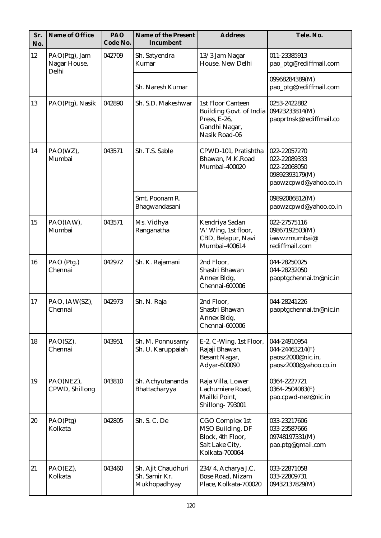| Sr.<br>No. | Name of Office                         | PAO<br>Code No. | Name of the Present<br>Incumbent                    | <b>Address</b>                                                                                               | Tele. No.                                                                               |
|------------|----------------------------------------|-----------------|-----------------------------------------------------|--------------------------------------------------------------------------------------------------------------|-----------------------------------------------------------------------------------------|
| 12         | PAO(Ptg), Jam<br>Nagar House,<br>Delhi | 042709          | Sh. Satyendra<br>Kumar                              | 13/3 Jam Nagar<br>House, New Delhi                                                                           | 011-23385913<br>pao_ptg@rediffmail.com                                                  |
|            |                                        |                 | Sh. Naresh Kumar                                    |                                                                                                              | 09968284389(M)<br>pao_ptg@rediffmail.com                                                |
| 13         | PAO(Ptg), Nasik                        | 042890          | Sh. S.D. Makeshwar                                  | <b>1st Floor Canteen</b><br><b>Building Govt. of India</b><br>Press, E-26,<br>Gandhi Nagar,<br>Nasik Road-06 | 0253-2422882<br>09423233814(M)<br>paoprtnsk@rediffmail.co                               |
| 14         | PAO(WZ),<br>Mumbai                     | 043571          | Sh. T.S. Sable                                      | CPWD-101, Pratishtha<br>Bhawan, M.K.Road<br>Mumbai-400020                                                    | 022-22057270<br>022-22089333<br>022-22068050<br>09892393179(M)<br>paowzcpwd@yahoo.co.in |
|            |                                        |                 | Smt. Poonam R.<br>Bhagwandasani                     |                                                                                                              | 09892086812(M)<br>paowzcpwd@yahoo.co.in                                                 |
| 15         | PAO(IAW),<br>Mumbai                    | 043571          | Ms. Vidhya<br>Ranganatha                            | Kendriya Sadan<br>'A' Wing, 1st floor,<br>CBD, Belapur, Navi<br>Mumbai-400614                                | 022-27575116<br>09867192503(M)<br>iawwzmumbai@<br>rediffmail.com                        |
| 16         | PAO (Ptg.)<br>Chennai                  | 042972          | Sh. K. Rajamani                                     | 2nd Floor,<br>Shastri Bhawan<br>Annex Bldg,<br>Chennai-600006                                                | 044-28250025<br>044-28232050<br>paoptgchennai.tn@nic.in                                 |
| 17         | PAO, IAW(SZ),<br>Chennai               | 042973          | Sh. N. Raja                                         | 2nd Floor,<br>Shastri Bhawan<br>Annex Bldg,<br>Chennai-600006                                                | 044-28241226<br>paoptgchennai.tn@nic.in                                                 |
| 18         | PAO(SZ),<br>Chennai                    | 043951          | Sh. M. Ponnusamy<br>Sh. U. Karuppaiah               | E-2, C-Wing, 1st Floor,<br>Rajaji Bhawan,<br>Besant Nagar,<br>Adyar-600090                                   | 044-24910954<br>044-24463214(F)<br>paosz2000@nic.in,<br>paosz2000@yahoo.co.in           |
| 19         | PAO(NEZ),<br>CPWD, Shillong            | 043810          | Sh. Achyutananda<br>Bhattacharyya                   | Raja Villa, Lower<br>Lachumiere Road,<br>Mailki Point,<br><b>Shillong-793001</b>                             | 0364-2227721<br>0364-2504083(F)<br>pao.cpwd-nez@nic.in                                  |
| 20         | PAO(Ptg)<br>Kolkata                    | 042805          | Sh. S. C. De                                        | CGO Complex 1st<br>MSO Building, DF<br>Block, 4th Floor,<br>Salt Lake City,<br>Kolkata-700064                | 033-23217606<br>033-23587666<br>09748197331(M)<br>pao.ptg@gmail.com                     |
| 21         | PAO(EZ),<br>Kolkata                    | 043460          | Sh. Ajit Chaudhuri<br>Sh. Samir Kr.<br>Mukhopadhyay | 234/4, Acharya J.C.<br><b>Bose Road, Nizam</b><br>Place, Kolkata-700020                                      | 033-22871058<br>033-22809731<br>09432137829(M)                                          |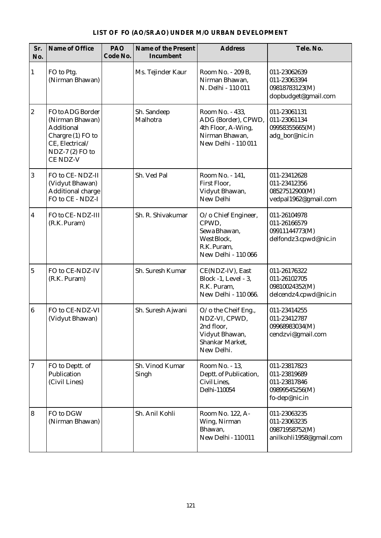| Sr.<br>No.              | Name of Office                                                                                                                  | PAO<br>Code No. | Name of the Present<br>Incumbent | <b>Address</b>                                                                                        | Tele, No.                                                                       |
|-------------------------|---------------------------------------------------------------------------------------------------------------------------------|-----------------|----------------------------------|-------------------------------------------------------------------------------------------------------|---------------------------------------------------------------------------------|
| $\mathbf{1}$            | FO to Ptg.<br>(Nirman Bhawan)                                                                                                   |                 | Ms. Tejinder Kaur                | Room No. - 209 B,<br>Nirman Bhawan,<br>N. Delhi - 110 011                                             | 011-23062639<br>011-23063394<br>09818783123(M)<br>dopbudget@gmail.com           |
| $\overline{2}$          | FO to ADG Border<br>(Nirman Bhawan)<br><b>Additional</b><br>Chargre (1) FO to<br>CE, Electrical/<br>NDZ-7 (2) FO to<br>CE NDZ-V |                 | Sh. Sandeep<br>Malhotra          | Room No. - 433,<br>ADG (Border), CPWD,<br>4th Floor, A-Wing,<br>Nirman Bhawan,<br>New Delhi - 110 011 | 011-23061131<br>011-23061134<br>09958355665(M)<br>adg_bor@nic.in                |
| 3                       | FO to CE-NDZ-II<br>(Vidyut Bhawan)<br>Additional charge<br>FO to CE - NDZ-I                                                     |                 | Sh. Ved Pal                      | Room No. - 141,<br>First Floor,<br>Vidyut Bhawan,<br>New Delhi                                        | 011-23412628<br>011-23412356<br>08527512900(M)<br>vedpal1962@gmail.com          |
| $\overline{\mathbf{4}}$ | FO to CE-NDZ-III<br>(R.K. Puram)                                                                                                |                 | Sh. R. Shivakumar                | O/o Chief Engineer,<br>CPWD,<br>Sewa Bhawan,<br>West Block,<br>R.K. Puram,<br>New Delhi - 110 066     | 011-26104978<br>011-26166579<br>09911144773(M)<br>delfondz3.cpwd@nic.in         |
| $\overline{5}$          | FO to CE-NDZ-IV<br>(R.K. Puram)                                                                                                 |                 | Sh. Suresh Kumar                 | CE(NDZ-IV), East<br>Block -1, Level - 3,<br>R.K. Puram,<br>New Delhi - 110 066.                       | 011-26176322<br>011-26102705<br>09810024352(M)<br>delcendz4.cpwd@nic.in         |
| $\boldsymbol{6}$        | FO to CE-NDZ-VI<br>(Vidyut Bhawan)                                                                                              |                 | Sh. Suresh Ajwani                | O/o the Cheif Eng.,<br>NDZ-VI, CPWD,<br>2nd floor,<br>Vidyut Bhawan,<br>Shankar Market,<br>New Delhi. | 011-23414255<br>011-23412787<br>09968983034(M)<br>cendzvi@gmail.com             |
| $\overline{7}$          | FO to Deptt. of<br>Publication<br>(Civil Lines)                                                                                 |                 | Sh. Vinod Kumar<br>Singh         | Room No. - 13,<br>Deptt. of Publication,<br>CivilLines.<br>Delhi-110054                               | 011-23817823<br>011-23819689<br>011-23817846<br>09899545256(M)<br>fo-dep@nic.in |
| $\bf{8}$                | FO to DGW<br>(Nirman Bhawan)                                                                                                    |                 | Sh. Anil Kohli                   | Room No. 122, A-<br>Wing, Nirman<br>Bhawan,<br>New Delhi - 110011                                     | 011-23063235<br>011-23063235<br>09871958752(M)<br>anilkohli1958@gmail.com       |

#### **LIST OF FO (AO/SR.AO) UNDER M/O URBAN DEVELOPMENT**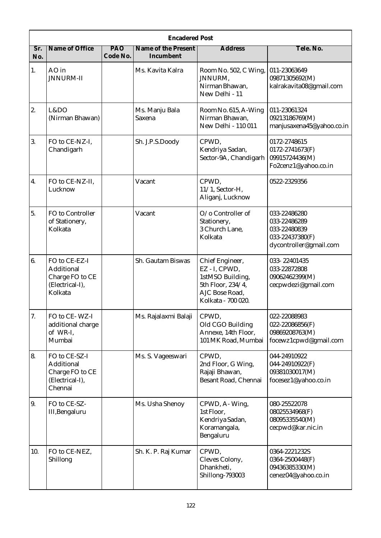|                                 | <b>Encadered Post</b>                                                        |                 |                                  |                                                                                                                   |                                                                                           |  |  |  |
|---------------------------------|------------------------------------------------------------------------------|-----------------|----------------------------------|-------------------------------------------------------------------------------------------------------------------|-------------------------------------------------------------------------------------------|--|--|--|
| $\overline{\text{Sr}}$ .<br>No. | Name of Office                                                               | PAO<br>Code No. | Name of the Present<br>Incumbent | <b>Address</b>                                                                                                    | Tele. No.                                                                                 |  |  |  |
| 1.                              | AO in<br><b>JNNURM-II</b>                                                    |                 | Ms. Kavita Kalra                 | Room No. 502, C Wing,<br><b>JNNURM,</b><br>Nirman Bhawan,<br>New Delhi - 11                                       | 011-23063649<br>09871305692(M)<br>kalrakavita08@gmail.com                                 |  |  |  |
| 2.                              | L&DO<br>(Nirman Bhawan)                                                      |                 | Ms. Manju Bala<br>Saxena         | Room No. 615, A-Wing<br>Nirman Bhawan,<br>New Delhi - 110 011                                                     | 011-23061324<br>09213186769(M)<br>manjusaxena45@yahoo.co.in                               |  |  |  |
| 3.                              | FO to CE-NZ-I,<br>Chandigarh                                                 |                 | Sh. J.P.S.Doody                  | CPWD,<br>Kendriya Sadan,<br>Sector-9A, Chandigarh                                                                 | 0172-2748615<br>0172-2741673(F)<br>09915724436(M)<br>Fo2cenz1@yahoo.co.in                 |  |  |  |
| $\overline{4}$ .                | FO to CE-NZ-II,<br>Lucknow                                                   |                 | Vacant                           | CPWD,<br>$11/1$ , Sector-H,<br>Aliganj, Lucknow                                                                   | 0522-2329356                                                                              |  |  |  |
| 5.                              | FO to Controller<br>of Stationery,<br>Kolkata                                |                 | Vacant                           | O/o Controller of<br>Stationery,<br>3 Church Lane,<br>Kolkata                                                     | 033-22486280<br>033-22486289<br>033-22480839<br>033-22437380(F)<br>dycontroller@gmail.com |  |  |  |
| 6.                              | FO to CE-EZ-I<br>Additional<br>Charge FO to CE<br>(Electrical-I),<br>Kolkata |                 | Sh. Gautam Biswas                | Chief Engineer,<br>EZ - I, CPWD,<br>1stMSO Building,<br>5th Floor, 234/4,<br>AJC Bose Road,<br>Kolkata - 700 020. | 033-22401435<br>033-22872808<br>09062462399(M)<br>cecpwdezi@gmail.com                     |  |  |  |
| 7.                              | FO to CE-WZ-I<br>additional charge<br>of WR-I,<br>Mumbai                     |                 | Ms. Rajalaxmi Balaji             | CPWD,<br>Old CGO Building<br>Annexe, 14th Floor,<br>101 MK Road, Mumbai                                           | 022-22088983<br>$022 - 22086856(F)$<br>09869208763(M)<br>focewz1cpwd@gmail.com            |  |  |  |
| 8.                              | FO to CE-SZ-I<br>Additional<br>Charge FO to CE<br>(Electrical-I),<br>Chennai |                 | Ms. S. Vageeswari                | CPWD,<br>2nd Floor, G Wing,<br>Rajaji Bhawan,<br>Besant Road, Chennai                                             | 044-24910922<br>044-24910922(F)<br>09381030017(M)<br>focesez1@yahoo.co.in                 |  |  |  |
| 9.                              | FO to CE-SZ-<br>III, Bengaluru                                               |                 | Ms. Usha Shenoy                  | CPWD, A-Wing,<br>1st Floor,<br>Kendriya Sadan,<br>Koramangala,<br>Bengaluru                                       | 080-25522078<br>08025534968(F)<br>08095335540(M)<br>cecpwd@kar.nic.in                     |  |  |  |
| 10.                             | FO to CE-NEZ,<br>Shillong                                                    |                 | Sh. K. P. Raj Kumar              | CPWD,<br>Cleves Colony,<br>Dhankheti,<br><b>Shillong-793003</b>                                                   | 0364-2221232S<br>0364-2500448(F)<br>09436385330(M)<br>cenez04@yahoo.co.in                 |  |  |  |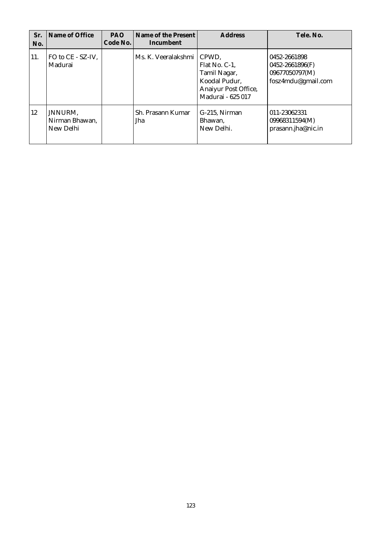| Sr.<br>No. | Name of Office                         | <b>PAO</b><br>Code No. | Name of the Present<br>Incumbent | <b>Address</b>                                                                                       | Tele, No.                                                               |
|------------|----------------------------------------|------------------------|----------------------------------|------------------------------------------------------------------------------------------------------|-------------------------------------------------------------------------|
| 11.        | FO to CE - SZ-IV,<br>Madurai           |                        | Ms. K. Veeralakshmi              | CPWD.<br>Flat No. C-1,<br>Tamil Nagar,<br>Koodal Pudur,<br>Anaiyur Post Office,<br>Madurai - 625 017 | 0452-2661898<br>0452-2661896(F)<br>09677050797(M)<br>fosz4mdu@gmail.com |
| 12         | JNNURM,<br>Nirman Bhawan,<br>New Delhi |                        | Sh. Prasann Kumar<br>Jha         | G-215, Nirman<br>Bhawan,<br>New Delhi.                                                               | 011-23062331<br>09968311594(M)<br>prasann.jha@nic.in                    |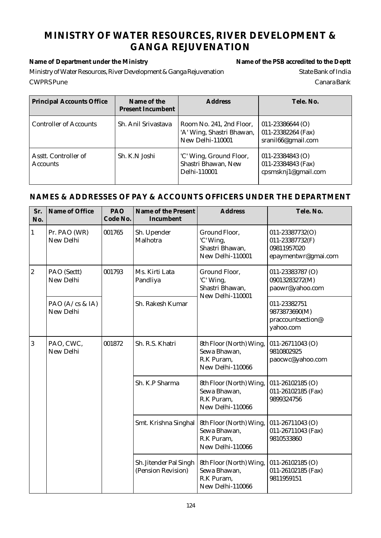### **MINISTRY OF WATER RESOURCES, RIVER DEVELOPMENT & GANGA REJUVENATION**

**Name of Department under the Ministry Name of the PSB accredited to the Deptt**

Ministry of Water Resources, River Development & Ganga Rejuvenation State Bank of India CWPRS Pune Canara Bank

| <b>Principal Accounts Office</b>        | Name of the<br><b>Present Incumbent</b> | <b>Address</b>                                                            | Tele. No.                                                         |
|-----------------------------------------|-----------------------------------------|---------------------------------------------------------------------------|-------------------------------------------------------------------|
| <b>Controller of Accounts</b>           | Sh. Anil Srivastava                     | Room No. 241, 2nd Floor,<br>'A' Wing, Shastri Bhawan,<br>New Delhi-110001 | $011 - 23386644$ (O)<br>011-23382264 (Fax)<br>sranil66@gmail.com  |
| Asstt. Controller of<br><b>Accounts</b> | Sh. K.N Joshi                           | 'C' Wing, Ground Floor,<br>Shastri Bhawan, New<br>Delhi-110001            | $011 - 23384843$ (O)<br>011-23384843 (Fax)<br>cpsmsknj1@gmail.com |

| Sr.<br>No.       | Name of Office                         | PAO<br>Code No. | Name of the Present<br>Incumbent             | <b>Address</b>                                                            | Tele. No.                                                                |
|------------------|----------------------------------------|-----------------|----------------------------------------------|---------------------------------------------------------------------------|--------------------------------------------------------------------------|
| $\mathbf{1}$     | Pr. PAO (WR)<br>New Delhi              | 001765          | Sh. Upender<br>Malhotra                      | Ground Floor,<br>'C' Wing,<br>Shastri Bhawan,<br>New Delhi-110001         | 011-23387732(O)<br>011-23387732(F)<br>09811957020<br>epaymentwr@gmai.com |
| $\boldsymbol{2}$ | PAO (Sectt)<br>New Delhi               | 001793          | Ms. Kirti Lata<br>Pandliya                   | Ground Floor,<br>'C' Wing,<br>Shastri Bhawan,<br>New Delhi-110001         | 011-23383787 (O)<br>09013283272(M)<br>paowr@yahoo.com                    |
|                  | PAO $(A/\text{cs} \& IA)$<br>New Delhi |                 | Sh. Rakesh Kumar                             |                                                                           | 011-23382751<br>9873873690(M)<br>praccountsection@<br>yahoo.com          |
| 3                | PAO, CWC,<br>New Delhi                 | 001872          | Sh. R.S. Khatri                              | 8th Floor (North) Wing,<br>Sewa Bhawan,<br>R.K Puram,<br>New Delhi-110066 | 011-26711043 (O)<br>9810802925<br>paocwc@yahoo.com                       |
|                  |                                        |                 | Sh. K.P Sharma                               | 8th Floor (North) Wing,<br>Sewa Bhawan,<br>R.K Puram,<br>New Delhi-110066 | $011 - 26102185$ (O)<br>011-26102185 (Fax)<br>9899324756                 |
|                  |                                        |                 | Smt. Krishna Singhal                         | 8th Floor (North) Wing,<br>Sewa Bhawan,<br>R.K Puram,<br>New Delhi-110066 | 011-26711043 (O)<br>011-26711043 (Fax)<br>9810533860                     |
|                  |                                        |                 | Sh. Jitender Pal Singh<br>(Pension Revision) | 8th Floor (North) Wing,<br>Sewa Bhawan,<br>R.K Puram,<br>New Delhi-110066 | $011 - 26102185$ (O)<br>011-26102185 (Fax)<br>9811959151                 |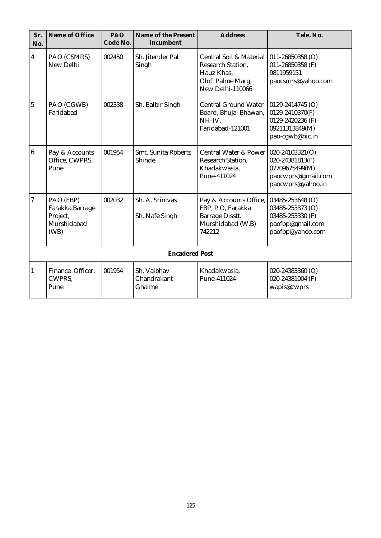| Sr.<br>No.              | Name of Office                                                  | PAO<br>Code No. | Name of the Present<br>Incumbent     | <b>Address</b>                                                                                            | Tele. No.                                                                                        |
|-------------------------|-----------------------------------------------------------------|-----------------|--------------------------------------|-----------------------------------------------------------------------------------------------------------|--------------------------------------------------------------------------------------------------|
| $\overline{\mathbf{4}}$ | PAO (CSMRS)<br>New Delhi                                        | 002450          | Sh. Jitender Pal<br>Singh            | Central Soil & Material<br><b>Research Station,</b><br>Hauz Khas,<br>Olof Palme Marg,<br>New Delhi-110066 | $011 - 26850358$ (O)<br>011-26850358 (F)<br>9811959151<br>paocsmrs@yahoo.com                     |
| $\overline{5}$          | PAO (CGWB)<br>Faridabad                                         | 002338          | Sh. Balbir Singh                     | <b>Central Ground Water</b><br>Board, Bhujal Bhawan,<br>NH-IV,<br>Faridabad-121001                        | 0129-2414745 (O)<br>0129-2410370(F)<br>0129-2420236 (F)<br>09211313849(M)<br>pao-cgwb@nic.in     |
| $\overline{6}$          | Pay & Accounts<br>Office, CWPRS,<br>Pune                        | 001954          | <b>Smt. Sunita Roberts</b><br>Shinde | Central Water & Power   020-24103321(O)<br>Research Station,<br>Khadakwasla,<br>Pune-411024               | 020-24381813(F)<br>07709675499(M)<br>paocwprs@gmail.com<br>paocwprs@yahoo.in                     |
| $\overline{7}$          | PAO (FBP)<br>Farakka Barrage<br>Project,<br>Murshidabad<br>(WB) | 002032          | Sh. A. Srinivas<br>Sh. Nafe Singh    | Pay & Accounts Office,<br>FBP, P.O, Farakka<br><b>Barrage Disstt.</b><br>Murshidabad (W.B)<br>742212      | 03485-253648 (O)<br>03485-253373 (O)<br>03485-253330 (F)<br>paofbp@gmail.com<br>paofbp@yahoo.com |
|                         |                                                                 |                 | <b>Encadered Post</b>                |                                                                                                           |                                                                                                  |
| 1                       | Finance Officer,<br>CWPRS,<br>Pune                              | 001954          | Sh. Vaibhav<br>Chandrakant<br>Ghalme | Khadakwasla,<br>Pune-411024                                                                               | 020-24383360 (O)<br>020-24381004 (F)<br>wapis@cwprs                                              |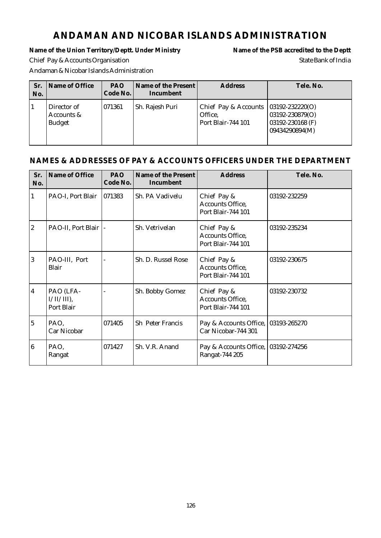## **ANDAMAN AND NICOBAR ISLANDS ADMINISTRATION**

Name of the Union Territory/Deptt. Under Ministry Name of the PSB accredited to the Deptt Chief Pay & Accounts Organisation State Bank of India Andaman & Nicobar Islands Administration

| Sr.<br>No. | Name of Office                             | <b>PAO</b><br>Code No. | Name of the Present<br>Incumbent | <b>Address</b>                                                            | Tele. No.                                             |
|------------|--------------------------------------------|------------------------|----------------------------------|---------------------------------------------------------------------------|-------------------------------------------------------|
|            | Director of<br>Accounts &<br><b>Budget</b> | 1071361                | Sh. Rajesh Puri                  | Chief Pay & Accounts $ 03192-232220(0) $<br>Office,<br>Port Blair-744 101 | 03192-230879(O)<br>03192-230168 (F)<br>09434290894(M) |

| Sr.<br>No.     | Name of Office                           | PAO<br>Code No. | Name of the Present<br>Incumbent | <b>Address</b>                                        | Tele. No.    |
|----------------|------------------------------------------|-----------------|----------------------------------|-------------------------------------------------------|--------------|
| 1              | PAO-I, Port Blair                        | 071383          | Sh. PA Vadivelu                  | Chief Pay &<br>Accounts Office,<br>Port Blair-744 101 | 03192-232259 |
| $\overline{2}$ | PAO-II, Port Blair                       |                 | Sh. Vetrivelan                   | Chief Pay &<br>Accounts Office,<br>Port Blair-744 101 | 03192-235234 |
| $\overline{3}$ | PAO-III, Port<br>Blair                   |                 | Sh. D. Russel Rose               | Chief Pay &<br>Accounts Office,<br>Port Blair-744 101 | 03192-230675 |
| $\overline{4}$ | PAO (LFA-<br>$I/II/III$ ),<br>Port Blair |                 | Sh. Bobby Gomez                  | Chief Pay &<br>Accounts Office,<br>Port Blair-744 101 | 03192-230732 |
| $\overline{5}$ | PAO,<br>Car Nicobar                      | 071405          | Sh Peter Francis                 | Pay & Accounts Office,<br>Car Nicobar-744 301         | 03193-265270 |
| $\overline{6}$ | PAO,<br>Rangat                           | 071427          | Sh. V.R. Anand                   | Pay & Accounts Office,<br>Rangat-744 205              | 03192-274256 |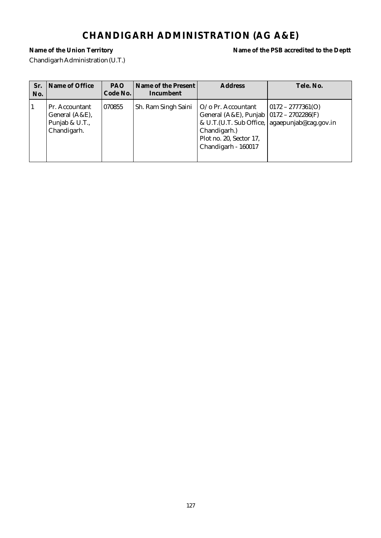# **CHANDIGARH ADMINISTRATION (AG A&E)**

Chandigarh Administration (U.T.)

**Name of the Union Territory Name of the PSB accredited to the Deptt**

| Sr.<br>No. | Name of Office                                                    | <b>PAO</b><br>Code No. | Name of the Present<br>Incumbent | <b>Address</b>                                                                                                                    | Tele. No.                                                               |
|------------|-------------------------------------------------------------------|------------------------|----------------------------------|-----------------------------------------------------------------------------------------------------------------------------------|-------------------------------------------------------------------------|
|            | Pr. Accountant<br>General (A&E),<br>Punjab & U.T.,<br>Chandigarh. | 070855                 | Sh. Ram Singh Saini              | O/o Pr. Accountant<br>General (A&E), Punjab   0172 - 2702286(F)<br>Chandigarh.)<br>Plot no. 20, Sector 17,<br>Chandigarh - 160017 | $ 0172 - 2777361(0) $<br>& U.T. (U.T. Sub Office, agaepunjab@cag.gov.in |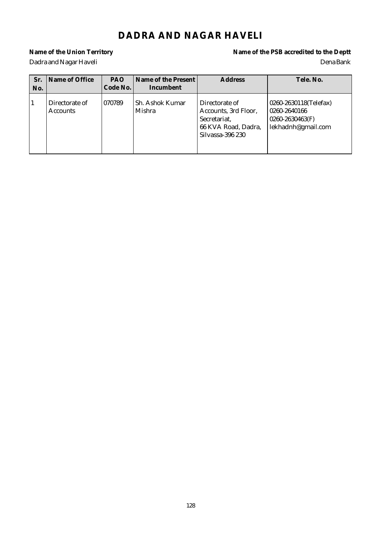# **DADRA AND NAGAR HAVELI**

**Name of the Union Territory Name of the PSB accredited to the Deptt** Dadra and Nagar Haveli Dena Bank

| Sr.<br>No. | Name of Office                    | <b>PAO</b><br>Code No. | Name of the Present<br>Incumbent | <b>Address</b>                                                                                    | Tele, No.                                                                          |
|------------|-----------------------------------|------------------------|----------------------------------|---------------------------------------------------------------------------------------------------|------------------------------------------------------------------------------------|
|            | Directorate of<br><b>Accounts</b> | 070789                 | Sh. Ashok Kumar<br>Mishra        | Directorate of<br>Accounts, 3rd Floor,<br>Secretariat,<br>66 KVA Road, Dadra,<br>Silvassa-396 230 | 0260-2630118(Telefax)<br>0260-2640166<br>$0260 - 2630463(F)$<br>lekhadnh@gmail.com |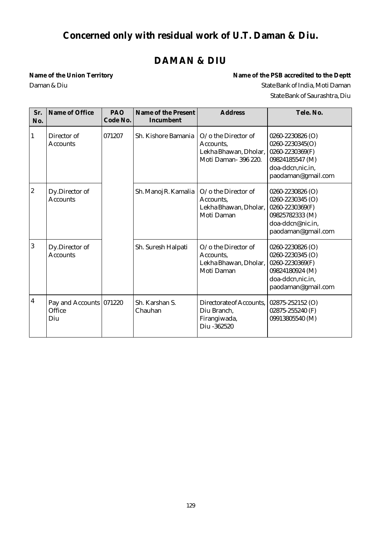# **Concerned only with residual work of U.T. Daman & Diu.**

# **DAMAN & DIU**

**Name of the Union Territory Name of the PSB accredited to the Deptt** Daman & Diu  $S$ tate Bank of India, Moti Daman State Bank of Saurashtra, Diu

| Sr.<br>No.       | Name of Office                           | PAO<br>Code No. | Name of the Present<br>Incumbent | <b>Address</b>                                                                              | Tele. No.                                                                                                            |
|------------------|------------------------------------------|-----------------|----------------------------------|---------------------------------------------------------------------------------------------|----------------------------------------------------------------------------------------------------------------------|
| 1                | Director of<br>Accounts                  | 071207          | Sh. Kishore Bamania              | $O$ / $\sigma$ the Director of<br>Accounts,<br>Lekha Bhawan, Dholar,<br>Moti Daman-396 220. | 0260-2230826 (O)<br>0260-2230345(O)<br>0260-2230369(F)<br>09824185547 (M)<br>doa-ddcn,nic.in,<br>paodaman@gmail.com  |
| $\boldsymbol{2}$ | Dy.Director of<br><b>Accounts</b>        |                 | Sh. Manoj R. Kamalia             | O/o the Director of<br>Accounts,<br>Lekha Bhawan, Dholar,<br>Moti Daman                     | 0260-2230826 (O)<br>0260-2230345 (O)<br>0260-2230369(F)<br>09825782333 (M)<br>doa-ddcn@nic.in,<br>paodaman@gmail.com |
| 3                | Dy.Director of<br><b>Accounts</b>        |                 | Sh. Suresh Halpati               | O/o the Director of<br>Accounts.<br>Lekha Bhawan, Dholar,<br>Moti Daman                     | 0260-2230826 (O)<br>0260-2230345 (O)<br>0260-2230369(F)<br>09824180924 (M)<br>doa-ddcn,nic.in,<br>paodaman@gmail.com |
| $\boldsymbol{4}$ | Pay and Accounts 071220<br>Office<br>Diu |                 | Sh. Karshan S.<br>Chauhan        | Directorate of Accounts,<br>Diu Branch,<br>Firangiwada,<br>Diu -362520                      | 02875-252152 (O)<br>02875-255240 (F)<br>09913805540 (M)                                                              |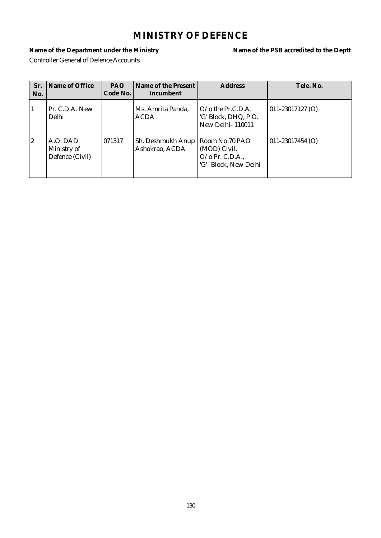# **MINISTRY OF DEFENCE**

**Name of the Department under the Ministry Name of the PSB accredited to the Deptt** Controller General of Defence Accounts

| Sr.<br>No. | Name of Office                             | <b>PAO</b><br>Code No. | Name of the Present<br>Incumbent    | <b>Address</b>                                                                   | Tele. No.            |
|------------|--------------------------------------------|------------------------|-------------------------------------|----------------------------------------------------------------------------------|----------------------|
| 1          | Pr. C.D.A. New<br>Delhi                    |                        | Ms. Amrita Panda,<br><b>ACDA</b>    | O/o the Pr.C.D.A.<br>'G' Block, DHQ, P.O.<br>New Delhi-110011                    | $011 - 23017127$ (O) |
| 2          | A.O. DAD<br>Ministry of<br>Defence (Civil) | 1071317                | Sh. Deshmukh Anup<br>Ashokrao, ACDA | Room No.70 PAO<br>(MOD) Civil,<br>$O$ / $o$ Pr. C.D.A.,<br>'G'- Block, New Delhi | $011 - 23017454$ (O) |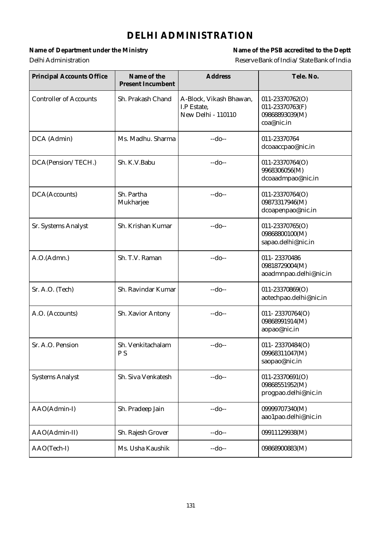# **DELHI ADMINISTRATION**

Name of Department under the Ministry **Name of the PSB** accredited to the Deptt Delhi Administration Reserve Bank of India/State Bank of India

| <b>Principal Accounts Office</b> | Name of the<br><b>Present Incumbent</b> | <b>Address</b>                                               | Tele. No.                                                          |
|----------------------------------|-----------------------------------------|--------------------------------------------------------------|--------------------------------------------------------------------|
| <b>Controller of Accounts</b>    | Sh. Prakash Chand                       | A-Block, Vikash Bhawan,<br>I.P Estate.<br>New Delhi - 110110 | 011-23370762(O)<br>011-23370763(F)<br>09868893039(M)<br>coa@nic.in |
| DCA (Admin)                      | Ms. Madhu. Sharma                       | $-do-$                                                       | 011-23370764<br>dcoaaccpao@nic.in                                  |
| DCA(Pension/TECH.)               | Sh. K.V.Babu                            | $-do-$                                                       | 011-23370764(O)<br>9968306056(M)<br>dcoaadmpao@nic.in              |
| DCA(Accounts)                    | Sh. Partha<br>Mukharjee                 | $-do-$                                                       | 011-23370764(O)<br>09873317946(M)<br>dcoapenpao@nic.in             |
| Sr. Systems Analyst              | Sh. Krishan Kumar                       | $-do-$                                                       | 011-23370765(O)<br>09868800100(M)<br>sapao.delhi@nic.in            |
| A.O.(Admn.)                      | Sh. T.V. Raman                          | $-do-$                                                       | 011-23370486<br>09818729004(M)<br>aoadmnpao.delhi@nic.in           |
| Sr. A.O. (Tech)                  | Sh. Ravindar Kumar                      | $-do-$                                                       | 011-23370869(O)<br>aotechpao.delhi@nic.in                          |
| A.O. (Accounts)                  | Sh. Xavior Antony                       | $-do-$                                                       | 011-23370764(O)<br>09868991914(M)<br>aopao@nic.in                  |
| Sr. A.O. Pension                 | Sh. Venkitachalam<br>P <sub>S</sub>     | $-do-$                                                       | 011-23370484(O)<br>09968311047(M)<br>saopao@nic.in                 |
| <b>Systems Analyst</b>           | Sh. Siva Venkatesh                      | $-do-$                                                       | 011-23370691(O)<br>09868551952(M)<br>progpao.delhi@nic.in          |
| AAO(Admin-I)                     | Sh. Pradeep Jain                        | $-do-$                                                       | 09999707340(M)<br>aao1pao.delhi@nic.in                             |
| AAO(Admin-II)                    | Sh. Rajesh Grover                       | $-do-$                                                       | 09911129938(M)                                                     |
| AAO(Tech-I)                      | Ms. Usha Kaushik                        | $-do-$                                                       | 09868900883(M)                                                     |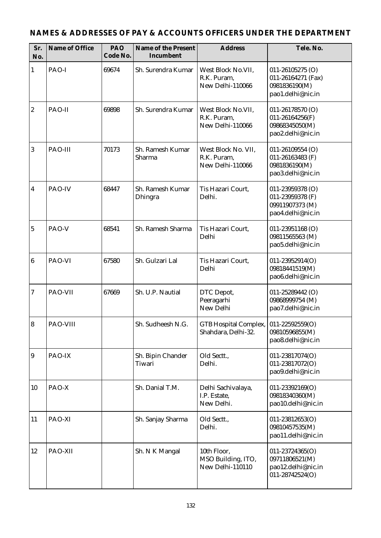| Sr.<br>No.       | Name of Office | PAO<br>Code No. | Name of the Present<br>Incumbent                                                     | <b>Address</b>                                                                                                                            | Tele. No.                                                                      |
|------------------|----------------|-----------------|--------------------------------------------------------------------------------------|-------------------------------------------------------------------------------------------------------------------------------------------|--------------------------------------------------------------------------------|
| $\mathbf{1}$     | PAO-I          | 69674           | Sh. Surendra Kumar                                                                   | West Block No.VII,<br>$011 - 26105275$ (O)<br>R.K. Puram.<br>011-26164271 (Fax)<br>New Delhi-110066<br>0981836190(M)<br>pao1.delhi@nic.in |                                                                                |
| $\boldsymbol{2}$ | PAO-II         | 69898           | Sh. Surendra Kumar                                                                   | West Block No.VII,<br>011-26178570 (O)<br>R.K. Puram,<br>011-26164256(F)<br>New Delhi-110066<br>09868345050(M)<br>pao2.delhi@nic.in       |                                                                                |
| $\boldsymbol{3}$ | PAO-III        | 70173           | Sh. Ramesh Kumar<br>West Block No. VII,<br>R.K. Puram,<br>Sharma<br>New Delhi-110066 |                                                                                                                                           | 011-26109554 (O)<br>011-26163483 (F)<br>0981836190(M)<br>pao3.delhi@nic.in     |
| $\overline{4}$   | PAO-IV         | 68447           | Sh. Ramesh Kumar<br>Dhingra                                                          | Tis Hazari Court.<br>Delhi.                                                                                                               | 011-23959378 (O)<br>011-23959378 (F)<br>09911907373 (M)<br>pao4.delhi@nic.in   |
| $\mathbf 5$      | PAO-V          | 68541           | Sh. Ramesh Sharma                                                                    | Tis Hazari Court,<br>Delhi                                                                                                                | $011 - 23951168$ (O)<br>09811565563 (M)<br>pao5.delhi@nic.in                   |
| $\bf 6$          | PAO-VI         | 67580           | Sh. Gulzari Lal                                                                      | Tis Hazari Court,<br>Delhi                                                                                                                | $011 - 23952914(O)$<br>09818441519(M)<br>pao6.delhi@nic.in                     |
| $\tau$           | PAO-VII        | 67669           | Sh. U.P. Nautial                                                                     | DTC Depot,<br>Peeragarhi<br>New Delhi                                                                                                     | 011-25289442 (O)<br>09868999754 (M)<br>pao7.delhi@nic.in                       |
| 8                | PAO-VIII       |                 | Sh. Sudheesh N.G.                                                                    | GTB Hospital Complex,   011-22592559(O)<br>Shahdara, Delhi-32.                                                                            | 09810596855(M)<br>pao8.delhi@nic.in                                            |
| 9                | PAO-IX         |                 | Sh. Bipin Chander<br>Tiwari                                                          | Old Sectt.,<br>Delhi.                                                                                                                     | 011-23817074(O)<br>011-23817072(O)<br>pao9.delhi@nic.in                        |
| 10               | PAO-X          |                 | Sh. Danial T.M.                                                                      | Delhi Sachivalaya,<br>I.P. Estate,<br>New Delhi.                                                                                          | 011-23392169(O)<br>09818340360(M)<br>pao10.delhi@nic.in                        |
| 11               | PAO-XI         |                 | Sh. Sanjay Sharma                                                                    | Old Sectt.,<br>Delhi.                                                                                                                     | 011-23812653(O)<br>09810457535(M)<br>pao11.delhi@nic.in                        |
| 12               | PAO-XII        |                 | Sh. N K Mangal                                                                       | 10th Floor,<br>MSO Building, ITO,<br>New Delhi-110110                                                                                     | $011 - 23724365(O)$<br>09711806521(M)<br>pao12.delhi@nic.in<br>011-28742524(O) |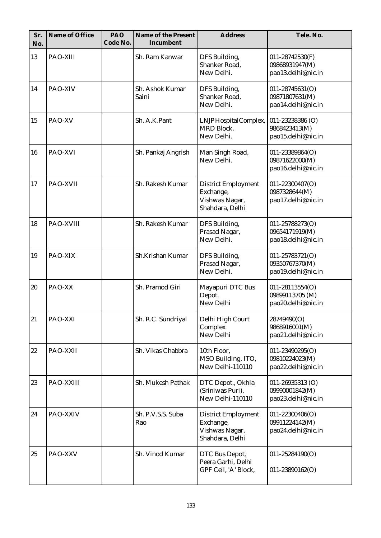| Sr.<br>No. | Name of Office  | PAO<br>Code No. | Name of the Present<br>Incumbent | <b>Address</b>                                                               | Tele. No.                                                   |
|------------|-----------------|-----------------|----------------------------------|------------------------------------------------------------------------------|-------------------------------------------------------------|
| 13         | PAO-XIII        |                 | Sh. Ram Kanwar                   | DFS Building,<br>Shanker Road,<br>New Delhi.                                 | 011-28742530(F)<br>09868931947(M)<br>pao13.delhi@nic.in     |
| 14         | PAO-XIV         |                 | Sh. Ashok Kumar<br>Saini         | DFS Building,<br>Shanker Road,<br>New Delhi.                                 | 011-28745631(O)<br>09871807631(M)<br>pao14.delhi@nic.in     |
| 15         | PAO-XV          |                 | Sh. A.K.Pant                     | LNJP Hospital Complex,<br><b>MRD Block,</b><br>New Delhi.                    | 011-23238386 (O)<br>9868423413(M)<br>pao15.delhi@nic.in     |
| 16         | PAO-XVI         |                 | Sh. Pankaj Angrish               | Man Singh Road,<br>New Delhi.                                                | 011-23389864(O)<br>09871622000(M)<br>pao16.delhi@nic.in     |
| 17         | <b>PAO-XVII</b> |                 | Sh. Rakesh Kumar                 | <b>District Employment</b><br>Exchange,<br>Vishwas Nagar,<br>Shahdara, Delhi | 011-22300407(O)<br>0987328644(M)<br>pao17.delhi@nic.in      |
| 18         | PAO-XVIII       |                 | Sh. Rakesh Kumar                 | DFS Building,<br>Prasad Nagar,<br>New Delhi.                                 | 011-25788273(O)<br>09654171919(M)<br>pao18.delhi@nic.in     |
| 19         | PAO-XIX         |                 | Sh.Krishan Kumar                 | DFS Building,<br>Prasad Nagar,<br>New Delhi.                                 | 011-25783721(O)<br>09350767370(M)<br>pao19.delhi@nic.in     |
| 20         | PAO-XX          |                 | Sh. Pramod Giri                  | Mayapuri DTC Bus<br>Depot.<br>New Delhi                                      | 011-28113554(O)<br>09899113705 (M)<br>pao20.delhi@nic.in    |
| 21         | PAO-XXI         |                 | Sh. R.C. Sundriyal               | Delhi High Court<br>Complex<br>New Delhi                                     | 28749490(O)<br>9868916001(M)<br>pao21.delhi@nic.in          |
| 22         | PAO-XXII        |                 | Sh. Vikas Chabbra                | 10th Floor,<br>MSO Building, ITO,<br>New Delhi-110110                        | 011-23490295(O)<br>09810224023(M)<br>pao22.delhi@nic.in     |
| 23         | PAO-XXIII       |                 | Sh. Mukesh Pathak                | DTC Depot., Okhla<br>(Sriniwas Puri),<br>New Delhi-110110                    | 011-26935313 (O)<br>09990001842(M)<br>pao23.delhi@nic.in    |
| 24         | PAO-XXIV        |                 | Sh. P.V.S.S. Suba<br>Rao         | <b>District Employment</b><br>Exchange,<br>Vishwas Nagar,<br>Shahdara, Delhi | $011 - 22300406(O)$<br>09911224142(M)<br>pao24.delhi@nic.in |
| 25         | PAO-XXV         |                 | Sh. Vinod Kumar                  | DTC Bus Depot,<br>Peera Garhi, Delhi<br>GPF Cell, 'A' Block,                 | 011-25284190(O)<br>011-23890162(O)                          |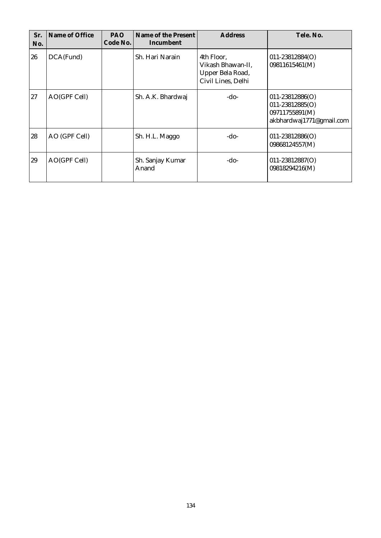| Sr.<br>No. | Name of Office | <b>PAO</b><br>Code No. | Name of the Present<br>Incumbent | <b>Address</b>                                                            | Tele. No.                                                                                |
|------------|----------------|------------------------|----------------------------------|---------------------------------------------------------------------------|------------------------------------------------------------------------------------------|
| 26         | DCA(Fund)      |                        | Sh. Hari Narain                  | 4th Floor.<br>Vikash Bhawan-II,<br>Upper Bela Road,<br>Civil Lines, Delhi | $011 - 23812884(O)$<br>09811615461(M)                                                    |
| 27         | AO(GPF Cell)   |                        | Sh. A.K. Bhardwaj                | -do-                                                                      | $011 - 23812886(O)$<br>$011 - 23812885(O)$<br>09711755891(M)<br>akbhardwaj1771@gmail.com |
| 28         | AO (GPF Cell)  |                        | Sh. H.L. Maggo                   | -do-                                                                      | $011 - 23812886(O)$<br>09868124557(M)                                                    |
| 29         | AO(GPF Cell)   |                        | Sh. Sanjay Kumar<br>Anand        | -do-                                                                      | $011 - 23812887(O)$<br>09818294216(M)                                                    |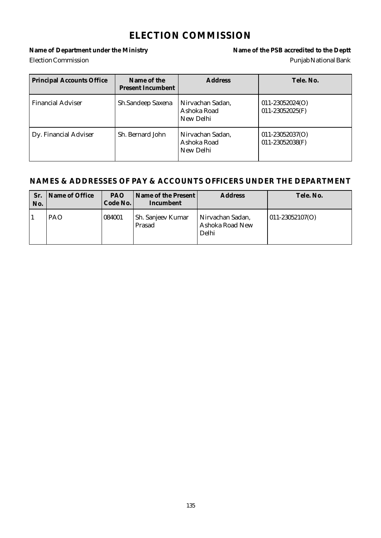### **ELECTION COMMISSION**

#### Name of Department under the Ministry **Name of the PSB** accredited to the Deptt Election Commission Punjab National Bank

| <b>Principal Accounts Office</b> | Name of the<br><b>Present Incumbent</b> | <b>Address</b>                               | Tele. No.                                   |
|----------------------------------|-----------------------------------------|----------------------------------------------|---------------------------------------------|
| <b>Financial Adviser</b>         | Sh.Sandeep Saxena                       | Nirvachan Sadan,<br>Ashoka Road<br>New Delhi | $011 - 23052024(O)$<br>$011 - 23052025$ (F) |
| Dy. Financial Adviser            | Sh. Bernard John                        | Nirvachan Sadan,<br>Ashoka Road<br>New Delhi | $011 - 23052037(O)$<br>011-23052038(F)      |

| Sr.<br>No. | Name of Office | <b>PAO</b><br>Code No. | Name of the Present<br>Incumbent | <b>Address</b>                               | Tele. No.           |
|------------|----------------|------------------------|----------------------------------|----------------------------------------------|---------------------|
|            | <b>PAO</b>     | 084001                 | Sh. Sanjeev Kumar<br>Prasad      | Nirvachan Sadan,<br>Ashoka Road New<br>Delhi | $011 - 23052107(O)$ |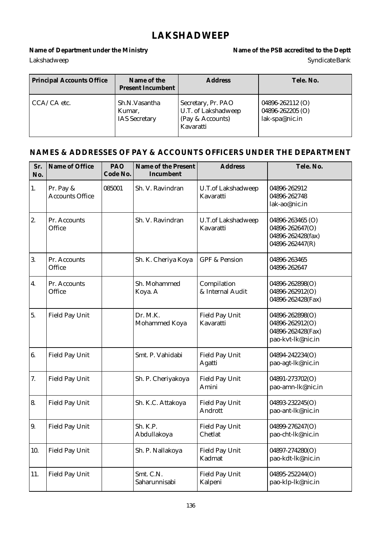### **LAKSHADWEEP**

#### Name of Department under the Ministry **Name of the PSB** accredited to the Deptt Lakshadweep Syndicate Bank

| <b>Principal Accounts Office</b> | Name of the<br><b>Present Incumbent</b>         | <b>Address</b>                                                             | Tele, No.                                              |
|----------------------------------|-------------------------------------------------|----------------------------------------------------------------------------|--------------------------------------------------------|
| $CCA/CA$ etc.                    | Sh.N.Vasantha<br>Kumar,<br><b>IAS</b> Secretary | Secretary, Pr. PAO<br>U.T. of Lakshadweep<br>(Pay & Accounts)<br>Kavaratti | 04896-262112 (O)<br>04896-262205 (O)<br>lak-spa@nic.in |

| Sr.<br>No.       | Name of Office                      | PAO<br>Code No. | Name of the Present<br>Incumbent | <b>Address</b>                         | Tele. No.                                                                    |
|------------------|-------------------------------------|-----------------|----------------------------------|----------------------------------------|------------------------------------------------------------------------------|
| 1.               | Pr. Pay &<br><b>Accounts Office</b> | 085001          | Sh. V. Ravindran                 | <b>U.T.of Lakshadweep</b><br>Kavaratti | 04896-262912<br>04896-262748<br>lak-ao@nic.in                                |
| 2.               | Pr. Accounts<br>Office              |                 | Sh. V. Ravindran                 | U.T.of Lakshadweep<br>Kavaratti        | 04896-263465 (O)<br>04896-262647(O)<br>04896-262428(fax)<br>04896-262447(R)  |
| 3.               | Pr. Accounts<br>Office              |                 | Sh. K. Cheriya Koya              | <b>GPF &amp; Pension</b>               | 04896-263465<br>04896-262647                                                 |
| $\overline{4}$ . | Pr. Accounts<br>Office              |                 | Sh. Mohammed<br>Koya. A          | Compilation<br>& Internal Audit        | 04896-262898(O)<br>04896-262912(O)<br>04896-262428(Fax)                      |
| 5.               | <b>Field Pay Unit</b>               |                 | Dr. M.K.<br>Mohammed Koya        | <b>Field Pay Unit</b><br>Kavaratti     | 04896-262898(O)<br>04896-262912(O)<br>04896-262428(Fax)<br>pao-kvt-lk@nic.in |
| 6.               | <b>Field Pay Unit</b>               |                 | Smt. P. Vahidabi                 | Field Pay Unit<br>Agatti               | 04894-242234(O)<br>pao-agt-lk@nic.in                                         |
| 7.               | <b>Field Pay Unit</b>               |                 | Sh. P. Cheriyakoya               | <b>Field Pay Unit</b><br>Amini         | 04891-273702(O)<br>pao-amn-lk@nic.in                                         |
| 8.               | <b>Field Pay Unit</b>               |                 | Sh. K.C. Attakoya                | <b>Field Pay Unit</b><br>Andrott       | 04893-232245(O)<br>pao-ant-lk@nic.in                                         |
| 9.               | <b>Field Pay Unit</b>               |                 | Sh. K.P.<br>Abdullakoya          | <b>Field Pay Unit</b><br>Chetlat       | 04899-276247(O)<br>pao-cht-lk@nic.in                                         |
| 10.              | Field Pay Unit                      |                 | Sh. P. Nallakoya                 | <b>Field Pay Unit</b><br>Kadmat        | 04897-274280(O)<br>pao-kdt-lk@nic.in                                         |
| 11.              | <b>Field Pay Unit</b>               |                 | Smt. C.N.<br>Saharunnisabi       | <b>Field Pay Unit</b><br>Kalpeni       | 04895-252244(O)<br>pao-klp-lk@nic.in                                         |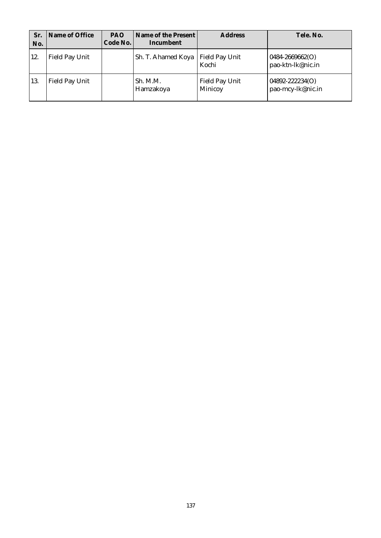| Sr.<br>No. | Name of Office        | <b>PAO</b><br>Code No. | Name of the Present<br>Incumbent | <b>Address</b>                   | Tele, No.                            |
|------------|-----------------------|------------------------|----------------------------------|----------------------------------|--------------------------------------|
| 12.        | <b>Field Pay Unit</b> |                        | Sh. T. Ahamed Koya               | <b>Field Pay Unit</b><br>Kochi   | 0484-2669662(O)<br>pao-ktn-lk@nic.in |
| 13.        | Field Pay Unit        |                        | Sh. M.M.<br>Hamzakoya            | <b>Field Pay Unit</b><br>Minicoy | 04892-222234(O)<br>pao-mcy-lk@nic.in |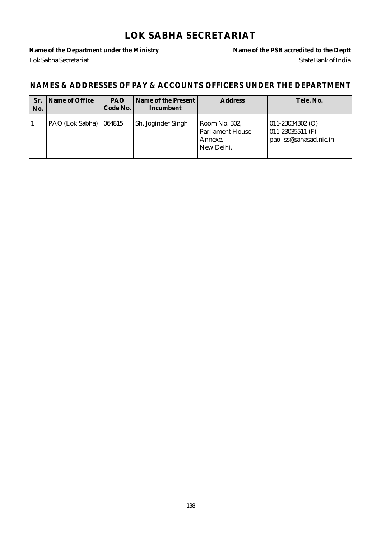### **LOK SABHA SECRETARIAT**

Name of the Department under the Ministry **Name of the PSB** accredited to the Deptt Lok Sabha Secretariat State Bank of India

| Sr.<br>No. | Name of Office           | <b>PAO</b><br>Code No. | Name of the Present I<br>Incumbent | <b>Address</b>                                                    | Tele, No.                                                                    |
|------------|--------------------------|------------------------|------------------------------------|-------------------------------------------------------------------|------------------------------------------------------------------------------|
|            | PAO (Lok Sabha)   064815 |                        | Sh. Joginder Singh                 | Room No. 302,<br><b>Parliament House</b><br>Annexe,<br>New Delhi. | $ 011 - 23034302 0\rangle$<br>$011 - 23035511$ (F)<br>pao-lss@sanasad.nic.in |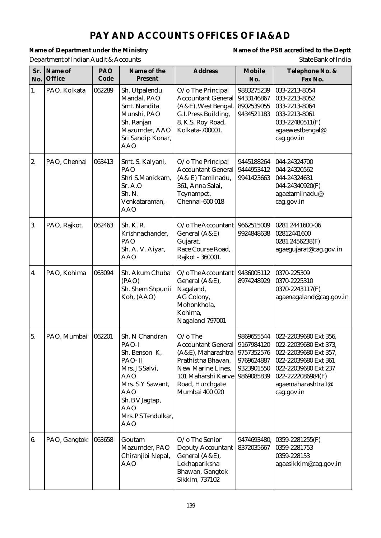# **PAY AND ACCOUNTS OFFICES OF IA&AD**

Department of Indian Audit & Accounts State Bank of India

Name of Department under the Ministry **Name of the PSB** accredited to the Deptt

| Sr.<br>No. | Name of<br>Office | PAO<br>Code | Name of the<br>Present                                                                                                                                                                   | <b>Address</b>                                                                                                                                                             | Mobile<br>No.                                                      | Telephone No. &<br>Fax No.                                                                                                                                                      |
|------------|-------------------|-------------|------------------------------------------------------------------------------------------------------------------------------------------------------------------------------------------|----------------------------------------------------------------------------------------------------------------------------------------------------------------------------|--------------------------------------------------------------------|---------------------------------------------------------------------------------------------------------------------------------------------------------------------------------|
| 1.         | PAO, Kolkata      | 062289      | Sh. Utpalendu<br>Mandal, PAO<br>Smt. Nandita<br>Munshi, PAO<br>Sh. Ranjan<br>Mazumder, AAO<br>Sri Sandip Konar,<br><b>AAO</b>                                                            | O/o The Principal<br><b>Accountant General</b><br>(A&E), West Bengal.<br>G.I.Press Building,<br>8, K.S. Roy Road,<br>Kolkata-700001.                                       | 9883275239<br>9433146867<br>8902539055<br>9434521183               | 033-2213-8054<br>033-2213-8052<br>033-2213-8064<br>033-2213-8061<br>033-22480511(F)<br>agaewestbengal@<br>cag.gov.in                                                            |
| 2.         | PAO, Chennai      | 063413      | Smt. S. Kalyani,<br>PAO<br>Shri S.Manickam,<br>Sr. A.O<br>Sh. N.<br>Venkataraman,<br><b>AAO</b>                                                                                          | O/o The Principal<br><b>Accountant General</b><br>(A& E) Tamilnadu,<br>361, Anna Salai,<br>Teynampet,<br>Chennai-600 018                                                   | 9445188264<br>9444953412<br>9941423663                             | 044-24324700<br>044-24320562<br>044-24324631<br>044-24340920(F)<br>agaetamilnadu@<br>cag.gov.in                                                                                 |
| 3.         | PAO, Rajkot.      | 062463      | Sh. K. R.<br>Krishnachander,<br>PAO<br>Sh. A. V. Aiyar,<br><b>AAO</b>                                                                                                                    | $O$ / o The Accountant<br>General (A&E)<br>Gujarat,<br>Race Course Road,<br>Rajkot - 360001.                                                                               | 9662515009<br>9924848638                                           | 0281 2441600-06<br>02812441600<br>0281 2456238(F)<br>agaegujarat@cag.gov.in                                                                                                     |
| 4.         | PAO, Kohima       | 063094      | Sh. Akum Chuba<br>(PAO)<br>Sh. Shem Shpunii<br>Koh, (AAO)                                                                                                                                | $O/O$ The Accountant<br>General (A&E),<br>Nagaland,<br>AG Colony,<br>Mohonkhola,<br>Kohima,<br>Nagaland 797001                                                             | 9436005112<br>8974248929                                           | 0370-225309<br>0370-2225310<br>0370-2243117(F)<br>agaenagaland@cag.gov.in                                                                                                       |
| 5.         | PAO, Mumbai       | 062201      | Sh. N Chandran<br>PAO-I<br>Sh. Benson K,<br>PAO-II<br>Mrs. JS Salvi,<br><b>AAO</b><br>Mrs. S Y Sawant,<br><b>AAO</b><br>Sh. B V Jagtap,<br><b>AAO</b><br>Mrs. PSTendulkar,<br><b>AAO</b> | $O$ /o The<br>Accountant General 9167984120<br>$(A&E)$ , Maharashtra<br>Prathistha Bhavan,<br>New Marine Lines,<br>101 Maharshi Karve<br>Road, Hurchgate<br>Mumbai 400 020 | 9869655544<br>9757352576<br>9769624887<br>9323901550<br>9869085839 | 022-22039680 Ext 356,<br>022-22039680 Ext 373,<br>022-22039680 Ext 357,<br>022-22039680 Ext 361<br>022-22039680 Ext 237<br>022-2222086984(F)<br>agaemaharashtra1@<br>cag.gov.in |
| 6.         | PAO, Gangtok      | 063658      | Goutam<br>Mazumder, PAO<br>Chiranjibi Nepal,<br><b>AAO</b>                                                                                                                               | O/o The Senior<br><b>Deputy Accountant</b><br>General (A&E),<br>Lekhapariksha<br>Bhawan, Gangtok<br>Sikkim, 737102                                                         | 9474693480,<br>8372035667                                          | $0359 - 2281255$ (F)<br>0359-2281753<br>0359-228153<br>agaesikkim@cag.gov.in                                                                                                    |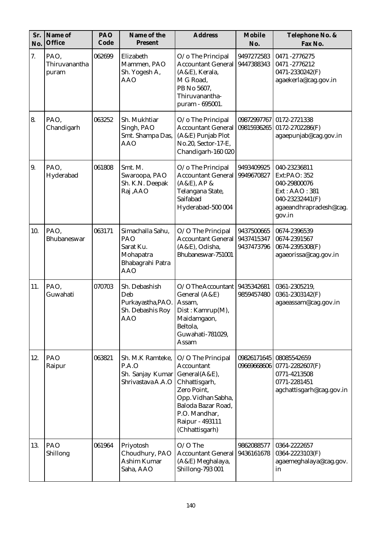| Sr.<br>No. | Name of<br>Office              | PAO<br>Code | Name of the<br>Present                                                              | <b>Address</b>                                                                                                                                                                     | Mobile<br>No.                          | Telephone No. &<br>Fax No.                                                                                           |
|------------|--------------------------------|-------------|-------------------------------------------------------------------------------------|------------------------------------------------------------------------------------------------------------------------------------------------------------------------------------|----------------------------------------|----------------------------------------------------------------------------------------------------------------------|
| 7.         | PAO,<br>Thiruvanantha<br>puram | 062699      | Elizabeth<br>Mammen, PAO<br>Sh. Yogesh A,<br><b>AAO</b>                             | O/o The Principal<br><b>Accountant General</b><br>(A&E), Kerala,<br>M G Road,<br>PB No 5607,<br>Thiruvanantha-<br>puram - 695001.                                                  | 9497272583<br>9447388343               | 0471 -2776275<br>0471-2776212<br>0471-2330242(F)<br>agaekerla@cag.gov.in                                             |
| 8.         | PAO,<br>Chandigarh             | 063252      | Sh. Mukhtiar<br>Singh, PAO<br>Smt. Shampa Das,<br><b>AAO</b>                        | O/o The Principal<br><b>Accountant General</b><br>(A&E) Punjab Plot<br>No.20, Sector-17-E,<br>Chandigarh-160 020                                                                   | 09872997767<br>09815936265             | 0172-2721338<br>0172-2702286(F)<br>agaepunjab@cag.gov.in                                                             |
| 9.         | PAO,<br>Hyderabad              | 061808      | Smt. M.<br>Swaroopa, PAO<br>Sh. K.N. Deepak<br>Raj, AAO                             | O/o The Principal<br><b>Accountant General</b><br>$(A&E)$ , AP &<br>Telangana State,<br>Saifabad<br>Hyderabad-500 004                                                              | 9493409925<br>9949670827               | 040-23236811<br>Ext:PAO: 352<br>040-29800076<br>Ext: AAO: 381<br>040-23232441(F)<br>agaeandhrapradesh@cag.<br>gov.in |
| 10.        | PAO,<br>Bhubaneswar            | 063171      | Simachalla Sahu,<br>PAO<br>Sarat Ku.<br>Mohapatra<br>Bhabagrahi Patra<br><b>AAO</b> | O/O The Principal<br><b>Accountant General</b><br>(A&E), Odisha,<br>Bhubaneswar-751001                                                                                             | 9437500665<br>9437415347<br>9437473796 | 0674-2396539<br>0674-2391567<br>0674-2395308(F)<br>agaeorissa@cag.gov.in                                             |
| 11.        | PAO.<br>Guwahati               | 070703      | Sh. Debashish<br>Deb<br>Purkayastha, PAO.<br>Sh. Debashis Roy<br><b>AAO</b>         | O/OThe Accountant<br>General (A&E)<br>Assam,<br>Dist: Kamrup(M),<br>Maidamgaon,<br>Beltola,<br>Guwahati-781029,<br>Assam                                                           | 9435342681<br>9859457480               | 0361-2305219,<br>0361-2303142(F)<br>agaeassam@cag.gov.in                                                             |
| 12.        | PAO<br>Raipur                  | 063821      | Sh. M.K Ramteke,<br>P.A.O<br>Sh. Sanjay Kumar<br>Shrivastava A.A.O                  | O/O The Principal<br>Accountant<br>General(A&E),<br>Chhattisgarh,<br>Zero Point,<br>Opp. Vidhan Sabha,<br>Baloda Bazar Road,<br>P.O. Mandhar,<br>Raipur - 493111<br>(Chhattisgarh) | 09669668606                            | 09826171645   08085542659<br>$0771 - 2282607(F)$<br>0771-4213508<br>0771-2281451<br>agchattisgarh@cag.gov.in         |
| 13.        | $ $ PAO<br>Shillong            | 061964      | Priyotosh<br>Choudhury, PAO<br>Ashim Kumar<br>Saha, AAO                             | $O/O$ The<br><b>Accountant General</b><br>(A&E) Meghalaya,<br>Shillong-793 001                                                                                                     | 9862088577<br>9436161678               | 0364-2222657<br>0364-2223103(F)<br>agaemeghalaya@cag.gov.<br>in                                                      |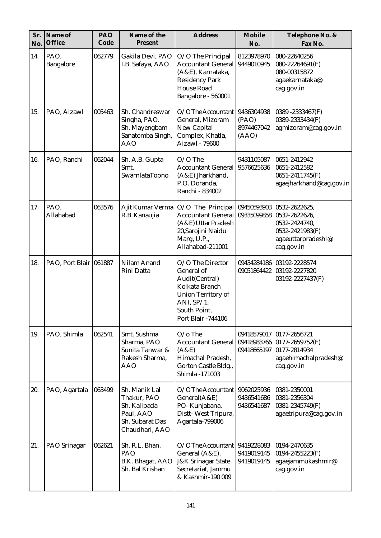| Sr.<br>No. | Name of<br>Office      | PAO<br>Code | Name of the<br>Present                                                                         | <b>Address</b>                                                                                                                                                | Mobile<br>No.                              | Telephone No. &<br>Fax No.                                                                             |
|------------|------------------------|-------------|------------------------------------------------------------------------------------------------|---------------------------------------------------------------------------------------------------------------------------------------------------------------|--------------------------------------------|--------------------------------------------------------------------------------------------------------|
| 14.        | PAO,<br>Bangalore      | 062779      | Gakila Devi, PAO<br>I.B. Safaya, AAO                                                           | O/O The Principal<br><b>Accountant General</b><br>(A&E), Karnataka,<br><b>Residency Park</b><br><b>House Road</b><br>Bangalore - 560001                       | 8123978970<br>9449010945                   | 080-22640256<br>080-22264691(F)<br>080-00315872<br>agaekarnataka@<br>cag.gov.in                        |
| 15.        | PAO, Aizawl            | 005463      | Sh. Chandreswar<br>Singha, PAO.<br>Sh. Mayengbam<br>Sanatomba Singh,<br><b>AAO</b>             | O/OThe Accountant<br>General, Mizoram<br>New Capital<br>Complex, Khatla,<br>Aizawl - 79600                                                                    | 9436304938<br>(PAO)<br>8974467042<br>(AAO) | 0389-2333467(F)<br>0389-2333434(F)<br>agmizoram@cag.gov.in                                             |
| 16.        | PAO, Ranchi            | 062044      | Sh. A.B. Gupta<br>Smt.<br>SwarnlataTopno                                                       | $O/O$ The<br><b>Accountant General</b><br>(A&E) Jharkhand,<br>P.O. Doranda,<br>Ranchi - 834002                                                                | 9431105087<br>9576625636                   | 0651-2412942<br>0651-2412582<br>0651-2411745(F)<br>agaejharkhand@cag.gov.in                            |
| 17.        | PAO,<br>Allahabad      | 063576      | Ajit Kumar Verma<br>R.B. Kanaujia                                                              | O/O The Principal<br>Accountant General<br>(A&E) Uttar Pradesh<br>20, Sarojini Naidu<br>Marg, U.P.,<br>Allahabad-211001                                       | 09450593903<br>09335099858                 | 0532-2622625,<br>0532-2622626,<br>0532-2424740,<br>0532-2421983(F)<br>agaeuttarpradeshI@<br>cag.gov.in |
| 18.        | PAO, Port Blair 061887 |             | Nilam Anand<br>Rini Datta                                                                      | O/O The Director<br>General of<br>Audit(Central)<br>Kolkata Branch<br><b>Union Territory of</b><br>ANI, $SP/1$ ,<br>South Point,<br><b>Port Blair -744106</b> | 09434284186<br>09051864422                 | 03192-2228574<br>03192-2227820<br>03192-2227437(F)                                                     |
| 19.        | PAO, Shimla            | 062541      | Smt. Sushma<br>Sharma, PAO<br>Sunita Tanwar &<br>Rakesh Sharma,<br><b>AAO</b>                  | $O$ /o The<br><b>Accountant General</b><br>(A&E)<br>Himachal Pradesh,<br>Gorton Castle Bldg.,<br>Shimla -171003                                               | 09418579017<br>09418983766<br>09418665197  | 0177-2656721<br>0177-2659752(F)<br>0177-2814934<br>agaehimachalpradesh@<br>cag.gov.in                  |
| 20.        | PAO, Agartala          | 063499      | Sh. Manik Lal<br>Thakur, PAO<br>Sh. Kalipada<br>Paul, AAO<br>Sh. Subarat Das<br>Chaudhari, AAO | O/OThe Accountant<br>General(A&E)<br>PO-Kunjabana,<br>Distt-West Tripura,<br>Agartala-799006                                                                  | 9062025936<br>9436541686<br>9436541687     | 0381-2350001<br>0381-2356304<br>0381-2345749(F)<br>agaetripura@cag.gov.in                              |
| 21.        | PAO Srinagar           | 062621      | Sh. R.L. Bhan,<br>PAO<br>B.K. Bhagat, AAO<br>Sh. Bal Krishan                                   | $O/O$ The Accountant<br>General (A&E),<br><b>J&amp;K Srinagar State</b><br>Secretariat, Jammu<br>& Kashmir-190 009                                            | 9419228083<br>9419019145<br>9419019145     | 0194-2470635<br>0194-2455223(F)<br>agaejammukashmir@<br>cag.gov.in                                     |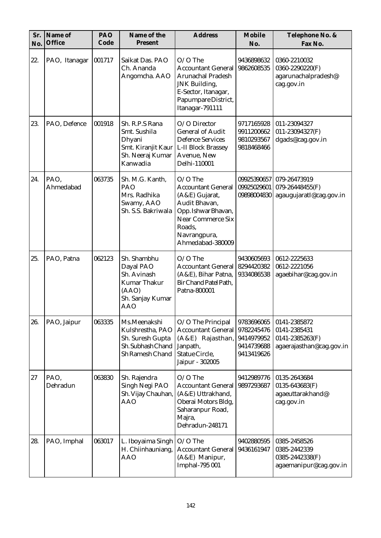| Sr.<br>No. | Name of<br>Office | PAO<br>Code | Name of the<br>Present                                                                                    | <b>Address</b>                                                                                                                                                             | Mobile<br>No.                                                      | Telephone No. &<br>Fax No.                                                      |
|------------|-------------------|-------------|-----------------------------------------------------------------------------------------------------------|----------------------------------------------------------------------------------------------------------------------------------------------------------------------------|--------------------------------------------------------------------|---------------------------------------------------------------------------------|
| 22.        | PAO, Itanagar     | 001717      | Saikat Das. PAO<br>Ch. Ananda<br>Angomcha. AAO                                                            | $O/O$ The<br><b>Accountant General</b><br><b>Arunachal Pradesh</b><br>JNK Building,<br>E-Sector, Itanagar,<br>Papumpare District,<br>Itanagar-791111                       | 9436898632<br>9862608535                                           | 0360-2210032<br>0360-2290220(F)<br>agarunachalpradesh@<br>cag.gov.in            |
| 23.        | PAO, Defence      | 001918      | Sh. R.P.S Rana<br>Smt. Sushila<br>Dhyani<br>Smt. Kiranjit Kaur<br>Sh. Neeraj Kumar<br>Kanwadia            | O/O Director<br><b>General of Audit</b><br><b>Defence Services</b><br>L-II Block Brassey<br>Avenue, New<br>Delhi-110001                                                    | 9717165928<br>9911200662<br>9810293567<br>9818468466               | 011-23094327<br>011-23094327(F)<br>dgads@cag.gov.in                             |
| 24.        | PAO,<br>Ahmedabad | 063735      | Sh. M.G. Kanth,<br>PAO<br>Mrs. Radhika<br>Swamy, AAO<br>Sh. S.S. Bakriwala                                | $O/O$ The<br><b>Accountant General</b><br>(A&E) Gujarat,<br>Audit Bhavan,<br>Opp. Ishwar Bhavan,<br><b>Near Commerce Six</b><br>Roads,<br>Navrangpura,<br>Ahmedabad-380009 | 09925390657<br>09925029601<br>09898004830                          | 079-26473919<br>079-26448455(F)<br>agaugujaratI@cag.gov.in                      |
| 25.        | PAO, Patna        | 062123      | Sh. Shambhu<br>Dayal PAO<br>Sh. Avinash<br><b>Kumar Thakur</b><br>(AAO)<br>Sh. Sanjay Kumar<br><b>AAO</b> | $O/O$ The<br><b>Accountant General</b><br>(A&E), Bihar Patna,<br>Bir Chand Patel Path,<br>Patna-800001                                                                     | 9430605693<br>8294420382<br>9334086538                             | 0612-2225633<br>0612-2221056<br>agaebihar@cag.gov.in                            |
| 26.        | PAO, Jaipur       | 063335      | Ms.Meenakshi<br>Kulshrestha, PAO<br>Sh. Suresh Gupta<br>Sh. Subhash Chand<br>Sh Ramesh Chand              | O/O The Principal<br><b>Accountant General</b><br>(A&E) Rajasthan,<br>Janpath,<br>Statue Circle,<br>Jaipur - 302005                                                        | 9783696065<br>9782245476<br>9414979952<br>9414739688<br>9413419626 | 0141-2385872<br>0141-2385431<br>$0141 - 2385263(F)$<br>agaerajasthan@cag.gov.in |
| 27         | PAO,<br>Dehradun  | 063830      | Sh. Rajendra<br>Singh Negi PAO<br>Sh. Vijay Chauhan,<br><b>AAO</b>                                        | $O/O$ The<br><b>Accountant General</b><br>(A&E) Uttrakhand,<br>Oberai Motors Bldg,<br>Saharanpur Road,<br>Majra,<br>Dehradun-248171                                        | 9412989776<br>9897293687                                           | 0135-2643684<br>$0135 - 643683(F)$<br>agaeuttarakhand@<br>cag.gov.in            |
| 28.        | PAO, Imphal       | 063017      | L. Iboyaima Singh<br>H. Chiinhauniang,<br><b>AAO</b>                                                      | $O/O$ The<br><b>Accountant General</b><br>(A&E) Manipur,<br>Imphal-795 001                                                                                                 | 9402880595<br>9436161947                                           | 0385-2458526<br>0385-2442339<br>0385-2442338(F)<br>agaemanipur@cag.gov.in       |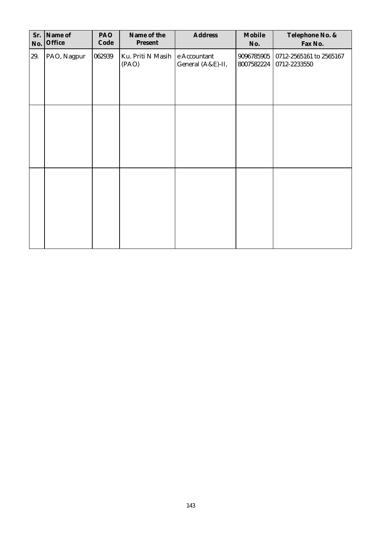| Sr. | Name of<br>No. Office | PAO<br>Code | Name of the<br>Present     | Address                           | Mobile<br>No.            | Telephone No. &<br>Fax No.              |
|-----|-----------------------|-------------|----------------------------|-----------------------------------|--------------------------|-----------------------------------------|
| 29. | PAO, Nagpur           | 062939      | Ku. Priti N Masih<br>(PAO) | e Accountant<br>General (A&E)-II, | 9096785905<br>8007582224 | 0712-2565161 to 2565167<br>0712-2233550 |
|     |                       |             |                            |                                   |                          |                                         |
|     |                       |             |                            |                                   |                          |                                         |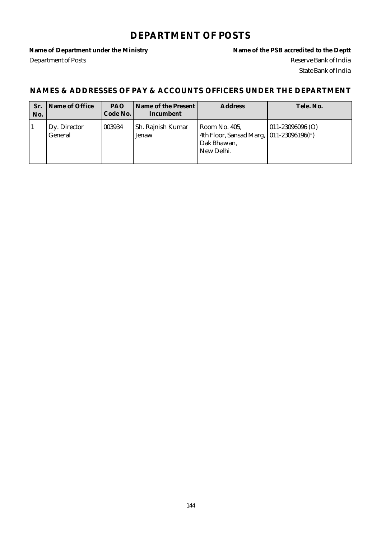#### **DEPARTMENT OF POSTS**

Department of Posts Reserve Bank of India

Name of Department under the Ministry **Name of the PSB** accredited to the Deptt State Bank of India

| Sr.<br>No. | Name of Office          | <b>PAO</b><br>Code No. | Name of the Present<br>Incumbent | <b>Address</b>                                                                         | Tele, No.        |
|------------|-------------------------|------------------------|----------------------------------|----------------------------------------------------------------------------------------|------------------|
|            | Dy. Director<br>General | 003934                 | Sh. Rajnish Kumar<br>Jenaw       | Room No. 405,<br>4th Floor, Sansad Marg,  011-23096196(F)<br>Dak Bhawan,<br>New Delhi. | 011-23096096 (O) |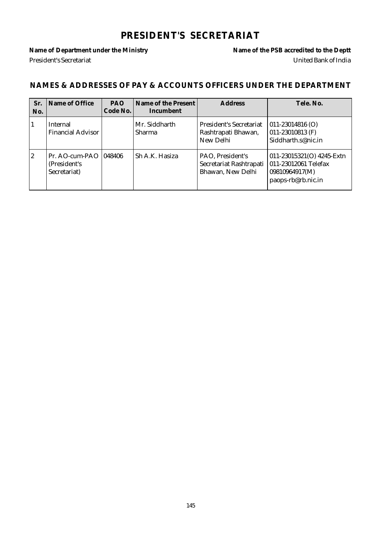## **PRESIDENT'S SECRETARIAT**

Name of Department under the Ministry **Name of the PSB** accredited to the Deptt President's Secretariat United Bank of India

| Sr.<br>No.  | Name of Office                                          | <b>PAO</b><br>Code No. | Name of the Present<br>Incumbent | <b>Address</b>                                                     | Tele. No.                                                                                 |
|-------------|---------------------------------------------------------|------------------------|----------------------------------|--------------------------------------------------------------------|-------------------------------------------------------------------------------------------|
|             | Internal<br><b>Financial Advisor</b>                    |                        | Mr. Siddharth<br><b>Sharma</b>   | <b>President's Secretariat</b><br>Rashtrapati Bhawan,<br>New Delhi | $011 - 23014816$ (O)<br>011-23010813 $(F)$<br>Siddharth.s@nic.in                          |
| $ 2\rangle$ | Pr. AO-cum-PAO   048406<br>(President's<br>Secretariat) |                        | Sh A.K. Hasiza                   | PAO, President's<br>Secretariat Rashtrapati<br>Bhawan, New Delhi   | 011-23015321(O) 4245-Extn<br>011-23012061 Telefax<br>09810964917(M)<br>paops-rb@rb.nic.in |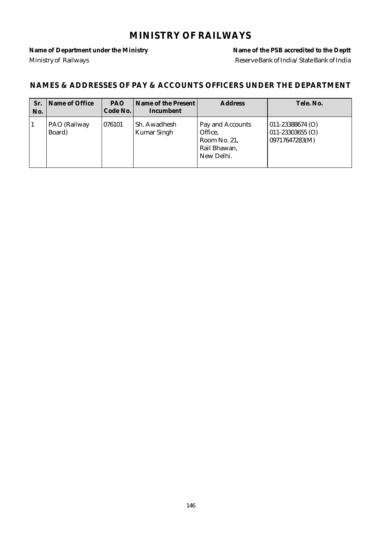### **MINISTRY OF RAILWAYS**

Ministry of Railways **Reserve Bank of India/State Bank of India** 

Name of Department under the Ministry **Name of the PSB** accredited to the Deptt

| Sr.<br>No. | Name of Office         | PAO.<br>Code No. | Name of the Present<br>Incumbent   | <b>Address</b>                                                            | Tele. No.                                                      |
|------------|------------------------|------------------|------------------------------------|---------------------------------------------------------------------------|----------------------------------------------------------------|
|            | PAO (Railway<br>Board) | 1076101          | Sh. Awadhesh<br><b>Kumar Singh</b> | Pay and Accounts<br>Office,<br>Room No. 21,<br>Rail Bhawan,<br>New Delhi. | $011 - 23388674$ (O)<br>$011 - 23303655$ (O)<br>09717647283(M) |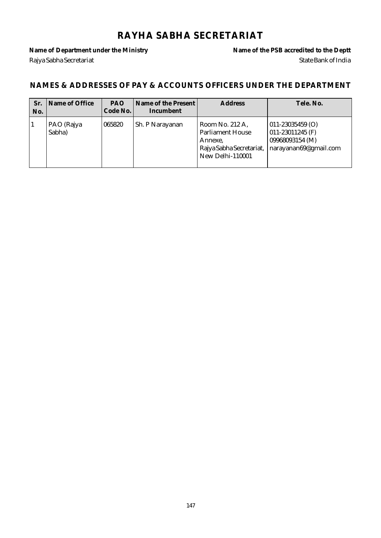### **RAYHA SABHA SECRETARIAT**

Rajya Sabha Secretariat State Bank of India

Name of Department under the Ministry **Name of the PSB** accredited to the Deptt

| Sr.<br>No. | Name of Office       | <b>PAO</b><br>Code No. | Name of the Present<br>Incumbent | <b>Address</b>                                                                                        | Tele, No.                                                                                                   |
|------------|----------------------|------------------------|----------------------------------|-------------------------------------------------------------------------------------------------------|-------------------------------------------------------------------------------------------------------------|
|            | PAO (Rajya<br>Sabha) | 065820                 | Sh. P Narayanan                  | Room No. 212 A,<br><b>Parliament House</b><br>Annexe,<br>Rajya Sabha Secretariat,<br>New Delhi-110001 | $ 011 - 23035459 0\rangle$<br>$ 011 - 23011245$ (F)<br>09968093154 (M)<br>$\vert$ narayanan $69$ @gmail.com |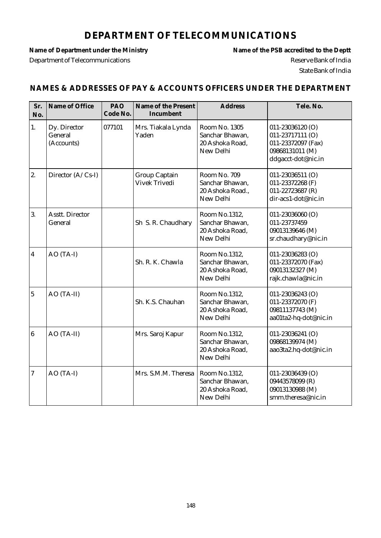## **DEPARTMENT OF TELECOMMUNICATIONS**

Department of Telecommunications Reserve Bank of India

Name of Department under the Ministry **Name of the PSB** accredited to the Deptt State Bank of India

| Sr.<br>No.              | Name of Office                        | PAO<br>Code No. | Name of the Present<br>Incumbent      | <b>Address</b>                                                   | Tele. No.                                                                                           |
|-------------------------|---------------------------------------|-----------------|---------------------------------------|------------------------------------------------------------------|-----------------------------------------------------------------------------------------------------|
| 1.                      | Dy. Director<br>General<br>(Accounts) | 077101          | Mrs. Tiakala Lynda<br>Yaden           | Room No. 1305<br>Sanchar Bhawan,<br>20 Ashoka Road,<br>New Delhi | 011-23036120 (O)<br>011-23717111 (O)<br>011-23372097 (Fax)<br>09868131011 (M)<br>ddgacct-dot@nic.in |
| 2.                      | Director (A/Cs-I)                     |                 | <b>Group Captain</b><br>Vivek Trivedi | Room No. 709<br>Sanchar Bhawan,<br>20 Ashoka Road.,<br>New Delhi | 011-23036511 (O)<br>011-23372268 (F)<br>011-22723687 (R)<br>dir-acs1-dot@nic.in                     |
| 3.                      | <b>Asstt. Director</b><br>General     |                 | Sh S. R. Chaudhary                    | Room No.1312,<br>Sanchar Bhawan,<br>20 Ashoka Road,<br>New Delhi | 011-23036060 (O)<br>011-23737459<br>09013139646 (M)<br>sr.chaudhary@nic.in                          |
| $\overline{\mathbf{4}}$ | AO (TA-I)                             |                 | Sh. R. K. Chawla                      | Room No.1312,<br>Sanchar Bhawan,<br>20 Ashoka Road,<br>New Delhi | 011-23036283 (O)<br>011-23372070 (Fax)<br>09013132327 (M)<br>rajk.chawla@nic.in                     |
| $\overline{5}$          | AO (TA-II)                            |                 | Sh. K.S. Chauhan                      | Room No.1312,<br>Sanchar Bhawan,<br>20 Ashoka Road,<br>New Delhi | 011-23036243 (O)<br>011-23372070 (F)<br>09811137743 (M)<br>aa01ta2-hq-dot@nic.in                    |
| $\boldsymbol{6}$        | AO (TA-II)                            |                 | Mrs. Saroj Kapur                      | Room No.1312,<br>Sanchar Bhawan,<br>20 Ashoka Road,<br>New Delhi | 011-23036241 (O)<br>09868139974 (M)<br>aao3ta2.hq-dot@nic.in                                        |
| $\boldsymbol{7}$        | AO (TA-I)                             |                 | Mrs. S.M.M. Theresa                   | Room No.1312,<br>Sanchar Bhawan,<br>20 Ashoka Road,<br>New Delhi | 011-23036439 (O)<br>09443578099 (R)<br>09013130988 (M)<br>smm.theresa@nic.in                        |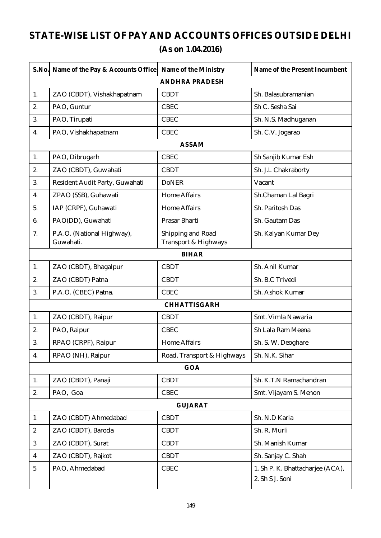## **STATE-WISE LIST OF PAY AND ACCOUNTS OFFICES OUTSIDE DELHI (As on 1.04.2016)**

| S.No.                   | Name of the Pay & Accounts Office       | Name of the Ministry                      | Name of the Present Incumbent                       |
|-------------------------|-----------------------------------------|-------------------------------------------|-----------------------------------------------------|
|                         |                                         | <b>ANDHRA PRADESH</b>                     |                                                     |
| 1.                      | ZAO (CBDT), Vishakhapatnam              | <b>CBDT</b>                               | Sh. Balasubramanian                                 |
| 2.                      | PAO, Guntur                             | <b>CBEC</b>                               | Sh C. Sesha Sai                                     |
| 3.                      | PAO, Tirupati                           | <b>CBEC</b>                               | Sh. N.S. Madhuganan                                 |
| 4.                      | PAO, Vishakhapatnam                     | <b>CBEC</b>                               | Sh. C.V. Jogarao                                    |
|                         |                                         | <b>ASSAM</b>                              |                                                     |
| 1.                      | PAO, Dibrugarh                          | <b>CBEC</b>                               | Sh Sanjib Kumar Esh                                 |
| 2.                      | ZAO (CBDT), Guwahati                    | <b>CBDT</b>                               | Sh. J.L Chakraborty                                 |
| 3.                      | Resident Audit Party, Guwahati          | <b>DoNER</b>                              | Vacant                                              |
| 4.                      | ZPAO (SSB), Guhawati                    | <b>Home Affairs</b>                       | Sh.Chaman Lal Bagri                                 |
| 5.                      | IAP (CRPF), Guhawati                    | <b>Home Affairs</b>                       | Sh. Paritosh Das                                    |
| 6.                      | PAO(DD), Guwahati                       | Prasar Bharti                             | Sh. Gautam Das                                      |
| 7.                      | P.A.O. (National Highway),<br>Guwahati. | Shipping and Road<br>Transport & Highways | Sh. Kalyan Kumar Dey                                |
|                         |                                         | <b>BIHAR</b>                              |                                                     |
| 1.                      | ZAO (CBDT), Bhagalpur                   | <b>CBDT</b>                               | Sh. Anil Kumar                                      |
| 2.                      | ZAO (CBDT) Patna                        | <b>CBDT</b>                               | Sh. B.C Trivedi                                     |
| 3.                      | P.A.O. (CBEC) Patna.                    | <b>CBEC</b>                               | Sh. Ashok Kumar                                     |
|                         |                                         | <b>CHHATTISGARH</b>                       |                                                     |
| 1.                      | ZAO (CBDT), Raipur                      | <b>CBDT</b>                               | Smt. Vimla Nawaria                                  |
| 2.                      | PAO, Raipur                             | <b>CBEC</b>                               | Sh Lala Ram Meena                                   |
| 3.                      | RPAO (CRPF), Raipur                     | <b>Home Affairs</b>                       | Sh. S. W. Deoghare                                  |
| 4.                      | RPAO (NH), Raipur                       | Road, Transport & Highways                | Sh. N.K. Sihar                                      |
|                         |                                         | GOA                                       |                                                     |
| 1.                      | ZAO (CBDT), Panaji                      | <b>CBDT</b>                               | Sh. K.T.N Ramachandran                              |
| 2.                      | PAO, Goa                                | <b>CBEC</b>                               | Smt. Vijayam S. Menon                               |
|                         |                                         | <b>GUJARAT</b>                            |                                                     |
| $\mathbf{1}$            | ZAO (CBDT) Ahmedabad                    | <b>CBDT</b>                               | Sh. N.D Karia                                       |
| $\boldsymbol{2}$        | ZAO (CBDT), Baroda                      | <b>CBDT</b>                               | Sh. R. Murli                                        |
| $\mathbf{3}$            | ZAO (CBDT), Surat                       | <b>CBDT</b>                               | Sh. Manish Kumar                                    |
| $\overline{\mathbf{4}}$ | ZAO (CBDT), Rajkot                      | <b>CBDT</b>                               | Sh. Sanjay C. Shah                                  |
| $\sqrt{5}$              | PAO, Ahmedabad                          | <b>CBEC</b>                               | 1. Sh P. K. Bhattacharjee (ACA),<br>2. Sh S J. Soni |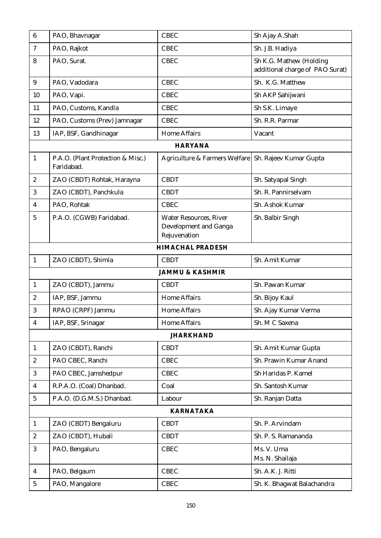| $6\phantom{1}$          | PAO, Bhavnagar                                  | <b>CBEC</b>                                                            | Sh Ajay A.Shah                                             |
|-------------------------|-------------------------------------------------|------------------------------------------------------------------------|------------------------------------------------------------|
| $\tau$                  | PAO, Rajkot                                     | <b>CBEC</b>                                                            | Sh. J.B. Hadiya                                            |
| 8                       | PAO, Surat.                                     | <b>CBEC</b>                                                            | Sh K.G. Mathew (Holding<br>additional charge of PAO Surat) |
| 9                       | PAO, Vadodara                                   | <b>CBEC</b>                                                            | Sh. K.G. Matthew                                           |
| 10                      | PAO, Vapi.                                      | <b>CBEC</b>                                                            | Sh AKP Sahijwani                                           |
| 11                      | PAO, Customs, Kandla                            | <b>CBEC</b>                                                            | Sh S.K. Limaye                                             |
| 12                      | PAO, Customs (Prev) Jamnagar                    | <b>CBEC</b>                                                            | Sh. R.R. Parmar                                            |
| 13                      | IAP, BSF, Gandhinagar                           | <b>Home Affairs</b>                                                    | Vacant                                                     |
|                         |                                                 | <b>HARYANA</b>                                                         |                                                            |
| $\mathbf{1}$            | P.A.O. (Plant Protection & Misc.)<br>Faridabad. | Agriculture & Farmers Welfare                                          | Sh. Rajeev Kumar Gupta                                     |
| $\boldsymbol{2}$        | ZAO (CBDT) Rohtak, Harayna                      | <b>CBDT</b>                                                            | Sh. Satyapal Singh                                         |
| 3                       | ZAO (CBDT), Panchkula                           | <b>CBDT</b>                                                            | Sh. R. Pannirselvam                                        |
| 4                       | PAO, Rohtak                                     | <b>CBEC</b>                                                            | Sh. Ashok Kumar                                            |
| 5                       | P.A.O. (CGWB) Faridabad.                        | <b>Water Resources, River</b><br>Development and Ganga<br>Rejuvenation | Sh. Balbir Singh                                           |
|                         |                                                 | <b>HIMACHAL PRADESH</b>                                                |                                                            |
| $\mathbf{1}$            | ZAO (CBDT), Shimla                              | <b>CBDT</b>                                                            | Sh. Amit Kumar                                             |
|                         |                                                 | <b>JAMMU &amp; KASHMIR</b>                                             |                                                            |
| $\mathbf{1}$            | ZAO (CBDT), Jammu                               | <b>CBDT</b>                                                            | Sh. Pawan Kumar                                            |
| $\boldsymbol{2}$        | IAP, BSF, Jammu                                 | <b>Home Affairs</b>                                                    | Sh. Bijoy Kaul                                             |
| 3                       | RPAO (CRPF) Jammu                               | <b>Home Affairs</b>                                                    | Sh. Ajay Kumar Verma                                       |
| 4                       | IAP, BSF, Srinagar                              | <b>Home Affairs</b>                                                    | Sh. M C Saxena                                             |
|                         |                                                 | <b>JHARKHAND</b>                                                       |                                                            |
| $\mathbf{1}$            | ZAO (CBDT), Ranchi                              | <b>CBDT</b>                                                            | Sh. Amit Kumar Gupta                                       |
| $\boldsymbol{2}$        | PAO CBEC, Ranchi                                | <b>CBEC</b>                                                            | Sh. Prawin Kumar Anand                                     |
| 3                       | PAO CBEC, Jamshedpur                            | <b>CBEC</b>                                                            | Sh Haridas P. Kamel                                        |
| $\overline{\mathbf{4}}$ | R.P.A.O. (Coal) Dhanbad.                        | Coal                                                                   | Sh. Santosh Kumar                                          |
| $\overline{5}$          | P.A.O. (D.G.M.S.) Dhanbad.                      | Labour                                                                 | Sh. Ranjan Datta                                           |
|                         |                                                 | <b>KARNATAKA</b>                                                       |                                                            |
| $\mathbf{1}$            | ZAO (CBDT) Bengaluru                            | <b>CBDT</b>                                                            | Sh. P. Arvindam                                            |
| $\boldsymbol{2}$        | ZAO (CBDT), Hubali                              | <b>CBDT</b>                                                            | Sh. P. S. Ramananda                                        |
| 3                       | PAO, Bengaluru                                  | <b>CBEC</b>                                                            | Ms. V. Uma<br>Ms. N. Shailaja                              |
| 4                       | PAO, Belgaum                                    | <b>CBEC</b>                                                            | Sh. A.K. J. Ritti                                          |
| 5                       | PAO, Mangalore                                  | <b>CBEC</b>                                                            | Sh. K. Bhagwat Balachandra                                 |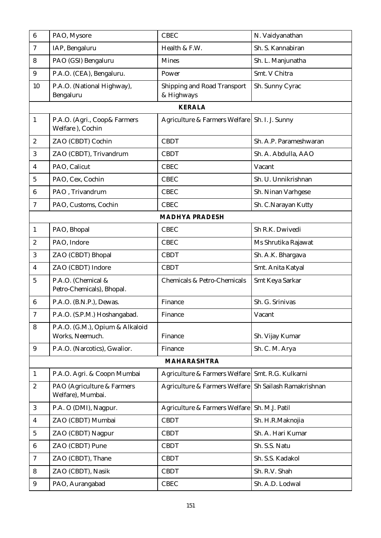| $\boldsymbol{6}$ | PAO, Mysore                                        | <b>CBEC</b>                                      | N. Vaidyanathan         |
|------------------|----------------------------------------------------|--------------------------------------------------|-------------------------|
| 7                | IAP, Bengaluru                                     | Health & F.W.                                    | Sh. S. Kannabiran       |
| 8                | PAO (GSI) Bengaluru                                | <b>Mines</b>                                     | Sh. L. Manjunatha       |
| 9                | P.A.O. (CEA), Bengaluru.                           | Power                                            | Smt. V Chitra           |
| 10               | P.A.O. (National Highway),<br>Bengaluru            | <b>Shipping and Road Transport</b><br>& Highways | Sh. Sunny Cyrac         |
|                  |                                                    | <b>KERALA</b>                                    |                         |
| $\mathbf{1}$     | P.A.O. (Agri., Coop& Farmers<br>Welfare), Cochin   | Agriculture & Farmers Welfare   Sh. I. J. Sunny  |                         |
| $\boldsymbol{2}$ | ZAO (CBDT) Cochin                                  | <b>CBDT</b>                                      | Sh. A.P. Parameshwaran  |
| 3                | ZAO (CBDT), Trivandrum                             | <b>CBDT</b>                                      | Sh. A. Abdulla, AAO     |
| 4                | PAO, Calicut                                       | <b>CBEC</b>                                      | Vacant                  |
| 5                | PAO, Cex, Cochin                                   | <b>CBEC</b>                                      | Sh. U. Unnikrishnan     |
| 6                | PAO, Trivandrum                                    | <b>CBEC</b>                                      | Sh. Ninan Varhgese      |
| $\tau$           | PAO, Customs, Cochin                               | <b>CBEC</b>                                      | Sh. C.Narayan Kutty     |
|                  |                                                    | <b>MADHYA PRADESH</b>                            |                         |
| $\mathbf{1}$     | PAO, Bhopal                                        | <b>CBEC</b>                                      | Sh R.K. Dwivedi         |
| $\overline{c}$   | PAO, Indore                                        | <b>CBEC</b>                                      | Ms Shrutika Rajawat     |
| 3                | ZAO (CBDT) Bhopal                                  | <b>CBDT</b>                                      | Sh. A.K. Bhargava       |
| $\overline{4}$   | ZAO (CBDT) Indore                                  | <b>CBDT</b>                                      | Smt. Anita Katyal       |
| $\overline{5}$   | P.A.O. (Chemical &<br>Petro-Chemicals), Bhopal.    | Chemicals & Petro-Chemicals                      | Smt Keya Sarkar         |
| $6\phantom{.}6$  | P.A.O. (B.N.P.), Dewas.                            | Finance                                          | Sh. G. Srinivas         |
| 7                | P.A.O. (S.P.M.) Hoshangabad.                       | Finance                                          | Vacant                  |
| 8                | P.A.O. (G.M.), Opium & Alkaloid<br>Works, Neemuch. | Finance                                          | Sh. Vijay Kumar         |
| $\boldsymbol{9}$ | P.A.O. (Narcotics), Gwalior.                       | Finance                                          | Sh. C. M. Arya          |
|                  |                                                    | <b>MAHARASHTRA</b>                               |                         |
| $\mathbf{1}$     | P.A.O. Agri. & Coopn Mumbai                        | Agriculture & Farmers Welfare                    | Smt. R.G. Kulkarni      |
| $\boldsymbol{2}$ | PAO (Agriculture & Farmers<br>Welfare), Mumbai.    | Agriculture & Farmers Welfare                    | Sh Sailash Ramakrishnan |
| 3                | P.A. O (DMI), Nagpur.                              | Agriculture & Farmers Welfare                    | Sh. M.J. Patil          |
| 4                | ZAO (CBDT) Mumbai                                  | <b>CBDT</b>                                      | Sh. H.R.Maknojia        |
| $\sqrt{5}$       | ZAO (CBDT) Nagpur                                  | <b>CBDT</b>                                      | Sh. A. Hari Kumar       |
| 6                | ZAO (CBDT) Pune                                    | <b>CBDT</b>                                      | Sh. S.S. Natu           |
| $\tau$           | ZAO (CBDT), Thane                                  | <b>CBDT</b>                                      | Sh. S.S. Kadakol        |
| 8                | ZAO (CBDT), Nasik                                  | <b>CBDT</b>                                      | Sh. R.V. Shah           |
| $9\phantom{.0}$  | PAO, Aurangabad                                    | <b>CBEC</b>                                      | Sh. A.D. Lodwal         |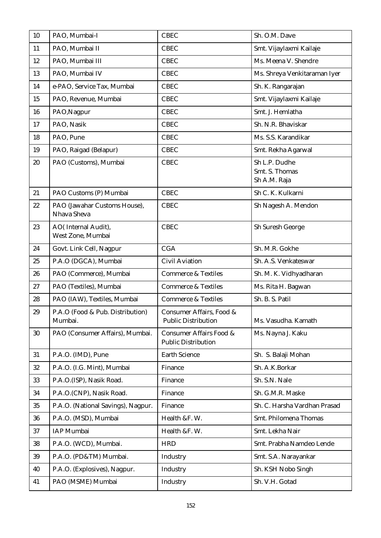| 10 | PAO, Mumbai-I                               | <b>CBEC</b>                                            | Sh. O.M. Dave                                   |
|----|---------------------------------------------|--------------------------------------------------------|-------------------------------------------------|
| 11 | PAO, Mumbai II                              | <b>CBEC</b>                                            | Smt. Vijaylaxmi Kailaje                         |
| 12 | PAO, Mumbai III                             | <b>CBEC</b>                                            | Ms. Meena V. Shendre                            |
| 13 | PAO, Mumbai IV                              | <b>CBEC</b>                                            | Ms. Shreya Venkitaraman Iyer                    |
| 14 | e-PAO, Service Tax, Mumbai                  | <b>CBEC</b>                                            | Sh. K. Rangarajan                               |
| 15 | PAO, Revenue, Mumbai                        | <b>CBEC</b>                                            | Smt. Vijaylaxmi Kailaje                         |
| 16 | PAO, Nagpur                                 | <b>CBEC</b>                                            | Smt. J. Hemlatha                                |
| 17 | PAO, Nasik                                  | <b>CBEC</b>                                            | Sh. N.R. Bhaviskar                              |
| 18 | PAO, Pune                                   | <b>CBEC</b>                                            | Ms. S.S. Karandikar                             |
| 19 | PAO, Raigad (Belapur)                       | <b>CBEC</b>                                            | Smt. Rekha Agarwal                              |
| 20 | PAO (Customs), Mumbai                       | <b>CBEC</b>                                            | Sh L.P. Dudhe<br>Smt. S. Thomas<br>Sh A.M. Raja |
| 21 | PAO Customs (P) Mumbai                      | <b>CBEC</b>                                            | Sh C. K. Kulkarni                               |
| 22 | PAO (Jawahar Customs House),<br>Nhava Sheva | <b>CBEC</b>                                            | Sh Nagesh A. Mendon                             |
| 23 | AO(Internal Audit),<br>West Zone, Mumbai    | <b>CBEC</b>                                            | Sh Suresh George                                |
| 24 | Govt. Link Cell, Nagpur                     | <b>CGA</b>                                             | Sh. M.R. Gokhe                                  |
| 25 | P.A.O (DGCA), Mumbai                        | <b>Civil Aviation</b>                                  | Sh. A.S. Venkateswar                            |
| 26 | PAO (Commerce), Mumbai                      | <b>Commerce &amp; Textiles</b>                         | Sh. M. K. Vidhyadharan                          |
| 27 | PAO (Textiles), Mumbai                      | <b>Commerce &amp; Textiles</b>                         | Ms. Rita H. Bagwan                              |
| 28 | PAO (IAW), Textiles, Mumbai                 | <b>Commerce &amp; Textiles</b>                         | Sh. B. S. Patil                                 |
| 29 | P.A.O (Food & Pub. Distribution)<br>Mumbai. | Consumer Affairs, Food &<br><b>Public Distribution</b> | Ms. Vasudha. Kamath                             |
| 30 | PAO (Consumer Affairs), Mumbai.             | Consumer Affairs Food &<br><b>Public Distribution</b>  | Ms. Nayna J. Kaku                               |
| 31 | P.A.O. (IMD), Pune                          | <b>Earth Science</b>                                   | Sh. S. Balaji Mohan                             |
| 32 | P.A.O. (I.G. Mint), Mumbai                  | Finance                                                | Sh. A.K.Borkar                                  |
| 33 | P.A.O.(ISP), Nasik Road.                    | Finance                                                | Sh. S.N. Nale                                   |
| 34 | P.A.O.(CNP), Nasik Road.                    | Finance                                                | Sh. G.M.R. Maske                                |
| 35 | P.A.O. (National Savings), Nagpur.          | Finance                                                | Sh. C. Harsha Vardhan Prasad                    |
| 36 | P.A.O. (MSD), Mumbai                        | Health &F. W.                                          | Smt. Philomena Thomas                           |
| 37 | <b>IAP</b> Mumbai                           | Health &F. W.                                          | Smt. Lekha Nair                                 |
| 38 | P.A.O. (WCD), Mumbai.                       | <b>HRD</b>                                             | Smt. Prabha Namdeo Lende                        |
| 39 | P.A.O. (PD&TM) Mumbai.                      | Industry                                               | Smt. S.A. Narayankar                            |
| 40 | P.A.O. (Explosives), Nagpur.                | Industry                                               | Sh. KSH Nobo Singh                              |
| 41 | PAO (MSME) Mumbai                           | Industry                                               | Sh. V.H. Gotad                                  |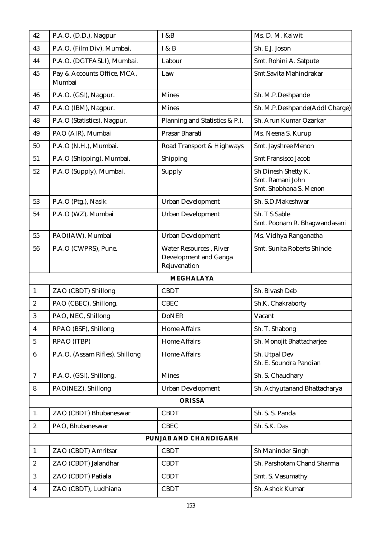| 42                      | P.A.O. (D.D.), Nagpur                 | <b>I</b> &B                                                             | Ms. D. M. Kalwit                                                  |
|-------------------------|---------------------------------------|-------------------------------------------------------------------------|-------------------------------------------------------------------|
| 43                      | P.A.O. (Film Div), Mumbai.            | I & B                                                                   | Sh. E.J. Joson                                                    |
| 44                      | P.A.O. (DGTFASLI), Mumbai.            | Labour                                                                  | Smt. Rohini A. Satpute                                            |
| 45                      | Pay & Accounts Office, MCA,<br>Mumbai | Law                                                                     | Smt.Savita Mahindrakar                                            |
| 46                      | P.A.O. (GSI), Nagpur.                 | <b>Mines</b>                                                            | Sh. M.P.Deshpande                                                 |
| 47                      | P.A.O (IBM), Nagpur.                  | <b>Mines</b>                                                            | Sh. M.P.Deshpande(Addl Charge)                                    |
| 48                      | P.A.O (Statistics), Nagpur.           | Planning and Statistics & P.I.                                          | Sh. Arun Kumar Ozarkar                                            |
| 49                      | PAO (AIR), Mumbai                     | Prasar Bharati                                                          | Ms. Neena S. Kurup                                                |
| 50                      | P.A.O (N.H.), Mumbai.                 | Road Transport & Highways                                               | Smt. Jayshree Menon                                               |
| 51                      | P.A.O (Shipping), Mumbai.             | Shipping                                                                | <b>Smt Fransisco Jacob</b>                                        |
| 52                      | P.A.O (Supply), Mumbai.               | Supply                                                                  | Sh Dinesh Shetty K.<br>Smt. Ramani John<br>Smt. Shobhana S. Menon |
| 53                      | P.A.O (Ptg.), Nasik                   | <b>Urban Development</b>                                                | Sh. S.D.Makeshwar                                                 |
| 54                      | P.A.O (WZ), Mumbai                    | <b>Urban Development</b>                                                | Sh. T S Sable<br>Smt. Poonam R. Bhagwandasani                     |
| 55                      | PAO(IAW), Mumbai                      | <b>Urban Development</b>                                                | Ms. Vidhya Ranganatha                                             |
| 56                      | P.A.O (CWPRS), Pune.                  | <b>Water Resources</b> , River<br>Development and Ganga<br>Rejuvenation | Smt. Sunita Roberts Shinde                                        |
|                         |                                       | <b>MEGHALAYA</b>                                                        |                                                                   |
| $\mathbf{1}$            | ZAO (CBDT) Shillong                   | <b>CBDT</b>                                                             | Sh. Bivash Deb                                                    |
| $\boldsymbol{2}$        | PAO (CBEC), Shillong.                 | <b>CBEC</b>                                                             | Sh.K. Chakraborty                                                 |
| 3                       | PAO, NEC, Shillong                    | <b>DoNER</b>                                                            | Vacant                                                            |
| $\overline{\mathbf{4}}$ | RPAO (BSF), Shillong                  | <b>Home Affairs</b>                                                     | Sh. T. Shabong                                                    |
| $\overline{5}$          | RPAO (ITBP)                           | <b>Home Affairs</b>                                                     | Sh. Monojit Bhattacharjee                                         |
| 6                       | P.A.O. (Assam Rifles), Shillong       | <b>Home Affairs</b>                                                     | Sh. Utpal Dev<br>Sh. E. Soundra Pandian                           |
| $\tau$                  | P.A.O. (GSI), Shillong.               | <b>Mines</b>                                                            | Sh. S. Chaudhary                                                  |
| 8                       | PAO(NEZ), Shillong                    | <b>Urban Development</b>                                                | Sh. Achyutanand Bhattacharya                                      |
|                         |                                       | <b>ORISSA</b>                                                           |                                                                   |
| 1.                      | ZAO (CBDT) Bhubaneswar                | <b>CBDT</b>                                                             | Sh. S. S. Panda                                                   |
| 2.                      | PAO, Bhubaneswar                      | <b>CBEC</b>                                                             | Sh. S.K. Das                                                      |
|                         |                                       | PUNJAB AND CHANDIGARH                                                   |                                                                   |
| $\mathbf{1}$            | ZAO (CBDT) Amritsar                   | <b>CBDT</b>                                                             | Sh Maninder Singh                                                 |
| $\boldsymbol{2}$        | ZAO (CBDT) Jalandhar                  | <b>CBDT</b>                                                             | Sh. Parshotam Chand Sharma                                        |
| 3                       | ZAO (CBDT) Patiala                    | <b>CBDT</b>                                                             | Smt. S. Vasumathy                                                 |
| $\overline{4}$          | ZAO (CBDT), Ludhiana                  | <b>CBDT</b>                                                             | Sh. Ashok Kumar                                                   |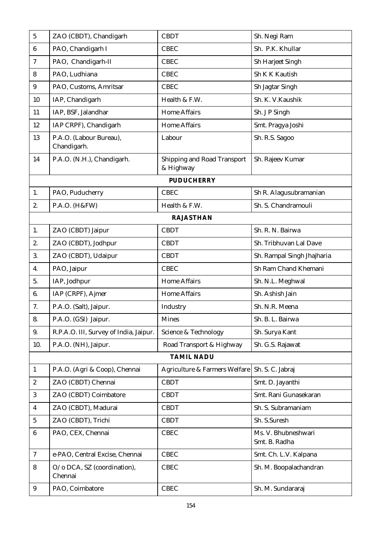| $\mathbf 5$      | ZAO (CBDT), Chandigarh                 | <b>CBDT</b>                              | Sh. Negi Ram                         |
|------------------|----------------------------------------|------------------------------------------|--------------------------------------|
| 6                | PAO, Chandigarh I                      | <b>CBEC</b>                              | Sh. P.K. Khullar                     |
| 7                | PAO, Chandigarh-II                     | <b>CBEC</b>                              | Sh Harjeet Singh                     |
| 8                | PAO, Ludhiana                          | <b>CBEC</b>                              | Sh K K Kautish                       |
| 9                | PAO, Customs, Amritsar                 | <b>CBEC</b>                              | Sh Jagtar Singh                      |
| 10               | IAP, Chandigarh                        | Health & F.W.                            | Sh. K. V. Kaushik                    |
| 11               | IAP, BSF, Jalandhar                    | <b>Home Affairs</b>                      | Sh. J P Singh                        |
| 12               | IAP CRPF), Chandigarh                  | <b>Home Affairs</b>                      | Smt. Pragya Joshi                    |
| 13               | P.A.O. (Labour Bureau),<br>Chandigarh. | Labour                                   | Sh. R.S. Sagoo                       |
| 14               | P.A.O. (N.H.), Chandigarh.             | Shipping and Road Transport<br>& Highway | Sh. Rajeev Kumar                     |
|                  |                                        | <b>PUDUCHERRY</b>                        |                                      |
| 1.               | PAO, Puducherry                        | <b>CBEC</b>                              | Sh R. Alagusubramanian               |
| 2.               | P.A.O. (H&FW)                          | Health & F.W.                            | Sh. S. Chandramouli                  |
|                  |                                        | <b>RAJASTHAN</b>                         |                                      |
| 1.               | ZAO (CBDT) Jaipur                      | <b>CBDT</b>                              | Sh. R. N. Bairwa                     |
| 2.               | ZAO (CBDT), Jodhpur                    | <b>CBDT</b>                              | Sh. Tribhuvan Lal Dave               |
| 3.               | ZAO (CBDT), Udaipur                    | <b>CBDT</b>                              | Sh. Rampal Singh Jhajharia           |
| 4.               | PAO, Jaipur                            | <b>CBEC</b>                              | Sh Ram Chand Khemani                 |
| 5.               | IAP, Jodhpur                           | <b>Home Affairs</b>                      | Sh. N.L. Meghwal                     |
| 6.               | IAP (CRPF), Ajmer                      | <b>Home Affairs</b>                      | Sh. Ashish Jain                      |
| 7.               | P.A.O. (Salt), Jaipur.                 | Industry                                 | Sh. N.R. Meena                       |
| 8.               | P.A.O. (GSI) Jaipur.                   | <b>Mines</b>                             | Sh. B. L. Bairwa                     |
| 9.               | R.P.A.O. III, Survey of India, Jaipur. | Science & Technology                     | Sh. Surya Kant                       |
| 10.              | P.A.O. (NH), Jaipur.                   | Road Transport & Highway                 | Sh. G.S. Rajawat                     |
|                  |                                        | <b>TAMIL NADU</b>                        |                                      |
| $\mathbf{1}$     | P.A.O. (Agri & Coop), Chennai          | Agriculture & Farmers Welfare            | Sh. S. C. Jabraj                     |
| $\boldsymbol{2}$ | ZAO (CBDT) Chennai                     | <b>CBDT</b>                              | Smt. D. Jayanthi                     |
| 3                | ZAO (CBDT) Coimbatore                  | <b>CBDT</b>                              | Smt. Rani Gunasekaran                |
| $\overline{4}$   | ZAO (CBDT), Madurai                    | <b>CBDT</b>                              | Sh. S. Subramaniam                   |
| $\sqrt{5}$       | ZAO (CBDT), Trichi                     | <b>CBDT</b>                              | Sh. S.Suresh                         |
| 6                | PAO, CEX, Chennai                      | <b>CBEC</b>                              | Ms. V. Bhubneshwari<br>Smt. B. Radha |
| $\tau$           | e-PAO, Central Excise, Chennai         | <b>CBEC</b>                              | Smt. Ch. L.V. Kalpana                |
| 8                | O/o DCA, SZ (coordination),<br>Chennai | <b>CBEC</b>                              | Sh. M. Boopalachandran               |
| 9                | PAO, Coimbatore                        | <b>CBEC</b>                              | Sh. M. Sundararaj                    |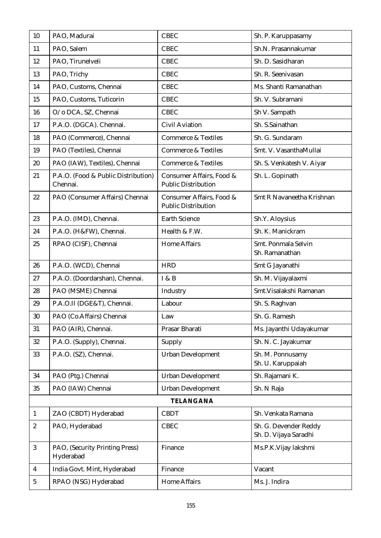| 10                      | PAO, Madurai                                    | <b>CBEC</b>                                            | Sh. P. Karuppasamy                             |  |  |
|-------------------------|-------------------------------------------------|--------------------------------------------------------|------------------------------------------------|--|--|
| 11                      | PAO, Salem                                      | <b>CBEC</b>                                            | Sh.N. Prasannakumar                            |  |  |
| 12                      | PAO, Tirunelveli                                | <b>CBEC</b>                                            | Sh. D. Sasidharan                              |  |  |
| 13                      | PAO, Trichy                                     | <b>CBEC</b>                                            | Sh. R. Seenivasan                              |  |  |
| 14                      | PAO, Customs, Chennai                           | <b>CBEC</b>                                            | Ms. Shanti Ramanathan                          |  |  |
| 15                      | PAO, Customs, Tuticorin                         | <b>CBEC</b>                                            | Sh. V. Subramani                               |  |  |
| 16                      | O/o DCA, SZ, Chennai                            | <b>CBEC</b>                                            | Sh V. Sampath                                  |  |  |
| 17                      | P.A.O. (DGCA). Chennai.                         | <b>Civil Aviation</b>                                  | Sh. S.Sainathan                                |  |  |
| 18                      | PAO (Commerce), Chennai                         | <b>Commerce &amp; Textiles</b>                         | Sh. G. Sundaram                                |  |  |
| 19                      | PAO (Textiles), Chennai                         | <b>Commerce &amp; Textiles</b>                         | Smt. V. VasanthaMullai                         |  |  |
| 20                      | PAO (IAW), Textiles), Chennai                   | <b>Commerce &amp; Textiles</b>                         | Sh. S. Venkatesh V. Aiyar                      |  |  |
| 21                      | P.A.O. (Food & Public Distribution)<br>Chennai. | Consumer Affairs, Food &<br><b>Public Distribution</b> | Sh. L. Gopinath                                |  |  |
| 22                      | PAO (Consumer Affairs) Chennai                  | Consumer Affairs, Food &<br><b>Public Distribution</b> | Smt R Navaneetha Krishnan                      |  |  |
| 23                      | P.A.O. (IMD), Chennai.                          | <b>Earth Science</b>                                   | Sh.Y. Aloysius                                 |  |  |
| 24                      | P.A.O. (H&FW), Chennai.                         | Health & F.W.                                          | Sh. K. Manickram                               |  |  |
| 25                      | RPAO (CISF), Chennai                            | <b>Home Affairs</b>                                    | Smt. Ponmala Selvin<br>Sh. Ramanathan          |  |  |
| 26                      | P.A.O. (WCD), Chennai                           | <b>HRD</b>                                             | Smt G Jayanathi                                |  |  |
| 27                      | P.A.O. (Doordarshan), Chennai.                  | I & B                                                  | Sh. M. Vijayalaxmi                             |  |  |
| 28                      | PAO (MSME) Chennai                              | Industry                                               | Smt. Visalakshi Ramanan                        |  |  |
| 29                      | P.A.O.II (DGE&T), Chennai.                      | Labour                                                 | Sh. S. Raghvan                                 |  |  |
| 30                      | PAO (Co.Affairs) Chennai                        | Law                                                    | Sh. G. Ramesh                                  |  |  |
| 31                      | PAO (AIR), Chennai.                             | Prasar Bharati                                         | Ms. Jayanthi Udayakumar                        |  |  |
| 32                      | P.A.O. (Supply), Chennai.                       | Supply                                                 | Sh. N. C. Jayakumar                            |  |  |
| 33                      | P.A.O. (SZ), Chennai.                           | <b>Urban Development</b>                               | Sh. M. Ponnusamy<br>Sh. U. Karuppaiah          |  |  |
| 34                      | PAO (Ptg.) Chennai                              | <b>Urban Development</b>                               | Sh. Rajamani K.                                |  |  |
| 35                      | PAO (IAW) Chennai                               | <b>Urban Development</b>                               | Sh. N Raja                                     |  |  |
|                         |                                                 | <b>TELANGANA</b>                                       |                                                |  |  |
| $\mathbf{1}$            | ZAO (CBDT) Hyderabad                            | <b>CBDT</b>                                            | Sh. Venkata Ramana                             |  |  |
| $\boldsymbol{2}$        | PAO, Hyderabad                                  | <b>CBEC</b>                                            | Sh. G. Devender Reddy<br>Sh. D. Vijaya Saradhi |  |  |
| 3                       | PAO, (Security Printing Press)<br>Hyderabad     | Finance                                                | Ms.P.K.Vijay lakshmi                           |  |  |
| $\overline{\mathbf{4}}$ | India Govt. Mint, Hyderabad                     | Finance                                                | Vacant                                         |  |  |
| $\mathbf{5}$            | RPAO (NSG) Hyderabad                            | <b>Home Affairs</b>                                    | Ms. J. Indira                                  |  |  |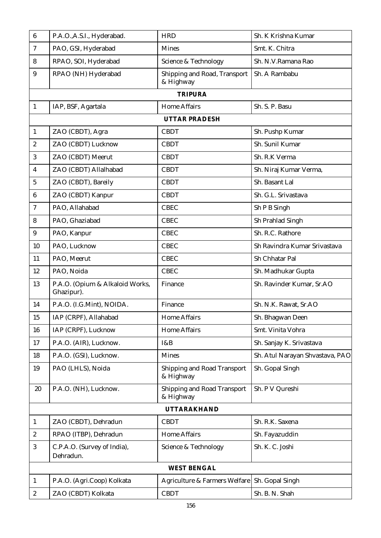| $6\phantom{1}$   | P.A.O., A.S.I., Hyderabad.                    | <b>HRD</b>                                      | Sh. K Krishna Kumar             |  |  |  |  |  |  |
|------------------|-----------------------------------------------|-------------------------------------------------|---------------------------------|--|--|--|--|--|--|
| 7                | PAO, GSI, Hyderabad                           | <b>Mines</b>                                    | Smt. K. Chitra                  |  |  |  |  |  |  |
| 8                | RPAO, SOI, Hyderabad                          | Science & Technology                            | Sh. N.V.Ramana Rao              |  |  |  |  |  |  |
| 9                | RPAO (NH) Hyderabad                           | Shipping and Road, Transport<br>& Highway       | Sh. A Rambabu                   |  |  |  |  |  |  |
|                  | <b>TRIPURA</b>                                |                                                 |                                 |  |  |  |  |  |  |
| $\mathbf{1}$     | IAP, BSF, Agartala                            | <b>Home Affairs</b>                             | Sh. S. P. Basu                  |  |  |  |  |  |  |
|                  | <b>UTTAR PRADESH</b>                          |                                                 |                                 |  |  |  |  |  |  |
| $\mathbf{1}$     | ZAO (CBDT), Agra                              | <b>CBDT</b>                                     | Sh. Pushp Kumar                 |  |  |  |  |  |  |
| $\boldsymbol{2}$ | ZAO (CBDT) Lucknow                            | <b>CBDT</b>                                     | Sh. Sunil Kumar                 |  |  |  |  |  |  |
| 3                | ZAO (CBDT) Meerut                             | <b>CBDT</b>                                     | Sh. R.K Verma                   |  |  |  |  |  |  |
| 4                | ZAO (CBDT) Allalhabad                         | <b>CBDT</b>                                     | Sh. Niraj Kumar Verma,          |  |  |  |  |  |  |
| 5                | ZAO (CBDT), Bareily                           | <b>CBDT</b>                                     | Sh. Basant Lal                  |  |  |  |  |  |  |
| 6                | ZAO (CBDT) Kanpur                             | <b>CBDT</b>                                     | Sh. G.L. Srivastava             |  |  |  |  |  |  |
| 7                | PAO, Allahabad                                | <b>CBEC</b>                                     | Sh P B Singh                    |  |  |  |  |  |  |
| 8                | PAO, Ghaziabad                                | <b>CBEC</b>                                     | Sh Prahlad Singh                |  |  |  |  |  |  |
| 9                | PAO, Kanpur                                   | <b>CBEC</b>                                     | Sh. R.C. Rathore                |  |  |  |  |  |  |
| 10               | PAO, Lucknow                                  | <b>CBEC</b>                                     | Sh Ravindra Kumar Srivastava    |  |  |  |  |  |  |
| 11               | PAO, Meerut                                   | <b>CBEC</b>                                     | Sh Chhatar Pal                  |  |  |  |  |  |  |
| 12               | PAO, Noida                                    | <b>CBEC</b>                                     | Sh. Madhukar Gupta              |  |  |  |  |  |  |
| 13               | P.A.O. (Opium & Alkaloid Works,<br>Ghazipur). | Finance                                         | Sh. Ravinder Kumar, Sr.AO       |  |  |  |  |  |  |
| 14               | P.A.O. (I.G.Mint), NOIDA.                     | Finance                                         | Sh. N.K. Rawat, Sr.AO           |  |  |  |  |  |  |
| 15               | IAP (CRPF), Allahabad                         | <b>Home Affairs</b>                             | Sh. Bhagwan Deen                |  |  |  |  |  |  |
| 16               | IAP (CRPF), Lucknow                           | <b>Home Affairs</b>                             | Smt. Vinita Vohra               |  |  |  |  |  |  |
| 17               | P.A.O. (AIR), Lucknow.                        | I&B                                             | Sh. Sanjay K. Srivastava        |  |  |  |  |  |  |
| 18               | P.A.O. (GSI), Lucknow.                        | <b>Mines</b>                                    | Sh. Atul Narayan Shvastava, PAO |  |  |  |  |  |  |
| 19               | PAO (LHLS), Noida                             | <b>Shipping and Road Transport</b><br>& Highway | Sh. Gopal Singh                 |  |  |  |  |  |  |
| 20               | P.A.O. (NH), Lucknow.                         | Shipping and Road Transport<br>& Highway        | Sh. P V Qureshi                 |  |  |  |  |  |  |
|                  |                                               | <b>UTTARAKHAND</b>                              |                                 |  |  |  |  |  |  |
| 1                | ZAO (CBDT), Dehradun                          | <b>CBDT</b>                                     | Sh. R.K. Saxena                 |  |  |  |  |  |  |
| $\boldsymbol{2}$ | RPAO (ITBP), Dehradun                         | <b>Home Affairs</b>                             | Sh. Fayazuddin                  |  |  |  |  |  |  |
| 3                | C.P.A.O. (Survey of India),<br>Dehradun.      | Science & Technology                            | Sh. K. C. Joshi                 |  |  |  |  |  |  |
|                  |                                               | <b>WEST BENGAL</b>                              |                                 |  |  |  |  |  |  |
| $\mathbf{1}$     | P.A.O. (Agri.Coop) Kolkata                    | Agriculture & Farmers Welfare                   | Sh. Gopal Singh                 |  |  |  |  |  |  |
| $\boldsymbol{2}$ | ZAO (CBDT) Kolkata                            | <b>CBDT</b>                                     | Sh. B. N. Shah                  |  |  |  |  |  |  |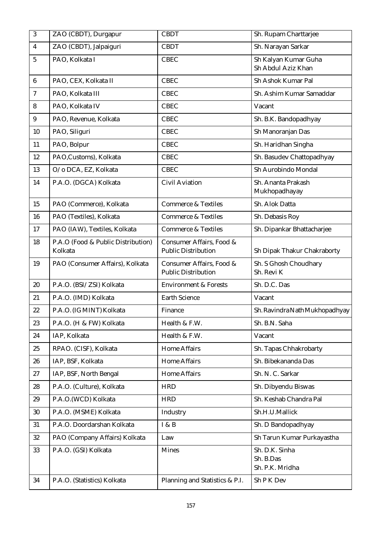| $\overline{3}$          | ZAO (CBDT), Durgapur                          | <b>CBDT</b>                                            | Sh. Rupam Charttarjee                          |
|-------------------------|-----------------------------------------------|--------------------------------------------------------|------------------------------------------------|
| $\overline{\mathbf{4}}$ | ZAO (CBDT), Jalpaiguri                        | <b>CBDT</b>                                            | Sh. Narayan Sarkar                             |
| $\overline{5}$          | PAO, Kolkata I                                | <b>CBEC</b>                                            | Sh Kalyan Kumar Guha<br>Sh Abdul Aziz Khan     |
| 6                       | PAO, CEX, Kolkata II                          | <b>CBEC</b>                                            | Sh Ashok Kumar Pal                             |
| 7                       | PAO, Kolkata III                              | <b>CBEC</b>                                            | Sh. Ashim Kumar Samaddar                       |
| 8                       | PAO, Kolkata IV                               | <b>CBEC</b>                                            | Vacant                                         |
| 9                       | PAO, Revenue, Kolkata                         | <b>CBEC</b>                                            | Sh. B.K. Bandopadhyay                          |
| 10                      | PAO, Siliguri                                 | <b>CBEC</b>                                            | Sh Manoranjan Das                              |
| 11                      | PAO, Bolpur                                   | <b>CBEC</b>                                            | Sh. Haridhan Singha                            |
| 12                      | PAO, Customs), Kolkata                        | <b>CBEC</b>                                            | Sh. Basudev Chattopadhyay                      |
| 13                      | O/o DCA, EZ, Kolkata                          | <b>CBEC</b>                                            | Sh Aurobindo Mondal                            |
| 14                      | P.A.O. (DGCA) Kolkata                         | <b>Civil Aviation</b>                                  | Sh. Ananta Prakash<br>Mukhopadhayay            |
| 15                      | PAO (Commerce), Kolkata                       | <b>Commerce &amp; Textiles</b>                         | Sh. Alok Datta                                 |
| 16                      | PAO (Textiles), Kolkata                       | <b>Commerce &amp; Textiles</b>                         | Sh. Debasis Roy                                |
| 17                      | PAO (IAW), Textiles, Kolkata                  | <b>Commerce &amp; Textiles</b>                         | Sh. Dipankar Bhattacharjee                     |
| 18                      | P.A.O (Food & Public Distribution)<br>Kolkata | Consumer Affairs, Food &<br><b>Public Distribution</b> | Sh Dipak Thakur Chakraborty                    |
| 19                      | PAO (Consumer Affairs), Kolkata               | Consumer Affairs, Food &<br><b>Public Distribution</b> | Sh. S Ghosh Choudhary<br>Sh. Revi K            |
| 20                      | P.A.O. (BSI/ZSI) Kolkata                      | <b>Environment &amp; Forests</b>                       | Sh. D.C. Das                                   |
| 21                      | P.A.O. (IMD) Kolkata                          | <b>Earth Science</b>                                   | Vacant                                         |
| 22                      | P.A.O. (IG MINT) Kolkata                      | Finance                                                | Sh. Ravindra Nath Mukhopadhyay                 |
| 23                      | P.A.O. (H & FW) Kolkata                       | Health & F.W.                                          | Sh. B.N. Saha                                  |
| 24                      | IAP, Kolkata                                  | Health & F.W.                                          | Vacant                                         |
| 25                      | RPAO. (CISF), Kolkata                         | <b>Home Affairs</b>                                    | Sh. Tapas Chhakrobarty                         |
| 26                      | IAP, BSF, Kolkata                             | <b>Home Affairs</b>                                    | Sh. Bibekananda Das                            |
| $27\,$                  | IAP, BSF, North Bengal                        | <b>Home Affairs</b>                                    | Sh. N. C. Sarkar                               |
| 28                      | P.A.O. (Culture), Kolkata                     | <b>HRD</b>                                             | Sh. Dibyendu Biswas                            |
| 29                      | P.A.O.(WCD) Kolkata                           | <b>HRD</b>                                             | Sh. Keshab Chandra Pal                         |
| 30                      | P.A.O. (MSME) Kolkata                         | Industry                                               | Sh.H.U.Mallick                                 |
| 31                      | P.A.O. Doordarshan Kolkata                    | I & B                                                  | Sh. D Bandopadhyay                             |
| 32                      | PAO (Company Affairs) Kolkata                 | Law                                                    | Sh Tarun Kumar Purkayastha                     |
| 33                      | P.A.O. (GSI) Kolkata                          | <b>Mines</b>                                           | Sh. D.K. Sinha<br>Sh. B.Das<br>Sh. P.K. Mridha |
| 34                      | P.A.O. (Statistics) Kolkata                   | Planning and Statistics & P.I.                         | Sh P K Dev                                     |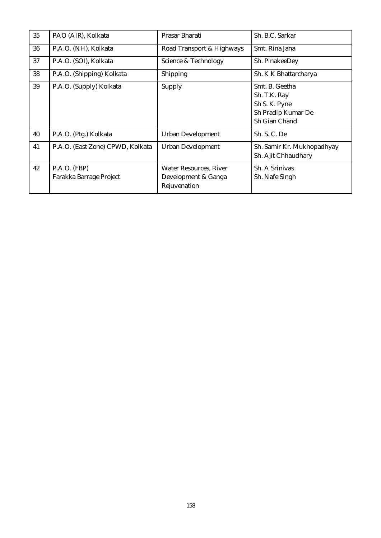| 35 | PAO (AIR), Kolkata                        | Prasar Bharati                                                       | Sh. B.C. Sarkar                                                                        |
|----|-------------------------------------------|----------------------------------------------------------------------|----------------------------------------------------------------------------------------|
| 36 | P.A.O. (NH), Kolkata                      | Road Transport & Highways                                            | Smt. Rina Jana                                                                         |
| 37 | P.A.O. (SOI), Kolkata                     | Science & Technology                                                 | Sh. PinakeeDey                                                                         |
| 38 | P.A.O. (Shipping) Kolkata                 | Shipping                                                             | Sh. K K Bhattarcharya                                                                  |
| 39 | P.A.O. (Supply) Kolkata                   | Supply                                                               | Smt. B. Geetha<br>Sh. T.K. Ray<br>Sh S. K. Pyne<br>Sh Pradip Kumar De<br>Sh Gian Chand |
| 40 | P.A.O. (Ptg.) Kolkata                     | <b>Urban Development</b>                                             | Sh. S. C. De                                                                           |
| 41 | P.A.O. (East Zone) CPWD, Kolkata          | <b>Urban Development</b>                                             | Sh. Samir Kr. Mukhopadhyay<br>Sh. Ajit Chhaudhary                                      |
| 42 | $P.A.O.$ (FBP)<br>Farakka Barrage Project | <b>Water Resources, River</b><br>Development & Ganga<br>Rejuvenation | Sh. A Srinivas<br>Sh. Nafe Singh                                                       |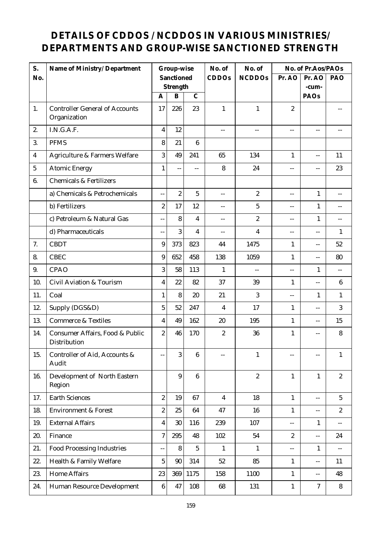## **DETAILS OF CDDOS / NCDDOS IN VARIOUS MINISTRIES/ DEPARTMENTS AND GROUP-WISE SANCTIONED STRENGTH**

| S.             | Name of Ministry/ Department                          |                         | Group-wise               |                  | No. of                   | No. of                  |                  | No. of Pr.Aos/PAOs |                  |
|----------------|-------------------------------------------------------|-------------------------|--------------------------|------------------|--------------------------|-------------------------|------------------|--------------------|------------------|
| No.            |                                                       |                         | Sanctioned               |                  | <b>CDDOs</b>             | <b>NCDDOs</b>           | Pr. AO           | Pr. AO             | PAO              |
|                |                                                       | A                       | Strength<br>$\, {\bf B}$ | $\mathcal{C}$    |                          |                         |                  | -cum-<br>PAOs      |                  |
| 1.             | <b>Controller General of Accounts</b><br>Organization | 17                      | 226                      | 23               | $\mathbf{1}$             | $\mathbf{1}$            | $\overline{c}$   |                    |                  |
| 2.             | I.N.G.A.F.                                            | $\overline{\mathbf{4}}$ | 12                       |                  | $-$                      | $-$                     | $-$              | --                 |                  |
| 3.             | <b>PFMS</b>                                           | 8                       | 21                       | $6\phantom{.}6$  |                          |                         |                  |                    |                  |
| 4              | Agriculture & Farmers Welfare                         | 3                       | 49                       | 241              | 65                       | 134                     | $\mathbf{1}$     | $- -$              | 11               |
| $\overline{5}$ | <b>Atomic Energy</b>                                  | $\mathbf{1}$            | $-$                      | $\overline{a}$   | 8                        | 24                      | $\overline{a}$   | --                 | 23               |
| 6.             | <b>Chemicals &amp; Fertilizers</b>                    |                         |                          |                  |                          |                         |                  |                    |                  |
|                | a) Chemicals & Petrochemicals                         | $\overline{a}$          | $\overline{c}$           | 5                | $\overline{a}$           | $\boldsymbol{2}$        | $\overline{a}$   | $\mathbf{1}$       | $-$              |
|                | b) Fertilizers                                        | $\boldsymbol{2}$        | 17                       | 12               | $-$                      | $\mathbf{5}$            | $-$              | $\mathbf{1}$       | $-$              |
|                | c) Petroleum & Natural Gas                            | $-$                     | 8                        | 4                | $\overline{\phantom{a}}$ | $\boldsymbol{2}$        | $-$              | $\mathbf{1}$       | $-$              |
|                | d) Pharmaceuticals                                    | $\overline{a}$          | 3                        | 4                | $-$                      | $\overline{\mathbf{4}}$ | $\overline{a}$   | --                 | $\mathbf{1}$     |
| 7.             | <b>CBDT</b>                                           | $\boldsymbol{9}$        | 373                      | 823              | 44                       | 1475                    | $\mathbf{1}$     | $- -$              | 52               |
| 8.             | <b>CBEC</b>                                           | 9                       | 652                      | 458              | 138                      | 1059                    | $\mathbf{1}$     | $- -$              | 80               |
| 9.             | <b>CPAO</b>                                           | 3                       | 58                       | 113              | $\mathbf{1}$             | $\qquad \qquad -$       | $\overline{a}$   | 1                  | $\overline{a}$   |
| 10.            | <b>Civil Aviation &amp; Tourism</b>                   | $\overline{\mathbf{4}}$ | 22                       | 82               | 37                       | 39                      | $\mathbf{1}$     | $-$                | $6\phantom{.}6$  |
| 11.            | Coal                                                  | $\mathbf{1}$            | 8                        | 20               | 21                       | 3                       | $\sim$ $-$       | $\mathbf{1}$       | $\mathbf{1}$     |
| 12.            | Supply (DGS&D)                                        | $\overline{5}$          | 52                       | 247              | 4                        | 17                      | $\mathbf{1}$     | $-$                | 3                |
| 13.            | <b>Commerce &amp; Textiles</b>                        | $\boldsymbol{4}$        | 49                       | 162              | 20                       | 195                     | $\mathbf{1}$     | $-$                | 15               |
| 14.            | Consumer Affairs, Food & Public<br>Distribution       | $\boldsymbol{2}$        | 46                       | 170              | $\boldsymbol{2}$         | 36                      | $\mathbf{1}$     | $-$                | 8                |
| 15.            | Controller of Aid, Accounts &<br>Audit                | $\pm$ $\pm$             | 3                        | $\bf 6$          | $-$                      | $\mathbf{1}$            | $--$             | $- -$              | $\mathbf{1}$     |
| 16.            | Development of North Eastern<br>Region                |                         | 9                        | $\boldsymbol{6}$ |                          | $\boldsymbol{2}$        | $\mathbf{1}$     | $\mathbf{1}$       | $\boldsymbol{2}$ |
| 17.            | <b>Earth Sciences</b>                                 | $\boldsymbol{2}$        | 19                       | 67               | $\overline{4}$           | 18                      | $\mathbf{1}$     | $\overline{a}$     | $5\phantom{.0}$  |
| 18.            | <b>Environment &amp; Forest</b>                       | $\boldsymbol{2}$        | 25                       | 64               | 47                       | 16                      | $\mathbf{1}$     | $- -$              | $\boldsymbol{2}$ |
| 19.            | <b>External Affairs</b>                               | 4                       | 30                       | 116              | 239                      | 107                     | $-$              | 1                  | $\overline{a}$   |
| 20.            | Finance                                               | $\tau$                  | 295                      | 48               | 102                      | 54                      | $\boldsymbol{2}$ | --                 | 24               |
| 21.            | <b>Food Processing Industries</b>                     | $\overline{a}$          | 8                        | $5\phantom{.0}$  | $\mathbf{1}$             | $\mathbf{1}$            | $- -$            | $\mathbf{1}$       | $-$              |
| 22.            | Health & Family Welfare                               | 5                       | 90                       | 314              | $52\,$                   | 85                      | $\mathbf{1}$     | --                 | 11               |
| 23.            | <b>Home Affairs</b>                                   | 23                      | 369                      | 1175             | 158                      | 1100                    | $\mathbf{1}$     | $\mathcal{L} =$    | 48               |
| 24.            | Human Resource Development                            | $\bf{6}$                | 47                       | 108              | 68                       | 131                     | $\mathbf{1}$     | $\boldsymbol{7}$   | $8\phantom{.}$   |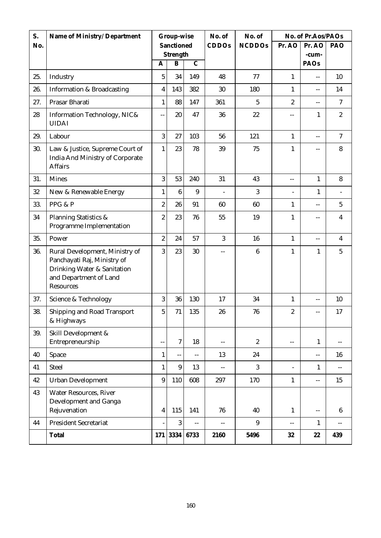| S.  | Name of Ministry/ Department                                                                                                               |                  | Group-wise       |                | No. of         | No. of           | No. of Pr.Aos/PAOs       |                                               |                          |
|-----|--------------------------------------------------------------------------------------------------------------------------------------------|------------------|------------------|----------------|----------------|------------------|--------------------------|-----------------------------------------------|--------------------------|
| No. |                                                                                                                                            |                  | Sanctioned       |                | CDDOs          | <b>NCDDOs</b>    | Pr. AO                   | Pr. AO                                        | PAO                      |
|     |                                                                                                                                            | $\overline{A}$   | Strength<br>B    | $\overline{C}$ |                |                  |                          | -cum-<br>PAOs                                 |                          |
| 25. | Industry                                                                                                                                   | $\mathbf{5}$     | 34               | 149            | 48             | 77               | $\mathbf{1}$             | $-$                                           | 10                       |
| 26. | <b>Information &amp; Broadcasting</b>                                                                                                      | 4                | 143              | 382            | 30             | 180              | $\mathbf{1}$             | $\overline{a}$                                | 14                       |
| 27. | Prasar Bharati                                                                                                                             | $\mathbf{1}$     | 88               | 147            | 361            | 5                | $\overline{c}$           | $- -$                                         | $\tau$                   |
| 28  | Information Technology, NIC&<br><b>UIDAI</b>                                                                                               | $-$              | 20               | 47             | 36             | 22               | $-$                      | $\mathbf{1}$                                  | $\boldsymbol{2}$         |
| 29. | Labour                                                                                                                                     | 3                | 27               | 103            | 56             | 121              | $\mathbf{1}$             | $\overline{a}$                                | $\overline{7}$           |
| 30. | Law & Justice, Supreme Court of<br>India And Ministry of Corporate<br><b>Affairs</b>                                                       | 1                | 23               | 78             | 39             | 75               | 1                        | $-$                                           | $\bf 8$                  |
| 31. | <b>Mines</b>                                                                                                                               | 3                | 53               | 240            | 31             | 43               | $\overline{a}$           | $\mathbf{1}$                                  | 8                        |
| 32  | New & Renewable Energy                                                                                                                     | $\mathbf{1}$     | $6\phantom{.}6$  | 9              | $\overline{a}$ | 3                | $\overline{a}$           | $\mathbf{1}$                                  | $\overline{\phantom{a}}$ |
| 33. | PPG & P                                                                                                                                    | $\overline{c}$   | 26               | 91             | 60             | 60               | $\mathbf{1}$             | $\overline{a}$                                | $5\phantom{.0}$          |
| 34  | <b>Planning Statistics &amp;</b><br>Programme Implementation                                                                               | $\overline{c}$   | 23               | 76             | 55             | 19               | 1                        | $-$                                           | $\overline{\mathbf{4}}$  |
| 35. | Power                                                                                                                                      | $\overline{c}$   | 24               | 57             | 3              | 16               | $\mathbf{1}$             | $\overline{a}$                                | $\overline{4}$           |
| 36. | Rural Development, Ministry of<br>Panchayati Raj, Ministry of<br>Drinking Water & Sanitation<br>and Department of Land<br><b>Resources</b> | 3                | 23               | 30             | $-$            | $\boldsymbol{6}$ | $\mathbf{1}$             | $\mathbf{1}$                                  | $5\phantom{.0}$          |
| 37. | Science & Technology                                                                                                                       | 3                | 36               | 130            | 17             | 34               | $\mathbf{1}$             | $\overline{a}$                                | 10                       |
| 38. | <b>Shipping and Road Transport</b><br>& Highways                                                                                           | $5\overline{)}$  | 71               | 135            | 26             | 76               | 2                        | $\mathord{\hspace{1pt}\text{--}\hspace{1pt}}$ | 17                       |
| 39. | Skill Development &<br>Entrepreneurship                                                                                                    |                  | $\boldsymbol{7}$ | 18             | $-$            | $\boldsymbol{2}$ | $-$                      | $\mathbf{1}$                                  | $-$                      |
| 40  | Space                                                                                                                                      | $\mathbf{1}$     | $\overline{a}$   | $- -$          | 13             | 24               |                          | $\mathcal{L}_{\mathcal{F}}$                   | 16                       |
| 41  | <b>Steel</b>                                                                                                                               | $\mathbf{1}$     | $9\phantom{.0}$  | 13             | $-$            | 3                | $\overline{\phantom{0}}$ | $\mathbf{1}$                                  | $-$                      |
| 42  | <b>Urban Development</b>                                                                                                                   | $\boldsymbol{9}$ | 110              | 608            | 297            | 170              | $\mathbf{1}$             | $\mathord{\hspace{1pt}\text{--}\hspace{1pt}}$ | 15                       |
| 43  | <b>Water Resources, River</b><br>Development and Ganga<br>Rejuvenation                                                                     | 4                | 115              | 141            | 76             | 40               | $\mathbf{1}$             | $\mathcal{L}_{\mathcal{F}}$                   | $\boldsymbol{6}$         |
| 44  | <b>President Secretariat</b>                                                                                                               |                  | 3                | $-$            | $-$            | $\boldsymbol{9}$ | $- -$                    | $\mathbf{1}$                                  | $-$                      |
|     | Total                                                                                                                                      |                  | 171 3334         | 6733           | 2160           | 5496             | 32                       | 22                                            | 439                      |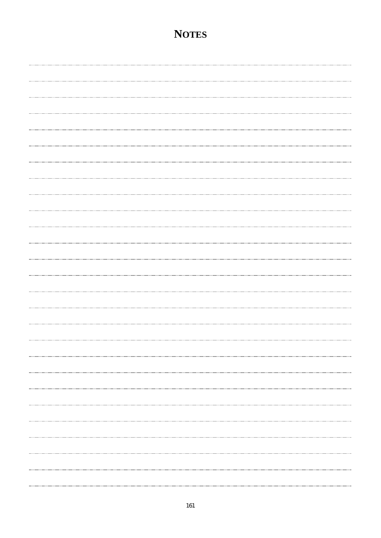#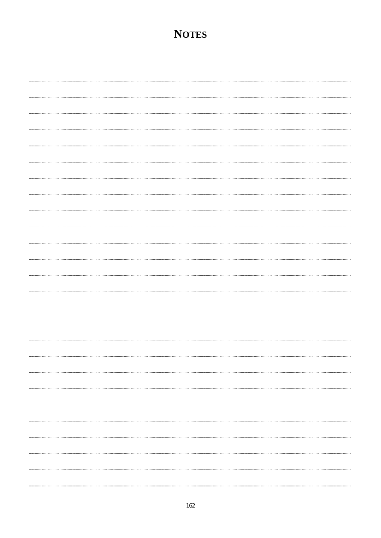# ............................